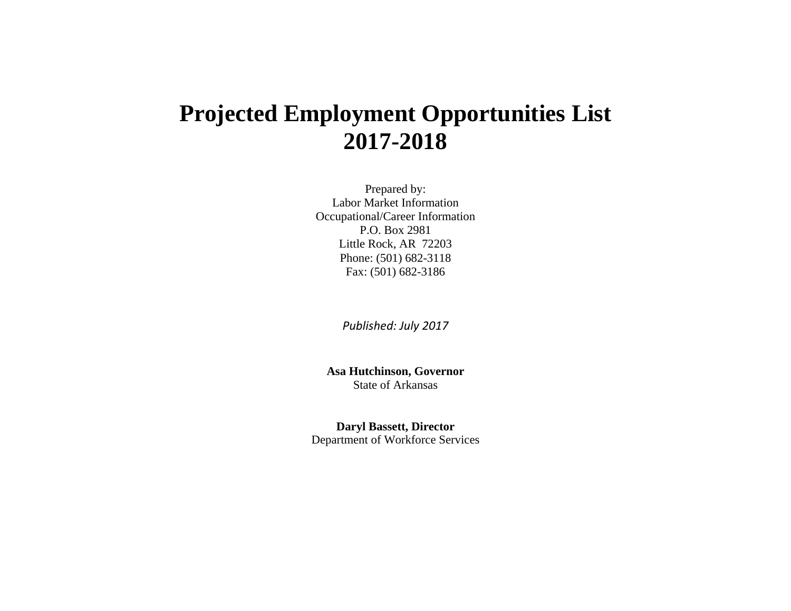# **Projected Employment Opportunities List 2017-2018**

Prepared by: Labor Market Information Occupational/Career Information P.O. Box 2981 Little Rock, AR 72203 Phone: (501) 682-3118 Fax: (501) 682-3186

*Published: July 2017*

**Asa Hutchinson, Governor**  State of Arkansas

**Daryl Bassett, Director**  Department of Workforce Services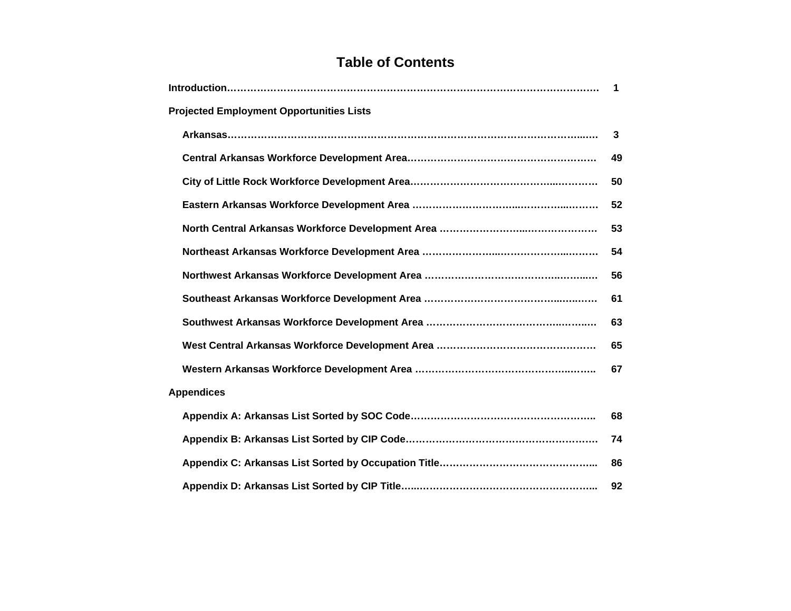# **Table of Contents**

|                                                 | $\blacktriangleleft$ |  |  |  |  |  |  |
|-------------------------------------------------|----------------------|--|--|--|--|--|--|
| <b>Projected Employment Opportunities Lists</b> |                      |  |  |  |  |  |  |
|                                                 | $\mathbf{3}$         |  |  |  |  |  |  |
|                                                 | 49                   |  |  |  |  |  |  |
|                                                 | 50                   |  |  |  |  |  |  |
|                                                 | 52                   |  |  |  |  |  |  |
|                                                 | 53                   |  |  |  |  |  |  |
|                                                 | 54                   |  |  |  |  |  |  |
|                                                 | 56                   |  |  |  |  |  |  |
|                                                 | 61                   |  |  |  |  |  |  |
|                                                 | 63                   |  |  |  |  |  |  |
|                                                 | 65                   |  |  |  |  |  |  |
|                                                 | 67                   |  |  |  |  |  |  |
| <b>Appendices</b>                               |                      |  |  |  |  |  |  |
|                                                 | 68                   |  |  |  |  |  |  |
|                                                 | 74                   |  |  |  |  |  |  |
|                                                 | 86                   |  |  |  |  |  |  |
|                                                 | 92                   |  |  |  |  |  |  |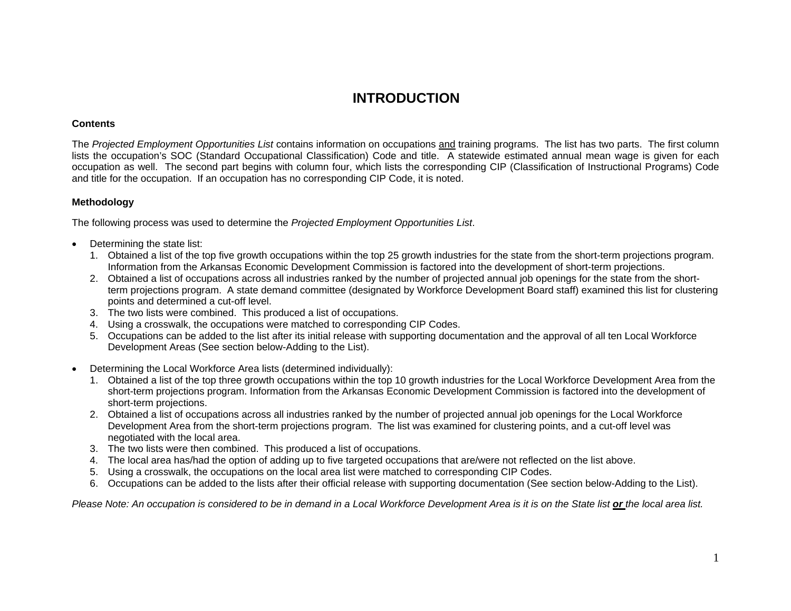# **INTRODUCTION**

#### **Contents**

The *Projected Employment Opportunities List* contains information on occupations and training programs. The list has two parts. The first column lists the occupation's SOC (Standard Occupational Classification) Code and title. A statewide estimated annual mean wage is given for each occupation as well. The second part begins with column four, which lists the corresponding CIP (Classification of Instructional Programs) Code and title for the occupation. If an occupation has no corresponding CIP Code, it is noted.

#### **Methodology**

The following process was used to determine the *Projected Employment Opportunities List*.

- Determining the state list:
	- 1. Obtained a list of the top five growth occupations within the top 25 growth industries for the state from the short-term projections program. Information from the Arkansas Economic Development Commission is factored into the development of short-term projections.
	- 2. Obtained a list of occupations across all industries ranked by the number of projected annual job openings for the state from the shortterm projections program. A state demand committee (designated by Workforce Development Board staff) examined this list for clustering points and determined a cut-off level.
	- 3. The two lists were combined. This produced a list of occupations.
	- 4. Using a crosswalk, the occupations were matched to corresponding CIP Codes.
	- 5. Occupations can be added to the list after its initial release with supporting documentation and the approval of all ten Local Workforce Development Areas (See section below-Adding to the List).
- Determining the Local Workforce Area lists (determined individually):
	- 1. Obtained a list of the top three growth occupations within the top 10 growth industries for the Local Workforce Development Area from the short-term projections program. Information from the Arkansas Economic Development Commission is factored into the development of short-term projections.
	- 2. Obtained a list of occupations across all industries ranked by the number of projected annual job openings for the Local Workforce Development Area from the short-term projections program. The list was examined for clustering points, and a cut-off level was negotiated with the local area.
	- 3. The two lists were then combined. This produced a list of occupations.
	- 4. The local area has/had the option of adding up to five targeted occupations that are/were not reflected on the list above.
	- 5. Using a crosswalk, the occupations on the local area list were matched to corresponding CIP Codes.
	- 6. Occupations can be added to the lists after their official release with supporting documentation (See section below-Adding to the List).

*Please Note: An occupation is considered to be in demand in a Local Workforce Development Area is it is on the State list or the local area list.*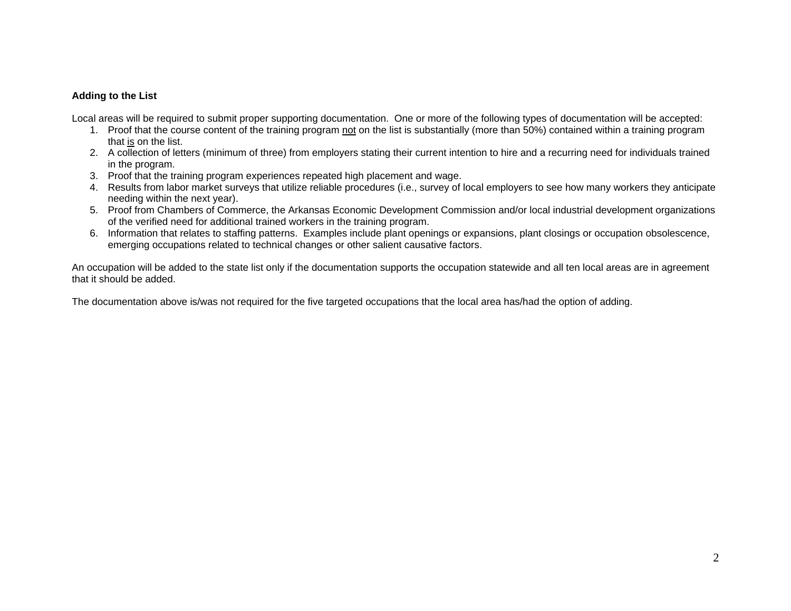#### **Adding to the List**

Local areas will be required to submit proper supporting documentation. One or more of the following types of documentation will be accepted:

- 1. Proof that the course content of the training program not on the list is substantially (more than 50%) contained within a training program that is on the list.
- 2. A collection of letters (minimum of three) from employers stating their current intention to hire and a recurring need for individuals trained in the program.
- 3. Proof that the training program experiences repeated high placement and wage.
- 4. Results from labor market surveys that utilize reliable procedures (i.e., survey of local employers to see how many workers they anticipate needing within the next year).
- 5. Proof from Chambers of Commerce, the Arkansas Economic Development Commission and/or local industrial development organizations of the verified need for additional trained workers in the training program.
- 6. Information that relates to staffing patterns. Examples include plant openings or expansions, plant closings or occupation obsolescence, emerging occupations related to technical changes or other salient causative factors.

An occupation will be added to the state list only if the documentation supports the occupation statewide and all ten local areas are in agreement that it should be added.

The documentation above is/was not required for the five targeted occupations that the local area has/had the option of adding.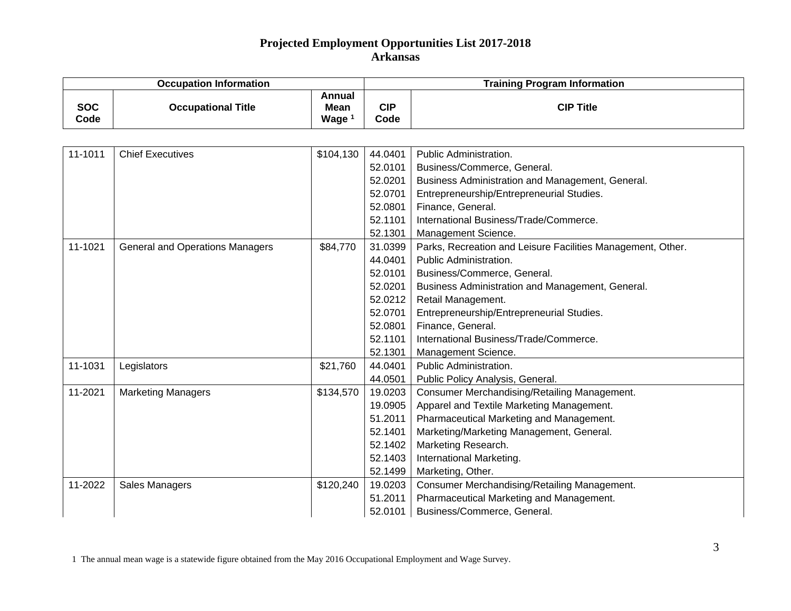|                    | <b>Occupation Information</b>          |                                                   | <b>Training Program Information</b> |                                                             |  |
|--------------------|----------------------------------------|---------------------------------------------------|-------------------------------------|-------------------------------------------------------------|--|
| <b>SOC</b><br>Code | <b>Occupational Title</b>              | <b>Annual</b><br><b>Mean</b><br>Wage <sup>1</sup> | <b>CIP</b><br>Code                  | <b>CIP Title</b>                                            |  |
|                    |                                        |                                                   |                                     |                                                             |  |
| 11-1011            | <b>Chief Executives</b>                | \$104,130                                         | 44.0401                             | Public Administration.                                      |  |
|                    |                                        |                                                   | 52.0101                             | Business/Commerce, General.                                 |  |
|                    |                                        |                                                   | 52.0201                             | Business Administration and Management, General.            |  |
|                    |                                        |                                                   | 52.0701                             | Entrepreneurship/Entrepreneurial Studies.                   |  |
|                    |                                        |                                                   | 52.0801                             | Finance, General.                                           |  |
|                    |                                        |                                                   | 52.1101                             | International Business/Trade/Commerce.                      |  |
|                    |                                        |                                                   | 52.1301                             | Management Science.                                         |  |
| 11-1021            | <b>General and Operations Managers</b> | \$84,770                                          | 31.0399                             | Parks, Recreation and Leisure Facilities Management, Other. |  |
|                    |                                        |                                                   | 44.0401                             | Public Administration.                                      |  |
|                    |                                        |                                                   | 52.0101                             | Business/Commerce, General.                                 |  |
|                    |                                        |                                                   | 52.0201                             | Business Administration and Management, General.            |  |
|                    |                                        |                                                   | 52.0212                             | Retail Management.                                          |  |
|                    |                                        |                                                   | 52.0701                             | Entrepreneurship/Entrepreneurial Studies.                   |  |
|                    |                                        |                                                   | 52.0801                             | Finance, General.                                           |  |
|                    |                                        |                                                   | 52.1101                             | International Business/Trade/Commerce.                      |  |
|                    |                                        |                                                   | 52.1301                             | Management Science.                                         |  |
| 11-1031            | Legislators                            | \$21,760                                          | 44.0401                             | Public Administration.                                      |  |
|                    |                                        |                                                   | 44.0501                             | Public Policy Analysis, General.                            |  |
| 11-2021            | <b>Marketing Managers</b>              | \$134,570                                         | 19.0203                             | Consumer Merchandising/Retailing Management.                |  |
|                    |                                        |                                                   | 19.0905                             | Apparel and Textile Marketing Management.                   |  |
|                    |                                        |                                                   | 51.2011                             | Pharmaceutical Marketing and Management.                    |  |
|                    |                                        |                                                   | 52.1401                             | Marketing/Marketing Management, General.                    |  |
|                    |                                        |                                                   | 52.1402                             | Marketing Research.                                         |  |
|                    |                                        |                                                   | 52.1403                             | International Marketing.                                    |  |
|                    |                                        |                                                   | 52.1499                             | Marketing, Other.                                           |  |
| 11-2022            | <b>Sales Managers</b>                  | \$120,240                                         | 19.0203                             | Consumer Merchandising/Retailing Management.                |  |
|                    |                                        |                                                   | 51.2011                             | Pharmaceutical Marketing and Management.                    |  |
|                    |                                        |                                                   | 52.0101                             | Business/Commerce, General.                                 |  |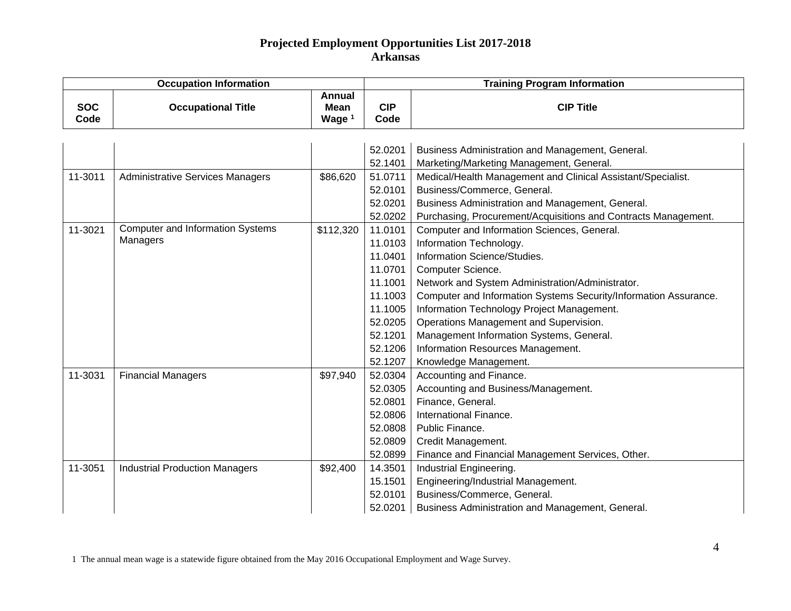|                    | <b>Occupation Information</b>           |                                                   | <b>Training Program Information</b> |                                                                  |  |
|--------------------|-----------------------------------------|---------------------------------------------------|-------------------------------------|------------------------------------------------------------------|--|
| <b>SOC</b><br>Code | <b>Occupational Title</b>               | <b>Annual</b><br><b>Mean</b><br>Wage <sup>1</sup> | <b>CIP</b><br>Code                  | <b>CIP Title</b>                                                 |  |
|                    |                                         |                                                   |                                     |                                                                  |  |
|                    |                                         |                                                   | 52.0201                             | Business Administration and Management, General.                 |  |
|                    |                                         |                                                   | 52.1401                             | Marketing/Marketing Management, General.                         |  |
| 11-3011            | <b>Administrative Services Managers</b> | \$86,620                                          | 51.0711                             | Medical/Health Management and Clinical Assistant/Specialist.     |  |
|                    |                                         |                                                   | 52.0101                             | Business/Commerce, General.                                      |  |
|                    |                                         |                                                   | 52.0201                             | Business Administration and Management, General.                 |  |
|                    |                                         |                                                   | 52.0202                             | Purchasing, Procurement/Acquisitions and Contracts Management.   |  |
| 11-3021            | <b>Computer and Information Systems</b> | \$112,320                                         | 11.0101                             | Computer and Information Sciences, General.                      |  |
|                    | Managers                                |                                                   | 11.0103                             | Information Technology.                                          |  |
|                    |                                         |                                                   | 11.0401                             | Information Science/Studies.                                     |  |
|                    |                                         |                                                   | 11.0701                             | Computer Science.                                                |  |
|                    |                                         |                                                   | 11.1001                             | Network and System Administration/Administrator.                 |  |
|                    |                                         |                                                   | 11.1003                             | Computer and Information Systems Security/Information Assurance. |  |
|                    |                                         |                                                   | 11.1005                             | Information Technology Project Management.                       |  |
|                    |                                         |                                                   | 52.0205                             | Operations Management and Supervision.                           |  |
|                    |                                         |                                                   | 52.1201                             | Management Information Systems, General.                         |  |
|                    |                                         |                                                   | 52.1206                             | Information Resources Management.                                |  |
|                    |                                         |                                                   | 52.1207                             | Knowledge Management.                                            |  |
| 11-3031            | <b>Financial Managers</b>               | \$97,940                                          | 52.0304                             | Accounting and Finance.                                          |  |
|                    |                                         |                                                   | 52.0305                             | Accounting and Business/Management.                              |  |
|                    |                                         |                                                   | 52.0801                             | Finance, General.                                                |  |
|                    |                                         |                                                   | 52.0806                             | International Finance.                                           |  |
|                    |                                         |                                                   | 52.0808                             | Public Finance.                                                  |  |
|                    |                                         |                                                   | 52.0809                             | Credit Management.                                               |  |
|                    |                                         |                                                   | 52.0899                             | Finance and Financial Management Services, Other.                |  |
| 11-3051            | <b>Industrial Production Managers</b>   | \$92,400                                          | 14.3501                             | Industrial Engineering.                                          |  |
|                    |                                         |                                                   | 15.1501                             | Engineering/Industrial Management.                               |  |
|                    |                                         |                                                   | 52.0101                             | Business/Commerce, General.                                      |  |
|                    |                                         |                                                   | 52.0201                             | Business Administration and Management, General.                 |  |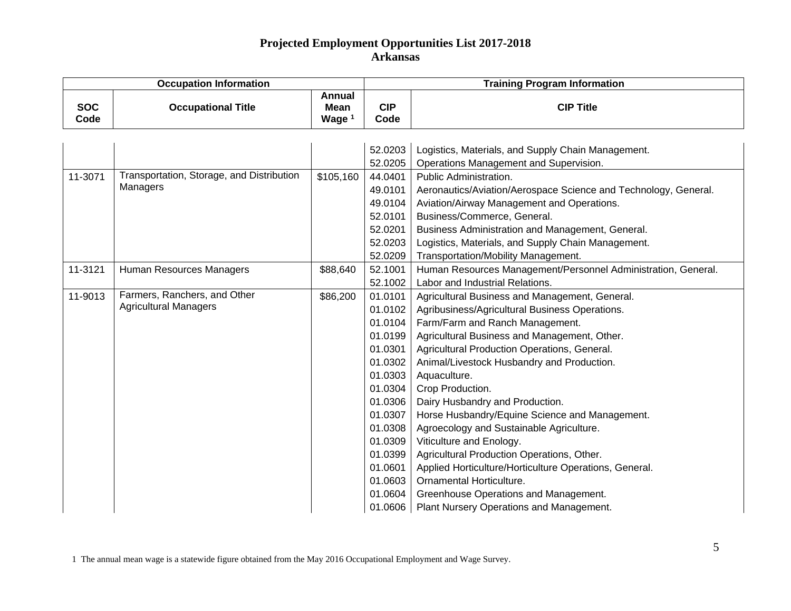| <b>Occupation Information</b> |                                           |                                                   | <b>Training Program Information</b> |                                                                 |  |
|-------------------------------|-------------------------------------------|---------------------------------------------------|-------------------------------------|-----------------------------------------------------------------|--|
| <b>SOC</b><br>Code            | <b>Occupational Title</b>                 | <b>Annual</b><br><b>Mean</b><br>Wage <sup>1</sup> | <b>CIP</b><br>Code                  | <b>CIP Title</b>                                                |  |
|                               |                                           |                                                   |                                     |                                                                 |  |
|                               |                                           |                                                   | 52.0203                             | Logistics, Materials, and Supply Chain Management.              |  |
|                               |                                           |                                                   | 52.0205                             | Operations Management and Supervision.                          |  |
| 11-3071                       | Transportation, Storage, and Distribution | \$105,160                                         | 44.0401                             | Public Administration.                                          |  |
|                               | Managers                                  |                                                   | 49.0101                             | Aeronautics/Aviation/Aerospace Science and Technology, General. |  |
|                               |                                           |                                                   | 49.0104                             | Aviation/Airway Management and Operations.                      |  |
|                               |                                           |                                                   | 52.0101                             | Business/Commerce, General.                                     |  |
|                               |                                           |                                                   | 52.0201                             | Business Administration and Management, General.                |  |
|                               |                                           |                                                   | 52.0203                             | Logistics, Materials, and Supply Chain Management.              |  |
|                               |                                           |                                                   | 52.0209                             | Transportation/Mobility Management.                             |  |
| 11-3121                       | Human Resources Managers                  | \$88,640                                          | 52.1001                             | Human Resources Management/Personnel Administration, General.   |  |
|                               |                                           |                                                   | 52.1002                             | Labor and Industrial Relations.                                 |  |
| 11-9013                       | Farmers, Ranchers, and Other              | \$86,200                                          | 01.0101                             | Agricultural Business and Management, General.                  |  |
|                               | <b>Agricultural Managers</b>              |                                                   | 01.0102                             | Agribusiness/Agricultural Business Operations.                  |  |
|                               |                                           |                                                   | 01.0104                             | Farm/Farm and Ranch Management.                                 |  |
|                               |                                           |                                                   | 01.0199                             | Agricultural Business and Management, Other.                    |  |
|                               |                                           |                                                   | 01.0301                             | Agricultural Production Operations, General.                    |  |
|                               |                                           |                                                   | 01.0302                             | Animal/Livestock Husbandry and Production.                      |  |
|                               |                                           |                                                   | 01.0303                             | Aquaculture.                                                    |  |
|                               |                                           |                                                   | 01.0304                             | Crop Production.                                                |  |
|                               |                                           |                                                   | 01.0306                             | Dairy Husbandry and Production.                                 |  |
|                               |                                           |                                                   | 01.0307                             | Horse Husbandry/Equine Science and Management.                  |  |
|                               |                                           |                                                   | 01.0308                             | Agroecology and Sustainable Agriculture.                        |  |
|                               |                                           |                                                   | 01.0309                             | Viticulture and Enology.                                        |  |
|                               |                                           |                                                   | 01.0399                             | Agricultural Production Operations, Other.                      |  |
|                               |                                           |                                                   | 01.0601                             | Applied Horticulture/Horticulture Operations, General.          |  |
|                               |                                           |                                                   | 01.0603                             | Ornamental Horticulture.                                        |  |
|                               |                                           |                                                   | 01.0604                             | Greenhouse Operations and Management.                           |  |
|                               |                                           |                                                   | 01.0606                             | Plant Nursery Operations and Management.                        |  |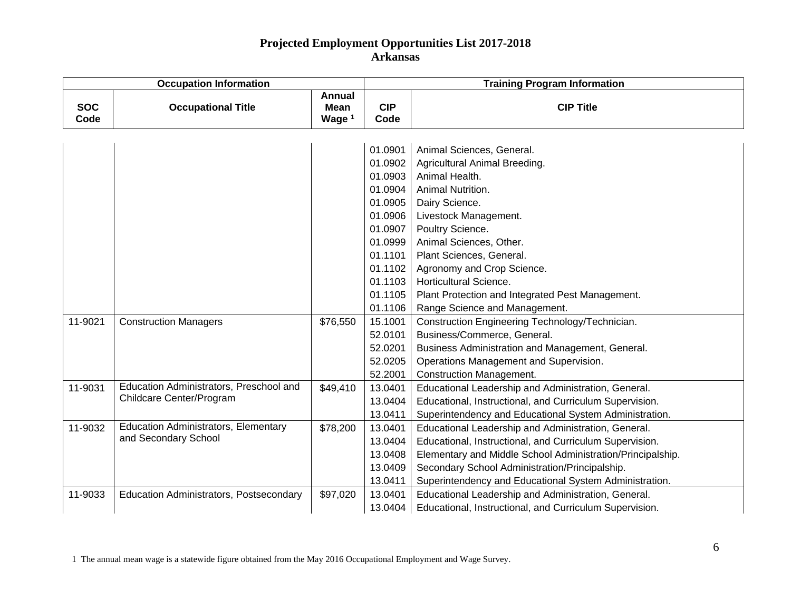|                    | <b>Occupation Information</b>               |                                          | <b>Training Program Information</b> |                                                            |  |
|--------------------|---------------------------------------------|------------------------------------------|-------------------------------------|------------------------------------------------------------|--|
| <b>SOC</b><br>Code | <b>Occupational Title</b>                   | <b>Annual</b><br><b>Mean</b><br>Wage $1$ | <b>CIP</b><br>Code                  | <b>CIP Title</b>                                           |  |
|                    |                                             |                                          |                                     |                                                            |  |
|                    |                                             |                                          | 01.0901                             | Animal Sciences, General.                                  |  |
|                    |                                             |                                          | 01.0902                             | Agricultural Animal Breeding.                              |  |
|                    |                                             |                                          | 01.0903                             | Animal Health.                                             |  |
|                    |                                             |                                          | 01.0904                             | Animal Nutrition.                                          |  |
|                    |                                             |                                          | 01.0905                             | Dairy Science.                                             |  |
|                    |                                             |                                          | 01.0906                             | Livestock Management.                                      |  |
|                    |                                             |                                          | 01.0907                             | Poultry Science.                                           |  |
|                    |                                             |                                          | 01.0999                             | Animal Sciences, Other.                                    |  |
|                    |                                             |                                          | 01.1101                             | Plant Sciences, General.                                   |  |
|                    |                                             |                                          | 01.1102                             | Agronomy and Crop Science.                                 |  |
|                    |                                             |                                          | 01.1103                             | Horticultural Science.                                     |  |
|                    |                                             |                                          | 01.1105                             | Plant Protection and Integrated Pest Management.           |  |
|                    |                                             |                                          | 01.1106                             | Range Science and Management.                              |  |
| 11-9021            | <b>Construction Managers</b>                | \$76,550                                 | 15.1001                             | Construction Engineering Technology/Technician.            |  |
|                    |                                             |                                          | 52.0101                             | Business/Commerce, General.                                |  |
|                    |                                             |                                          | 52.0201                             | Business Administration and Management, General.           |  |
|                    |                                             |                                          | 52.0205                             | Operations Management and Supervision.                     |  |
|                    |                                             |                                          | 52.2001                             | <b>Construction Management.</b>                            |  |
| 11-9031            | Education Administrators, Preschool and     | \$49,410                                 | 13.0401                             | Educational Leadership and Administration, General.        |  |
|                    | Childcare Center/Program                    |                                          | 13.0404                             | Educational, Instructional, and Curriculum Supervision.    |  |
|                    |                                             |                                          | 13.0411                             | Superintendency and Educational System Administration.     |  |
| 11-9032            | <b>Education Administrators, Elementary</b> | \$78,200                                 | 13.0401                             | Educational Leadership and Administration, General.        |  |
|                    | and Secondary School                        |                                          | 13.0404                             | Educational, Instructional, and Curriculum Supervision.    |  |
|                    |                                             |                                          | 13.0408                             | Elementary and Middle School Administration/Principalship. |  |
|                    |                                             |                                          | 13.0409                             | Secondary School Administration/Principalship.             |  |
|                    |                                             |                                          | 13.0411                             | Superintendency and Educational System Administration.     |  |
| 11-9033            | Education Administrators, Postsecondary     | \$97,020                                 | 13.0401                             | Educational Leadership and Administration, General.        |  |
|                    |                                             |                                          | 13.0404                             | Educational, Instructional, and Curriculum Supervision.    |  |

1 The annual mean wage is a statewide figure obtained from the May 2016 Occupational Employment and Wage Survey.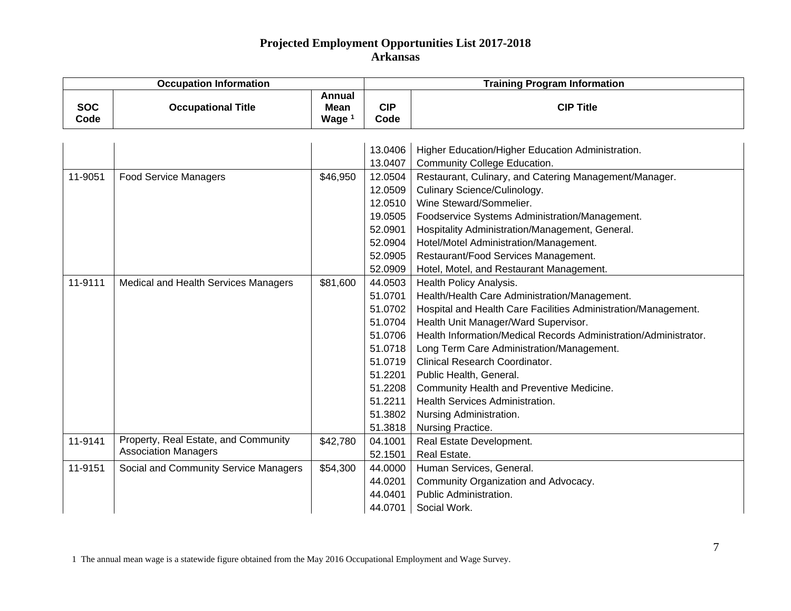|                    | <b>Occupation Information</b>                                       |                                   | <b>Training Program Information</b>                                                                                              |                                                                                                                                                                                                                                                                                                                                                                                                                                                                                                  |  |
|--------------------|---------------------------------------------------------------------|-----------------------------------|----------------------------------------------------------------------------------------------------------------------------------|--------------------------------------------------------------------------------------------------------------------------------------------------------------------------------------------------------------------------------------------------------------------------------------------------------------------------------------------------------------------------------------------------------------------------------------------------------------------------------------------------|--|
| <b>SOC</b><br>Code | <b>Occupational Title</b>                                           | Annual<br><b>Mean</b><br>Wage $1$ | <b>CIP</b><br>Code                                                                                                               | <b>CIP Title</b>                                                                                                                                                                                                                                                                                                                                                                                                                                                                                 |  |
| 11-9051            | <b>Food Service Managers</b>                                        | \$46,950                          | 13.0406<br>13.0407<br>12.0504<br>12.0509<br>12.0510                                                                              | Higher Education/Higher Education Administration.<br><b>Community College Education.</b><br>Restaurant, Culinary, and Catering Management/Manager.<br>Culinary Science/Culinology.<br>Wine Steward/Sommelier.                                                                                                                                                                                                                                                                                    |  |
|                    |                                                                     |                                   | 19.0505<br>52.0901<br>52.0904<br>52.0905<br>52.0909                                                                              | Foodservice Systems Administration/Management.<br>Hospitality Administration/Management, General.<br>Hotel/Motel Administration/Management.<br>Restaurant/Food Services Management.<br>Hotel, Motel, and Restaurant Management.                                                                                                                                                                                                                                                                  |  |
| 11-9111            | Medical and Health Services Managers                                | \$81,600                          | 44.0503<br>51.0701<br>51.0702<br>51.0704<br>51.0706<br>51.0718<br>51.0719<br>51.2201<br>51.2208<br>51.2211<br>51.3802<br>51.3818 | Health Policy Analysis.<br>Health/Health Care Administration/Management.<br>Hospital and Health Care Facilities Administration/Management.<br>Health Unit Manager/Ward Supervisor.<br>Health Information/Medical Records Administration/Administrator.<br>Long Term Care Administration/Management.<br>Clinical Research Coordinator.<br>Public Health, General.<br>Community Health and Preventive Medicine.<br>Health Services Administration.<br>Nursing Administration.<br>Nursing Practice. |  |
| 11-9141            | Property, Real Estate, and Community<br><b>Association Managers</b> | \$42,780                          | 04.1001<br>52.1501                                                                                                               | Real Estate Development.<br>Real Estate.                                                                                                                                                                                                                                                                                                                                                                                                                                                         |  |
| 11-9151            | Social and Community Service Managers                               | \$54,300                          | 44.0000<br>44.0201<br>44.0401<br>44.0701                                                                                         | Human Services, General.<br>Community Organization and Advocacy.<br>Public Administration.<br>Social Work.                                                                                                                                                                                                                                                                                                                                                                                       |  |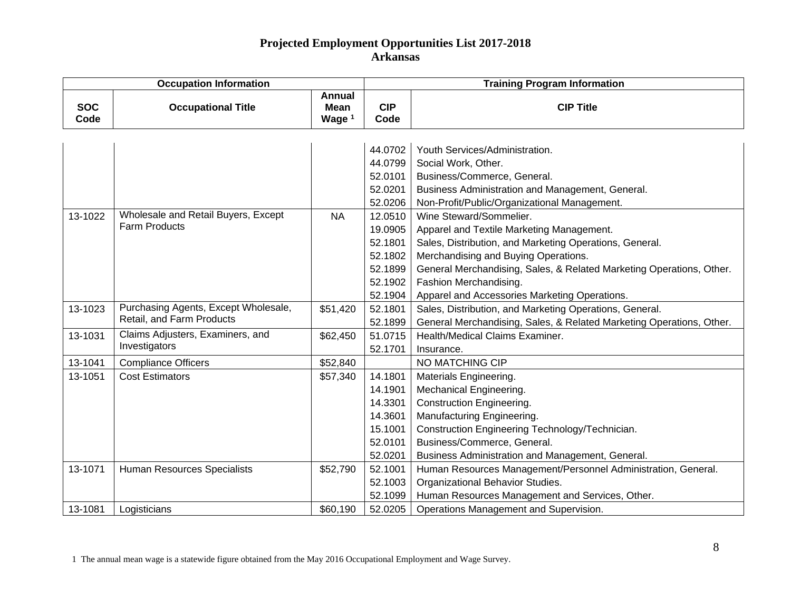|                    | <b>Occupation Information</b>        |                                            | <b>Training Program Information</b>                                  |                                                                      |  |
|--------------------|--------------------------------------|--------------------------------------------|----------------------------------------------------------------------|----------------------------------------------------------------------|--|
| <b>SOC</b><br>Code | <b>Occupational Title</b>            | Annual<br><b>Mean</b><br>Wage <sup>1</sup> | <b>CIP</b><br>Code                                                   | <b>CIP Title</b>                                                     |  |
|                    |                                      |                                            |                                                                      |                                                                      |  |
|                    |                                      |                                            | 44.0702                                                              | Youth Services/Administration.                                       |  |
|                    |                                      |                                            | 44.0799                                                              | Social Work, Other.                                                  |  |
|                    |                                      |                                            | 52.0101                                                              | Business/Commerce, General.                                          |  |
|                    |                                      |                                            | 52.0201                                                              | Business Administration and Management, General.                     |  |
|                    |                                      |                                            | 52.0206                                                              | Non-Profit/Public/Organizational Management.                         |  |
| 13-1022            | Wholesale and Retail Buyers, Except  | <b>NA</b>                                  | 12.0510                                                              | Wine Steward/Sommelier.                                              |  |
|                    | <b>Farm Products</b>                 |                                            | 19.0905                                                              | Apparel and Textile Marketing Management.                            |  |
|                    |                                      |                                            | 52.1801                                                              | Sales, Distribution, and Marketing Operations, General.              |  |
|                    |                                      |                                            | 52.1802                                                              | Merchandising and Buying Operations.                                 |  |
|                    |                                      | 52.1899                                    | General Merchandising, Sales, & Related Marketing Operations, Other. |                                                                      |  |
|                    |                                      |                                            | 52.1902                                                              | Fashion Merchandising.                                               |  |
|                    |                                      |                                            | 52.1904                                                              | Apparel and Accessories Marketing Operations.                        |  |
| 13-1023            | Purchasing Agents, Except Wholesale, | \$51,420                                   | 52.1801                                                              | Sales, Distribution, and Marketing Operations, General.              |  |
|                    | Retail, and Farm Products            |                                            | 52.1899                                                              | General Merchandising, Sales, & Related Marketing Operations, Other. |  |
| 13-1031            | Claims Adjusters, Examiners, and     | \$62,450                                   | 51.0715                                                              | Health/Medical Claims Examiner.                                      |  |
|                    | Investigators                        |                                            | 52.1701                                                              | Insurance.                                                           |  |
| 13-1041            | <b>Compliance Officers</b>           | \$52,840                                   |                                                                      | NO MATCHING CIP                                                      |  |
| 13-1051            | <b>Cost Estimators</b>               | \$57,340                                   | 14.1801                                                              | Materials Engineering.                                               |  |
|                    |                                      |                                            | 14.1901                                                              | Mechanical Engineering.                                              |  |
|                    |                                      |                                            | 14.3301                                                              | <b>Construction Engineering</b>                                      |  |
|                    |                                      |                                            | 14.3601                                                              | Manufacturing Engineering.                                           |  |
|                    |                                      |                                            | 15.1001                                                              | Construction Engineering Technology/Technician.                      |  |
|                    |                                      |                                            | 52.0101                                                              | Business/Commerce, General.                                          |  |
|                    |                                      |                                            | 52.0201                                                              | Business Administration and Management, General.                     |  |
| 13-1071            | Human Resources Specialists          | \$52,790                                   | 52.1001                                                              | Human Resources Management/Personnel Administration, General.        |  |
|                    |                                      |                                            | 52.1003                                                              | Organizational Behavior Studies.                                     |  |
|                    |                                      |                                            | 52.1099                                                              | Human Resources Management and Services, Other.                      |  |
| 13-1081            | Logisticians                         | \$60,190                                   | 52.0205                                                              | Operations Management and Supervision.                               |  |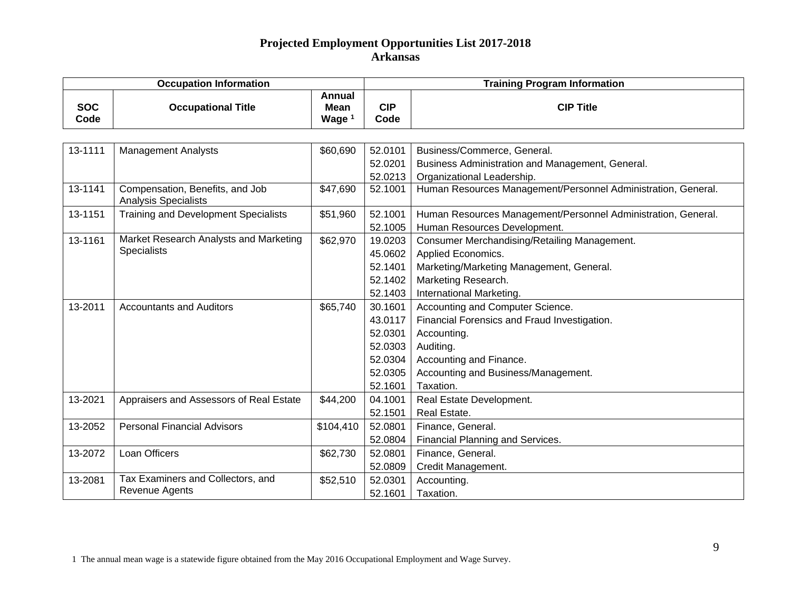|                    | <b>Occupation Information</b>                                  |                                                   |                    | <b>Training Program Information</b>                           |  |  |
|--------------------|----------------------------------------------------------------|---------------------------------------------------|--------------------|---------------------------------------------------------------|--|--|
| <b>SOC</b><br>Code | <b>Occupational Title</b>                                      | <b>Annual</b><br><b>Mean</b><br>Wage <sup>1</sup> | <b>CIP</b><br>Code | <b>CIP Title</b>                                              |  |  |
|                    |                                                                |                                                   |                    |                                                               |  |  |
| 13-1111            | <b>Management Analysts</b>                                     | \$60,690                                          | 52.0101            | Business/Commerce, General.                                   |  |  |
|                    |                                                                |                                                   | 52.0201            | Business Administration and Management, General.              |  |  |
|                    |                                                                |                                                   | 52.0213            | Organizational Leadership.                                    |  |  |
| 13-1141            | Compensation, Benefits, and Job<br><b>Analysis Specialists</b> | \$47,690                                          | 52.1001            | Human Resources Management/Personnel Administration, General. |  |  |
| 13-1151            | <b>Training and Development Specialists</b>                    | \$51,960                                          | 52.1001            | Human Resources Management/Personnel Administration, General. |  |  |
|                    |                                                                |                                                   | 52.1005            | Human Resources Development.                                  |  |  |
| 13-1161            | Market Research Analysts and Marketing                         | \$62,970                                          | 19.0203            | Consumer Merchandising/Retailing Management.                  |  |  |
|                    | Specialists                                                    |                                                   | 45.0602            | Applied Economics.                                            |  |  |
|                    |                                                                |                                                   | 52.1401            | Marketing/Marketing Management, General.                      |  |  |
|                    |                                                                |                                                   | 52.1402            | Marketing Research.                                           |  |  |
|                    |                                                                |                                                   | 52.1403            | International Marketing.                                      |  |  |
| 13-2011            | <b>Accountants and Auditors</b>                                | \$65,740                                          | 30.1601            | Accounting and Computer Science.                              |  |  |
|                    |                                                                |                                                   | 43.0117            | Financial Forensics and Fraud Investigation.                  |  |  |
|                    |                                                                |                                                   | 52.0301            | Accounting.                                                   |  |  |
|                    |                                                                |                                                   | 52.0303            | Auditing.                                                     |  |  |
|                    |                                                                |                                                   | 52.0304            | Accounting and Finance.                                       |  |  |
|                    |                                                                |                                                   | 52.0305            | Accounting and Business/Management.                           |  |  |
|                    |                                                                |                                                   | 52.1601            | Taxation.                                                     |  |  |
| 13-2021            | Appraisers and Assessors of Real Estate                        | \$44,200                                          | 04.1001            | Real Estate Development.                                      |  |  |
|                    |                                                                |                                                   | 52.1501            | Real Estate.                                                  |  |  |
| 13-2052            | <b>Personal Financial Advisors</b>                             | \$104,410                                         | 52.0801            | Finance, General.                                             |  |  |
|                    |                                                                |                                                   | 52.0804            | Financial Planning and Services.                              |  |  |
| 13-2072            | Loan Officers                                                  | \$62,730                                          | 52.0801            | Finance, General.                                             |  |  |
|                    |                                                                |                                                   | 52.0809            | Credit Management.                                            |  |  |
| 13-2081            | Tax Examiners and Collectors, and                              | \$52,510                                          | 52.0301            | Accounting.                                                   |  |  |
|                    | Revenue Agents                                                 |                                                   | 52.1601            | Taxation.                                                     |  |  |

1 The annual mean wage is a statewide figure obtained from the May 2016 Occupational Employment and Wage Survey.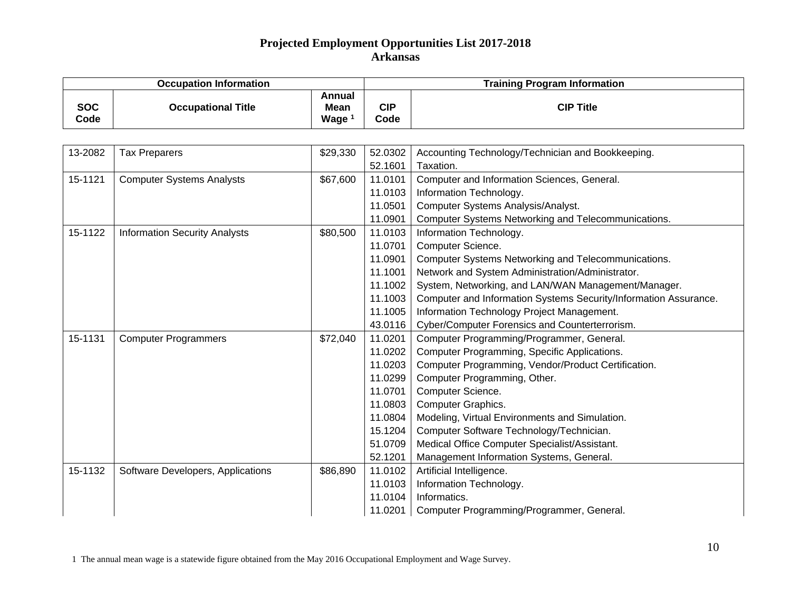|                    | <b>Occupation Information</b>        |                                                   | <b>Training Program Information</b> |                                                                  |  |
|--------------------|--------------------------------------|---------------------------------------------------|-------------------------------------|------------------------------------------------------------------|--|
| <b>SOC</b><br>Code | <b>Occupational Title</b>            | <b>Annual</b><br><b>Mean</b><br>Wage <sup>1</sup> | <b>CIP</b><br>Code                  | <b>CIP Title</b>                                                 |  |
|                    |                                      |                                                   |                                     |                                                                  |  |
| 13-2082            | <b>Tax Preparers</b>                 | \$29,330                                          | 52.0302                             | Accounting Technology/Technician and Bookkeeping.                |  |
|                    |                                      |                                                   | 52.1601                             | Taxation.                                                        |  |
| 15-1121            | <b>Computer Systems Analysts</b>     | \$67,600                                          | 11.0101                             | Computer and Information Sciences, General.                      |  |
|                    |                                      |                                                   | 11.0103                             | Information Technology.                                          |  |
|                    |                                      |                                                   | 11.0501                             | Computer Systems Analysis/Analyst.                               |  |
|                    |                                      |                                                   | 11.0901                             | Computer Systems Networking and Telecommunications.              |  |
| 15-1122            | <b>Information Security Analysts</b> | \$80,500                                          | 11.0103                             | Information Technology.                                          |  |
|                    |                                      |                                                   | 11.0701                             | Computer Science.                                                |  |
|                    |                                      |                                                   | 11.0901                             | Computer Systems Networking and Telecommunications.              |  |
|                    |                                      |                                                   | 11.1001                             | Network and System Administration/Administrator.                 |  |
|                    |                                      |                                                   | 11.1002                             | System, Networking, and LAN/WAN Management/Manager.              |  |
|                    |                                      |                                                   | 11.1003                             | Computer and Information Systems Security/Information Assurance. |  |
|                    |                                      |                                                   | 11.1005                             | Information Technology Project Management.                       |  |
|                    |                                      |                                                   | 43.0116                             | Cyber/Computer Forensics and Counterterrorism.                   |  |
| 15-1131            | <b>Computer Programmers</b>          | \$72,040                                          | 11.0201                             | Computer Programming/Programmer, General.                        |  |
|                    |                                      |                                                   | 11.0202                             | Computer Programming, Specific Applications.                     |  |
|                    |                                      |                                                   | 11.0203                             | Computer Programming, Vendor/Product Certification.              |  |
|                    |                                      |                                                   | 11.0299                             | Computer Programming, Other.                                     |  |
|                    |                                      |                                                   | 11.0701                             | Computer Science.                                                |  |
|                    |                                      |                                                   | 11.0803                             | Computer Graphics.                                               |  |
|                    |                                      |                                                   | 11.0804                             | Modeling, Virtual Environments and Simulation.                   |  |
|                    |                                      |                                                   | 15.1204                             | Computer Software Technology/Technician.                         |  |
|                    |                                      |                                                   | 51.0709                             | Medical Office Computer Specialist/Assistant.                    |  |
|                    |                                      |                                                   | 52.1201                             | Management Information Systems, General.                         |  |
| 15-1132            | Software Developers, Applications    | \$86,890                                          | 11.0102                             | Artificial Intelligence.                                         |  |
|                    |                                      |                                                   | 11.0103                             | Information Technology.                                          |  |
|                    |                                      |                                                   | 11.0104                             | Informatics.                                                     |  |
|                    |                                      |                                                   | 11.0201                             | Computer Programming/Programmer, General.                        |  |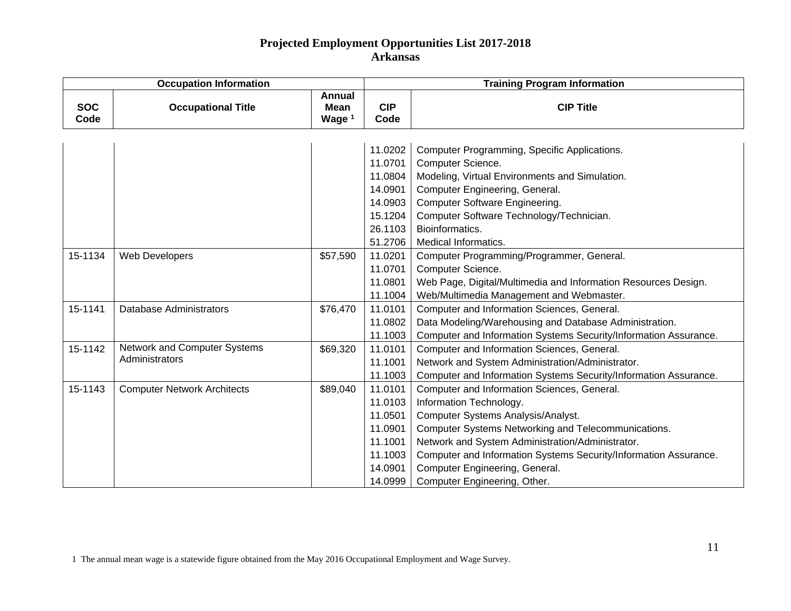|                    | <b>Occupation Information</b>       |                                            | <b>Training Program Information</b> |                                                                  |  |
|--------------------|-------------------------------------|--------------------------------------------|-------------------------------------|------------------------------------------------------------------|--|
| <b>SOC</b><br>Code | <b>Occupational Title</b>           | <b>Annual</b><br>Mean<br>Wage <sup>1</sup> | <b>CIP</b><br>Code                  | <b>CIP Title</b>                                                 |  |
|                    |                                     |                                            |                                     |                                                                  |  |
|                    |                                     |                                            | 11.0202                             | Computer Programming, Specific Applications.                     |  |
|                    |                                     |                                            | 11.0701                             | Computer Science.                                                |  |
|                    |                                     |                                            | 11.0804                             | Modeling, Virtual Environments and Simulation.                   |  |
|                    |                                     |                                            | 14.0901                             | Computer Engineering, General.                                   |  |
|                    |                                     |                                            | 14.0903                             | <b>Computer Software Engineering.</b>                            |  |
|                    |                                     |                                            | 15.1204                             | Computer Software Technology/Technician.                         |  |
|                    |                                     |                                            | 26.1103                             | Bioinformatics.                                                  |  |
|                    |                                     |                                            | 51.2706                             | Medical Informatics.                                             |  |
| 15-1134            | Web Developers                      | \$57,590                                   | 11.0201                             | Computer Programming/Programmer, General.                        |  |
|                    |                                     |                                            | 11.0701                             | Computer Science.                                                |  |
|                    |                                     |                                            | 11.0801                             | Web Page, Digital/Multimedia and Information Resources Design.   |  |
|                    |                                     |                                            | 11.1004                             | Web/Multimedia Management and Webmaster.                         |  |
| 15-1141            | <b>Database Administrators</b>      | \$76,470                                   | 11.0101                             | Computer and Information Sciences, General.                      |  |
|                    |                                     |                                            | 11.0802                             | Data Modeling/Warehousing and Database Administration.           |  |
|                    |                                     |                                            | 11.1003                             | Computer and Information Systems Security/Information Assurance. |  |
| 15-1142            | <b>Network and Computer Systems</b> | \$69,320                                   | 11.0101                             | Computer and Information Sciences, General.                      |  |
|                    | Administrators                      |                                            | 11.1001                             | Network and System Administration/Administrator.                 |  |
|                    |                                     |                                            | 11.1003                             | Computer and Information Systems Security/Information Assurance. |  |
| 15-1143            | <b>Computer Network Architects</b>  | \$89,040                                   | 11.0101                             | Computer and Information Sciences, General.                      |  |
|                    |                                     |                                            | 11.0103                             | Information Technology.                                          |  |
|                    |                                     |                                            | 11.0501                             | Computer Systems Analysis/Analyst.                               |  |
|                    |                                     |                                            | 11.0901                             | Computer Systems Networking and Telecommunications.              |  |
|                    |                                     |                                            | 11.1001                             | Network and System Administration/Administrator.                 |  |
|                    |                                     |                                            | 11.1003                             | Computer and Information Systems Security/Information Assurance. |  |
|                    |                                     |                                            | 14.0901                             | Computer Engineering, General.                                   |  |
|                    |                                     |                                            | 14.0999                             | Computer Engineering, Other.                                     |  |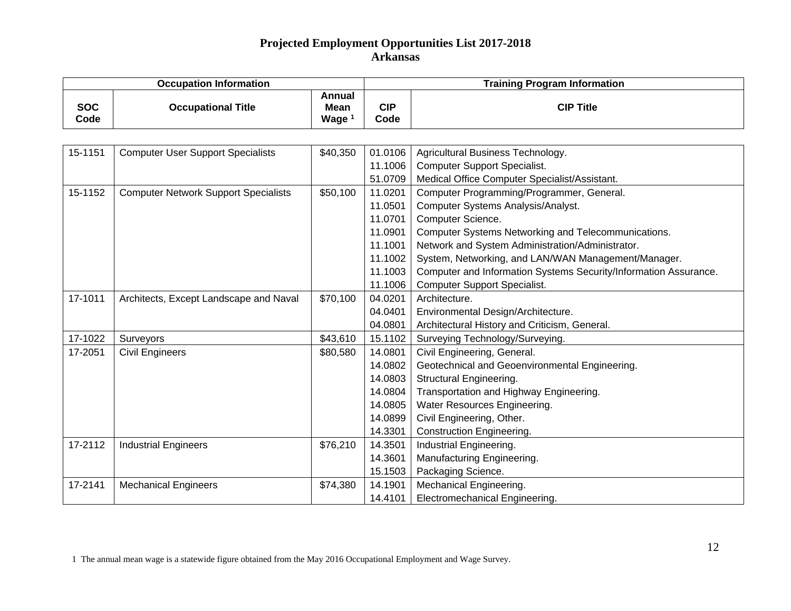|                    | <b>Occupation Information</b>               |                                                   | <b>Training Program Information</b> |                                                                  |  |
|--------------------|---------------------------------------------|---------------------------------------------------|-------------------------------------|------------------------------------------------------------------|--|
| <b>SOC</b><br>Code | <b>Occupational Title</b>                   | <b>Annual</b><br><b>Mean</b><br>Wage <sup>1</sup> | <b>CIP</b><br>Code                  | <b>CIP Title</b>                                                 |  |
|                    |                                             |                                                   |                                     |                                                                  |  |
| 15-1151            | <b>Computer User Support Specialists</b>    | \$40,350                                          | 01.0106                             | Agricultural Business Technology.                                |  |
|                    |                                             |                                                   | 11.1006                             | <b>Computer Support Specialist.</b>                              |  |
|                    |                                             |                                                   | 51.0709                             | Medical Office Computer Specialist/Assistant.                    |  |
| 15-1152            | <b>Computer Network Support Specialists</b> | \$50,100                                          | 11.0201                             | Computer Programming/Programmer, General.                        |  |
|                    |                                             |                                                   | 11.0501                             | Computer Systems Analysis/Analyst.                               |  |
|                    |                                             |                                                   | 11.0701                             | Computer Science.                                                |  |
|                    |                                             |                                                   | 11.0901                             | Computer Systems Networking and Telecommunications.              |  |
|                    |                                             |                                                   | 11.1001                             | Network and System Administration/Administrator.                 |  |
|                    |                                             |                                                   | 11.1002                             | System, Networking, and LAN/WAN Management/Manager.              |  |
|                    |                                             |                                                   | 11.1003                             | Computer and Information Systems Security/Information Assurance. |  |
|                    |                                             |                                                   | 11.1006                             | <b>Computer Support Specialist.</b>                              |  |
| 17-1011            | Architects, Except Landscape and Naval      | \$70,100                                          | 04.0201                             | Architecture.                                                    |  |
|                    |                                             |                                                   | 04.0401                             | Environmental Design/Architecture.                               |  |
|                    |                                             |                                                   | 04.0801                             | Architectural History and Criticism, General.                    |  |
| 17-1022            | Surveyors                                   | \$43,610                                          | 15.1102                             | Surveying Technology/Surveying.                                  |  |
| 17-2051            | <b>Civil Engineers</b>                      | \$80,580                                          | 14.0801                             | Civil Engineering, General.                                      |  |
|                    |                                             |                                                   | 14.0802                             | Geotechnical and Geoenvironmental Engineering.                   |  |
|                    |                                             |                                                   | 14.0803                             | <b>Structural Engineering.</b>                                   |  |
|                    |                                             |                                                   | 14.0804                             | Transportation and Highway Engineering.                          |  |
|                    |                                             |                                                   | 14.0805                             | Water Resources Engineering.                                     |  |
|                    |                                             |                                                   | 14.0899                             | Civil Engineering, Other.                                        |  |
|                    |                                             |                                                   | 14.3301                             | <b>Construction Engineering.</b>                                 |  |
| 17-2112            | <b>Industrial Engineers</b>                 | \$76,210                                          | 14.3501                             | Industrial Engineering.                                          |  |
|                    |                                             |                                                   | 14.3601                             | Manufacturing Engineering.                                       |  |
|                    |                                             |                                                   | 15.1503                             | Packaging Science.                                               |  |
| 17-2141            | <b>Mechanical Engineers</b>                 | \$74,380                                          | 14.1901                             | Mechanical Engineering.                                          |  |
|                    |                                             |                                                   | 14.4101                             | Electromechanical Engineering.                                   |  |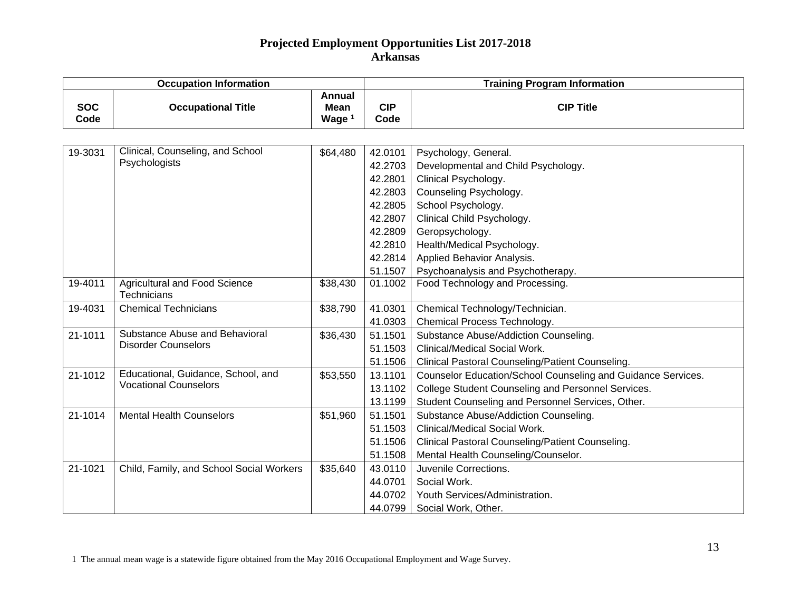|                    | <b>Occupation Information</b>                       |                                   | <b>Training Program Information</b> |                                                              |  |
|--------------------|-----------------------------------------------------|-----------------------------------|-------------------------------------|--------------------------------------------------------------|--|
| <b>SOC</b><br>Code | <b>Occupational Title</b>                           | <b>Annual</b><br>Mean<br>Wage $1$ | <b>CIP</b><br>Code                  | <b>CIP Title</b>                                             |  |
|                    |                                                     |                                   |                                     |                                                              |  |
| 19-3031            | Clinical, Counseling, and School                    | \$64,480                          | 42.0101                             | Psychology, General.                                         |  |
|                    | Psychologists                                       |                                   | 42.2703                             | Developmental and Child Psychology.                          |  |
|                    |                                                     |                                   | 42.2801                             | Clinical Psychology.                                         |  |
|                    |                                                     |                                   | 42.2803                             | Counseling Psychology.                                       |  |
|                    |                                                     |                                   | 42.2805                             | School Psychology.                                           |  |
|                    |                                                     |                                   | 42.2807                             | Clinical Child Psychology.                                   |  |
|                    |                                                     |                                   | 42.2809                             | Geropsychology.                                              |  |
|                    |                                                     |                                   | 42.2810                             | Health/Medical Psychology.                                   |  |
|                    |                                                     |                                   | 42.2814                             | Applied Behavior Analysis.                                   |  |
|                    |                                                     |                                   | 51.1507                             | Psychoanalysis and Psychotherapy.                            |  |
| 19-4011            | <b>Agricultural and Food Science</b><br>Technicians | \$38,430                          | 01.1002                             | Food Technology and Processing.                              |  |
| 19-4031            | <b>Chemical Technicians</b>                         | \$38,790                          | 41.0301                             | Chemical Technology/Technician.                              |  |
|                    |                                                     |                                   | 41.0303                             | Chemical Process Technology.                                 |  |
| 21-1011            | Substance Abuse and Behavioral                      | \$36,430                          | 51.1501                             | Substance Abuse/Addiction Counseling.                        |  |
|                    | <b>Disorder Counselors</b>                          |                                   | 51.1503                             | Clinical/Medical Social Work.                                |  |
|                    |                                                     |                                   | 51.1506                             | Clinical Pastoral Counseling/Patient Counseling.             |  |
| 21-1012            | Educational, Guidance, School, and                  | \$53,550                          | 13.1101                             | Counselor Education/School Counseling and Guidance Services. |  |
|                    | <b>Vocational Counselors</b>                        |                                   | 13.1102                             | College Student Counseling and Personnel Services.           |  |
|                    |                                                     |                                   | 13.1199                             | Student Counseling and Personnel Services, Other.            |  |
| 21-1014            | <b>Mental Health Counselors</b>                     | \$51,960                          | 51.1501                             | Substance Abuse/Addiction Counseling.                        |  |
|                    |                                                     |                                   | 51.1503                             | Clinical/Medical Social Work.                                |  |
|                    |                                                     |                                   | 51.1506                             | Clinical Pastoral Counseling/Patient Counseling.             |  |
|                    |                                                     |                                   | 51.1508                             | Mental Health Counseling/Counselor.                          |  |
| 21-1021            | Child, Family, and School Social Workers            | \$35,640                          | 43.0110                             | Juvenile Corrections.                                        |  |
|                    |                                                     |                                   | 44.0701                             | Social Work.                                                 |  |
|                    |                                                     |                                   | 44.0702                             | Youth Services/Administration.                               |  |
|                    |                                                     |                                   | 44.0799                             | Social Work, Other.                                          |  |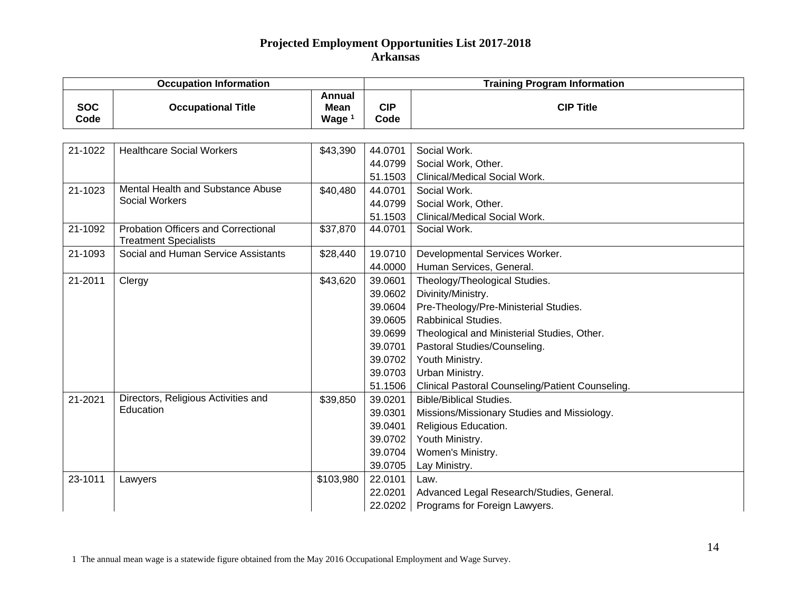|                    | <b>Occupation Information</b>                                       |                                   | <b>Training Program Information</b> |                                                  |  |
|--------------------|---------------------------------------------------------------------|-----------------------------------|-------------------------------------|--------------------------------------------------|--|
| <b>SOC</b><br>Code | <b>Occupational Title</b>                                           | Annual<br><b>Mean</b><br>Wage $1$ | <b>CIP</b><br>Code                  | <b>CIP Title</b>                                 |  |
|                    |                                                                     |                                   |                                     |                                                  |  |
| 21-1022            | <b>Healthcare Social Workers</b>                                    | \$43,390                          | 44.0701                             | Social Work.                                     |  |
|                    |                                                                     |                                   | 44.0799                             | Social Work, Other.                              |  |
|                    |                                                                     |                                   | 51.1503                             | Clinical/Medical Social Work.                    |  |
| 21-1023            | Mental Health and Substance Abuse                                   | \$40,480                          | 44.0701                             | Social Work.                                     |  |
|                    | <b>Social Workers</b>                                               |                                   | 44.0799                             | Social Work, Other.                              |  |
|                    |                                                                     |                                   | 51.1503                             | Clinical/Medical Social Work.                    |  |
| 21-1092            | Probation Officers and Correctional<br><b>Treatment Specialists</b> | \$37,870                          | 44.0701                             | Social Work.                                     |  |
| 21-1093            | Social and Human Service Assistants                                 | \$28,440                          | 19.0710                             | Developmental Services Worker.                   |  |
|                    |                                                                     |                                   | 44.0000                             | Human Services, General.                         |  |
| 21-2011            | Clergy                                                              | \$43,620                          | 39.0601                             | Theology/Theological Studies.                    |  |
|                    |                                                                     |                                   | 39.0602                             | Divinity/Ministry.                               |  |
|                    |                                                                     |                                   | 39.0604                             | Pre-Theology/Pre-Ministerial Studies.            |  |
|                    |                                                                     |                                   | 39.0605                             | <b>Rabbinical Studies.</b>                       |  |
|                    |                                                                     |                                   | 39.0699                             | Theological and Ministerial Studies, Other.      |  |
|                    |                                                                     |                                   | 39.0701                             | Pastoral Studies/Counseling.                     |  |
|                    |                                                                     |                                   | 39.0702                             | Youth Ministry.                                  |  |
|                    |                                                                     |                                   | 39.0703                             | Urban Ministry.                                  |  |
|                    |                                                                     |                                   | 51.1506                             | Clinical Pastoral Counseling/Patient Counseling. |  |
| 21-2021            | Directors, Religious Activities and                                 | \$39,850                          | 39.0201                             | <b>Bible/Biblical Studies.</b>                   |  |
|                    | Education                                                           |                                   | 39.0301                             | Missions/Missionary Studies and Missiology.      |  |
|                    |                                                                     |                                   | 39.0401                             | Religious Education.                             |  |
|                    |                                                                     |                                   | 39.0702                             | Youth Ministry.                                  |  |
|                    |                                                                     |                                   | 39.0704                             | Women's Ministry.                                |  |
|                    |                                                                     |                                   | 39.0705                             | Lay Ministry.                                    |  |
| 23-1011            | Lawyers                                                             | \$103,980                         | 22.0101                             | Law.                                             |  |
|                    |                                                                     |                                   | 22.0201                             | Advanced Legal Research/Studies, General.        |  |
|                    |                                                                     |                                   |                                     | 22.0202   Programs for Foreign Lawyers.          |  |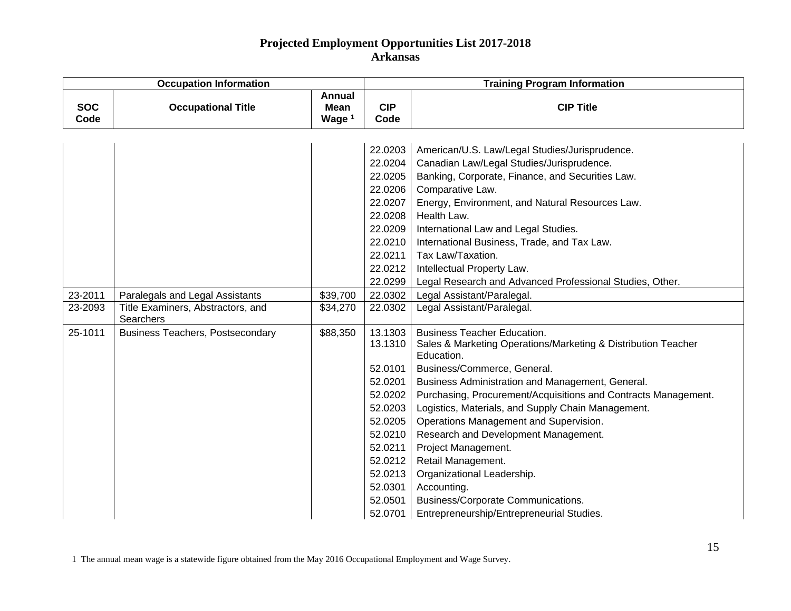| <b>Occupation Information</b> |                                                       |                                   | <b>Training Program Information</b> |                                                                             |  |
|-------------------------------|-------------------------------------------------------|-----------------------------------|-------------------------------------|-----------------------------------------------------------------------------|--|
| <b>SOC</b><br>Code            | <b>Occupational Title</b>                             | <b>Annual</b><br>Mean<br>Wage $1$ | <b>CIP</b><br>Code                  | <b>CIP Title</b>                                                            |  |
|                               |                                                       |                                   |                                     |                                                                             |  |
|                               |                                                       |                                   | 22.0203                             | American/U.S. Law/Legal Studies/Jurisprudence.                              |  |
|                               |                                                       |                                   | 22.0204                             | Canadian Law/Legal Studies/Jurisprudence.                                   |  |
|                               |                                                       |                                   | 22.0205                             | Banking, Corporate, Finance, and Securities Law.                            |  |
|                               |                                                       |                                   | 22.0206                             | Comparative Law.                                                            |  |
|                               |                                                       |                                   | 22.0207                             | Energy, Environment, and Natural Resources Law.                             |  |
|                               |                                                       |                                   | 22.0208                             | Health Law.                                                                 |  |
|                               |                                                       |                                   | 22.0209                             | International Law and Legal Studies.                                        |  |
|                               |                                                       |                                   | 22.0210                             | International Business, Trade, and Tax Law.                                 |  |
|                               |                                                       |                                   | 22.0211                             | Tax Law/Taxation.                                                           |  |
|                               |                                                       |                                   | 22.0212                             | Intellectual Property Law.                                                  |  |
|                               |                                                       |                                   | 22.0299                             | Legal Research and Advanced Professional Studies, Other.                    |  |
| 23-2011                       | Paralegals and Legal Assistants                       | \$39,700                          | 22.0302                             | Legal Assistant/Paralegal.                                                  |  |
| 23-2093                       | Title Examiners, Abstractors, and<br><b>Searchers</b> | \$34,270                          | 22.0302                             | Legal Assistant/Paralegal.                                                  |  |
| 25-1011                       | <b>Business Teachers, Postsecondary</b>               | \$88,350                          | 13.1303                             | <b>Business Teacher Education.</b>                                          |  |
|                               |                                                       |                                   | 13.1310                             | Sales & Marketing Operations/Marketing & Distribution Teacher<br>Education. |  |
|                               |                                                       |                                   | 52.0101                             | Business/Commerce, General.                                                 |  |
|                               |                                                       |                                   | 52.0201                             | Business Administration and Management, General.                            |  |
|                               |                                                       |                                   | 52.0202                             | Purchasing, Procurement/Acquisitions and Contracts Management.              |  |
|                               |                                                       |                                   | 52.0203                             | Logistics, Materials, and Supply Chain Management.                          |  |
|                               |                                                       |                                   | 52.0205                             | Operations Management and Supervision.                                      |  |
|                               |                                                       |                                   | 52.0210                             | Research and Development Management.                                        |  |
|                               |                                                       |                                   | 52.0211                             | Project Management.                                                         |  |
|                               |                                                       |                                   | 52.0212                             | Retail Management.                                                          |  |
|                               |                                                       |                                   | 52.0213                             | Organizational Leadership.                                                  |  |
|                               |                                                       |                                   | 52.0301                             | Accounting.                                                                 |  |
|                               |                                                       |                                   | 52.0501                             | Business/Corporate Communications.                                          |  |
|                               |                                                       |                                   | 52.0701                             | Entrepreneurship/Entrepreneurial Studies.                                   |  |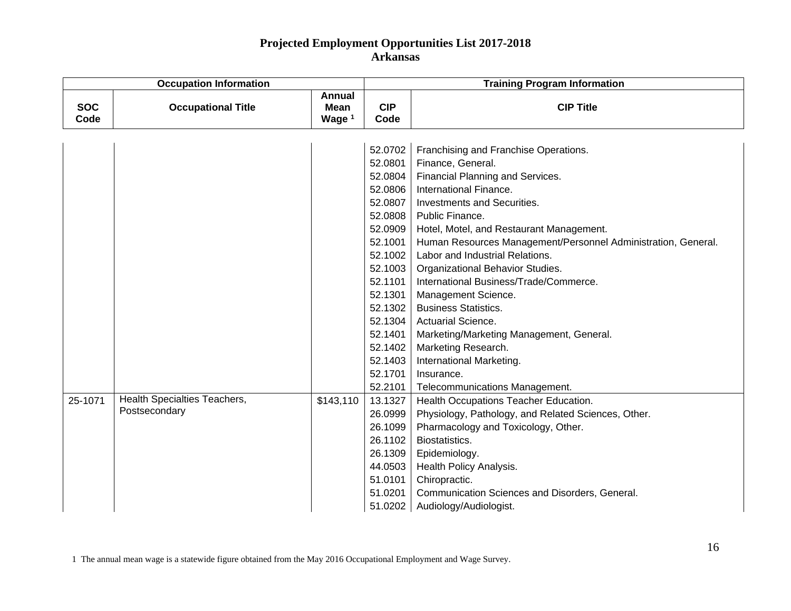| <b>Occupation Information</b> |                              |                                                   | <b>Training Program Information</b> |                                                               |  |
|-------------------------------|------------------------------|---------------------------------------------------|-------------------------------------|---------------------------------------------------------------|--|
| <b>SOC</b><br>Code            | <b>Occupational Title</b>    | <b>Annual</b><br><b>Mean</b><br>Wage <sup>1</sup> | <b>CIP</b><br>Code                  | <b>CIP Title</b>                                              |  |
|                               |                              |                                                   |                                     |                                                               |  |
|                               |                              |                                                   | 52.0702                             | Franchising and Franchise Operations.                         |  |
|                               |                              |                                                   | 52.0801                             | Finance, General.                                             |  |
|                               |                              |                                                   | 52.0804                             | Financial Planning and Services.                              |  |
|                               |                              |                                                   | 52.0806                             | International Finance.                                        |  |
|                               |                              |                                                   | 52.0807                             | Investments and Securities.                                   |  |
|                               |                              |                                                   | 52.0808                             | Public Finance.                                               |  |
|                               |                              |                                                   | 52.0909                             | Hotel, Motel, and Restaurant Management.                      |  |
|                               |                              |                                                   | 52.1001                             | Human Resources Management/Personnel Administration, General. |  |
|                               |                              |                                                   | 52.1002                             | Labor and Industrial Relations.                               |  |
|                               |                              |                                                   | 52.1003                             | Organizational Behavior Studies.                              |  |
|                               |                              |                                                   | 52.1101                             | International Business/Trade/Commerce.                        |  |
|                               |                              |                                                   | 52.1301                             | Management Science.                                           |  |
|                               |                              |                                                   | 52.1302                             | <b>Business Statistics.</b>                                   |  |
|                               |                              |                                                   | 52.1304                             | <b>Actuarial Science.</b>                                     |  |
|                               |                              |                                                   | 52.1401                             | Marketing/Marketing Management, General.                      |  |
|                               |                              |                                                   | 52.1402                             | Marketing Research.                                           |  |
|                               |                              |                                                   | 52.1403                             | International Marketing.                                      |  |
|                               |                              |                                                   | 52.1701                             | Insurance.                                                    |  |
|                               |                              |                                                   | 52.2101                             | Telecommunications Management.                                |  |
| 25-1071                       | Health Specialties Teachers, | \$143,110                                         | 13.1327                             | Health Occupations Teacher Education.                         |  |
|                               | Postsecondary                |                                                   | 26.0999                             | Physiology, Pathology, and Related Sciences, Other.           |  |
|                               |                              |                                                   | 26.1099                             | Pharmacology and Toxicology, Other.                           |  |
|                               |                              |                                                   | 26.1102                             | Biostatistics.                                                |  |
|                               |                              |                                                   | 26.1309                             | Epidemiology.                                                 |  |
|                               |                              |                                                   | 44.0503                             | <b>Health Policy Analysis.</b>                                |  |
|                               |                              |                                                   | 51.0101                             | Chiropractic.                                                 |  |
|                               |                              |                                                   | 51.0201                             | Communication Sciences and Disorders, General.                |  |
|                               |                              |                                                   | 51.0202                             | Audiology/Audiologist.                                        |  |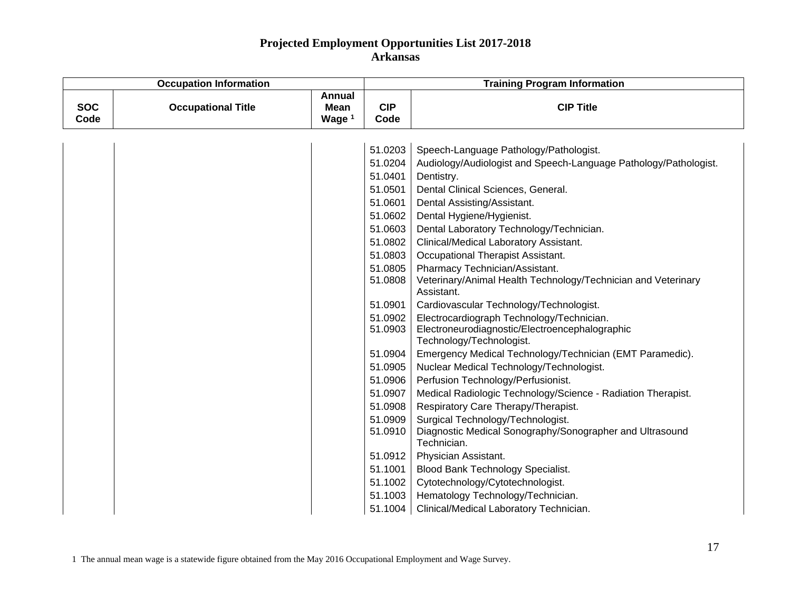| <b>Occupation Information</b> |                           |                            | <b>Training Program Information</b> |                                                                            |  |
|-------------------------------|---------------------------|----------------------------|-------------------------------------|----------------------------------------------------------------------------|--|
| <b>SOC</b><br>Code            | <b>Occupational Title</b> | Annual<br>Mean<br>Wage $1$ | <b>CIP</b><br>Code                  | <b>CIP Title</b>                                                           |  |
|                               |                           |                            |                                     |                                                                            |  |
|                               |                           |                            | 51.0203                             | Speech-Language Pathology/Pathologist.                                     |  |
|                               |                           |                            | 51.0204                             | Audiology/Audiologist and Speech-Language Pathology/Pathologist.           |  |
|                               |                           |                            | 51.0401                             | Dentistry.                                                                 |  |
|                               |                           |                            | 51.0501                             | Dental Clinical Sciences, General.                                         |  |
|                               |                           |                            | 51.0601                             | Dental Assisting/Assistant.                                                |  |
|                               |                           |                            | 51.0602                             | Dental Hygiene/Hygienist.                                                  |  |
|                               |                           |                            | 51.0603                             | Dental Laboratory Technology/Technician.                                   |  |
|                               |                           |                            | 51.0802                             | Clinical/Medical Laboratory Assistant.                                     |  |
|                               |                           |                            | 51.0803                             | Occupational Therapist Assistant.                                          |  |
|                               |                           |                            | 51.0805                             | Pharmacy Technician/Assistant.                                             |  |
|                               |                           |                            | 51.0808                             | Veterinary/Animal Health Technology/Technician and Veterinary              |  |
|                               |                           |                            |                                     | Assistant.                                                                 |  |
|                               |                           |                            | 51.0901                             | Cardiovascular Technology/Technologist.                                    |  |
|                               |                           |                            | 51.0902                             | Electrocardiograph Technology/Technician.                                  |  |
|                               |                           |                            | 51.0903                             | Electroneurodiagnostic/Electroencephalographic<br>Technology/Technologist. |  |
|                               |                           |                            | 51.0904                             | Emergency Medical Technology/Technician (EMT Paramedic).                   |  |
|                               |                           |                            | 51.0905                             | Nuclear Medical Technology/Technologist.                                   |  |
|                               |                           |                            | 51.0906                             | Perfusion Technology/Perfusionist.                                         |  |
|                               |                           |                            | 51.0907                             | Medical Radiologic Technology/Science - Radiation Therapist.               |  |
|                               |                           |                            | 51.0908                             | Respiratory Care Therapy/Therapist.                                        |  |
|                               |                           |                            | 51.0909                             | Surgical Technology/Technologist.                                          |  |
|                               |                           |                            | 51.0910                             | Diagnostic Medical Sonography/Sonographer and Ultrasound                   |  |
|                               |                           |                            |                                     | Technician.                                                                |  |
|                               |                           |                            | 51.0912                             | Physician Assistant.                                                       |  |
|                               |                           |                            | 51.1001                             | Blood Bank Technology Specialist.                                          |  |
|                               |                           |                            | 51.1002                             | Cytotechnology/Cytotechnologist.                                           |  |
|                               |                           |                            | 51.1003                             | Hematology Technology/Technician.                                          |  |
|                               |                           |                            | 51.1004                             | Clinical/Medical Laboratory Technician.                                    |  |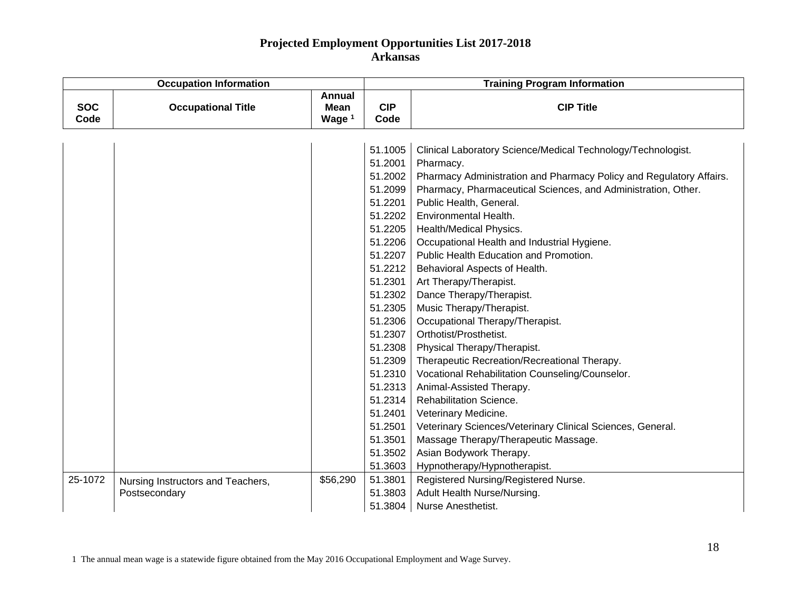| <b>Occupation Information</b> |                                   |                                   | <b>Training Program Information</b> |                                                                     |  |
|-------------------------------|-----------------------------------|-----------------------------------|-------------------------------------|---------------------------------------------------------------------|--|
| <b>SOC</b><br>Code            | <b>Occupational Title</b>         | <b>Annual</b><br>Mean<br>Wage $1$ | <b>CIP</b><br>Code                  | <b>CIP Title</b>                                                    |  |
|                               |                                   |                                   |                                     |                                                                     |  |
|                               |                                   |                                   | 51.1005                             | Clinical Laboratory Science/Medical Technology/Technologist.        |  |
|                               |                                   |                                   | 51.2001                             | Pharmacy.                                                           |  |
|                               |                                   |                                   | 51.2002                             | Pharmacy Administration and Pharmacy Policy and Regulatory Affairs. |  |
|                               |                                   |                                   | 51.2099                             | Pharmacy, Pharmaceutical Sciences, and Administration, Other.       |  |
|                               |                                   |                                   | 51.2201                             | Public Health, General.                                             |  |
|                               |                                   |                                   | 51.2202                             | Environmental Health.                                               |  |
|                               |                                   |                                   | 51.2205                             | Health/Medical Physics.                                             |  |
|                               |                                   |                                   | 51.2206                             | Occupational Health and Industrial Hygiene.                         |  |
|                               |                                   |                                   | 51.2207                             | Public Health Education and Promotion.                              |  |
|                               |                                   |                                   | 51.2212                             | Behavioral Aspects of Health.                                       |  |
|                               |                                   |                                   | 51.2301                             | Art Therapy/Therapist.                                              |  |
|                               |                                   |                                   | 51.2302                             | Dance Therapy/Therapist.                                            |  |
|                               |                                   |                                   | 51.2305                             | Music Therapy/Therapist.                                            |  |
|                               |                                   |                                   | 51.2306                             | Occupational Therapy/Therapist.                                     |  |
|                               |                                   |                                   | 51.2307                             | Orthotist/Prosthetist.                                              |  |
|                               |                                   |                                   | 51.2308                             | Physical Therapy/Therapist.                                         |  |
|                               |                                   |                                   | 51.2309                             | Therapeutic Recreation/Recreational Therapy.                        |  |
|                               |                                   |                                   | 51.2310                             | Vocational Rehabilitation Counseling/Counselor.                     |  |
|                               |                                   |                                   | 51.2313                             | Animal-Assisted Therapy.                                            |  |
|                               |                                   |                                   | 51.2314                             | <b>Rehabilitation Science.</b>                                      |  |
|                               |                                   |                                   | 51.2401                             | Veterinary Medicine.                                                |  |
|                               |                                   |                                   | 51.2501                             | Veterinary Sciences/Veterinary Clinical Sciences, General.          |  |
|                               |                                   |                                   | 51.3501                             | Massage Therapy/Therapeutic Massage.                                |  |
|                               |                                   |                                   | 51.3502                             | Asian Bodywork Therapy.                                             |  |
|                               |                                   |                                   | 51.3603                             | Hypnotherapy/Hypnotherapist.                                        |  |
| 25-1072                       | Nursing Instructors and Teachers, | \$56,290                          | 51.3801                             | Registered Nursing/Registered Nurse.                                |  |
|                               | Postsecondary                     |                                   | 51.3803                             | Adult Health Nurse/Nursing.                                         |  |
|                               |                                   |                                   | 51.3804                             | Nurse Anesthetist.                                                  |  |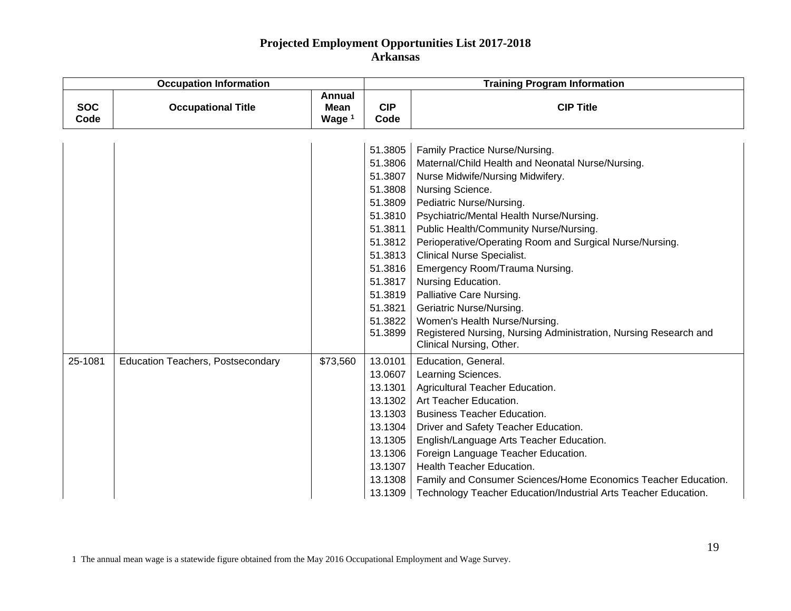|                    | <b>Occupation Information</b>            |                                                   | <b>Training Program Information</b>                                                                                                                               |                                                                                                                                                                                                                                                                                                                                                                                                                                                                                                                                                                                                                 |  |
|--------------------|------------------------------------------|---------------------------------------------------|-------------------------------------------------------------------------------------------------------------------------------------------------------------------|-----------------------------------------------------------------------------------------------------------------------------------------------------------------------------------------------------------------------------------------------------------------------------------------------------------------------------------------------------------------------------------------------------------------------------------------------------------------------------------------------------------------------------------------------------------------------------------------------------------------|--|
| <b>SOC</b><br>Code | <b>Occupational Title</b>                | <b>Annual</b><br><b>Mean</b><br>Wage <sup>1</sup> | <b>CIP</b><br>Code                                                                                                                                                | <b>CIP Title</b>                                                                                                                                                                                                                                                                                                                                                                                                                                                                                                                                                                                                |  |
|                    |                                          |                                                   | 51.3805<br>51.3806<br>51.3807<br>51.3808<br>51.3809<br>51.3810<br>51.3811<br>51.3812<br>51.3813<br>51.3816<br>51.3817<br>51.3819<br>51.3821<br>51.3822<br>51.3899 | Family Practice Nurse/Nursing.<br>Maternal/Child Health and Neonatal Nurse/Nursing.<br>Nurse Midwife/Nursing Midwifery.<br>Nursing Science.<br>Pediatric Nurse/Nursing.<br>Psychiatric/Mental Health Nurse/Nursing.<br>Public Health/Community Nurse/Nursing.<br>Perioperative/Operating Room and Surgical Nurse/Nursing.<br><b>Clinical Nurse Specialist.</b><br>Emergency Room/Trauma Nursing.<br>Nursing Education.<br>Palliative Care Nursing.<br>Geriatric Nurse/Nursing.<br>Women's Health Nurse/Nursing.<br>Registered Nursing, Nursing Administration, Nursing Research and<br>Clinical Nursing, Other. |  |
| 25-1081            | <b>Education Teachers, Postsecondary</b> | \$73,560                                          | 13.0101<br>13.0607<br>13.1301<br>13.1302<br>13.1303<br>13.1304<br>13.1305<br>13.1306<br>13.1307<br>13.1308<br>13.1309                                             | Education, General.<br>Learning Sciences.<br>Agricultural Teacher Education.<br>Art Teacher Education.<br><b>Business Teacher Education.</b><br>Driver and Safety Teacher Education.<br>English/Language Arts Teacher Education.<br>Foreign Language Teacher Education.<br>Health Teacher Education.<br>Family and Consumer Sciences/Home Economics Teacher Education.<br>Technology Teacher Education/Industrial Arts Teacher Education.                                                                                                                                                                       |  |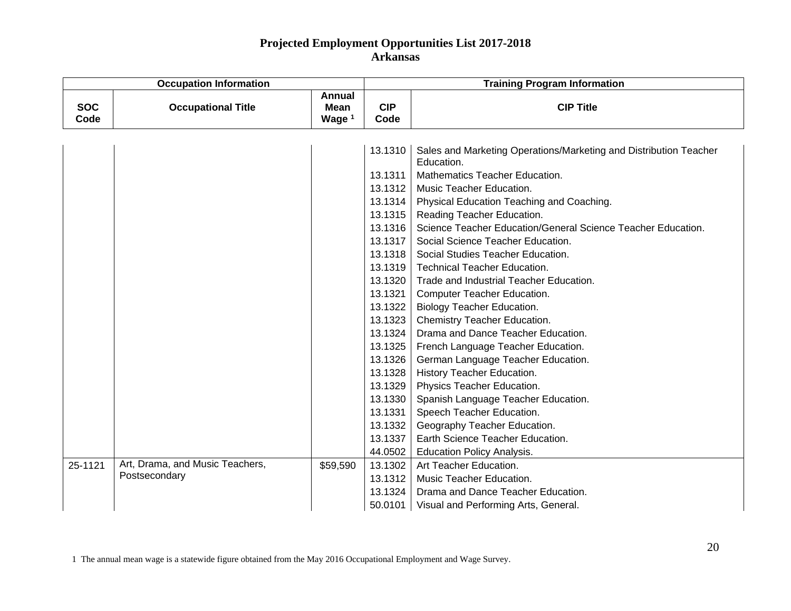| <b>Occupation Information</b> |                                 |                                                   | <b>Training Program Information</b> |                                                                                 |  |
|-------------------------------|---------------------------------|---------------------------------------------------|-------------------------------------|---------------------------------------------------------------------------------|--|
| <b>SOC</b><br>Code            | <b>Occupational Title</b>       | <b>Annual</b><br><b>Mean</b><br>Wage <sup>1</sup> | <b>CIP</b><br>Code                  | <b>CIP Title</b>                                                                |  |
|                               |                                 |                                                   |                                     |                                                                                 |  |
|                               |                                 |                                                   | 13.1310                             | Sales and Marketing Operations/Marketing and Distribution Teacher<br>Education. |  |
|                               |                                 |                                                   | 13.1311                             | Mathematics Teacher Education.                                                  |  |
|                               |                                 |                                                   | 13.1312                             | Music Teacher Education.                                                        |  |
|                               |                                 |                                                   | 13.1314                             | Physical Education Teaching and Coaching.                                       |  |
|                               |                                 |                                                   | 13.1315                             | Reading Teacher Education.                                                      |  |
|                               |                                 |                                                   | 13.1316                             | Science Teacher Education/General Science Teacher Education.                    |  |
|                               |                                 |                                                   | 13.1317                             | Social Science Teacher Education.                                               |  |
|                               |                                 |                                                   | 13.1318                             | Social Studies Teacher Education.                                               |  |
|                               |                                 |                                                   | 13.1319                             | <b>Technical Teacher Education.</b>                                             |  |
|                               |                                 |                                                   | 13.1320                             | Trade and Industrial Teacher Education.                                         |  |
|                               |                                 |                                                   | 13.1321                             | Computer Teacher Education.                                                     |  |
|                               |                                 |                                                   | 13.1322                             | <b>Biology Teacher Education.</b>                                               |  |
|                               |                                 |                                                   | 13.1323                             | Chemistry Teacher Education.                                                    |  |
|                               |                                 |                                                   | 13.1324                             | Drama and Dance Teacher Education.                                              |  |
|                               |                                 |                                                   | 13.1325                             | French Language Teacher Education.                                              |  |
|                               |                                 |                                                   | 13.1326                             | German Language Teacher Education.                                              |  |
|                               |                                 |                                                   | 13.1328                             | History Teacher Education.                                                      |  |
|                               |                                 |                                                   | 13.1329                             | Physics Teacher Education.                                                      |  |
|                               |                                 |                                                   | 13.1330                             | Spanish Language Teacher Education.                                             |  |
|                               |                                 |                                                   | 13.1331                             | Speech Teacher Education.                                                       |  |
|                               |                                 |                                                   | 13.1332                             | Geography Teacher Education.                                                    |  |
|                               |                                 |                                                   | 13.1337                             | Earth Science Teacher Education.                                                |  |
|                               |                                 |                                                   | 44.0502                             | <b>Education Policy Analysis.</b>                                               |  |
| 25-1121                       | Art, Drama, and Music Teachers, | \$59,590                                          | 13.1302                             | Art Teacher Education.                                                          |  |
|                               | Postsecondary                   |                                                   | 13.1312                             | Music Teacher Education.                                                        |  |
|                               |                                 |                                                   | 13.1324                             | Drama and Dance Teacher Education.                                              |  |
|                               |                                 |                                                   | 50.0101                             | Visual and Performing Arts, General.                                            |  |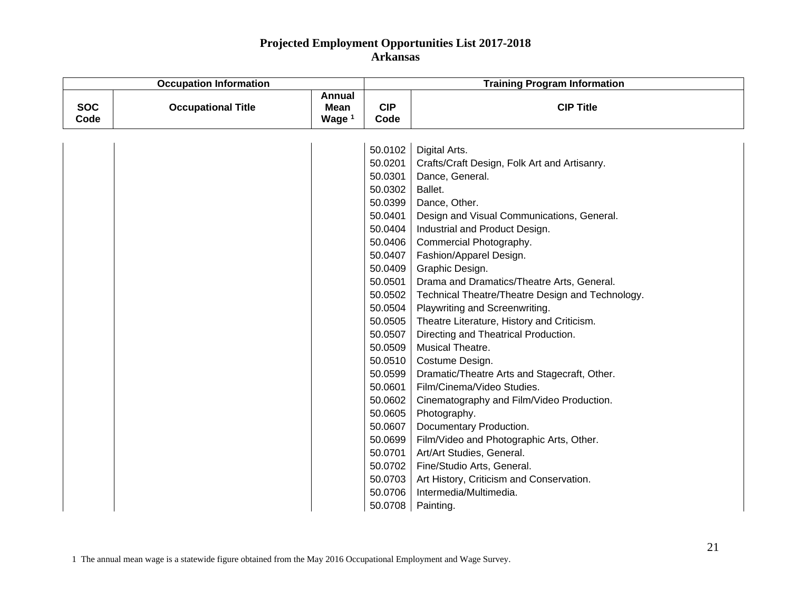| <b>Occupation Information</b> |                           |                                                   | <b>Training Program Information</b> |                                                  |  |
|-------------------------------|---------------------------|---------------------------------------------------|-------------------------------------|--------------------------------------------------|--|
| <b>SOC</b><br>Code            | <b>Occupational Title</b> | <b>Annual</b><br><b>Mean</b><br>Wage <sup>1</sup> | <b>CIP</b><br>Code                  | <b>CIP Title</b>                                 |  |
|                               |                           |                                                   |                                     |                                                  |  |
|                               |                           |                                                   | 50.0102                             | Digital Arts.                                    |  |
|                               |                           |                                                   | 50.0201                             | Crafts/Craft Design, Folk Art and Artisanry.     |  |
|                               |                           |                                                   | 50.0301                             | Dance, General.                                  |  |
|                               |                           |                                                   | 50.0302                             | Ballet.                                          |  |
|                               |                           |                                                   | 50.0399                             | Dance, Other.                                    |  |
|                               |                           |                                                   | 50.0401                             | Design and Visual Communications, General.       |  |
|                               |                           |                                                   | 50.0404                             | Industrial and Product Design.                   |  |
|                               |                           |                                                   | 50.0406                             | Commercial Photography.                          |  |
|                               |                           |                                                   | 50.0407                             | Fashion/Apparel Design.                          |  |
|                               |                           |                                                   | 50.0409                             | Graphic Design.                                  |  |
|                               |                           |                                                   | 50.0501                             | Drama and Dramatics/Theatre Arts, General.       |  |
|                               |                           |                                                   | 50.0502                             | Technical Theatre/Theatre Design and Technology. |  |
|                               |                           |                                                   | 50.0504                             | Playwriting and Screenwriting.                   |  |
|                               |                           |                                                   | 50.0505                             | Theatre Literature, History and Criticism.       |  |
|                               |                           |                                                   | 50.0507                             | Directing and Theatrical Production.             |  |
|                               |                           |                                                   | 50.0509                             | Musical Theatre.                                 |  |
|                               |                           |                                                   | 50.0510                             | Costume Design.                                  |  |
|                               |                           |                                                   | 50.0599                             | Dramatic/Theatre Arts and Stagecraft, Other.     |  |
|                               |                           |                                                   | 50.0601                             | Film/Cinema/Video Studies.                       |  |
|                               |                           |                                                   | 50.0602                             | Cinematography and Film/Video Production.        |  |
|                               |                           |                                                   | 50.0605                             | Photography.                                     |  |
|                               |                           |                                                   | 50.0607                             | Documentary Production.                          |  |
|                               |                           |                                                   | 50.0699                             | Film/Video and Photographic Arts, Other.         |  |
|                               |                           |                                                   | 50.0701                             | Art/Art Studies, General.                        |  |
|                               |                           |                                                   | 50.0702                             | Fine/Studio Arts, General.                       |  |
|                               |                           |                                                   | 50.0703                             | Art History, Criticism and Conservation.         |  |
|                               |                           |                                                   | 50.0706                             | Intermedia/Multimedia.                           |  |
|                               |                           |                                                   |                                     | 50.0708   Painting.                              |  |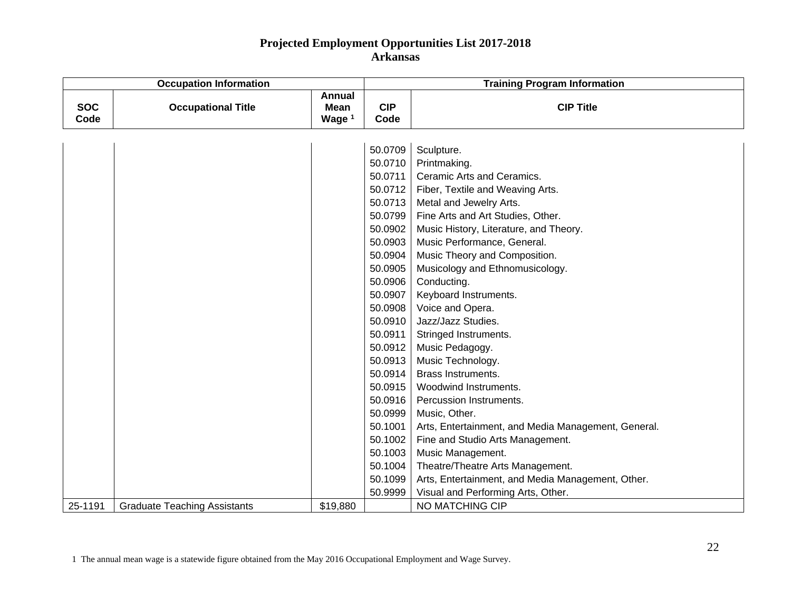|                    | <b>Occupation Information</b>       |                                          | <b>Training Program Information</b> |                                                     |  |
|--------------------|-------------------------------------|------------------------------------------|-------------------------------------|-----------------------------------------------------|--|
| <b>SOC</b><br>Code | <b>Occupational Title</b>           | <b>Annual</b><br><b>Mean</b><br>Wage $1$ | <b>CIP</b><br>Code                  | <b>CIP Title</b>                                    |  |
|                    |                                     |                                          |                                     |                                                     |  |
|                    |                                     |                                          | 50.0709                             | Sculpture.                                          |  |
|                    |                                     |                                          | 50.0710                             | Printmaking.                                        |  |
|                    |                                     |                                          | 50.0711                             | Ceramic Arts and Ceramics.                          |  |
|                    |                                     |                                          | 50.0712                             | Fiber, Textile and Weaving Arts.                    |  |
|                    |                                     |                                          | 50.0713                             | Metal and Jewelry Arts.                             |  |
|                    |                                     |                                          | 50.0799                             | Fine Arts and Art Studies, Other.                   |  |
|                    |                                     |                                          | 50.0902                             | Music History, Literature, and Theory.              |  |
|                    |                                     |                                          | 50.0903                             | Music Performance, General.                         |  |
|                    |                                     |                                          | 50.0904                             | Music Theory and Composition.                       |  |
|                    |                                     |                                          | 50.0905                             | Musicology and Ethnomusicology.                     |  |
|                    |                                     |                                          | 50.0906                             | Conducting.                                         |  |
|                    |                                     |                                          | 50.0907                             | Keyboard Instruments.                               |  |
|                    |                                     |                                          | 50.0908                             | Voice and Opera.                                    |  |
|                    |                                     |                                          | 50.0910                             | Jazz/Jazz Studies.                                  |  |
|                    |                                     |                                          | 50.0911                             | Stringed Instruments.                               |  |
|                    |                                     |                                          | 50.0912                             | Music Pedagogy.                                     |  |
|                    |                                     |                                          | 50.0913                             | Music Technology.                                   |  |
|                    |                                     |                                          | 50.0914                             | <b>Brass Instruments.</b>                           |  |
|                    |                                     |                                          | 50.0915                             | Woodwind Instruments.                               |  |
|                    |                                     |                                          | 50.0916                             | Percussion Instruments.                             |  |
|                    |                                     |                                          | 50.0999                             | Music, Other.                                       |  |
|                    |                                     |                                          | 50.1001                             | Arts, Entertainment, and Media Management, General. |  |
|                    |                                     |                                          | 50.1002                             | Fine and Studio Arts Management.                    |  |
|                    |                                     |                                          | 50.1003                             | Music Management.                                   |  |
|                    |                                     |                                          | 50.1004                             | Theatre/Theatre Arts Management.                    |  |
|                    |                                     |                                          | 50.1099                             | Arts, Entertainment, and Media Management, Other.   |  |
|                    |                                     |                                          | 50.9999                             | Visual and Performing Arts, Other.                  |  |
| 25-1191            | <b>Graduate Teaching Assistants</b> | \$19,880                                 |                                     | NO MATCHING CIP                                     |  |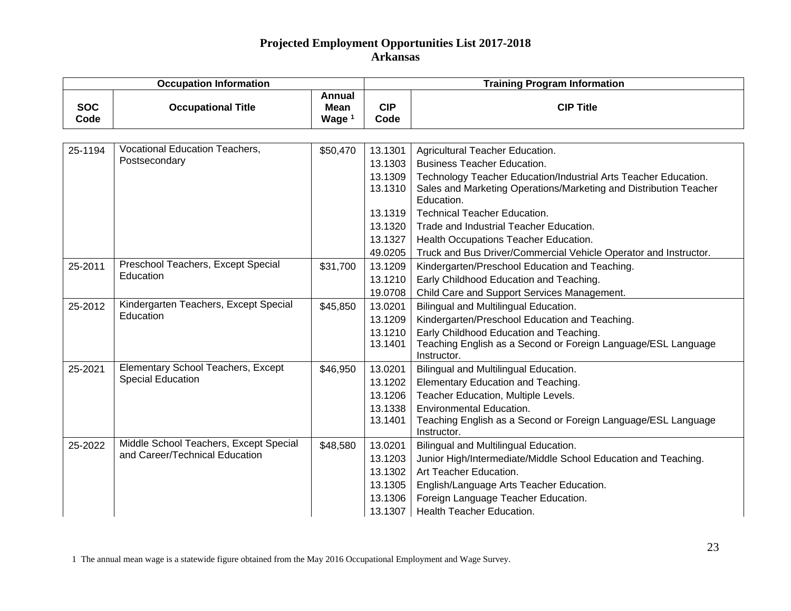|                    | <b>Occupation Information</b>          |                                   |                    | <b>Training Program Information</b>                                                                                                                |  |  |
|--------------------|----------------------------------------|-----------------------------------|--------------------|----------------------------------------------------------------------------------------------------------------------------------------------------|--|--|
| <b>SOC</b><br>Code | <b>Occupational Title</b>              | <b>Annual</b><br>Mean<br>Wage $1$ | <b>CIP</b><br>Code | <b>CIP Title</b>                                                                                                                                   |  |  |
|                    |                                        |                                   |                    |                                                                                                                                                    |  |  |
| 25-1194            | Vocational Education Teachers,         | \$50,470                          | 13.1301            | Agricultural Teacher Education.                                                                                                                    |  |  |
|                    | Postsecondary                          |                                   | 13.1303            | <b>Business Teacher Education.</b>                                                                                                                 |  |  |
|                    |                                        |                                   | 13.1309<br>13.1310 | Technology Teacher Education/Industrial Arts Teacher Education.<br>Sales and Marketing Operations/Marketing and Distribution Teacher<br>Education. |  |  |
|                    |                                        |                                   | 13.1319            | <b>Technical Teacher Education.</b>                                                                                                                |  |  |
|                    |                                        |                                   | 13.1320            | Trade and Industrial Teacher Education.                                                                                                            |  |  |
|                    |                                        |                                   | 13.1327            | Health Occupations Teacher Education.                                                                                                              |  |  |
|                    |                                        |                                   | 49.0205            | Truck and Bus Driver/Commercial Vehicle Operator and Instructor.                                                                                   |  |  |
| 25-2011            | Preschool Teachers, Except Special     | \$31,700                          | 13.1209            | Kindergarten/Preschool Education and Teaching.                                                                                                     |  |  |
|                    | Education                              |                                   | 13.1210            | Early Childhood Education and Teaching.                                                                                                            |  |  |
|                    |                                        |                                   | 19.0708            | Child Care and Support Services Management.                                                                                                        |  |  |
| 25-2012            | Kindergarten Teachers, Except Special  | \$45,850                          | 13.0201            | Bilingual and Multilingual Education.                                                                                                              |  |  |
|                    | Education                              |                                   | 13.1209            | Kindergarten/Preschool Education and Teaching.                                                                                                     |  |  |
|                    |                                        |                                   | 13.1210<br>13.1401 | Early Childhood Education and Teaching.<br>Teaching English as a Second or Foreign Language/ESL Language<br>Instructor.                            |  |  |
| 25-2021            | Elementary School Teachers, Except     | \$46,950                          | 13.0201            | Bilingual and Multilingual Education.                                                                                                              |  |  |
|                    | <b>Special Education</b>               |                                   | 13.1202            | Elementary Education and Teaching.                                                                                                                 |  |  |
|                    |                                        |                                   | 13.1206            | Teacher Education, Multiple Levels.                                                                                                                |  |  |
|                    |                                        |                                   | 13.1338            | <b>Environmental Education.</b>                                                                                                                    |  |  |
|                    |                                        |                                   | 13.1401            | Teaching English as a Second or Foreign Language/ESL Language<br>Instructor.                                                                       |  |  |
| 25-2022            | Middle School Teachers, Except Special | \$48,580                          | 13.0201            | Bilingual and Multilingual Education.                                                                                                              |  |  |
|                    | and Career/Technical Education         |                                   | 13.1203            | Junior High/Intermediate/Middle School Education and Teaching.                                                                                     |  |  |
|                    |                                        |                                   | 13.1302            | Art Teacher Education.                                                                                                                             |  |  |
|                    |                                        |                                   | 13.1305            | English/Language Arts Teacher Education.                                                                                                           |  |  |
|                    |                                        |                                   | 13.1306            | Foreign Language Teacher Education.                                                                                                                |  |  |
|                    |                                        |                                   | 13.1307            | <b>Health Teacher Education.</b>                                                                                                                   |  |  |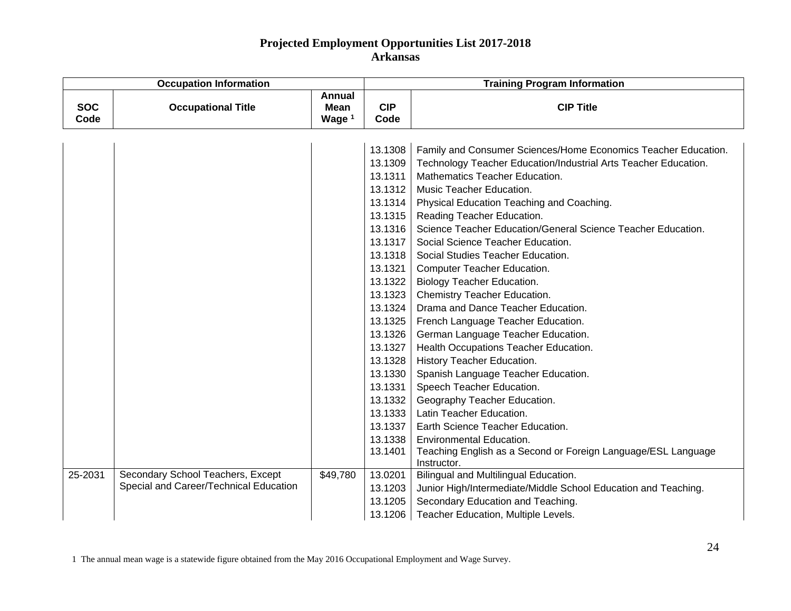| <b>Occupation Information</b> |                                        |                                          | <b>Training Program Information</b> |                                                                 |  |
|-------------------------------|----------------------------------------|------------------------------------------|-------------------------------------|-----------------------------------------------------------------|--|
| <b>SOC</b><br>Code            | <b>Occupational Title</b>              | <b>Annual</b><br><b>Mean</b><br>Wage $1$ | <b>CIP</b><br>Code                  | <b>CIP Title</b>                                                |  |
|                               |                                        |                                          |                                     |                                                                 |  |
|                               |                                        |                                          | 13.1308                             | Family and Consumer Sciences/Home Economics Teacher Education.  |  |
|                               |                                        |                                          | 13.1309                             | Technology Teacher Education/Industrial Arts Teacher Education. |  |
|                               |                                        |                                          | 13.1311                             | Mathematics Teacher Education.                                  |  |
|                               |                                        |                                          | 13.1312                             | Music Teacher Education.                                        |  |
|                               |                                        |                                          | 13.1314                             | Physical Education Teaching and Coaching.                       |  |
|                               |                                        |                                          | 13.1315                             | Reading Teacher Education.                                      |  |
|                               |                                        |                                          | 13.1316                             | Science Teacher Education/General Science Teacher Education.    |  |
|                               |                                        |                                          | 13.1317                             | Social Science Teacher Education.                               |  |
|                               |                                        |                                          | 13.1318                             | Social Studies Teacher Education.                               |  |
|                               |                                        |                                          | 13.1321                             | Computer Teacher Education.                                     |  |
|                               |                                        |                                          | 13.1322                             | <b>Biology Teacher Education.</b>                               |  |
|                               |                                        |                                          | 13.1323                             | Chemistry Teacher Education.                                    |  |
|                               |                                        |                                          | 13.1324                             | Drama and Dance Teacher Education.                              |  |
|                               |                                        |                                          | 13.1325                             | French Language Teacher Education.                              |  |
|                               |                                        |                                          | 13.1326                             | German Language Teacher Education.                              |  |
|                               |                                        |                                          | 13.1327                             | Health Occupations Teacher Education.                           |  |
|                               |                                        |                                          | 13.1328                             | History Teacher Education.                                      |  |
|                               |                                        |                                          | 13.1330                             | Spanish Language Teacher Education.                             |  |
|                               |                                        |                                          | 13.1331                             | Speech Teacher Education.                                       |  |
|                               |                                        |                                          | 13.1332                             | Geography Teacher Education.                                    |  |
|                               |                                        |                                          | 13.1333                             | Latin Teacher Education.                                        |  |
|                               |                                        |                                          | 13.1337                             | Earth Science Teacher Education.                                |  |
|                               |                                        |                                          | 13.1338                             | <b>Environmental Education.</b>                                 |  |
|                               |                                        |                                          | 13.1401                             | Teaching English as a Second or Foreign Language/ESL Language   |  |
|                               |                                        |                                          |                                     | Instructor.                                                     |  |
| 25-2031                       | Secondary School Teachers, Except      | \$49,780                                 | 13.0201                             | Bilingual and Multilingual Education.                           |  |
|                               | Special and Career/Technical Education |                                          | 13.1203                             | Junior High/Intermediate/Middle School Education and Teaching.  |  |
|                               |                                        |                                          | 13.1205                             | Secondary Education and Teaching.                               |  |
|                               |                                        |                                          | 13.1206                             | Teacher Education, Multiple Levels.                             |  |

1 The annual mean wage is a statewide figure obtained from the May 2016 Occupational Employment and Wage Survey.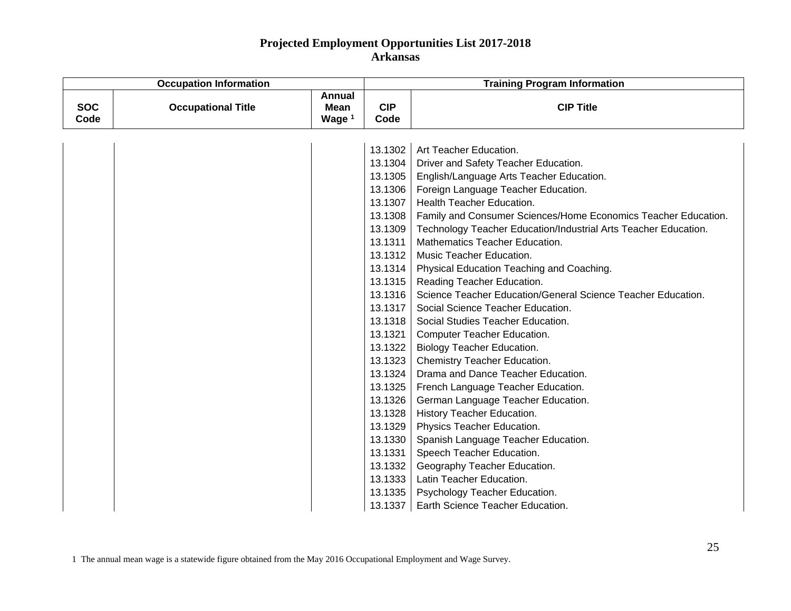| <b>Occupation Information</b> |                           |                                          | <b>Training Program Information</b> |                                                                 |  |
|-------------------------------|---------------------------|------------------------------------------|-------------------------------------|-----------------------------------------------------------------|--|
| <b>SOC</b><br>Code            | <b>Occupational Title</b> | <b>Annual</b><br><b>Mean</b><br>Wage $1$ | <b>CIP</b><br>Code                  | <b>CIP Title</b>                                                |  |
|                               |                           |                                          |                                     |                                                                 |  |
|                               |                           |                                          | 13.1302                             | Art Teacher Education.                                          |  |
|                               |                           |                                          | 13.1304                             | Driver and Safety Teacher Education.                            |  |
|                               |                           |                                          | 13.1305                             | English/Language Arts Teacher Education.                        |  |
|                               |                           |                                          | 13.1306                             | Foreign Language Teacher Education.                             |  |
|                               |                           |                                          | 13.1307                             | <b>Health Teacher Education.</b>                                |  |
|                               |                           |                                          | 13.1308                             | Family and Consumer Sciences/Home Economics Teacher Education.  |  |
|                               |                           |                                          | 13.1309                             | Technology Teacher Education/Industrial Arts Teacher Education. |  |
|                               |                           |                                          | 13.1311                             | Mathematics Teacher Education.                                  |  |
|                               |                           |                                          | 13.1312                             | Music Teacher Education.                                        |  |
|                               |                           |                                          | 13.1314                             | Physical Education Teaching and Coaching.                       |  |
|                               |                           |                                          | 13.1315                             | Reading Teacher Education.                                      |  |
|                               |                           |                                          | 13.1316                             | Science Teacher Education/General Science Teacher Education.    |  |
|                               |                           |                                          | 13.1317                             | Social Science Teacher Education.                               |  |
|                               |                           |                                          | 13.1318                             | Social Studies Teacher Education.                               |  |
|                               |                           |                                          | 13.1321                             | <b>Computer Teacher Education.</b>                              |  |
|                               |                           |                                          | 13.1322                             | <b>Biology Teacher Education.</b>                               |  |
|                               |                           |                                          | 13.1323                             | Chemistry Teacher Education.                                    |  |
|                               |                           |                                          | 13.1324                             | Drama and Dance Teacher Education.                              |  |
|                               |                           |                                          | 13.1325                             | French Language Teacher Education.                              |  |
|                               |                           |                                          | 13.1326                             | German Language Teacher Education.                              |  |
|                               |                           |                                          | 13.1328                             | History Teacher Education.                                      |  |
|                               |                           |                                          | 13.1329                             | Physics Teacher Education.                                      |  |
|                               |                           |                                          | 13.1330                             | Spanish Language Teacher Education.                             |  |
|                               |                           |                                          | 13.1331                             | Speech Teacher Education.                                       |  |
|                               |                           |                                          | 13.1332                             | Geography Teacher Education.                                    |  |
|                               |                           |                                          | 13.1333                             | Latin Teacher Education.                                        |  |
|                               |                           |                                          | 13.1335                             | Psychology Teacher Education.                                   |  |
|                               |                           |                                          | 13.1337                             | Earth Science Teacher Education.                                |  |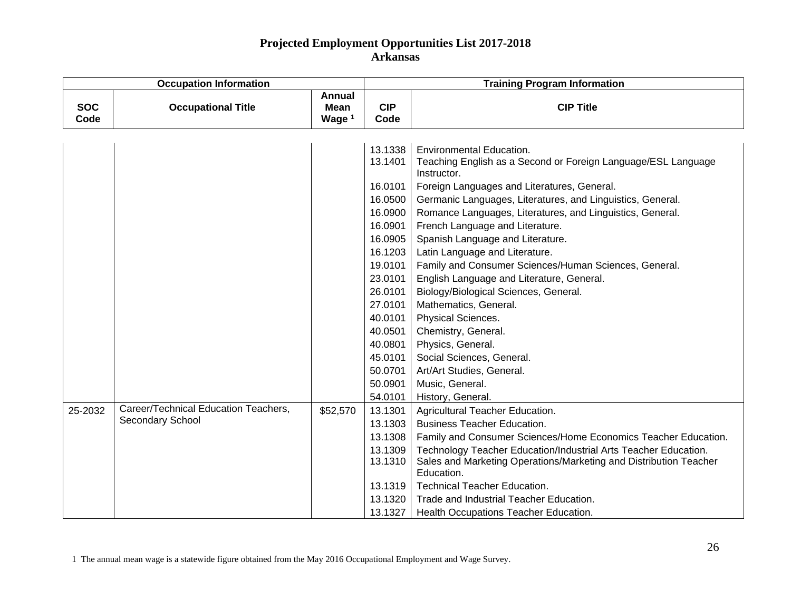|                    | <b>Occupation Information</b>        |                            |                    | <b>Training Program Information</b>                                          |  |  |
|--------------------|--------------------------------------|----------------------------|--------------------|------------------------------------------------------------------------------|--|--|
| <b>SOC</b><br>Code | <b>Occupational Title</b>            | Annual<br>Mean<br>Wage $1$ | <b>CIP</b><br>Code | <b>CIP Title</b>                                                             |  |  |
|                    |                                      |                            |                    |                                                                              |  |  |
|                    |                                      |                            |                    |                                                                              |  |  |
|                    |                                      |                            | 13.1338            | <b>Environmental Education.</b>                                              |  |  |
|                    |                                      |                            | 13.1401            | Teaching English as a Second or Foreign Language/ESL Language<br>Instructor. |  |  |
|                    |                                      |                            | 16.0101            | Foreign Languages and Literatures, General.                                  |  |  |
|                    |                                      |                            | 16.0500            | Germanic Languages, Literatures, and Linguistics, General.                   |  |  |
|                    |                                      |                            | 16.0900            | Romance Languages, Literatures, and Linguistics, General.                    |  |  |
|                    |                                      |                            | 16.0901            | French Language and Literature.                                              |  |  |
|                    |                                      |                            | 16.0905            | Spanish Language and Literature.                                             |  |  |
|                    |                                      |                            | 16.1203            | Latin Language and Literature.                                               |  |  |
|                    |                                      |                            | 19.0101            | Family and Consumer Sciences/Human Sciences, General.                        |  |  |
|                    |                                      |                            | 23.0101            | English Language and Literature, General.                                    |  |  |
|                    |                                      |                            | 26.0101            | Biology/Biological Sciences, General.                                        |  |  |
|                    |                                      |                            | 27.0101            | Mathematics, General.                                                        |  |  |
|                    |                                      |                            | 40.0101            | Physical Sciences.                                                           |  |  |
|                    |                                      |                            | 40.0501            | Chemistry, General.                                                          |  |  |
|                    |                                      |                            | 40.0801            | Physics, General.                                                            |  |  |
|                    |                                      |                            | 45.0101            | Social Sciences, General.                                                    |  |  |
|                    |                                      |                            | 50.0701            | Art/Art Studies, General.                                                    |  |  |
|                    |                                      |                            | 50.0901            | Music, General.                                                              |  |  |
|                    |                                      |                            | 54.0101            | History, General.                                                            |  |  |
| 25-2032            | Career/Technical Education Teachers, | \$52,570                   | 13.1301            | Agricultural Teacher Education.                                              |  |  |
|                    | Secondary School                     |                            | 13.1303            | <b>Business Teacher Education.</b>                                           |  |  |
|                    |                                      |                            | 13.1308            | Family and Consumer Sciences/Home Economics Teacher Education.               |  |  |
|                    |                                      |                            | 13.1309            | Technology Teacher Education/Industrial Arts Teacher Education.              |  |  |
|                    |                                      |                            | 13.1310            | Sales and Marketing Operations/Marketing and Distribution Teacher            |  |  |
|                    |                                      |                            |                    | Education.                                                                   |  |  |
|                    |                                      |                            | 13.1319            | <b>Technical Teacher Education.</b>                                          |  |  |
|                    |                                      |                            | 13.1320            | Trade and Industrial Teacher Education.                                      |  |  |
|                    |                                      |                            | 13.1327            | Health Occupations Teacher Education.                                        |  |  |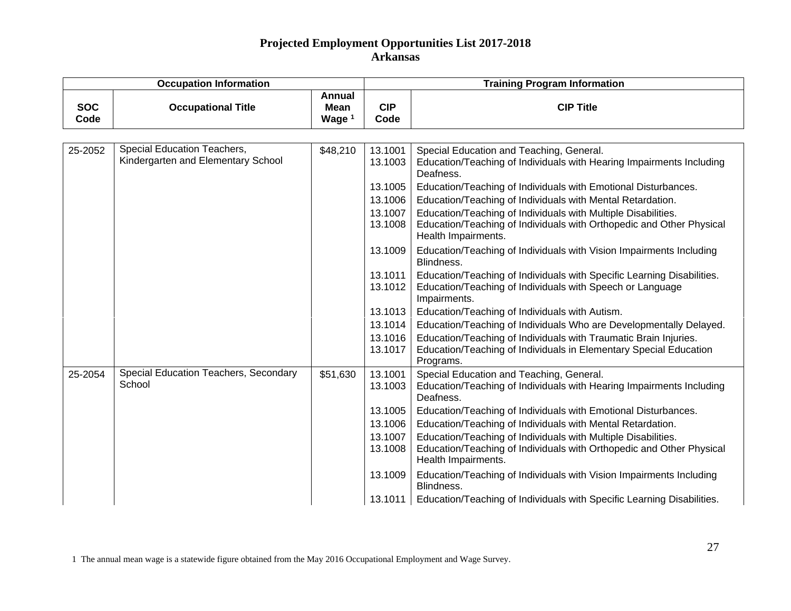| <b>Occupation Information</b> |                                                                   |                                          | <b>Training Program Information</b> |                                                                                                                                                              |  |
|-------------------------------|-------------------------------------------------------------------|------------------------------------------|-------------------------------------|--------------------------------------------------------------------------------------------------------------------------------------------------------------|--|
| <b>SOC</b><br>Code            | <b>Occupational Title</b>                                         | <b>Annual</b><br><b>Mean</b><br>Wage $1$ | <b>CIP</b><br>Code                  | <b>CIP Title</b>                                                                                                                                             |  |
|                               |                                                                   |                                          |                                     |                                                                                                                                                              |  |
| 25-2052                       | Special Education Teachers,<br>Kindergarten and Elementary School | \$48,210                                 | 13.1001<br>13.1003                  | Special Education and Teaching, General.<br>Education/Teaching of Individuals with Hearing Impairments Including<br>Deafness.                                |  |
|                               |                                                                   |                                          | 13.1005                             | Education/Teaching of Individuals with Emotional Disturbances.                                                                                               |  |
|                               |                                                                   |                                          | 13.1006                             | Education/Teaching of Individuals with Mental Retardation.                                                                                                   |  |
|                               |                                                                   |                                          | 13.1007                             | Education/Teaching of Individuals with Multiple Disabilities.                                                                                                |  |
|                               |                                                                   |                                          | 13.1008                             | Education/Teaching of Individuals with Orthopedic and Other Physical<br>Health Impairments.                                                                  |  |
|                               |                                                                   |                                          | 13.1009                             | Education/Teaching of Individuals with Vision Impairments Including<br>Blindness.                                                                            |  |
|                               |                                                                   |                                          | 13.1011<br>13.1012                  | Education/Teaching of Individuals with Specific Learning Disabilities.<br>Education/Teaching of Individuals with Speech or Language<br>Impairments.          |  |
|                               |                                                                   |                                          | 13.1013                             | Education/Teaching of Individuals with Autism.                                                                                                               |  |
|                               |                                                                   |                                          | 13.1014                             | Education/Teaching of Individuals Who are Developmentally Delayed.                                                                                           |  |
|                               |                                                                   |                                          | 13.1016<br>13.1017                  | Education/Teaching of Individuals with Traumatic Brain Injuries.<br>Education/Teaching of Individuals in Elementary Special Education<br>Programs.           |  |
| 25-2054                       | Special Education Teachers, Secondary<br>School                   | \$51,630                                 | 13.1001<br>13.1003                  | Special Education and Teaching, General.<br>Education/Teaching of Individuals with Hearing Impairments Including<br>Deafness.                                |  |
|                               |                                                                   |                                          | 13.1005                             | Education/Teaching of Individuals with Emotional Disturbances.                                                                                               |  |
|                               |                                                                   |                                          | 13.1006                             | Education/Teaching of Individuals with Mental Retardation.                                                                                                   |  |
|                               |                                                                   |                                          | 13.1007<br>13.1008                  | Education/Teaching of Individuals with Multiple Disabilities.<br>Education/Teaching of Individuals with Orthopedic and Other Physical<br>Health Impairments. |  |
|                               |                                                                   |                                          | 13.1009                             | Education/Teaching of Individuals with Vision Impairments Including<br>Blindness.                                                                            |  |
|                               |                                                                   |                                          | 13.1011                             | Education/Teaching of Individuals with Specific Learning Disabilities.                                                                                       |  |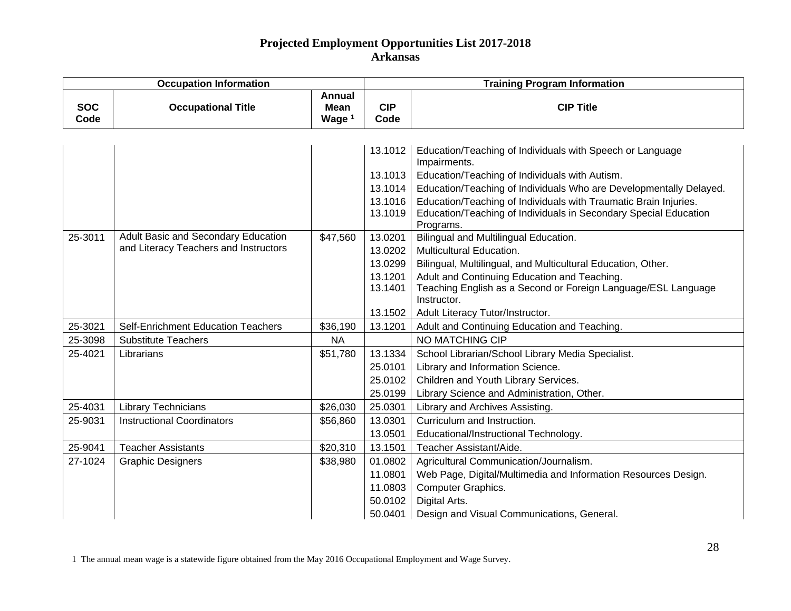| <b>Occupation Information</b> |                                                                              |                                                   | <b>Training Program Information</b>                            |                                                                                                                                                                                                                                                                                                                                                        |  |
|-------------------------------|------------------------------------------------------------------------------|---------------------------------------------------|----------------------------------------------------------------|--------------------------------------------------------------------------------------------------------------------------------------------------------------------------------------------------------------------------------------------------------------------------------------------------------------------------------------------------------|--|
| <b>SOC</b><br>Code            | <b>Occupational Title</b>                                                    | <b>Annual</b><br><b>Mean</b><br>Wage <sup>1</sup> | <b>CIP</b><br>Code                                             | <b>CIP Title</b>                                                                                                                                                                                                                                                                                                                                       |  |
|                               |                                                                              |                                                   | 13.1012<br>13.1013<br>13.1014<br>13.1016<br>13.1019            | Education/Teaching of Individuals with Speech or Language<br>Impairments.<br>Education/Teaching of Individuals with Autism.<br>Education/Teaching of Individuals Who are Developmentally Delayed.<br>Education/Teaching of Individuals with Traumatic Brain Injuries.<br>Education/Teaching of Individuals in Secondary Special Education<br>Programs. |  |
| 25-3011                       | Adult Basic and Secondary Education<br>and Literacy Teachers and Instructors | \$47,560                                          | 13.0201<br>13.0202<br>13.0299<br>13.1201<br>13.1401<br>13.1502 | Bilingual and Multilingual Education.<br>Multicultural Education.<br>Bilingual, Multilingual, and Multicultural Education, Other.<br>Adult and Continuing Education and Teaching.<br>Teaching English as a Second or Foreign Language/ESL Language<br>Instructor.<br>Adult Literacy Tutor/Instructor.                                                  |  |
| 25-3021                       | <b>Self-Enrichment Education Teachers</b>                                    | \$36,190                                          | 13.1201                                                        | Adult and Continuing Education and Teaching.                                                                                                                                                                                                                                                                                                           |  |
| 25-3098                       | <b>Substitute Teachers</b>                                                   | <b>NA</b>                                         |                                                                | NO MATCHING CIP                                                                                                                                                                                                                                                                                                                                        |  |
| 25-4021                       | Librarians                                                                   | \$51,780                                          | 13.1334<br>25.0101<br>25.0102<br>25.0199                       | School Librarian/School Library Media Specialist.<br>Library and Information Science.<br>Children and Youth Library Services.<br>Library Science and Administration, Other.                                                                                                                                                                            |  |
| 25-4031                       | Library Technicians                                                          | \$26,030                                          | 25.0301                                                        | Library and Archives Assisting.                                                                                                                                                                                                                                                                                                                        |  |
| 25-9031                       | <b>Instructional Coordinators</b>                                            | \$56,860                                          | 13.0301<br>13.0501                                             | Curriculum and Instruction.<br>Educational/Instructional Technology.                                                                                                                                                                                                                                                                                   |  |
| 25-9041                       | <b>Teacher Assistants</b>                                                    | \$20,310                                          | 13.1501                                                        | Teacher Assistant/Aide.                                                                                                                                                                                                                                                                                                                                |  |
| 27-1024                       | <b>Graphic Designers</b>                                                     | \$38,980                                          | 01.0802<br>11.0801<br>11.0803<br>50.0102<br>50.0401            | Agricultural Communication/Journalism.<br>Web Page, Digital/Multimedia and Information Resources Design.<br>Computer Graphics.<br>Digital Arts.<br>Design and Visual Communications, General.                                                                                                                                                          |  |

1 The annual mean wage is a statewide figure obtained from the May 2016 Occupational Employment and Wage Survey.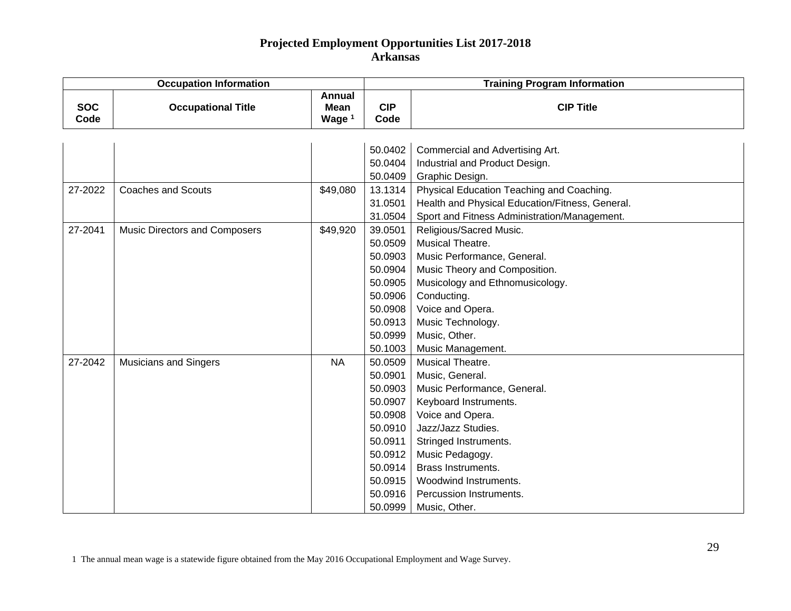| <b>Occupation Information</b> |                               |                                            | <b>Training Program Information</b>                                                                                              |                                                                                                                                                                                                                                                                                     |  |
|-------------------------------|-------------------------------|--------------------------------------------|----------------------------------------------------------------------------------------------------------------------------------|-------------------------------------------------------------------------------------------------------------------------------------------------------------------------------------------------------------------------------------------------------------------------------------|--|
| <b>SOC</b><br>Code            | <b>Occupational Title</b>     | <b>Annual</b><br>Mean<br>Wage <sup>1</sup> | <b>CIP</b><br>Code                                                                                                               | <b>CIP Title</b>                                                                                                                                                                                                                                                                    |  |
|                               |                               |                                            | 50.0402<br>50.0404                                                                                                               | Commercial and Advertising Art.<br>Industrial and Product Design.                                                                                                                                                                                                                   |  |
|                               |                               |                                            | 50.0409                                                                                                                          | Graphic Design.                                                                                                                                                                                                                                                                     |  |
| 27-2022                       | <b>Coaches and Scouts</b>     | \$49,080                                   | 13.1314<br>31.0501<br>31.0504                                                                                                    | Physical Education Teaching and Coaching.<br>Health and Physical Education/Fitness, General.<br>Sport and Fitness Administration/Management.                                                                                                                                        |  |
| 27-2041                       | Music Directors and Composers | \$49,920                                   | 39.0501<br>50.0509<br>50.0903<br>50.0904<br>50.0905<br>50.0906<br>50.0908<br>50.0913<br>50.0999<br>50.1003                       | Religious/Sacred Music.<br>Musical Theatre.<br>Music Performance, General.<br>Music Theory and Composition.<br>Musicology and Ethnomusicology.<br>Conducting.<br>Voice and Opera.<br>Music Technology.<br>Music, Other.<br>Music Management.                                        |  |
| 27-2042                       | <b>Musicians and Singers</b>  | <b>NA</b>                                  | 50.0509<br>50.0901<br>50.0903<br>50.0907<br>50.0908<br>50.0910<br>50.0911<br>50.0912<br>50.0914<br>50.0915<br>50.0916<br>50.0999 | Musical Theatre.<br>Music, General.<br>Music Performance, General.<br>Keyboard Instruments.<br>Voice and Opera.<br>Jazz/Jazz Studies.<br>Stringed Instruments.<br>Music Pedagogy.<br><b>Brass Instruments.</b><br>Woodwind Instruments.<br>Percussion Instruments.<br>Music, Other. |  |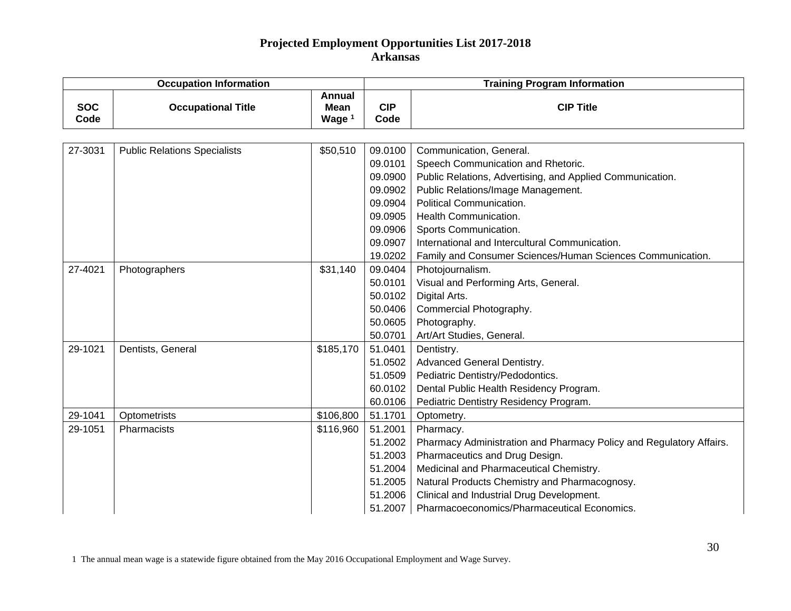| <b>Occupation Information</b> |                                     |                                                   | <b>Training Program Information</b> |                                                                     |  |
|-------------------------------|-------------------------------------|---------------------------------------------------|-------------------------------------|---------------------------------------------------------------------|--|
| <b>SOC</b><br>Code            | <b>Occupational Title</b>           | <b>Annual</b><br><b>Mean</b><br>Wage <sup>1</sup> | <b>CIP</b><br>Code                  | <b>CIP Title</b>                                                    |  |
|                               |                                     |                                                   |                                     |                                                                     |  |
| 27-3031                       | <b>Public Relations Specialists</b> | \$50,510                                          | 09.0100                             | Communication, General.                                             |  |
|                               |                                     |                                                   | 09.0101                             | Speech Communication and Rhetoric.                                  |  |
|                               |                                     |                                                   | 09.0900                             | Public Relations, Advertising, and Applied Communication.           |  |
|                               |                                     |                                                   | 09.0902                             | Public Relations/Image Management.                                  |  |
|                               |                                     |                                                   | 09.0904                             | Political Communication.                                            |  |
|                               |                                     |                                                   | 09.0905                             | Health Communication.                                               |  |
|                               |                                     |                                                   | 09.0906                             | Sports Communication.                                               |  |
|                               |                                     |                                                   | 09.0907                             | International and Intercultural Communication.                      |  |
|                               |                                     |                                                   | 19.0202                             | Family and Consumer Sciences/Human Sciences Communication.          |  |
| 27-4021                       | Photographers                       | \$31,140                                          | 09.0404                             | Photojournalism.                                                    |  |
|                               |                                     |                                                   | 50.0101                             | Visual and Performing Arts, General.                                |  |
|                               |                                     |                                                   | 50.0102                             | Digital Arts.                                                       |  |
|                               |                                     |                                                   | 50.0406                             | Commercial Photography.                                             |  |
|                               |                                     |                                                   | 50.0605                             | Photography.                                                        |  |
|                               |                                     |                                                   | 50.0701                             | Art/Art Studies, General.                                           |  |
| 29-1021                       | Dentists, General                   | \$185,170                                         | 51.0401                             | Dentistry.                                                          |  |
|                               |                                     |                                                   | 51.0502                             | Advanced General Dentistry.                                         |  |
|                               |                                     |                                                   | 51.0509                             | Pediatric Dentistry/Pedodontics.                                    |  |
|                               |                                     |                                                   | 60.0102                             | Dental Public Health Residency Program.                             |  |
|                               |                                     |                                                   | 60.0106                             | Pediatric Dentistry Residency Program.                              |  |
| 29-1041                       | Optometrists                        | \$106,800                                         | 51.1701                             | Optometry.                                                          |  |
| 29-1051                       | Pharmacists                         | \$116,960                                         | 51.2001                             | Pharmacy.                                                           |  |
|                               |                                     |                                                   | 51.2002                             | Pharmacy Administration and Pharmacy Policy and Regulatory Affairs. |  |
|                               |                                     |                                                   | 51.2003                             | Pharmaceutics and Drug Design.                                      |  |
|                               |                                     |                                                   | 51.2004                             | Medicinal and Pharmaceutical Chemistry.                             |  |
|                               |                                     |                                                   | 51.2005                             | Natural Products Chemistry and Pharmacognosy.                       |  |
|                               |                                     |                                                   | 51.2006                             | Clinical and Industrial Drug Development.                           |  |
|                               |                                     |                                                   | 51.2007                             | Pharmacoeconomics/Pharmaceutical Economics.                         |  |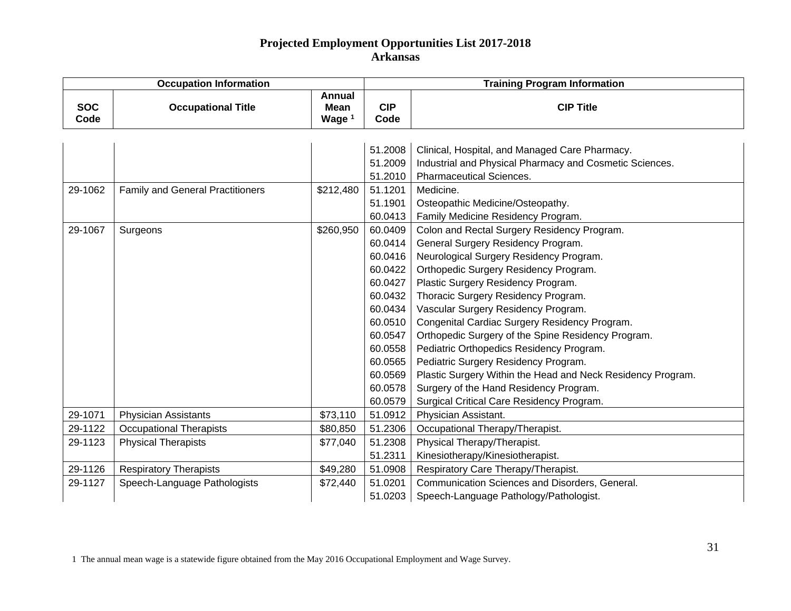| <b>Occupation Information</b> |                                         |                                            | <b>Training Program Information</b> |                                                             |  |
|-------------------------------|-----------------------------------------|--------------------------------------------|-------------------------------------|-------------------------------------------------------------|--|
| <b>SOC</b><br>Code            | <b>Occupational Title</b>               | Annual<br><b>Mean</b><br>Wage <sup>1</sup> | <b>CIP</b><br>Code                  | <b>CIP Title</b>                                            |  |
|                               |                                         |                                            |                                     |                                                             |  |
|                               |                                         |                                            | 51.2008                             | Clinical, Hospital, and Managed Care Pharmacy.              |  |
|                               |                                         |                                            | 51.2009                             | Industrial and Physical Pharmacy and Cosmetic Sciences.     |  |
|                               |                                         |                                            | 51.2010                             | <b>Pharmaceutical Sciences.</b>                             |  |
| 29-1062                       | <b>Family and General Practitioners</b> | \$212,480                                  | 51.1201                             | Medicine.                                                   |  |
|                               |                                         |                                            | 51.1901                             | Osteopathic Medicine/Osteopathy.                            |  |
|                               |                                         |                                            | 60.0413                             | Family Medicine Residency Program.                          |  |
| 29-1067                       | Surgeons                                | \$260,950                                  | 60.0409                             | Colon and Rectal Surgery Residency Program.                 |  |
|                               |                                         |                                            | 60.0414                             | General Surgery Residency Program.                          |  |
|                               |                                         |                                            | 60.0416                             | Neurological Surgery Residency Program.                     |  |
|                               |                                         |                                            | 60.0422                             | Orthopedic Surgery Residency Program.                       |  |
|                               |                                         |                                            | 60.0427                             | Plastic Surgery Residency Program.                          |  |
|                               |                                         |                                            | 60.0432                             | Thoracic Surgery Residency Program.                         |  |
|                               |                                         |                                            | 60.0434                             | Vascular Surgery Residency Program.                         |  |
|                               |                                         |                                            | 60.0510                             | Congenital Cardiac Surgery Residency Program.               |  |
|                               |                                         |                                            | 60.0547                             | Orthopedic Surgery of the Spine Residency Program.          |  |
|                               |                                         |                                            | 60.0558                             | Pediatric Orthopedics Residency Program.                    |  |
|                               |                                         |                                            | 60.0565                             | Pediatric Surgery Residency Program.                        |  |
|                               |                                         |                                            | 60.0569                             | Plastic Surgery Within the Head and Neck Residency Program. |  |
|                               |                                         |                                            | 60.0578                             | Surgery of the Hand Residency Program.                      |  |
|                               |                                         |                                            | 60.0579                             | Surgical Critical Care Residency Program.                   |  |
| 29-1071                       | <b>Physician Assistants</b>             | \$73,110                                   | 51.0912                             | Physician Assistant.                                        |  |
| 29-1122                       | <b>Occupational Therapists</b>          | \$80,850                                   | 51.2306                             | Occupational Therapy/Therapist.                             |  |
| 29-1123                       | <b>Physical Therapists</b>              | \$77,040                                   | 51.2308                             | Physical Therapy/Therapist.                                 |  |
|                               |                                         |                                            | 51.2311                             | Kinesiotherapy/Kinesiotherapist.                            |  |
| 29-1126                       | <b>Respiratory Therapists</b>           | \$49,280                                   | 51.0908                             | Respiratory Care Therapy/Therapist.                         |  |
| 29-1127                       | Speech-Language Pathologists            | \$72,440                                   | 51.0201                             | Communication Sciences and Disorders, General.              |  |
|                               |                                         |                                            | 51.0203                             | Speech-Language Pathology/Pathologist.                      |  |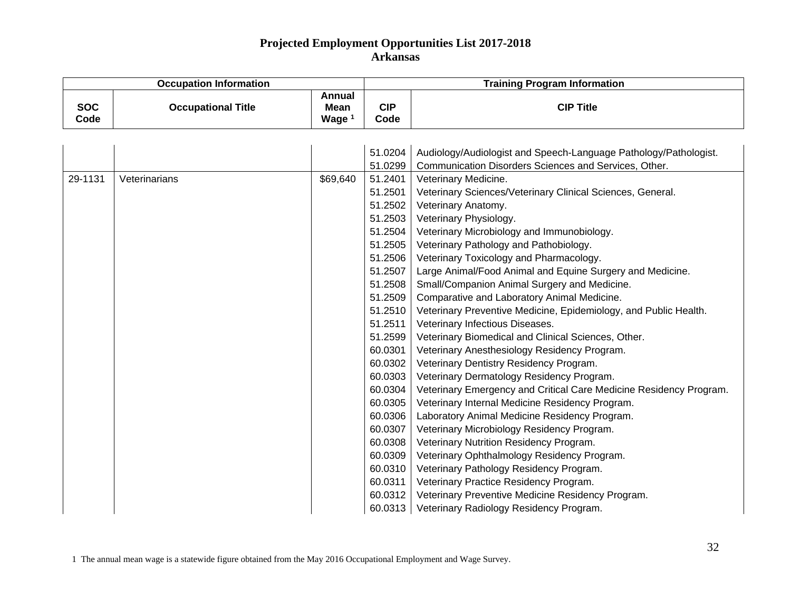| <b>Occupation Information</b> |                           |                                                   | <b>Training Program Information</b> |                                                                    |  |
|-------------------------------|---------------------------|---------------------------------------------------|-------------------------------------|--------------------------------------------------------------------|--|
| <b>SOC</b><br>Code            | <b>Occupational Title</b> | <b>Annual</b><br><b>Mean</b><br>Wage <sup>1</sup> | <b>CIP</b><br>Code                  | <b>CIP Title</b>                                                   |  |
|                               |                           |                                                   |                                     |                                                                    |  |
|                               |                           |                                                   | 51.0204                             | Audiology/Audiologist and Speech-Language Pathology/Pathologist.   |  |
|                               |                           |                                                   | 51.0299                             | Communication Disorders Sciences and Services, Other.              |  |
| 29-1131                       | Veterinarians             | \$69,640                                          | 51.2401                             | Veterinary Medicine.                                               |  |
|                               |                           |                                                   | 51.2501                             | Veterinary Sciences/Veterinary Clinical Sciences, General.         |  |
|                               |                           |                                                   | 51.2502                             | Veterinary Anatomy.                                                |  |
|                               |                           |                                                   | 51.2503                             | Veterinary Physiology.                                             |  |
|                               |                           |                                                   | 51.2504                             | Veterinary Microbiology and Immunobiology.                         |  |
|                               |                           |                                                   | 51.2505                             | Veterinary Pathology and Pathobiology.                             |  |
|                               |                           |                                                   | 51.2506                             | Veterinary Toxicology and Pharmacology.                            |  |
|                               |                           |                                                   | 51.2507                             | Large Animal/Food Animal and Equine Surgery and Medicine.          |  |
|                               |                           |                                                   | 51.2508                             | Small/Companion Animal Surgery and Medicine.                       |  |
|                               |                           |                                                   | 51.2509                             | Comparative and Laboratory Animal Medicine.                        |  |
|                               |                           |                                                   | 51.2510                             | Veterinary Preventive Medicine, Epidemiology, and Public Health.   |  |
|                               |                           |                                                   | 51.2511                             | Veterinary Infectious Diseases.                                    |  |
|                               |                           |                                                   | 51.2599                             | Veterinary Biomedical and Clinical Sciences, Other.                |  |
|                               |                           |                                                   | 60.0301                             | Veterinary Anesthesiology Residency Program.                       |  |
|                               |                           |                                                   | 60.0302                             | Veterinary Dentistry Residency Program.                            |  |
|                               |                           |                                                   | 60.0303                             | Veterinary Dermatology Residency Program.                          |  |
|                               |                           |                                                   | 60.0304                             | Veterinary Emergency and Critical Care Medicine Residency Program. |  |
|                               |                           |                                                   | 60.0305                             | Veterinary Internal Medicine Residency Program.                    |  |
|                               |                           |                                                   | 60.0306                             | Laboratory Animal Medicine Residency Program.                      |  |
|                               |                           |                                                   | 60.0307                             | Veterinary Microbiology Residency Program.                         |  |
|                               |                           |                                                   | 60.0308                             | Veterinary Nutrition Residency Program.                            |  |
|                               |                           |                                                   | 60.0309                             | Veterinary Ophthalmology Residency Program.                        |  |
|                               |                           |                                                   | 60.0310                             | Veterinary Pathology Residency Program.                            |  |
|                               |                           |                                                   | 60.0311                             | Veterinary Practice Residency Program.                             |  |
|                               |                           |                                                   | 60.0312                             | Veterinary Preventive Medicine Residency Program.                  |  |
|                               |                           |                                                   | 60.0313                             | Veterinary Radiology Residency Program.                            |  |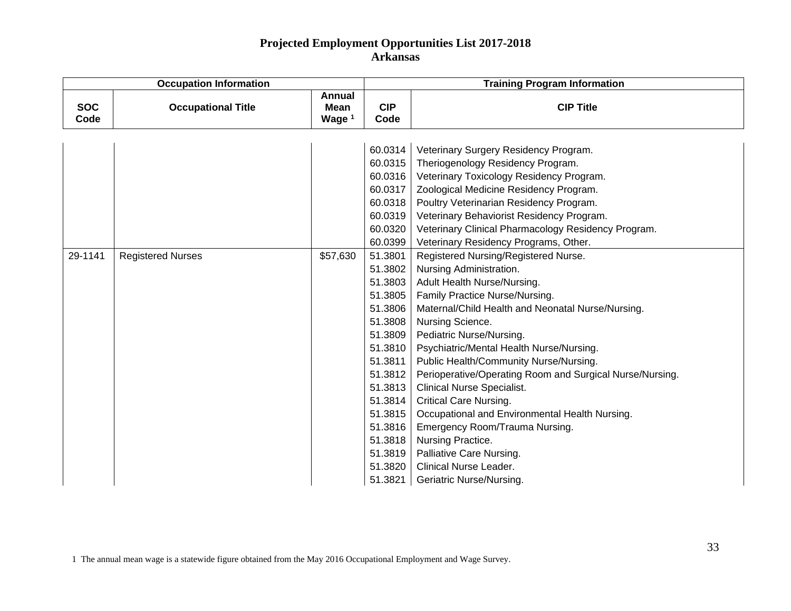| <b>Occupation Information</b> |                           |                                                   | <b>Training Program Information</b> |                                                          |  |
|-------------------------------|---------------------------|---------------------------------------------------|-------------------------------------|----------------------------------------------------------|--|
| <b>SOC</b><br>Code            | <b>Occupational Title</b> | <b>Annual</b><br><b>Mean</b><br>Wage <sup>1</sup> | <b>CIP</b><br>Code                  | <b>CIP Title</b>                                         |  |
|                               |                           |                                                   |                                     |                                                          |  |
|                               |                           |                                                   | 60.0314                             | Veterinary Surgery Residency Program.                    |  |
|                               |                           |                                                   | 60.0315                             | Theriogenology Residency Program.                        |  |
|                               |                           |                                                   | 60.0316                             | Veterinary Toxicology Residency Program.                 |  |
|                               |                           |                                                   | 60.0317                             | Zoological Medicine Residency Program.                   |  |
|                               |                           |                                                   | 60.0318                             | Poultry Veterinarian Residency Program.                  |  |
|                               |                           |                                                   | 60.0319                             | Veterinary Behaviorist Residency Program.                |  |
|                               |                           |                                                   | 60.0320                             | Veterinary Clinical Pharmacology Residency Program.      |  |
|                               |                           |                                                   | 60.0399                             | Veterinary Residency Programs, Other.                    |  |
| 29-1141                       | <b>Registered Nurses</b>  | \$57,630                                          | 51.3801                             | Registered Nursing/Registered Nurse.                     |  |
|                               |                           |                                                   | 51.3802                             | Nursing Administration.                                  |  |
|                               |                           |                                                   | 51.3803                             | Adult Health Nurse/Nursing.                              |  |
|                               |                           |                                                   | 51.3805                             | Family Practice Nurse/Nursing.                           |  |
|                               |                           |                                                   | 51.3806                             | Maternal/Child Health and Neonatal Nurse/Nursing.        |  |
|                               |                           |                                                   | 51.3808                             | Nursing Science.                                         |  |
|                               |                           |                                                   | 51.3809                             | Pediatric Nurse/Nursing.                                 |  |
|                               |                           |                                                   | 51.3810                             | Psychiatric/Mental Health Nurse/Nursing.                 |  |
|                               |                           |                                                   | 51.3811                             | Public Health/Community Nurse/Nursing.                   |  |
|                               |                           |                                                   | 51.3812                             | Perioperative/Operating Room and Surgical Nurse/Nursing. |  |
|                               |                           |                                                   | 51.3813                             | <b>Clinical Nurse Specialist.</b>                        |  |
|                               |                           |                                                   | 51.3814                             | <b>Critical Care Nursing.</b>                            |  |
|                               |                           |                                                   | 51.3815                             | Occupational and Environmental Health Nursing.           |  |
|                               |                           |                                                   | 51.3816                             | Emergency Room/Trauma Nursing.                           |  |
|                               |                           |                                                   | 51.3818                             | Nursing Practice.                                        |  |
|                               |                           |                                                   | 51.3819                             | Palliative Care Nursing.                                 |  |
|                               |                           |                                                   | 51.3820                             | <b>Clinical Nurse Leader.</b>                            |  |
|                               |                           |                                                   | 51.3821                             | <b>Geriatric Nurse/Nursing.</b>                          |  |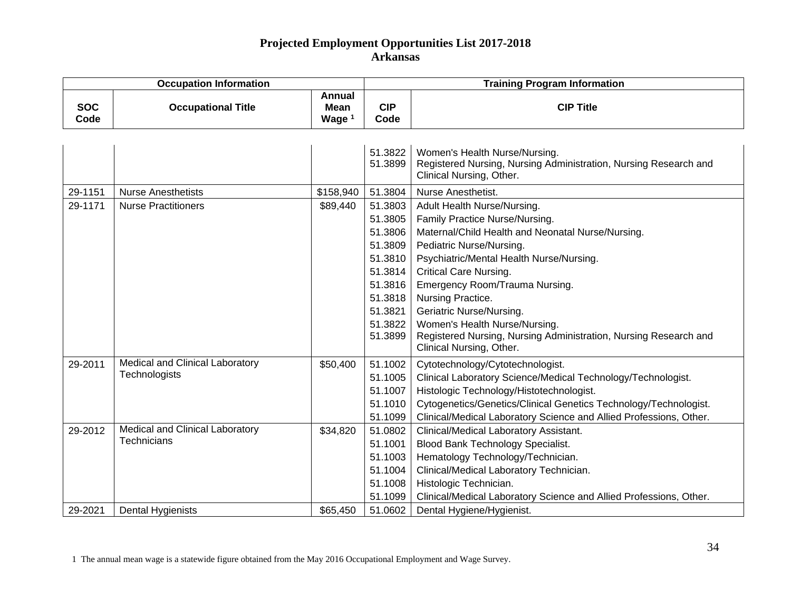| <b>Occupation Information</b> |                                                                                     |                                                   | <b>Training Program Information</b>                                                                                   |                                                                                                                                                                                                                                                                                                                                                                                                                                                 |  |
|-------------------------------|-------------------------------------------------------------------------------------|---------------------------------------------------|-----------------------------------------------------------------------------------------------------------------------|-------------------------------------------------------------------------------------------------------------------------------------------------------------------------------------------------------------------------------------------------------------------------------------------------------------------------------------------------------------------------------------------------------------------------------------------------|--|
| <b>SOC</b><br>Code            | <b>Occupational Title</b>                                                           | <b>Annual</b><br><b>Mean</b><br>Wage <sup>1</sup> | <b>CIP</b><br>Code                                                                                                    | <b>CIP Title</b>                                                                                                                                                                                                                                                                                                                                                                                                                                |  |
|                               |                                                                                     |                                                   | 51.3822<br>51.3899                                                                                                    | Women's Health Nurse/Nursing.<br>Registered Nursing, Nursing Administration, Nursing Research and<br>Clinical Nursing, Other.                                                                                                                                                                                                                                                                                                                   |  |
| 29-1151                       | <b>Nurse Anesthetists</b>                                                           | \$158,940                                         | 51.3804                                                                                                               | Nurse Anesthetist.                                                                                                                                                                                                                                                                                                                                                                                                                              |  |
| 29-1171                       | <b>Nurse Practitioners</b>                                                          | \$89,440                                          | 51.3803<br>51.3805<br>51.3806<br>51.3809<br>51.3810<br>51.3814<br>51.3816<br>51.3818<br>51.3821<br>51.3822<br>51.3899 | Adult Health Nurse/Nursing.<br>Family Practice Nurse/Nursing.<br>Maternal/Child Health and Neonatal Nurse/Nursing.<br>Pediatric Nurse/Nursing.<br>Psychiatric/Mental Health Nurse/Nursing.<br><b>Critical Care Nursing.</b><br>Emergency Room/Trauma Nursing.<br>Nursing Practice.<br>Geriatric Nurse/Nursing.<br>Women's Health Nurse/Nursing.<br>Registered Nursing, Nursing Administration, Nursing Research and<br>Clinical Nursing, Other. |  |
| 29-2011<br>29-2012            | Medical and Clinical Laboratory<br>Technologists<br>Medical and Clinical Laboratory | \$50,400<br>\$34,820                              | 51.1002<br>51.1005<br>51.1007<br>51.1010<br>51.1099<br>51.0802                                                        | Cytotechnology/Cytotechnologist.<br>Clinical Laboratory Science/Medical Technology/Technologist.<br>Histologic Technology/Histotechnologist.<br>Cytogenetics/Genetics/Clinical Genetics Technology/Technologist.<br>Clinical/Medical Laboratory Science and Allied Professions, Other.<br>Clinical/Medical Laboratory Assistant.                                                                                                                |  |
| 29-2021                       | Technicians<br>Dental Hygienists                                                    | \$65,450                                          | 51.1001<br>51.1003<br>51.1004<br>51.1008<br>51.1099<br>51.0602                                                        | <b>Blood Bank Technology Specialist.</b><br>Hematology Technology/Technician.<br>Clinical/Medical Laboratory Technician.<br>Histologic Technician.<br>Clinical/Medical Laboratory Science and Allied Professions, Other.<br>Dental Hygiene/Hygienist.                                                                                                                                                                                           |  |

1 The annual mean wage is a statewide figure obtained from the May 2016 Occupational Employment and Wage Survey.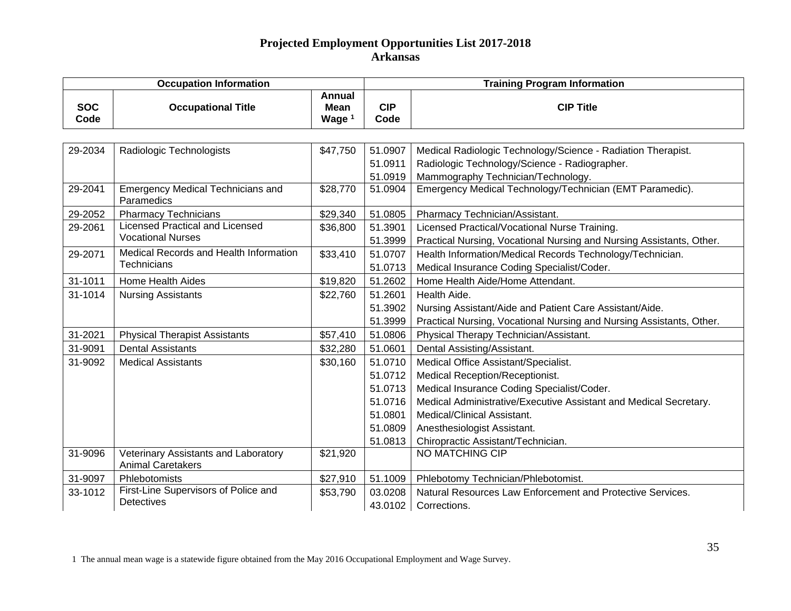| <b>Occupation Information</b> |                                                                  |                                          | <b>Training Program Information</b> |                                                                      |  |
|-------------------------------|------------------------------------------------------------------|------------------------------------------|-------------------------------------|----------------------------------------------------------------------|--|
| <b>SOC</b><br>Code            | <b>Occupational Title</b>                                        | <b>Annual</b><br><b>Mean</b><br>Wage $1$ | <b>CIP</b><br>Code                  | <b>CIP Title</b>                                                     |  |
|                               |                                                                  |                                          |                                     |                                                                      |  |
| 29-2034                       | Radiologic Technologists                                         | \$47,750                                 | 51.0907                             | Medical Radiologic Technology/Science - Radiation Therapist.         |  |
|                               |                                                                  |                                          | 51.0911                             | Radiologic Technology/Science - Radiographer.                        |  |
|                               |                                                                  |                                          | 51.0919                             | Mammography Technician/Technology.                                   |  |
| 29-2041                       | <b>Emergency Medical Technicians and</b><br>Paramedics           | \$28,770                                 | 51.0904                             | Emergency Medical Technology/Technician (EMT Paramedic).             |  |
| 29-2052                       | <b>Pharmacy Technicians</b>                                      | \$29,340                                 | 51.0805                             | Pharmacy Technician/Assistant.                                       |  |
| 29-2061                       | <b>Licensed Practical and Licensed</b>                           | \$36,800                                 | 51.3901                             | Licensed Practical/Vocational Nurse Training.                        |  |
|                               | <b>Vocational Nurses</b>                                         |                                          | 51.3999                             | Practical Nursing, Vocational Nursing and Nursing Assistants, Other. |  |
| 29-2071                       | Medical Records and Health Information                           | \$33,410                                 | 51.0707                             | Health Information/Medical Records Technology/Technician.            |  |
|                               | <b>Technicians</b>                                               |                                          | 51.0713                             | Medical Insurance Coding Specialist/Coder.                           |  |
| 31-1011                       | <b>Home Health Aides</b>                                         | \$19,820                                 | 51.2602                             | Home Health Aide/Home Attendant.                                     |  |
| 31-1014                       | <b>Nursing Assistants</b>                                        | \$22,760                                 | 51.2601                             | Health Aide.                                                         |  |
|                               |                                                                  |                                          | 51.3902                             | Nursing Assistant/Aide and Patient Care Assistant/Aide.              |  |
|                               |                                                                  |                                          | 51.3999                             | Practical Nursing, Vocational Nursing and Nursing Assistants, Other. |  |
| 31-2021                       | <b>Physical Therapist Assistants</b>                             | \$57,410                                 | 51.0806                             | Physical Therapy Technician/Assistant.                               |  |
| 31-9091                       | <b>Dental Assistants</b>                                         | \$32,280                                 | 51.0601                             | Dental Assisting/Assistant.                                          |  |
| 31-9092                       | <b>Medical Assistants</b>                                        | \$30,160                                 | 51.0710                             | Medical Office Assistant/Specialist.                                 |  |
|                               |                                                                  |                                          | 51.0712                             | Medical Reception/Receptionist.                                      |  |
|                               |                                                                  |                                          | 51.0713                             | Medical Insurance Coding Specialist/Coder.                           |  |
|                               |                                                                  |                                          | 51.0716                             | Medical Administrative/Executive Assistant and Medical Secretary.    |  |
|                               |                                                                  |                                          | 51.0801                             | Medical/Clinical Assistant.                                          |  |
|                               |                                                                  |                                          | 51.0809                             | Anesthesiologist Assistant.                                          |  |
|                               |                                                                  |                                          | 51.0813                             | Chiropractic Assistant/Technician.                                   |  |
| 31-9096                       | Veterinary Assistants and Laboratory<br><b>Animal Caretakers</b> | \$21,920                                 |                                     | <b>NO MATCHING CIP</b>                                               |  |
| 31-9097                       | Phlebotomists                                                    | \$27,910                                 | 51.1009                             | Phlebotomy Technician/Phlebotomist.                                  |  |
| 33-1012                       | First-Line Supervisors of Police and                             | \$53,790                                 | 03.0208                             | Natural Resources Law Enforcement and Protective Services.           |  |
|                               | <b>Detectives</b>                                                |                                          | 43.0102                             | Corrections.                                                         |  |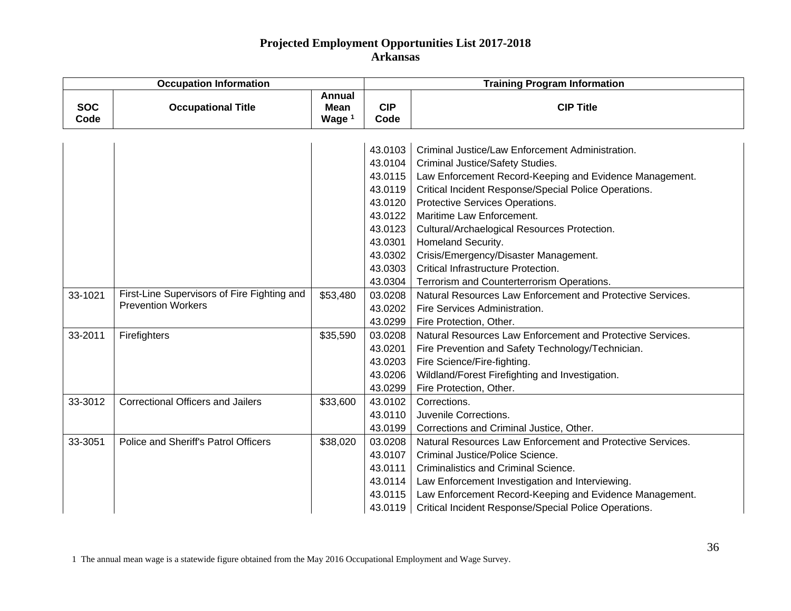| <b>Occupation Information</b> |                                             |                                            | <b>Training Program Information</b> |                                                            |  |
|-------------------------------|---------------------------------------------|--------------------------------------------|-------------------------------------|------------------------------------------------------------|--|
| <b>SOC</b><br>Code            | <b>Occupational Title</b>                   | <b>Annual</b><br>Mean<br>Wage <sup>1</sup> | <b>CIP</b><br>Code                  | <b>CIP Title</b>                                           |  |
|                               |                                             |                                            |                                     |                                                            |  |
|                               |                                             |                                            | 43.0103                             | Criminal Justice/Law Enforcement Administration.           |  |
|                               |                                             |                                            | 43.0104                             | Criminal Justice/Safety Studies.                           |  |
|                               |                                             |                                            | 43.0115                             | Law Enforcement Record-Keeping and Evidence Management.    |  |
|                               |                                             |                                            | 43.0119                             | Critical Incident Response/Special Police Operations.      |  |
|                               |                                             |                                            | 43.0120                             | Protective Services Operations.                            |  |
|                               |                                             |                                            | 43.0122                             | Maritime Law Enforcement.                                  |  |
|                               |                                             |                                            | 43.0123                             | Cultural/Archaelogical Resources Protection.               |  |
|                               |                                             |                                            | 43.0301                             | Homeland Security.                                         |  |
|                               |                                             |                                            | 43.0302                             | Crisis/Emergency/Disaster Management.                      |  |
|                               |                                             |                                            | 43.0303                             | Critical Infrastructure Protection.                        |  |
|                               |                                             |                                            | 43.0304                             | Terrorism and Counterterrorism Operations.                 |  |
| 33-1021                       | First-Line Supervisors of Fire Fighting and | \$53,480                                   | 03.0208                             | Natural Resources Law Enforcement and Protective Services. |  |
|                               | <b>Prevention Workers</b>                   |                                            | 43.0202                             | Fire Services Administration.                              |  |
|                               |                                             |                                            | 43.0299                             | Fire Protection, Other.                                    |  |
| 33-2011                       | Firefighters                                | \$35,590                                   | 03.0208                             | Natural Resources Law Enforcement and Protective Services. |  |
|                               |                                             |                                            | 43.0201                             | Fire Prevention and Safety Technology/Technician.          |  |
|                               |                                             |                                            | 43.0203                             | Fire Science/Fire-fighting.                                |  |
|                               |                                             |                                            | 43.0206                             | Wildland/Forest Firefighting and Investigation.            |  |
|                               |                                             |                                            | 43.0299                             | Fire Protection, Other.                                    |  |
| 33-3012                       | <b>Correctional Officers and Jailers</b>    | \$33,600                                   | 43.0102                             | Corrections.                                               |  |
|                               |                                             |                                            | 43.0110                             | Juvenile Corrections.                                      |  |
|                               |                                             |                                            | 43.0199                             | Corrections and Criminal Justice, Other.                   |  |
| 33-3051                       | Police and Sheriff's Patrol Officers        | \$38,020                                   | 03.0208                             | Natural Resources Law Enforcement and Protective Services. |  |
|                               |                                             |                                            | 43.0107                             | Criminal Justice/Police Science.                           |  |
|                               |                                             |                                            | 43.0111                             | Criminalistics and Criminal Science.                       |  |
|                               |                                             |                                            | 43.0114                             | Law Enforcement Investigation and Interviewing.            |  |
|                               |                                             |                                            | 43.0115                             | Law Enforcement Record-Keeping and Evidence Management.    |  |
|                               |                                             |                                            | 43.0119                             | Critical Incident Response/Special Police Operations.      |  |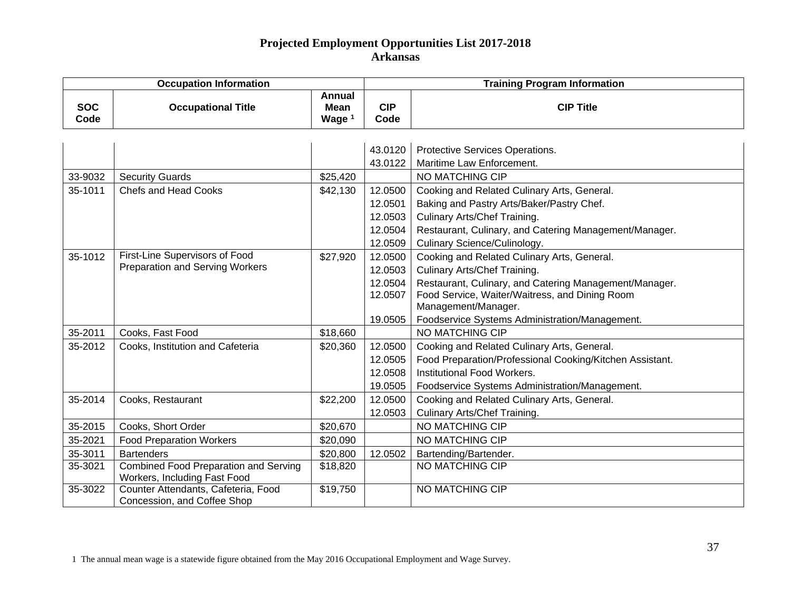| <b>Occupation Information</b> |                                              |                                          | <b>Training Program Information</b> |                                                          |  |
|-------------------------------|----------------------------------------------|------------------------------------------|-------------------------------------|----------------------------------------------------------|--|
| <b>SOC</b><br>Code            | <b>Occupational Title</b>                    | <b>Annual</b><br><b>Mean</b><br>Wage $1$ | <b>CIP</b><br>Code                  | <b>CIP Title</b>                                         |  |
|                               |                                              |                                          |                                     |                                                          |  |
|                               |                                              |                                          | 43.0120                             | Protective Services Operations.                          |  |
|                               |                                              |                                          | 43.0122                             | Maritime Law Enforcement.                                |  |
| 33-9032                       | <b>Security Guards</b>                       | \$25,420                                 |                                     | NO MATCHING CIP                                          |  |
| 35-1011                       | <b>Chefs and Head Cooks</b>                  | \$42,130                                 | 12.0500                             | Cooking and Related Culinary Arts, General.              |  |
|                               |                                              |                                          | 12.0501                             | Baking and Pastry Arts/Baker/Pastry Chef.                |  |
|                               |                                              |                                          | 12.0503                             | Culinary Arts/Chef Training.                             |  |
|                               |                                              |                                          | 12.0504                             | Restaurant, Culinary, and Catering Management/Manager.   |  |
|                               |                                              |                                          | 12.0509                             | Culinary Science/Culinology.                             |  |
| 35-1012                       | First-Line Supervisors of Food               | \$27,920                                 | 12.0500                             | Cooking and Related Culinary Arts, General.              |  |
|                               | <b>Preparation and Serving Workers</b>       |                                          | 12.0503                             | Culinary Arts/Chef Training.                             |  |
|                               |                                              |                                          | 12.0504                             | Restaurant, Culinary, and Catering Management/Manager.   |  |
|                               |                                              |                                          | 12.0507                             | Food Service, Waiter/Waitress, and Dining Room           |  |
|                               |                                              |                                          |                                     | Management/Manager.                                      |  |
|                               |                                              |                                          | 19.0505                             | Foodservice Systems Administration/Management.           |  |
| 35-2011                       | Cooks, Fast Food                             | \$18,660                                 |                                     | NO MATCHING CIP                                          |  |
| 35-2012                       | Cooks, Institution and Cafeteria             | \$20,360                                 | 12.0500                             | Cooking and Related Culinary Arts, General.              |  |
|                               |                                              |                                          | 12.0505                             | Food Preparation/Professional Cooking/Kitchen Assistant. |  |
|                               |                                              |                                          | 12.0508                             | Institutional Food Workers.                              |  |
|                               |                                              |                                          | 19.0505                             | Foodservice Systems Administration/Management.           |  |
| 35-2014                       | Cooks, Restaurant                            | \$22,200                                 | 12.0500                             | Cooking and Related Culinary Arts, General.              |  |
|                               |                                              |                                          | 12.0503                             | <b>Culinary Arts/Chef Training.</b>                      |  |
| 35-2015                       | Cooks, Short Order                           | \$20,670                                 |                                     | NO MATCHING CIP                                          |  |
| 35-2021                       | <b>Food Preparation Workers</b>              | \$20,090                                 |                                     | NO MATCHING CIP                                          |  |
| 35-3011                       | <b>Bartenders</b>                            | \$20,800                                 | 12.0502                             | Bartending/Bartender.                                    |  |
| 35-3021                       | <b>Combined Food Preparation and Serving</b> | \$18,820                                 |                                     | NO MATCHING CIP                                          |  |
|                               | Workers, Including Fast Food                 |                                          |                                     |                                                          |  |
| 35-3022                       | Counter Attendants, Cafeteria, Food          | \$19,750                                 |                                     | NO MATCHING CIP                                          |  |
|                               | Concession, and Coffee Shop                  |                                          |                                     |                                                          |  |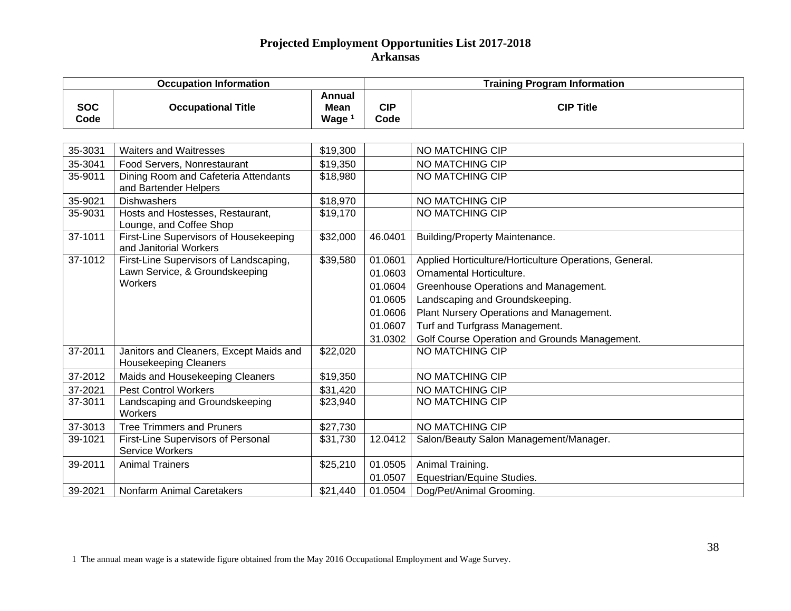| <b>Occupation Information</b> |                                                                                     |                                     | <b>Training Program Information</b>                                       |                                                                                                                                                                                                                                                                                               |  |
|-------------------------------|-------------------------------------------------------------------------------------|-------------------------------------|---------------------------------------------------------------------------|-----------------------------------------------------------------------------------------------------------------------------------------------------------------------------------------------------------------------------------------------------------------------------------------------|--|
| <b>SOC</b><br>Code            | <b>Occupational Title</b>                                                           | Annual<br>Mean<br>Wage <sup>1</sup> | <b>CIP</b><br>Code                                                        | <b>CIP Title</b>                                                                                                                                                                                                                                                                              |  |
|                               |                                                                                     |                                     |                                                                           |                                                                                                                                                                                                                                                                                               |  |
| 35-3031                       | <b>Waiters and Waitresses</b>                                                       | \$19,300                            |                                                                           | <b>NO MATCHING CIP</b>                                                                                                                                                                                                                                                                        |  |
| 35-3041                       | Food Servers, Nonrestaurant                                                         | \$19,350                            |                                                                           | NO MATCHING CIP                                                                                                                                                                                                                                                                               |  |
| 35-9011                       | Dining Room and Cafeteria Attendants<br>and Bartender Helpers                       | \$18,980                            |                                                                           | NO MATCHING CIP                                                                                                                                                                                                                                                                               |  |
| 35-9021                       | <b>Dishwashers</b>                                                                  | \$18,970                            |                                                                           | NO MATCHING CIP                                                                                                                                                                                                                                                                               |  |
| 35-9031                       | Hosts and Hostesses, Restaurant,<br>Lounge, and Coffee Shop                         | \$19,170                            |                                                                           | NO MATCHING CIP                                                                                                                                                                                                                                                                               |  |
| 37-1011                       | <b>First-Line Supervisors of Housekeeping</b><br>and Janitorial Workers             | \$32,000                            | 46.0401                                                                   | Building/Property Maintenance.                                                                                                                                                                                                                                                                |  |
| 37-1012                       | First-Line Supervisors of Landscaping,<br>Lawn Service, & Groundskeeping<br>Workers | $\overline{$}39,580$                | 01.0601<br>01.0603<br>01.0604<br>01.0605<br>01.0606<br>01.0607<br>31.0302 | Applied Horticulture/Horticulture Operations, General.<br>Ornamental Horticulture.<br>Greenhouse Operations and Management.<br>Landscaping and Groundskeeping.<br>Plant Nursery Operations and Management.<br>Turf and Turfgrass Management.<br>Golf Course Operation and Grounds Management. |  |
| 37-2011                       | Janitors and Cleaners, Except Maids and<br><b>Housekeeping Cleaners</b>             | \$22,020                            |                                                                           | NO MATCHING CIP                                                                                                                                                                                                                                                                               |  |
| 37-2012                       | Maids and Housekeeping Cleaners                                                     | \$19,350                            |                                                                           | NO MATCHING CIP                                                                                                                                                                                                                                                                               |  |
| 37-2021                       | <b>Pest Control Workers</b>                                                         | \$31,420                            |                                                                           | NO MATCHING CIP                                                                                                                                                                                                                                                                               |  |
| 37-3011                       | Landscaping and Groundskeeping<br>Workers                                           | \$23,940                            |                                                                           | NO MATCHING CIP                                                                                                                                                                                                                                                                               |  |
| 37-3013                       | <b>Tree Trimmers and Pruners</b>                                                    | \$27,730                            |                                                                           | NO MATCHING CIP                                                                                                                                                                                                                                                                               |  |
| 39-1021                       | First-Line Supervisors of Personal<br>Service Workers                               | \$31,730                            | 12.0412                                                                   | Salon/Beauty Salon Management/Manager.                                                                                                                                                                                                                                                        |  |
| 39-2011                       | <b>Animal Trainers</b>                                                              | \$25,210                            | 01.0505<br>01.0507                                                        | Animal Training.<br>Equestrian/Equine Studies.                                                                                                                                                                                                                                                |  |
| 39-2021                       | <b>Nonfarm Animal Caretakers</b>                                                    | \$21,440                            | 01.0504                                                                   | Dog/Pet/Animal Grooming.                                                                                                                                                                                                                                                                      |  |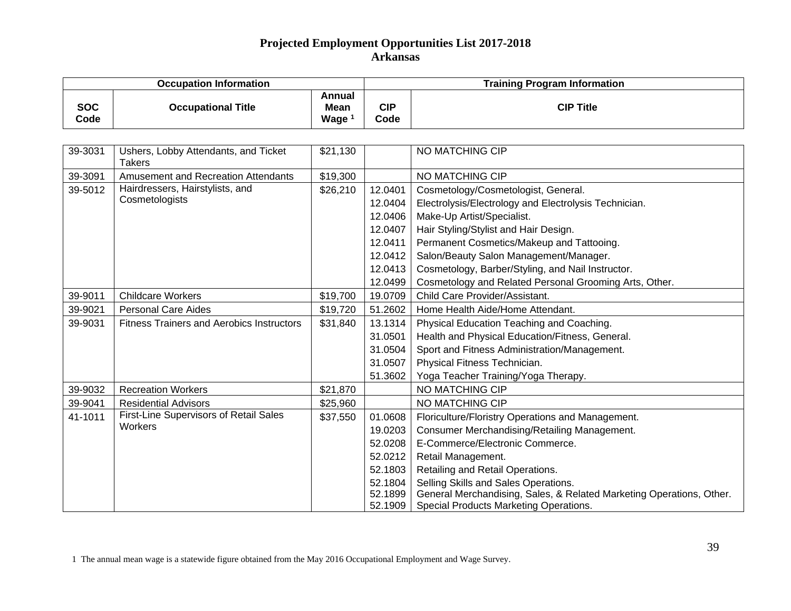| <b>Occupation Information</b> |                                                       |                                            | <b>Training Program Information</b> |                                                                      |  |
|-------------------------------|-------------------------------------------------------|--------------------------------------------|-------------------------------------|----------------------------------------------------------------------|--|
| <b>SOC</b><br>Code            | <b>Occupational Title</b>                             | Annual<br><b>Mean</b><br>Wage <sup>1</sup> | <b>CIP</b><br>Code                  | <b>CIP Title</b>                                                     |  |
|                               |                                                       |                                            |                                     |                                                                      |  |
| 39-3031                       | Ushers, Lobby Attendants, and Ticket<br><b>Takers</b> | \$21,130                                   |                                     | NO MATCHING CIP                                                      |  |
| 39-3091                       | <b>Amusement and Recreation Attendants</b>            | \$19,300                                   |                                     | NO MATCHING CIP                                                      |  |
| 39-5012                       | Hairdressers, Hairstylists, and                       | \$26,210                                   | 12.0401                             | Cosmetology/Cosmetologist, General.                                  |  |
|                               | Cosmetologists                                        |                                            | 12.0404                             | Electrolysis/Electrology and Electrolysis Technician.                |  |
|                               |                                                       |                                            | 12.0406                             | Make-Up Artist/Specialist.                                           |  |
|                               |                                                       |                                            | 12.0407                             | Hair Styling/Stylist and Hair Design.                                |  |
|                               |                                                       |                                            | 12.0411                             | Permanent Cosmetics/Makeup and Tattooing.                            |  |
|                               |                                                       |                                            | 12.0412                             | Salon/Beauty Salon Management/Manager.                               |  |
|                               |                                                       |                                            | 12.0413                             | Cosmetology, Barber/Styling, and Nail Instructor.                    |  |
|                               |                                                       |                                            | 12.0499                             | Cosmetology and Related Personal Grooming Arts, Other.               |  |
| 39-9011                       | <b>Childcare Workers</b>                              | \$19,700                                   | 19.0709                             | Child Care Provider/Assistant.                                       |  |
| 39-9021                       | <b>Personal Care Aides</b>                            | \$19,720                                   | 51.2602                             | Home Health Aide/Home Attendant.                                     |  |
| 39-9031                       | <b>Fitness Trainers and Aerobics Instructors</b>      | \$31,840                                   | 13.1314                             | Physical Education Teaching and Coaching.                            |  |
|                               |                                                       |                                            | 31.0501                             | Health and Physical Education/Fitness, General.                      |  |
|                               |                                                       |                                            | 31.0504                             | Sport and Fitness Administration/Management.                         |  |
|                               |                                                       |                                            | 31.0507                             | Physical Fitness Technician.                                         |  |
|                               |                                                       |                                            | 51.3602                             | Yoga Teacher Training/Yoga Therapy.                                  |  |
| 39-9032                       | <b>Recreation Workers</b>                             | \$21,870                                   |                                     | NO MATCHING CIP                                                      |  |
| 39-9041                       | <b>Residential Advisors</b>                           | \$25,960                                   |                                     | NO MATCHING CIP                                                      |  |
| 41-1011                       | First-Line Supervisors of Retail Sales                | \$37,550                                   | 01.0608                             | Floriculture/Floristry Operations and Management.                    |  |
|                               | Workers                                               |                                            | 19.0203                             | Consumer Merchandising/Retailing Management.                         |  |
|                               |                                                       |                                            | 52.0208                             | E-Commerce/Electronic Commerce.                                      |  |
|                               |                                                       |                                            | 52.0212                             | Retail Management.                                                   |  |
|                               |                                                       |                                            | 52.1803                             | Retailing and Retail Operations.                                     |  |
|                               |                                                       |                                            | 52.1804                             | Selling Skills and Sales Operations.                                 |  |
|                               |                                                       |                                            | 52.1899                             | General Merchandising, Sales, & Related Marketing Operations, Other. |  |
|                               |                                                       |                                            | 52.1909                             | Special Products Marketing Operations.                               |  |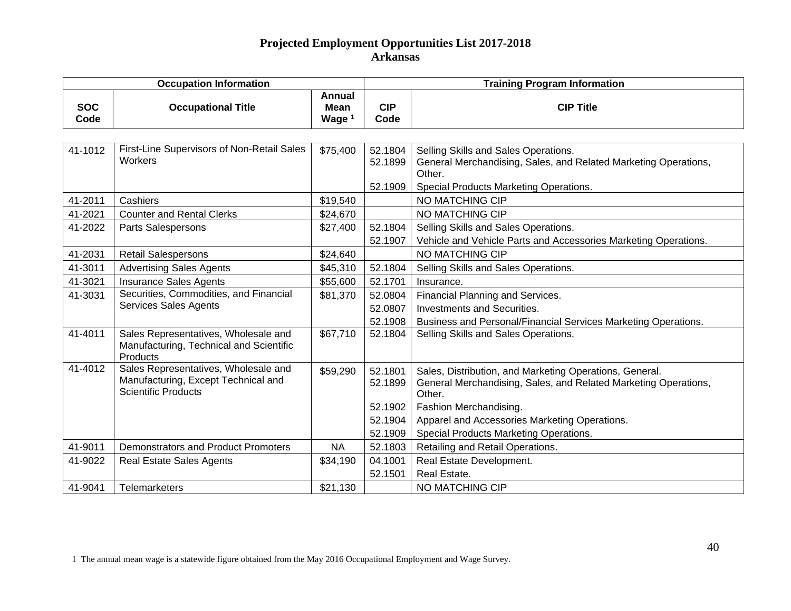| <b>Occupation Information</b> |                                                                                                           |                                                   | <b>Training Program Information</b> |                                                                                                                                      |  |
|-------------------------------|-----------------------------------------------------------------------------------------------------------|---------------------------------------------------|-------------------------------------|--------------------------------------------------------------------------------------------------------------------------------------|--|
| <b>SOC</b><br>Code            | <b>Occupational Title</b>                                                                                 | <b>Annual</b><br><b>Mean</b><br>Wage <sup>1</sup> | <b>CIP</b><br>Code                  | <b>CIP Title</b>                                                                                                                     |  |
|                               |                                                                                                           |                                                   |                                     |                                                                                                                                      |  |
| 41-1012                       | First-Line Supervisors of Non-Retail Sales<br>Workers                                                     | \$75,400                                          | 52.1804<br>52.1899                  | Selling Skills and Sales Operations.<br>General Merchandising, Sales, and Related Marketing Operations,<br>Other.                    |  |
|                               |                                                                                                           |                                                   | 52.1909                             | Special Products Marketing Operations.                                                                                               |  |
| 41-2011                       | Cashiers                                                                                                  | \$19,540                                          |                                     | NO MATCHING CIP                                                                                                                      |  |
| 41-2021                       | <b>Counter and Rental Clerks</b>                                                                          | \$24,670                                          |                                     | NO MATCHING CIP                                                                                                                      |  |
| 41-2022                       | <b>Parts Salespersons</b>                                                                                 | \$27,400                                          | 52.1804                             | Selling Skills and Sales Operations.                                                                                                 |  |
|                               |                                                                                                           |                                                   | 52.1907                             | Vehicle and Vehicle Parts and Accessories Marketing Operations.                                                                      |  |
| 41-2031                       | <b>Retail Salespersons</b>                                                                                | \$24,640                                          |                                     | NO MATCHING CIP                                                                                                                      |  |
| 41-3011                       | <b>Advertising Sales Agents</b>                                                                           | \$45,310                                          | 52.1804                             | Selling Skills and Sales Operations.                                                                                                 |  |
| 41-3021                       | <b>Insurance Sales Agents</b>                                                                             | \$55,600                                          | 52.1701                             | Insurance.                                                                                                                           |  |
| 41-3031                       | Securities, Commodities, and Financial                                                                    | \$81,370                                          | 52.0804                             | Financial Planning and Services.                                                                                                     |  |
|                               | <b>Services Sales Agents</b>                                                                              |                                                   | 52.0807                             | <b>Investments and Securities.</b>                                                                                                   |  |
|                               |                                                                                                           |                                                   | 52.1908                             | Business and Personal/Financial Services Marketing Operations.                                                                       |  |
| 41-4011                       | Sales Representatives, Wholesale and<br>Manufacturing, Technical and Scientific<br>Products               | \$67,710                                          | 52.1804                             | Selling Skills and Sales Operations.                                                                                                 |  |
| 41-4012                       | Sales Representatives, Wholesale and<br>Manufacturing, Except Technical and<br><b>Scientific Products</b> | \$59,290                                          | 52.1801<br>52.1899                  | Sales, Distribution, and Marketing Operations, General.<br>General Merchandising, Sales, and Related Marketing Operations,<br>Other. |  |
|                               |                                                                                                           |                                                   | 52.1902                             | Fashion Merchandising.                                                                                                               |  |
|                               |                                                                                                           |                                                   | 52.1904                             | Apparel and Accessories Marketing Operations.                                                                                        |  |
|                               |                                                                                                           |                                                   | 52.1909                             | Special Products Marketing Operations.                                                                                               |  |
| 41-9011                       | <b>Demonstrators and Product Promoters</b>                                                                | <b>NA</b>                                         | 52.1803                             | Retailing and Retail Operations.                                                                                                     |  |
| 41-9022                       | <b>Real Estate Sales Agents</b>                                                                           | \$34,190                                          | 04.1001                             | Real Estate Development.                                                                                                             |  |
|                               |                                                                                                           |                                                   | 52.1501                             | Real Estate.                                                                                                                         |  |
| 41-9041                       | <b>Telemarketers</b>                                                                                      | \$21,130                                          |                                     | NO MATCHING CIP                                                                                                                      |  |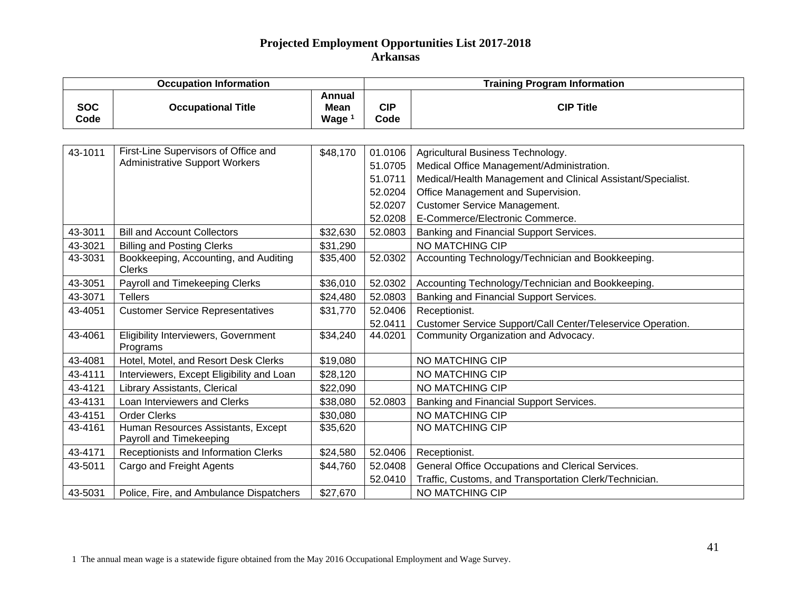|                    | <b>Occupation Information</b>                                                 |                                            |                                          | <b>Training Program Information</b>                                                                                                                                                  |  |  |
|--------------------|-------------------------------------------------------------------------------|--------------------------------------------|------------------------------------------|--------------------------------------------------------------------------------------------------------------------------------------------------------------------------------------|--|--|
| <b>SOC</b><br>Code | <b>Occupational Title</b>                                                     | Annual<br><b>Mean</b><br>Wage <sup>1</sup> | <b>CIP</b><br>Code                       | <b>CIP Title</b>                                                                                                                                                                     |  |  |
|                    |                                                                               |                                            |                                          |                                                                                                                                                                                      |  |  |
| 43-1011            | First-Line Supervisors of Office and<br><b>Administrative Support Workers</b> | \$48,170                                   | 01.0106<br>51.0705<br>51.0711<br>52.0204 | Agricultural Business Technology.<br>Medical Office Management/Administration.<br>Medical/Health Management and Clinical Assistant/Specialist.<br>Office Management and Supervision. |  |  |
|                    |                                                                               |                                            | 52.0207<br>52.0208                       | <b>Customer Service Management.</b><br>E-Commerce/Electronic Commerce.                                                                                                               |  |  |
| 43-3011            | <b>Bill and Account Collectors</b>                                            | \$32,630                                   | 52.0803                                  | Banking and Financial Support Services.                                                                                                                                              |  |  |
| 43-3021            | <b>Billing and Posting Clerks</b>                                             | \$31,290                                   |                                          | <b>NO MATCHING CIP</b>                                                                                                                                                               |  |  |
| 43-3031            | Bookkeeping, Accounting, and Auditing<br><b>Clerks</b>                        | \$35,400                                   | 52.0302                                  | Accounting Technology/Technician and Bookkeeping.                                                                                                                                    |  |  |
| 43-3051            | Payroll and Timekeeping Clerks                                                | \$36,010                                   | 52.0302                                  | Accounting Technology/Technician and Bookkeeping.                                                                                                                                    |  |  |
| 43-3071            | <b>Tellers</b>                                                                | \$24,480                                   | 52.0803                                  | Banking and Financial Support Services.                                                                                                                                              |  |  |
| 43-4051            | <b>Customer Service Representatives</b>                                       | \$31,770                                   | 52.0406<br>52.0411                       | Receptionist.<br>Customer Service Support/Call Center/Teleservice Operation.                                                                                                         |  |  |
| 43-4061            | Eligibility Interviewers, Government<br>Programs                              | \$34,240                                   | 44.0201                                  | Community Organization and Advocacy.                                                                                                                                                 |  |  |
| 43-4081            | Hotel, Motel, and Resort Desk Clerks                                          | \$19,080                                   |                                          | NO MATCHING CIP                                                                                                                                                                      |  |  |
| 43-4111            | Interviewers, Except Eligibility and Loan                                     | \$28,120                                   |                                          | NO MATCHING CIP                                                                                                                                                                      |  |  |
| 43-4121            | Library Assistants, Clerical                                                  | \$22,090                                   |                                          | NO MATCHING CIP                                                                                                                                                                      |  |  |
| 43-4131            | Loan Interviewers and Clerks                                                  | \$38,080                                   | 52.0803                                  | Banking and Financial Support Services.                                                                                                                                              |  |  |
| 43-4151            | <b>Order Clerks</b>                                                           | \$30,080                                   |                                          | NO MATCHING CIP                                                                                                                                                                      |  |  |
| 43-4161            | Human Resources Assistants, Except<br>Payroll and Timekeeping                 | \$35,620                                   |                                          | NO MATCHING CIP                                                                                                                                                                      |  |  |
| 43-4171            | Receptionists and Information Clerks                                          | \$24,580                                   | 52.0406                                  | Receptionist.                                                                                                                                                                        |  |  |
| 43-5011            | Cargo and Freight Agents                                                      | \$44,760                                   | 52.0408<br>52.0410                       | General Office Occupations and Clerical Services.<br>Traffic, Customs, and Transportation Clerk/Technician.                                                                          |  |  |
| 43-5031            | Police, Fire, and Ambulance Dispatchers                                       | \$27,670                                   |                                          | NO MATCHING CIP                                                                                                                                                                      |  |  |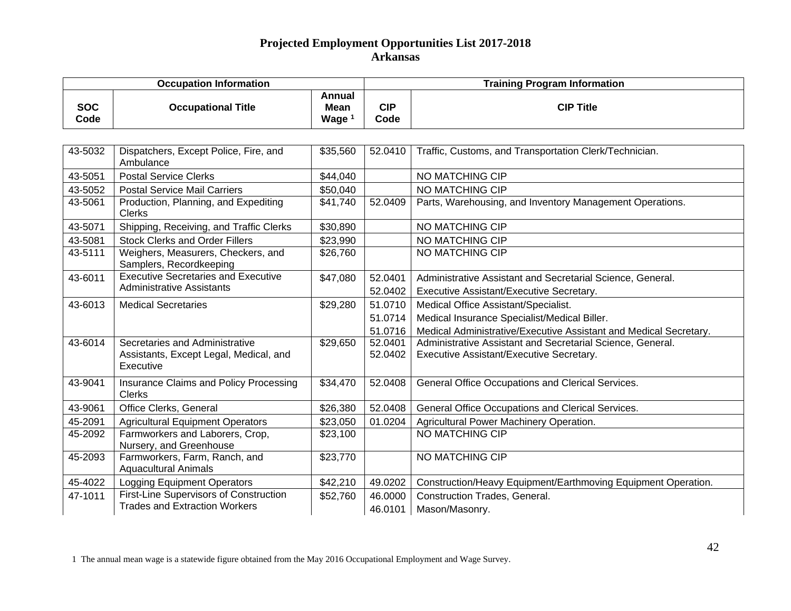| <b>Occupation Information</b> |                                                                                       |                                     | <b>Training Program Information</b> |                                                                                                        |  |
|-------------------------------|---------------------------------------------------------------------------------------|-------------------------------------|-------------------------------------|--------------------------------------------------------------------------------------------------------|--|
| <b>SOC</b><br>Code            | <b>Occupational Title</b>                                                             | Annual<br>Mean<br>Wage <sup>1</sup> | <b>CIP</b><br>Code                  | <b>CIP Title</b>                                                                                       |  |
|                               |                                                                                       |                                     |                                     |                                                                                                        |  |
| 43-5032                       | Dispatchers, Except Police, Fire, and<br>Ambulance                                    | \$35,560                            | 52.0410                             | Traffic, Customs, and Transportation Clerk/Technician.                                                 |  |
| 43-5051                       | <b>Postal Service Clerks</b>                                                          | \$44,040                            |                                     | NO MATCHING CIP                                                                                        |  |
| 43-5052                       | <b>Postal Service Mail Carriers</b>                                                   | \$50,040                            |                                     | NO MATCHING CIP                                                                                        |  |
| 43-5061                       | Production, Planning, and Expediting<br><b>Clerks</b>                                 | \$41,740                            | 52.0409                             | Parts, Warehousing, and Inventory Management Operations.                                               |  |
| 43-5071                       | Shipping, Receiving, and Traffic Clerks                                               | \$30,890                            |                                     | NO MATCHING CIP                                                                                        |  |
| 43-5081                       | <b>Stock Clerks and Order Fillers</b>                                                 | \$23,990                            |                                     | NO MATCHING CIP                                                                                        |  |
| 43-5111                       | Weighers, Measurers, Checkers, and<br>Samplers, Recordkeeping                         | \$26,760                            |                                     | NO MATCHING CIP                                                                                        |  |
| 43-6011                       | <b>Executive Secretaries and Executive</b><br><b>Administrative Assistants</b>        | \$47,080                            | 52.0401<br>52.0402                  | Administrative Assistant and Secretarial Science, General.<br>Executive Assistant/Executive Secretary. |  |
| 43-6013                       | <b>Medical Secretaries</b>                                                            | \$29,280                            | 51.0710                             | Medical Office Assistant/Specialist.                                                                   |  |
|                               |                                                                                       |                                     | 51.0714                             | Medical Insurance Specialist/Medical Biller.                                                           |  |
|                               |                                                                                       |                                     | 51.0716                             | Medical Administrative/Executive Assistant and Medical Secretary.                                      |  |
| 43-6014                       | Secretaries and Administrative<br>Assistants, Except Legal, Medical, and<br>Executive | \$29,650                            | 52.0401<br>52.0402                  | Administrative Assistant and Secretarial Science, General.<br>Executive Assistant/Executive Secretary. |  |
| 43-9041                       | Insurance Claims and Policy Processing<br><b>Clerks</b>                               | \$34,470                            | 52.0408                             | General Office Occupations and Clerical Services.                                                      |  |
| 43-9061                       | Office Clerks, General                                                                | \$26,380                            | 52.0408                             | General Office Occupations and Clerical Services.                                                      |  |
| 45-2091                       | <b>Agricultural Equipment Operators</b>                                               | \$23,050                            | 01.0204                             | Agricultural Power Machinery Operation.                                                                |  |
| 45-2092                       | Farmworkers and Laborers, Crop,<br>Nursery, and Greenhouse                            | \$23,100                            |                                     | <b>NO MATCHING CIP</b>                                                                                 |  |
| 45-2093                       | Farmworkers, Farm, Ranch, and<br><b>Aquacultural Animals</b>                          | \$23,770                            |                                     | NO MATCHING CIP                                                                                        |  |
| 45-4022                       | Logging Equipment Operators                                                           | \$42,210                            | 49.0202                             | Construction/Heavy Equipment/Earthmoving Equipment Operation.                                          |  |
| 47-1011                       | <b>First-Line Supervisors of Construction</b>                                         | \$52,760                            | 46.0000                             | <b>Construction Trades, General.</b>                                                                   |  |
|                               | <b>Trades and Extraction Workers</b>                                                  |                                     | 46.0101                             | Mason/Masonry.                                                                                         |  |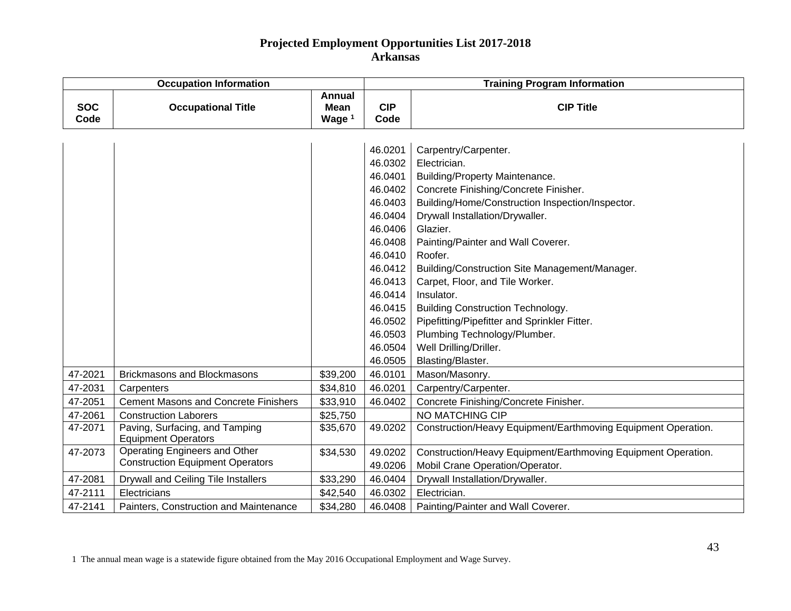| <b>Occupation Information</b> |                                                              |                                                   | <b>Training Program Information</b> |                                                               |  |
|-------------------------------|--------------------------------------------------------------|---------------------------------------------------|-------------------------------------|---------------------------------------------------------------|--|
| <b>SOC</b><br>Code            | <b>Occupational Title</b>                                    | <b>Annual</b><br><b>Mean</b><br>Wage <sup>1</sup> | <b>CIP</b><br>Code                  | <b>CIP Title</b>                                              |  |
|                               |                                                              |                                                   |                                     |                                                               |  |
|                               |                                                              |                                                   | 46.0201                             | Carpentry/Carpenter.                                          |  |
|                               |                                                              |                                                   | 46.0302                             | Electrician.                                                  |  |
|                               |                                                              |                                                   | 46.0401                             | <b>Building/Property Maintenance.</b>                         |  |
|                               |                                                              |                                                   | 46.0402                             | Concrete Finishing/Concrete Finisher.                         |  |
|                               |                                                              |                                                   | 46.0403                             | Building/Home/Construction Inspection/Inspector.              |  |
|                               |                                                              |                                                   | 46.0404                             | Drywall Installation/Drywaller.                               |  |
|                               |                                                              |                                                   | 46.0406                             | Glazier.                                                      |  |
|                               |                                                              |                                                   | 46.0408                             | Painting/Painter and Wall Coverer.                            |  |
|                               |                                                              |                                                   | 46.0410                             | Roofer.                                                       |  |
|                               |                                                              |                                                   | 46.0412                             | Building/Construction Site Management/Manager.                |  |
|                               |                                                              |                                                   | 46.0413                             | Carpet, Floor, and Tile Worker.                               |  |
|                               |                                                              |                                                   | 46.0414                             | Insulator.                                                    |  |
|                               |                                                              |                                                   | 46.0415                             | <b>Building Construction Technology.</b>                      |  |
|                               |                                                              |                                                   | 46.0502                             | Pipefitting/Pipefitter and Sprinkler Fitter.                  |  |
|                               |                                                              |                                                   | 46.0503                             | Plumbing Technology/Plumber.                                  |  |
|                               |                                                              |                                                   | 46.0504                             | Well Drilling/Driller.                                        |  |
|                               |                                                              |                                                   | 46.0505                             | Blasting/Blaster.                                             |  |
| 47-2021                       | <b>Brickmasons and Blockmasons</b>                           | \$39,200                                          | 46.0101                             | Mason/Masonry.                                                |  |
| 47-2031                       | Carpenters                                                   | \$34,810                                          | 46.0201                             | Carpentry/Carpenter.                                          |  |
| 47-2051                       | <b>Cement Masons and Concrete Finishers</b>                  | \$33,910                                          | 46.0402                             | Concrete Finishing/Concrete Finisher.                         |  |
| 47-2061                       | <b>Construction Laborers</b>                                 | \$25,750                                          |                                     | <b>NO MATCHING CIP</b>                                        |  |
| 47-2071                       | Paving, Surfacing, and Tamping<br><b>Equipment Operators</b> | \$35,670                                          | 49.0202                             | Construction/Heavy Equipment/Earthmoving Equipment Operation. |  |
| 47-2073                       | Operating Engineers and Other                                | \$34,530                                          | 49.0202                             | Construction/Heavy Equipment/Earthmoving Equipment Operation. |  |
|                               | <b>Construction Equipment Operators</b>                      |                                                   | 49.0206                             | Mobil Crane Operation/Operator.                               |  |
| 47-2081                       | Drywall and Ceiling Tile Installers                          | \$33,290                                          | 46.0404                             | Drywall Installation/Drywaller.                               |  |
| 47-2111                       | Electricians                                                 | \$42,540                                          | 46.0302                             | Electrician.                                                  |  |
| 47-2141                       | Painters, Construction and Maintenance                       | \$34,280                                          | 46.0408                             | Painting/Painter and Wall Coverer.                            |  |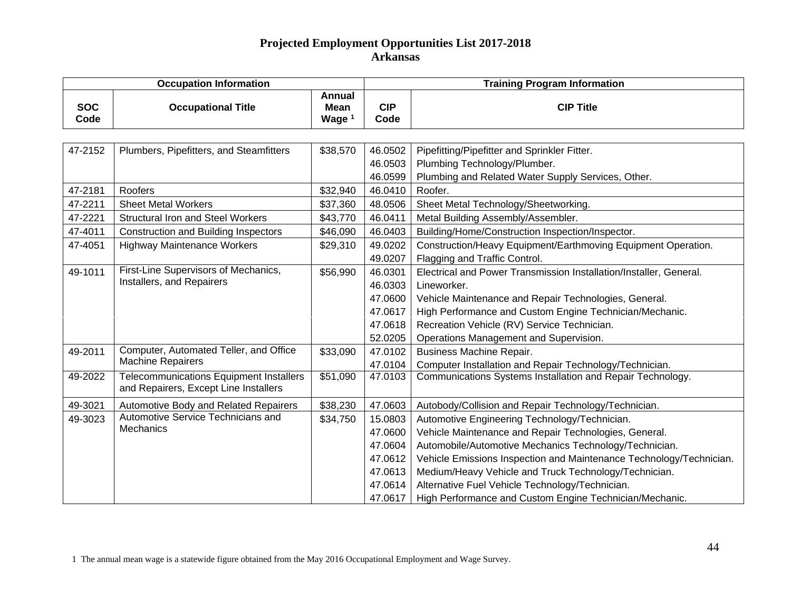| <b>Occupation Information</b> |                                             |                                                   | <b>Training Program Information</b> |                                                                     |  |
|-------------------------------|---------------------------------------------|---------------------------------------------------|-------------------------------------|---------------------------------------------------------------------|--|
| <b>SOC</b><br>Code            | <b>Occupational Title</b>                   | <b>Annual</b><br><b>Mean</b><br>Wage <sup>1</sup> | <b>CIP</b><br>Code                  | <b>CIP Title</b>                                                    |  |
|                               |                                             |                                                   |                                     |                                                                     |  |
| 47-2152                       | Plumbers, Pipefitters, and Steamfitters     | \$38,570                                          | 46.0502                             | Pipefitting/Pipefitter and Sprinkler Fitter.                        |  |
|                               |                                             |                                                   | 46.0503                             | Plumbing Technology/Plumber.                                        |  |
|                               |                                             |                                                   | 46.0599                             | Plumbing and Related Water Supply Services, Other.                  |  |
| 47-2181                       | Roofers                                     | \$32,940                                          | 46.0410                             | Roofer.                                                             |  |
| 47-2211                       | <b>Sheet Metal Workers</b>                  | \$37,360                                          | 48.0506                             | Sheet Metal Technology/Sheetworking.                                |  |
| 47-2221                       | <b>Structural Iron and Steel Workers</b>    | \$43,770                                          | 46.0411                             | Metal Building Assembly/Assembler.                                  |  |
| 47-4011                       | <b>Construction and Building Inspectors</b> | \$46,090                                          | 46.0403                             | Building/Home/Construction Inspection/Inspector.                    |  |
| 47-4051                       | <b>Highway Maintenance Workers</b>          | \$29,310                                          | 49.0202                             | Construction/Heavy Equipment/Earthmoving Equipment Operation.       |  |
|                               |                                             |                                                   | 49.0207                             | Flagging and Traffic Control.                                       |  |
| 49-1011                       | First-Line Supervisors of Mechanics,        | \$56,990                                          | 46.0301                             | Electrical and Power Transmission Installation/Installer, General.  |  |
|                               | Installers, and Repairers                   |                                                   | 46.0303                             | Lineworker.                                                         |  |
|                               |                                             |                                                   | 47.0600                             | Vehicle Maintenance and Repair Technologies, General.               |  |
|                               |                                             |                                                   | 47.0617                             | High Performance and Custom Engine Technician/Mechanic.             |  |
|                               |                                             |                                                   | 47.0618                             | Recreation Vehicle (RV) Service Technician.                         |  |
|                               |                                             |                                                   | 52.0205                             | Operations Management and Supervision.                              |  |
| 49-2011                       | Computer, Automated Teller, and Office      | \$33,090                                          | 47.0102                             | <b>Business Machine Repair.</b>                                     |  |
|                               | <b>Machine Repairers</b>                    |                                                   | 47.0104                             | Computer Installation and Repair Technology/Technician.             |  |
| 49-2022                       | Telecommunications Equipment Installers     | \$51,090                                          | 47.0103                             | Communications Systems Installation and Repair Technology.          |  |
|                               | and Repairers, Except Line Installers       |                                                   |                                     |                                                                     |  |
| 49-3021                       | Automotive Body and Related Repairers       | \$38,230                                          | 47.0603                             | Autobody/Collision and Repair Technology/Technician.                |  |
| 49-3023                       | Automotive Service Technicians and          | \$34,750                                          | 15.0803                             | Automotive Engineering Technology/Technician.                       |  |
|                               | Mechanics                                   |                                                   | 47.0600                             | Vehicle Maintenance and Repair Technologies, General.               |  |
|                               |                                             |                                                   | 47.0604                             | Automobile/Automotive Mechanics Technology/Technician.              |  |
|                               |                                             |                                                   | 47.0612                             | Vehicle Emissions Inspection and Maintenance Technology/Technician. |  |
|                               |                                             |                                                   | 47.0613                             | Medium/Heavy Vehicle and Truck Technology/Technician.               |  |
|                               |                                             |                                                   | 47.0614                             | Alternative Fuel Vehicle Technology/Technician.                     |  |
|                               |                                             |                                                   | 47.0617                             | High Performance and Custom Engine Technician/Mechanic.             |  |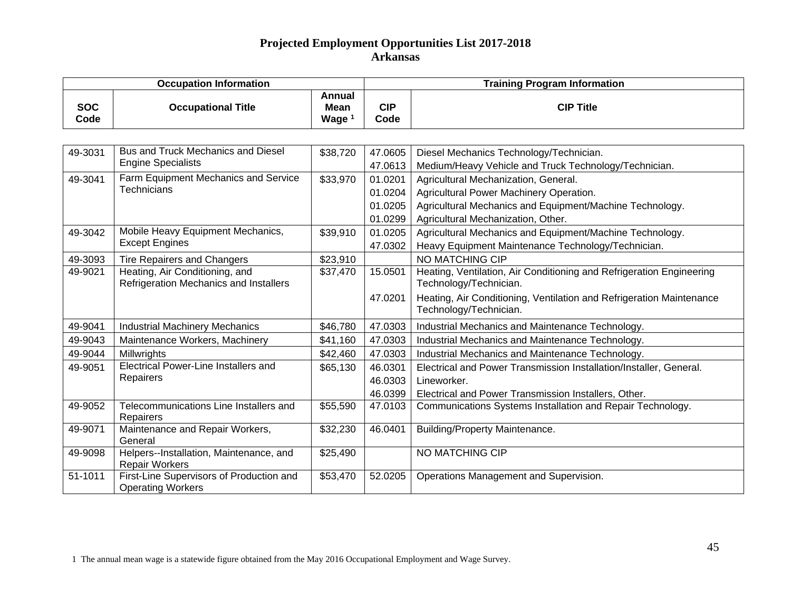| <b>Occupation Information</b> |                                                                          |                                   | <b>Training Program Information</b> |                                                                                                                                                      |  |
|-------------------------------|--------------------------------------------------------------------------|-----------------------------------|-------------------------------------|------------------------------------------------------------------------------------------------------------------------------------------------------|--|
| <b>SOC</b><br>Code            | <b>Occupational Title</b>                                                | <b>Annual</b><br>Mean<br>Wage $1$ | <b>CIP</b><br>Code                  | <b>CIP Title</b>                                                                                                                                     |  |
|                               |                                                                          |                                   |                                     |                                                                                                                                                      |  |
| 49-3031                       | <b>Bus and Truck Mechanics and Diesel</b><br><b>Engine Specialists</b>   | \$38,720                          | 47.0605<br>47.0613                  | Diesel Mechanics Technology/Technician.<br>Medium/Heavy Vehicle and Truck Technology/Technician.                                                     |  |
| 49-3041                       | Farm Equipment Mechanics and Service<br><b>Technicians</b>               | \$33,970                          | 01.0201<br>01.0204<br>01.0205       | Agricultural Mechanization, General.<br>Agricultural Power Machinery Operation.<br>Agricultural Mechanics and Equipment/Machine Technology.          |  |
| 49-3042                       | Mobile Heavy Equipment Mechanics,<br><b>Except Engines</b>               | \$39,910                          | 01.0299<br>01.0205<br>47.0302       | Agricultural Mechanization, Other.<br>Agricultural Mechanics and Equipment/Machine Technology.<br>Heavy Equipment Maintenance Technology/Technician. |  |
| 49-3093                       | <b>Tire Repairers and Changers</b>                                       | \$23,910                          |                                     | NO MATCHING CIP                                                                                                                                      |  |
| 49-9021                       | Heating, Air Conditioning, and<br>Refrigeration Mechanics and Installers | \$37,470                          | 15.0501                             | Heating, Ventilation, Air Conditioning and Refrigeration Engineering<br>Technology/Technician.                                                       |  |
|                               |                                                                          |                                   | 47.0201                             | Heating, Air Conditioning, Ventilation and Refrigeration Maintenance<br>Technology/Technician.                                                       |  |
| 49-9041                       | <b>Industrial Machinery Mechanics</b>                                    | \$46,780                          | 47.0303                             | Industrial Mechanics and Maintenance Technology.                                                                                                     |  |
| 49-9043                       | Maintenance Workers, Machinery                                           | \$41,160                          | 47.0303                             | Industrial Mechanics and Maintenance Technology.                                                                                                     |  |
| 49-9044                       | Millwrights                                                              | \$42,460                          | 47.0303                             | Industrial Mechanics and Maintenance Technology.                                                                                                     |  |
| 49-9051                       | <b>Electrical Power-Line Installers and</b><br>Repairers                 | \$65,130                          | 46.0301<br>46.0303<br>46.0399       | Electrical and Power Transmission Installation/Installer, General.<br>Lineworker.<br>Electrical and Power Transmission Installers, Other.            |  |
| 49-9052                       | Telecommunications Line Installers and<br>Repairers                      | \$55,590                          | 47.0103                             | Communications Systems Installation and Repair Technology.                                                                                           |  |
| 49-9071                       | Maintenance and Repair Workers,<br>General                               | \$32,230                          | 46.0401                             | <b>Building/Property Maintenance.</b>                                                                                                                |  |
| 49-9098                       | Helpers--Installation, Maintenance, and<br><b>Repair Workers</b>         | \$25,490                          |                                     | NO MATCHING CIP                                                                                                                                      |  |
| 51-1011                       | First-Line Supervisors of Production and<br><b>Operating Workers</b>     | $\overline{$}53,470$              | 52.0205                             | Operations Management and Supervision.                                                                                                               |  |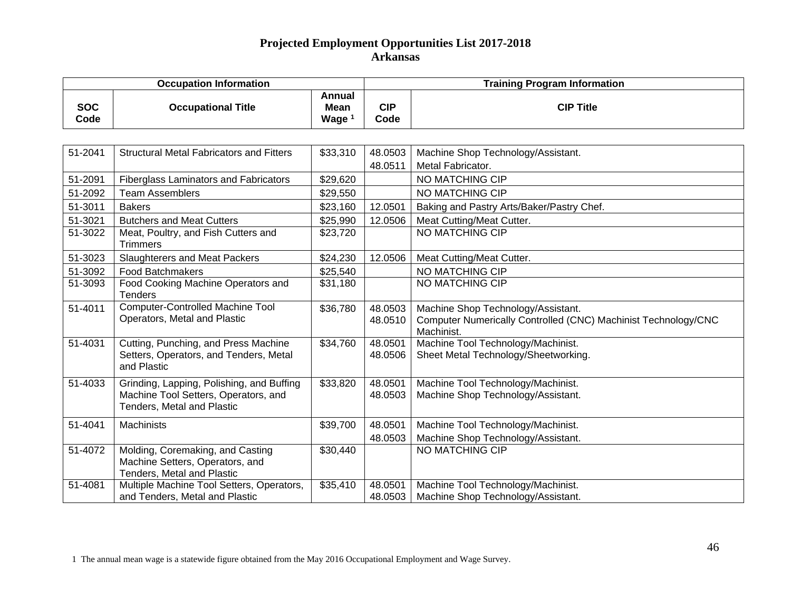| <b>Occupation Information</b> |                                                                                                                 |                                     |                    | <b>Training Program Information</b>                                                                                |  |  |
|-------------------------------|-----------------------------------------------------------------------------------------------------------------|-------------------------------------|--------------------|--------------------------------------------------------------------------------------------------------------------|--|--|
| <b>SOC</b><br>Code            | <b>Occupational Title</b>                                                                                       | Annual<br>Mean<br>Wage <sup>1</sup> | <b>CIP</b><br>Code | <b>CIP Title</b>                                                                                                   |  |  |
|                               |                                                                                                                 |                                     |                    |                                                                                                                    |  |  |
| 51-2041                       | <b>Structural Metal Fabricators and Fitters</b>                                                                 | \$33,310                            | 48.0503<br>48.0511 | Machine Shop Technology/Assistant.<br>Metal Fabricator.                                                            |  |  |
| 51-2091                       | <b>Fiberglass Laminators and Fabricators</b>                                                                    | \$29,620                            |                    | NO MATCHING CIP                                                                                                    |  |  |
| 51-2092                       | <b>Team Assemblers</b>                                                                                          | \$29,550                            |                    | NO MATCHING CIP                                                                                                    |  |  |
| 51-3011                       | <b>Bakers</b>                                                                                                   | \$23,160                            | 12.0501            | Baking and Pastry Arts/Baker/Pastry Chef.                                                                          |  |  |
| 51-3021                       | <b>Butchers and Meat Cutters</b>                                                                                | \$25,990                            | 12.0506            | Meat Cutting/Meat Cutter.                                                                                          |  |  |
| 51-3022                       | Meat, Poultry, and Fish Cutters and<br><b>Trimmers</b>                                                          | \$23,720                            |                    | <b>NO MATCHING CIP</b>                                                                                             |  |  |
| 51-3023                       | <b>Slaughterers and Meat Packers</b>                                                                            | \$24,230                            | 12.0506            | Meat Cutting/Meat Cutter.                                                                                          |  |  |
| 51-3092                       | <b>Food Batchmakers</b>                                                                                         | \$25,540                            |                    | NO MATCHING CIP                                                                                                    |  |  |
| 51-3093                       | Food Cooking Machine Operators and<br><b>Tenders</b>                                                            | \$31,180                            |                    | NO MATCHING CIP                                                                                                    |  |  |
| 51-4011                       | <b>Computer-Controlled Machine Tool</b><br>Operators, Metal and Plastic                                         | \$36,780                            | 48.0503<br>48.0510 | Machine Shop Technology/Assistant.<br>Computer Numerically Controlled (CNC) Machinist Technology/CNC<br>Machinist. |  |  |
| 51-4031                       | Cutting, Punching, and Press Machine<br>Setters, Operators, and Tenders, Metal<br>and Plastic                   | \$34,760                            | 48.0501<br>48.0506 | Machine Tool Technology/Machinist.<br>Sheet Metal Technology/Sheetworking.                                         |  |  |
| 51-4033                       | Grinding, Lapping, Polishing, and Buffing<br>Machine Tool Setters, Operators, and<br>Tenders, Metal and Plastic | \$33,820                            | 48.0501<br>48.0503 | Machine Tool Technology/Machinist.<br>Machine Shop Technology/Assistant.                                           |  |  |
| 51-4041                       | <b>Machinists</b>                                                                                               | \$39,700                            | 48.0501<br>48.0503 | Machine Tool Technology/Machinist.<br>Machine Shop Technology/Assistant.                                           |  |  |
| 51-4072                       | Molding, Coremaking, and Casting<br>Machine Setters, Operators, and<br>Tenders, Metal and Plastic               | \$30,440                            |                    | <b>NO MATCHING CIP</b>                                                                                             |  |  |
| 51-4081                       | Multiple Machine Tool Setters, Operators,<br>and Tenders, Metal and Plastic                                     | \$35,410                            | 48.0501<br>48.0503 | Machine Tool Technology/Machinist.<br>Machine Shop Technology/Assistant.                                           |  |  |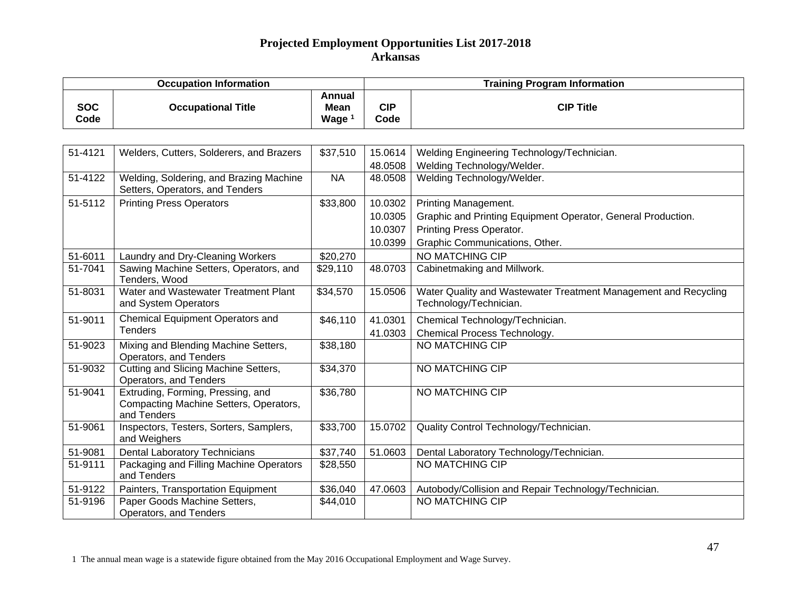| <b>Occupation Information</b> |                                                                                            |                                            | <b>Training Program Information</b>      |                                                                                                                                                    |  |
|-------------------------------|--------------------------------------------------------------------------------------------|--------------------------------------------|------------------------------------------|----------------------------------------------------------------------------------------------------------------------------------------------------|--|
| <b>SOC</b><br>Code            | <b>Occupational Title</b>                                                                  | <b>Annual</b><br>Mean<br>Wage <sup>1</sup> | <b>CIP</b><br>Code                       | <b>CIP Title</b>                                                                                                                                   |  |
|                               |                                                                                            |                                            |                                          |                                                                                                                                                    |  |
| 51-4121                       | Welders, Cutters, Solderers, and Brazers                                                   | \$37,510                                   | 15.0614<br>48.0508                       | Welding Engineering Technology/Technician.<br>Welding Technology/Welder.                                                                           |  |
| 51-4122                       | Welding, Soldering, and Brazing Machine<br>Setters, Operators, and Tenders                 | <b>NA</b>                                  | 48.0508                                  | Welding Technology/Welder.                                                                                                                         |  |
| 51-5112                       | <b>Printing Press Operators</b>                                                            | \$33,800                                   | 10.0302<br>10.0305<br>10.0307<br>10.0399 | Printing Management.<br>Graphic and Printing Equipment Operator, General Production.<br>Printing Press Operator.<br>Graphic Communications, Other. |  |
| 51-6011                       | Laundry and Dry-Cleaning Workers                                                           | \$20,270                                   |                                          | NO MATCHING CIP                                                                                                                                    |  |
| 51-7041                       | Sawing Machine Setters, Operators, and<br>Tenders, Wood                                    | \$29,110                                   | 48.0703                                  | Cabinetmaking and Millwork.                                                                                                                        |  |
| 51-8031                       | Water and Wastewater Treatment Plant<br>and System Operators                               | \$34,570                                   | 15.0506                                  | Water Quality and Wastewater Treatment Management and Recycling<br>Technology/Technician.                                                          |  |
| 51-9011                       | <b>Chemical Equipment Operators and</b><br><b>Tenders</b>                                  | \$46,110                                   | 41.0301<br>41.0303                       | Chemical Technology/Technician.<br>Chemical Process Technology.                                                                                    |  |
| 51-9023                       | Mixing and Blending Machine Setters,<br>Operators, and Tenders                             | \$38,180                                   |                                          | NO MATCHING CIP                                                                                                                                    |  |
| 51-9032                       | Cutting and Slicing Machine Setters,<br>Operators, and Tenders                             | \$34,370                                   |                                          | <b>NO MATCHING CIP</b>                                                                                                                             |  |
| 51-9041                       | Extruding, Forming, Pressing, and<br>Compacting Machine Setters, Operators,<br>and Tenders | \$36,780                                   |                                          | <b>NO MATCHING CIP</b>                                                                                                                             |  |
| 51-9061                       | Inspectors, Testers, Sorters, Samplers,<br>and Weighers                                    | \$33,700                                   | 15.0702                                  | Quality Control Technology/Technician.                                                                                                             |  |
| 51-9081                       | <b>Dental Laboratory Technicians</b>                                                       | \$37,740                                   | 51.0603                                  | Dental Laboratory Technology/Technician.                                                                                                           |  |
| 51-9111                       | Packaging and Filling Machine Operators<br>and Tenders                                     | \$28,550                                   |                                          | <b>NO MATCHING CIP</b>                                                                                                                             |  |
| 51-9122                       | Painters, Transportation Equipment                                                         | \$36,040                                   | 47.0603                                  | Autobody/Collision and Repair Technology/Technician.                                                                                               |  |
| 51-9196                       | Paper Goods Machine Setters,<br>Operators, and Tenders                                     | \$44,010                                   |                                          | <b>NO MATCHING CIP</b>                                                                                                                             |  |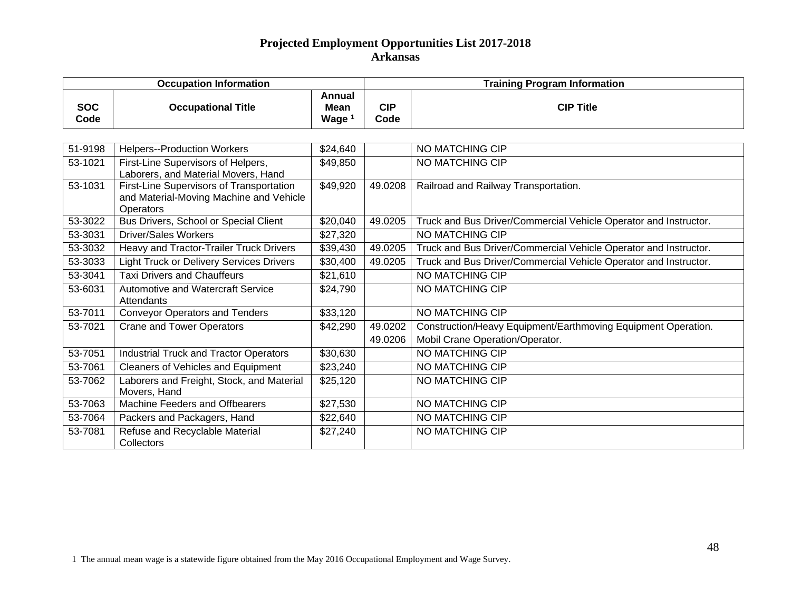|                    | <b>Occupation Information</b>                                                                    |                                            | <b>Training Program Information</b> |                                                                                                  |  |
|--------------------|--------------------------------------------------------------------------------------------------|--------------------------------------------|-------------------------------------|--------------------------------------------------------------------------------------------------|--|
| <b>SOC</b><br>Code | <b>Occupational Title</b>                                                                        | Annual<br><b>Mean</b><br>Wage <sup>1</sup> | <b>CIP</b><br>Code                  | <b>CIP Title</b>                                                                                 |  |
|                    |                                                                                                  |                                            |                                     |                                                                                                  |  |
| 51-9198            | <b>Helpers--Production Workers</b>                                                               | \$24,640                                   |                                     | <b>NO MATCHING CIP</b>                                                                           |  |
| 53-1021            | First-Line Supervisors of Helpers,<br>Laborers, and Material Movers, Hand                        | \$49,850                                   |                                     | <b>NO MATCHING CIP</b>                                                                           |  |
| 53-1031            | First-Line Supervisors of Transportation<br>and Material-Moving Machine and Vehicle<br>Operators | \$49,920                                   | 49.0208                             | Railroad and Railway Transportation.                                                             |  |
| 53-3022            | Bus Drivers, School or Special Client                                                            | \$20,040                                   | 49.0205                             | Truck and Bus Driver/Commercial Vehicle Operator and Instructor.                                 |  |
| 53-3031            | <b>Driver/Sales Workers</b>                                                                      | \$27,320                                   |                                     | <b>NO MATCHING CIP</b>                                                                           |  |
| 53-3032            | Heavy and Tractor-Trailer Truck Drivers                                                          | \$39,430                                   | 49.0205                             | Truck and Bus Driver/Commercial Vehicle Operator and Instructor.                                 |  |
| 53-3033            | <b>Light Truck or Delivery Services Drivers</b>                                                  | \$30,400                                   | 49.0205                             | Truck and Bus Driver/Commercial Vehicle Operator and Instructor.                                 |  |
| 53-3041            | <b>Taxi Drivers and Chauffeurs</b>                                                               | \$21,610                                   |                                     | <b>NO MATCHING CIP</b>                                                                           |  |
| 53-6031            | Automotive and Watercraft Service<br>Attendants                                                  | \$24,790                                   |                                     | <b>NO MATCHING CIP</b>                                                                           |  |
| 53-7011            | <b>Conveyor Operators and Tenders</b>                                                            | \$33,120                                   |                                     | NO MATCHING CIP                                                                                  |  |
| 53-7021            | <b>Crane and Tower Operators</b>                                                                 | \$42,290                                   | 49.0202<br>49.0206                  | Construction/Heavy Equipment/Earthmoving Equipment Operation.<br>Mobil Crane Operation/Operator. |  |
| 53-7051            | <b>Industrial Truck and Tractor Operators</b>                                                    | \$30,630                                   |                                     | NO MATCHING CIP                                                                                  |  |
| 53-7061            | <b>Cleaners of Vehicles and Equipment</b>                                                        | \$23,240                                   |                                     | NO MATCHING CIP                                                                                  |  |
| 53-7062            | Laborers and Freight, Stock, and Material<br>Movers, Hand                                        | \$25,120                                   |                                     | NO MATCHING CIP                                                                                  |  |
| 53-7063            | Machine Feeders and Offbearers                                                                   | \$27,530                                   |                                     | NO MATCHING CIP                                                                                  |  |
| 53-7064            | Packers and Packagers, Hand                                                                      | \$22,640                                   |                                     | NO MATCHING CIP                                                                                  |  |
| 53-7081            | Refuse and Recyclable Material<br>Collectors                                                     | \$27,240                                   |                                     | NO MATCHING CIP                                                                                  |  |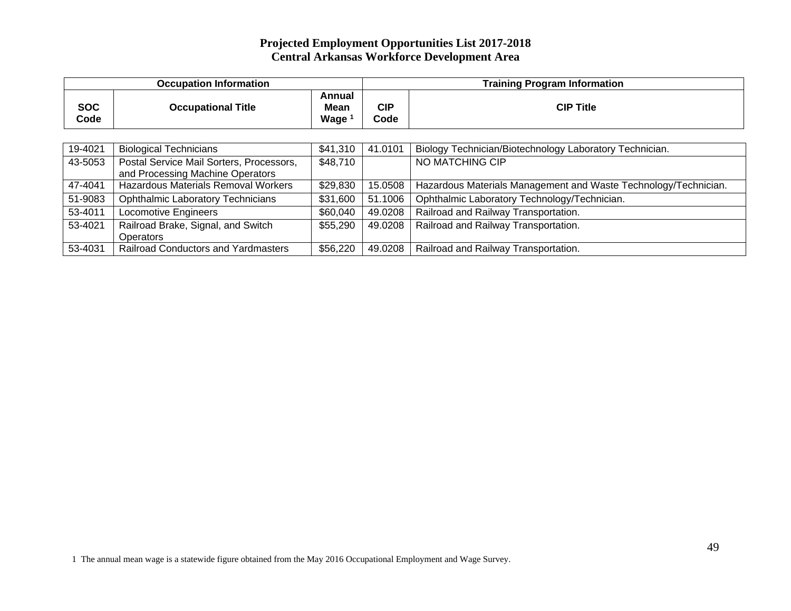|                    | <b>Occupation Information</b>                                                |                                     |                    | <b>Training Program Information</b>                             |  |  |
|--------------------|------------------------------------------------------------------------------|-------------------------------------|--------------------|-----------------------------------------------------------------|--|--|
| <b>SOC</b><br>Code | <b>Occupational Title</b>                                                    | Annual<br>Mean<br>Wage <sup>1</sup> | <b>CIP</b><br>Code | <b>CIP Title</b>                                                |  |  |
|                    |                                                                              |                                     |                    |                                                                 |  |  |
| 19-4021            | <b>Biological Technicians</b>                                                | \$41,310                            | 41.0101            | Biology Technician/Biotechnology Laboratory Technician.         |  |  |
| 43-5053            | Postal Service Mail Sorters, Processors,<br>and Processing Machine Operators | \$48,710                            |                    | NO MATCHING CIP                                                 |  |  |
| 47-4041            | <b>Hazardous Materials Removal Workers</b>                                   | \$29,830                            | 15.0508            | Hazardous Materials Management and Waste Technology/Technician. |  |  |
| 51-9083            | <b>Ophthalmic Laboratory Technicians</b>                                     | \$31,600                            | 51.1006            | Ophthalmic Laboratory Technology/Technician.                    |  |  |
| 53-4011            | <b>Locomotive Engineers</b>                                                  | \$60,040                            | 49.0208            | Railroad and Railway Transportation.                            |  |  |
| 53-4021            | Railroad Brake, Signal, and Switch<br><b>Operators</b>                       | \$55,290                            | 49.0208            | Railroad and Railway Transportation.                            |  |  |
| 53-4031            | <b>Railroad Conductors and Yardmasters</b>                                   | \$56,220                            | 49.0208            | Railroad and Railway Transportation.                            |  |  |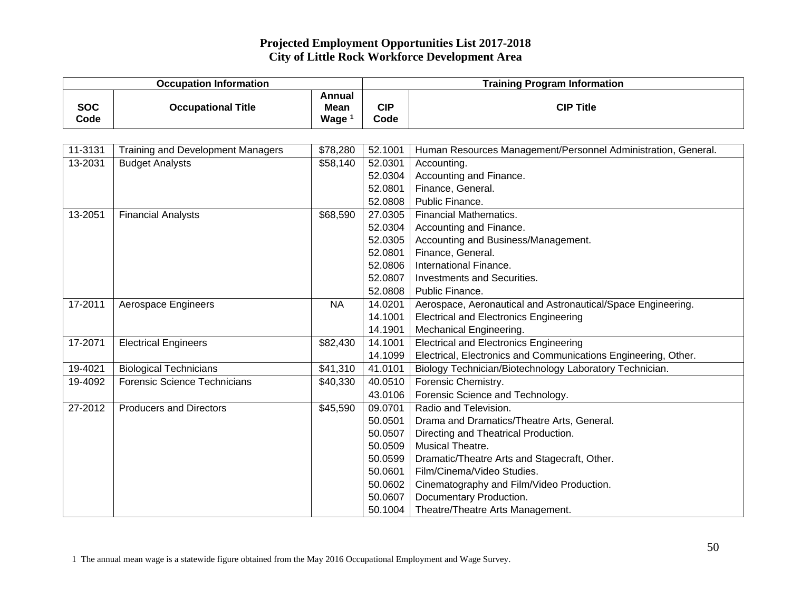## **Projected Employment Opportunities List 2017-2018 City of Little Rock Workforce Development Area**

| <b>Occupation Information</b> |                                          |                                          | <b>Training Program Information</b> |                                                                |  |
|-------------------------------|------------------------------------------|------------------------------------------|-------------------------------------|----------------------------------------------------------------|--|
| <b>SOC</b><br>Code            | <b>Occupational Title</b>                | <b>Annual</b><br><b>Mean</b><br>Wage $1$ | <b>CIP</b><br>Code                  | <b>CIP Title</b>                                               |  |
|                               |                                          |                                          |                                     |                                                                |  |
| 11-3131                       | <b>Training and Development Managers</b> | \$78,280                                 | 52.1001                             | Human Resources Management/Personnel Administration, General.  |  |
| 13-2031                       | <b>Budget Analysts</b>                   | \$58,140                                 | 52.0301                             | Accounting.                                                    |  |
|                               |                                          |                                          | 52.0304                             | Accounting and Finance.                                        |  |
|                               |                                          |                                          | 52.0801                             | Finance, General.                                              |  |
|                               |                                          |                                          | 52.0808                             | Public Finance.                                                |  |
| 13-2051                       | <b>Financial Analysts</b>                | \$68,590                                 | 27.0305                             | <b>Financial Mathematics.</b>                                  |  |
|                               |                                          |                                          | 52.0304                             | Accounting and Finance.                                        |  |
|                               |                                          |                                          | 52.0305                             | Accounting and Business/Management.                            |  |
|                               |                                          |                                          | 52.0801                             | Finance, General.                                              |  |
|                               |                                          |                                          | 52.0806                             | International Finance.                                         |  |
|                               |                                          |                                          | 52.0807                             | Investments and Securities.                                    |  |
|                               |                                          |                                          | 52.0808                             | Public Finance.                                                |  |
| 17-2011                       | Aerospace Engineers                      | <b>NA</b>                                | 14.0201                             | Aerospace, Aeronautical and Astronautical/Space Engineering.   |  |
|                               |                                          |                                          | 14.1001                             | <b>Electrical and Electronics Engineering</b>                  |  |
|                               |                                          |                                          | 14.1901                             | Mechanical Engineering.                                        |  |
| 17-2071                       | <b>Electrical Engineers</b>              | \$82,430                                 | 14.1001                             | <b>Electrical and Electronics Engineering</b>                  |  |
|                               |                                          |                                          | 14.1099                             | Electrical, Electronics and Communications Engineering, Other. |  |
| 19-4021                       | <b>Biological Technicians</b>            | \$41,310                                 | 41.0101                             | Biology Technician/Biotechnology Laboratory Technician.        |  |
| 19-4092                       | <b>Forensic Science Technicians</b>      | \$40,330                                 | 40.0510                             | Forensic Chemistry.                                            |  |
|                               |                                          |                                          | 43.0106                             | Forensic Science and Technology.                               |  |
| 27-2012                       | <b>Producers and Directors</b>           | \$45,590                                 | 09.0701                             | Radio and Television.                                          |  |
|                               |                                          |                                          | 50.0501                             | Drama and Dramatics/Theatre Arts, General.                     |  |
|                               |                                          |                                          | 50.0507                             | Directing and Theatrical Production.                           |  |
|                               |                                          |                                          | 50.0509                             | Musical Theatre.                                               |  |
|                               |                                          |                                          | 50.0599                             | Dramatic/Theatre Arts and Stagecraft, Other.                   |  |
|                               |                                          |                                          | 50.0601                             | Film/Cinema/Video Studies.                                     |  |
|                               |                                          |                                          | 50.0602                             | Cinematography and Film/Video Production.                      |  |
|                               |                                          |                                          | 50.0607                             | Documentary Production.                                        |  |
|                               |                                          |                                          | 50.1004                             | Theatre/Theatre Arts Management.                               |  |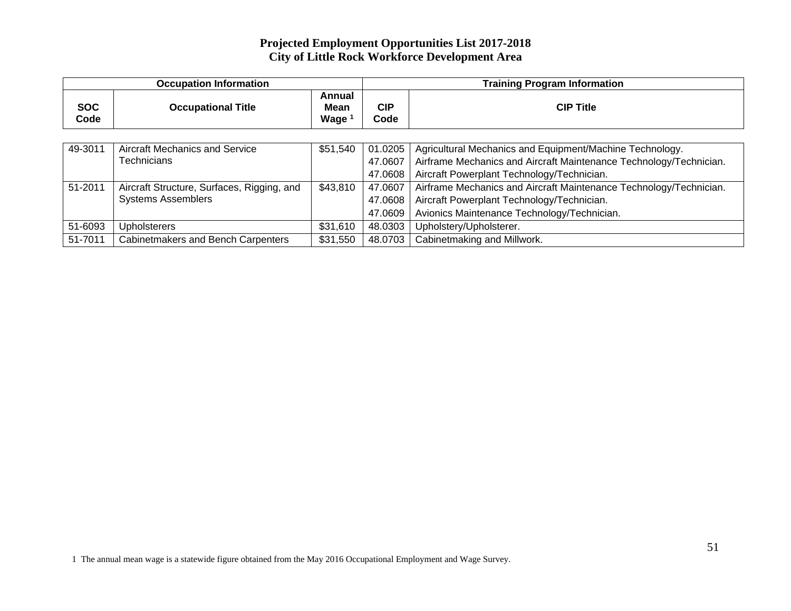## **Projected Employment Opportunities List 2017-2018 City of Little Rock Workforce Development Area**

|                    | <b>Occupation Information</b>              |                            |                    | <b>Training Program Information</b>                                |  |  |
|--------------------|--------------------------------------------|----------------------------|--------------------|--------------------------------------------------------------------|--|--|
| <b>SOC</b><br>Code | <b>Occupational Title</b>                  | Annual<br>Mean<br>Wage $1$ | <b>CIP</b><br>Code | <b>CIP Title</b>                                                   |  |  |
|                    |                                            |                            |                    |                                                                    |  |  |
| 49-3011            | <b>Aircraft Mechanics and Service</b>      | \$51,540                   | 01.0205            | Agricultural Mechanics and Equipment/Machine Technology.           |  |  |
|                    | <b>Technicians</b>                         |                            | 47.0607            | Airframe Mechanics and Aircraft Maintenance Technology/Technician. |  |  |
|                    |                                            |                            | 47.0608            | Aircraft Powerplant Technology/Technician.                         |  |  |
| 51-2011            | Aircraft Structure, Surfaces, Rigging, and | \$43,810                   | 47.0607            | Airframe Mechanics and Aircraft Maintenance Technology/Technician. |  |  |
|                    | <b>Systems Assemblers</b>                  |                            | 47.0608            | Aircraft Powerplant Technology/Technician.                         |  |  |
|                    |                                            |                            | 47.0609            | Avionics Maintenance Technology/Technician.                        |  |  |
| 51-6093            | <b>Upholsterers</b>                        | \$31,610                   | 48.0303            | Upholstery/Upholsterer.                                            |  |  |
| 51-7011            | Cabinetmakers and Bench Carpenters         | \$31,550                   | 48.0703            | Cabinetmaking and Millwork.                                        |  |  |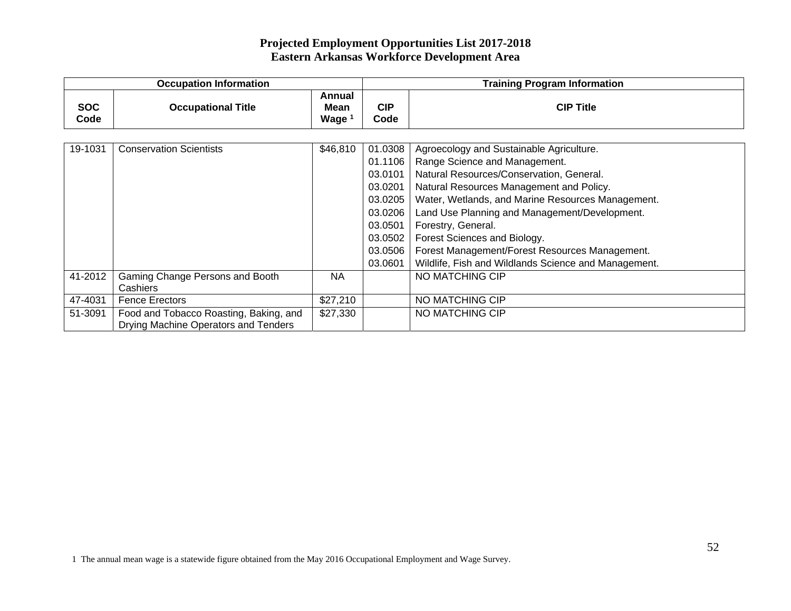|                    | <b>Occupation Information</b>                                                  |                                     | <b>Training Program Information</b>                                                                        |                                                                                                                                                                                                                                                                                                                                                                                                                                         |  |
|--------------------|--------------------------------------------------------------------------------|-------------------------------------|------------------------------------------------------------------------------------------------------------|-----------------------------------------------------------------------------------------------------------------------------------------------------------------------------------------------------------------------------------------------------------------------------------------------------------------------------------------------------------------------------------------------------------------------------------------|--|
| <b>SOC</b><br>Code | <b>Occupational Title</b>                                                      | Annual<br>Mean<br>Wage <sup>1</sup> | <b>CIP</b><br>Code                                                                                         | <b>CIP Title</b>                                                                                                                                                                                                                                                                                                                                                                                                                        |  |
| 19-1031            | <b>Conservation Scientists</b>                                                 | \$46,810                            | 01.0308<br>01.1106<br>03.0101<br>03.0201<br>03.0205<br>03.0206<br>03.0501<br>03.0502<br>03.0506<br>03.0601 | Agroecology and Sustainable Agriculture.<br>Range Science and Management.<br>Natural Resources/Conservation, General.<br>Natural Resources Management and Policy.<br>Water, Wetlands, and Marine Resources Management.<br>Land Use Planning and Management/Development.<br>Forestry, General.<br>Forest Sciences and Biology.<br>Forest Management/Forest Resources Management.<br>Wildlife, Fish and Wildlands Science and Management. |  |
| 41-2012            | Gaming Change Persons and Booth<br><b>Cashiers</b>                             | <b>NA</b>                           |                                                                                                            | NO MATCHING CIP                                                                                                                                                                                                                                                                                                                                                                                                                         |  |
| 47-4031            | <b>Fence Erectors</b>                                                          | \$27,210                            |                                                                                                            | NO MATCHING CIP                                                                                                                                                                                                                                                                                                                                                                                                                         |  |
| 51-3091            | Food and Tobacco Roasting, Baking, and<br>Drying Machine Operators and Tenders | \$27,330                            |                                                                                                            | NO MATCHING CIP                                                                                                                                                                                                                                                                                                                                                                                                                         |  |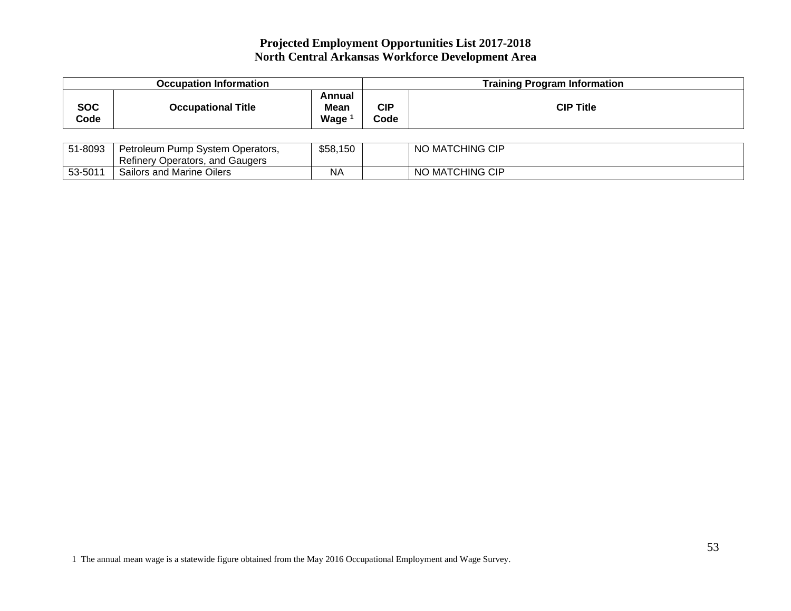| <b>Occupation Information</b> |                           |                               |             | <b>Training Program Information</b> |  |
|-------------------------------|---------------------------|-------------------------------|-------------|-------------------------------------|--|
| <b>SOC</b><br>Code            | <b>Occupational Title</b> | Annual<br><b>Mean</b><br>Wage | CIP<br>Code | <b>CIP Title</b>                    |  |

| 51-8093 | Petroleum i<br>i Pump System Operators. | \$58,150 | ) MATCHING CIP<br><b>NO</b>      |
|---------|-----------------------------------------|----------|----------------------------------|
|         | <b>Refinery Operators, and Gaugers</b>  |          |                                  |
| 53-5011 | Sailors and Marine Oilers               | NΑ       | <b>MATCHING CIP</b><br><b>NO</b> |

1 The annual mean wage is a statewide figure obtained from the May 2016 Occupational Employment and Wage Survey.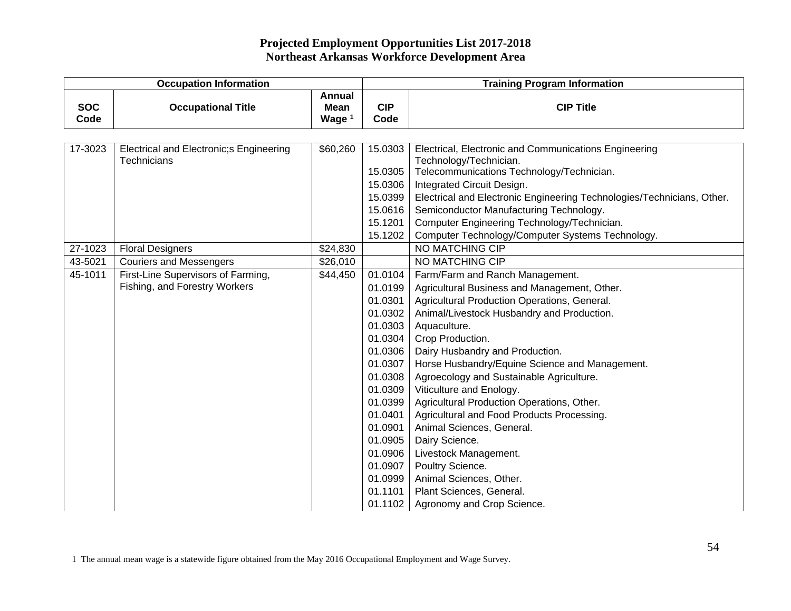| <b>Occupation Information</b> |                                         |                                   | <b>Training Program Information</b> |                                                                        |  |
|-------------------------------|-----------------------------------------|-----------------------------------|-------------------------------------|------------------------------------------------------------------------|--|
| <b>SOC</b><br>Code            | <b>Occupational Title</b>               | Annual<br><b>Mean</b><br>Wage $1$ | <b>CIP</b><br>Code                  | <b>CIP Title</b>                                                       |  |
|                               |                                         |                                   |                                     |                                                                        |  |
| 17-3023                       | Electrical and Electronic;s Engineering | \$60,260                          | 15.0303                             | Electrical, Electronic and Communications Engineering                  |  |
|                               | Technicians                             |                                   |                                     | Technology/Technician.                                                 |  |
|                               |                                         |                                   | 15.0305                             | Telecommunications Technology/Technician.                              |  |
|                               |                                         |                                   | 15.0306                             | Integrated Circuit Design.                                             |  |
|                               |                                         |                                   | 15.0399                             | Electrical and Electronic Engineering Technologies/Technicians, Other. |  |
|                               |                                         |                                   | 15.0616                             | Semiconductor Manufacturing Technology.                                |  |
|                               |                                         |                                   | 15.1201                             | Computer Engineering Technology/Technician.                            |  |
|                               |                                         |                                   | 15.1202                             | Computer Technology/Computer Systems Technology.                       |  |
| 27-1023                       | <b>Floral Designers</b>                 | \$24,830                          |                                     | NO MATCHING CIP                                                        |  |
| 43-5021                       | <b>Couriers and Messengers</b>          | \$26,010                          |                                     | <b>NO MATCHING CIP</b>                                                 |  |
| 45-1011                       | First-Line Supervisors of Farming,      | \$44,450                          | 01.0104                             | Farm/Farm and Ranch Management.                                        |  |
|                               | Fishing, and Forestry Workers           |                                   | 01.0199                             | Agricultural Business and Management, Other.                           |  |
|                               |                                         |                                   | 01.0301                             | Agricultural Production Operations, General.                           |  |
|                               |                                         |                                   | 01.0302                             | Animal/Livestock Husbandry and Production.                             |  |
|                               |                                         |                                   | 01.0303                             | Aquaculture.                                                           |  |
|                               |                                         |                                   | 01.0304                             | Crop Production.                                                       |  |
|                               |                                         |                                   | 01.0306                             | Dairy Husbandry and Production.                                        |  |
|                               |                                         |                                   | 01.0307                             | Horse Husbandry/Equine Science and Management.                         |  |
|                               |                                         |                                   | 01.0308                             | Agroecology and Sustainable Agriculture.                               |  |
|                               |                                         |                                   | 01.0309                             | Viticulture and Enology.                                               |  |
|                               |                                         |                                   | 01.0399                             | Agricultural Production Operations, Other.                             |  |
|                               |                                         |                                   | 01.0401                             | Agricultural and Food Products Processing.                             |  |
|                               |                                         |                                   | 01.0901                             | Animal Sciences, General.                                              |  |
|                               |                                         |                                   | 01.0905                             | Dairy Science.                                                         |  |
|                               |                                         |                                   | 01.0906                             | Livestock Management.                                                  |  |
|                               |                                         |                                   | 01.0907                             | Poultry Science.                                                       |  |
|                               |                                         |                                   | 01.0999                             | Animal Sciences, Other.                                                |  |
|                               |                                         |                                   | 01.1101                             | Plant Sciences, General.                                               |  |
|                               |                                         |                                   | 01.1102                             | Agronomy and Crop Science.                                             |  |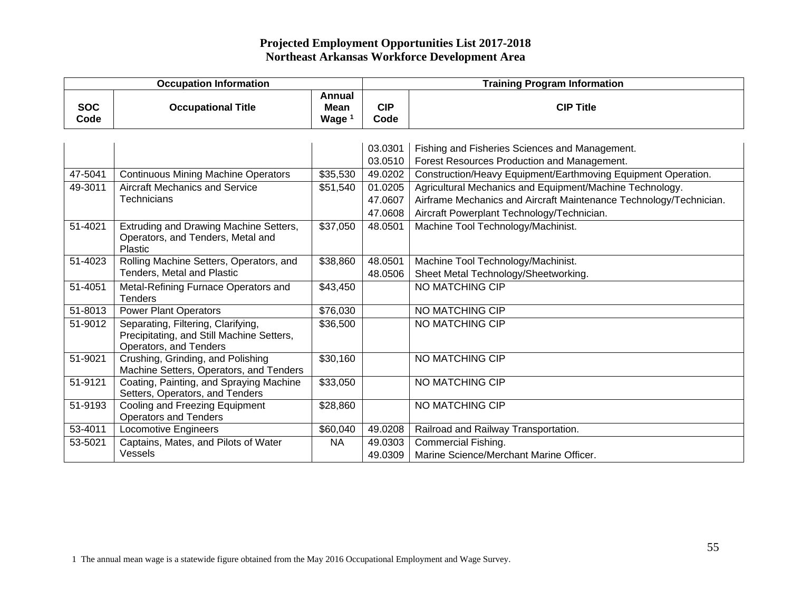|                    | <b>Occupation Information</b>                                                                             |                            | <b>Training Program Information</b> |                                                                    |  |
|--------------------|-----------------------------------------------------------------------------------------------------------|----------------------------|-------------------------------------|--------------------------------------------------------------------|--|
| <b>SOC</b><br>Code | <b>Occupational Title</b>                                                                                 | Annual<br>Mean<br>Wage $1$ | <b>CIP</b><br>Code                  | <b>CIP Title</b>                                                   |  |
|                    |                                                                                                           |                            |                                     |                                                                    |  |
|                    |                                                                                                           |                            | 03.0301                             | Fishing and Fisheries Sciences and Management.                     |  |
|                    |                                                                                                           |                            | 03.0510                             | Forest Resources Production and Management.                        |  |
| 47-5041            | <b>Continuous Mining Machine Operators</b>                                                                | \$35,530                   | 49.0202                             | Construction/Heavy Equipment/Earthmoving Equipment Operation.      |  |
| 49-3011            | <b>Aircraft Mechanics and Service</b>                                                                     | \$51,540                   | 01.0205                             | Agricultural Mechanics and Equipment/Machine Technology.           |  |
|                    | <b>Technicians</b>                                                                                        |                            | 47.0607                             | Airframe Mechanics and Aircraft Maintenance Technology/Technician. |  |
|                    |                                                                                                           |                            | 47.0608                             | Aircraft Powerplant Technology/Technician.                         |  |
| 51-4021            | Extruding and Drawing Machine Setters,<br>Operators, and Tenders, Metal and<br><b>Plastic</b>             | \$37,050                   | 48.0501                             | Machine Tool Technology/Machinist.                                 |  |
| 51-4023            | Rolling Machine Setters, Operators, and                                                                   | \$38,860                   | 48.0501                             | Machine Tool Technology/Machinist.                                 |  |
|                    | <b>Tenders, Metal and Plastic</b>                                                                         |                            | 48.0506                             | Sheet Metal Technology/Sheetworking.                               |  |
| 51-4051            | Metal-Refining Furnace Operators and<br><b>Tenders</b>                                                    | \$43,450                   |                                     | NO MATCHING CIP                                                    |  |
| 51-8013            | <b>Power Plant Operators</b>                                                                              | \$76,030                   |                                     | NO MATCHING CIP                                                    |  |
| 51-9012            | Separating, Filtering, Clarifying,<br>Precipitating, and Still Machine Setters,<br>Operators, and Tenders | \$36,500                   |                                     | NO MATCHING CIP                                                    |  |
| 51-9021            | Crushing, Grinding, and Polishing<br>Machine Setters, Operators, and Tenders                              | \$30,160                   |                                     | <b>NO MATCHING CIP</b>                                             |  |
| 51-9121            | Coating, Painting, and Spraying Machine<br>Setters, Operators, and Tenders                                | \$33,050                   |                                     | NO MATCHING CIP                                                    |  |
| 51-9193            | <b>Cooling and Freezing Equipment</b><br><b>Operators and Tenders</b>                                     | \$28,860                   |                                     | <b>NO MATCHING CIP</b>                                             |  |
| 53-4011            | <b>Locomotive Engineers</b>                                                                               | \$60,040                   | 49.0208                             | Railroad and Railway Transportation.                               |  |
| 53-5021            | Captains, Mates, and Pilots of Water                                                                      | <b>NA</b>                  | 49.0303                             | Commercial Fishing.                                                |  |
|                    | Vessels                                                                                                   |                            | 49.0309                             | Marine Science/Merchant Marine Officer.                            |  |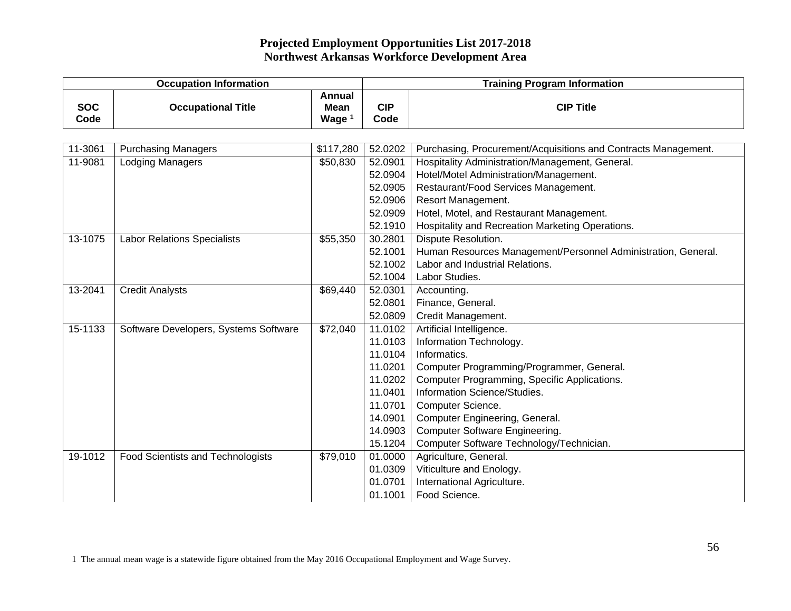| <b>Occupation Information</b> |                                          |                                                   | <b>Training Program Information</b> |                                                                |  |
|-------------------------------|------------------------------------------|---------------------------------------------------|-------------------------------------|----------------------------------------------------------------|--|
| <b>SOC</b><br>Code            | <b>Occupational Title</b>                | <b>Annual</b><br><b>Mean</b><br>Wage <sup>1</sup> | <b>CIP</b><br>Code                  | <b>CIP Title</b>                                               |  |
|                               |                                          |                                                   |                                     |                                                                |  |
| 11-3061                       | <b>Purchasing Managers</b>               | \$117,280                                         | 52.0202                             | Purchasing, Procurement/Acquisitions and Contracts Management. |  |
| 11-9081                       | <b>Lodging Managers</b>                  | \$50,830                                          | 52.0901                             | Hospitality Administration/Management, General.                |  |
|                               |                                          |                                                   | 52.0904                             | Hotel/Motel Administration/Management.                         |  |
|                               |                                          |                                                   | 52.0905                             | Restaurant/Food Services Management.                           |  |
|                               |                                          |                                                   | 52.0906                             | Resort Management.                                             |  |
|                               |                                          |                                                   | 52.0909                             | Hotel, Motel, and Restaurant Management.                       |  |
|                               |                                          |                                                   | 52.1910                             | Hospitality and Recreation Marketing Operations.               |  |
| 13-1075                       | <b>Labor Relations Specialists</b>       | \$55,350                                          | 30.2801                             | Dispute Resolution.                                            |  |
|                               |                                          |                                                   | 52.1001                             | Human Resources Management/Personnel Administration, General.  |  |
|                               |                                          |                                                   | 52.1002                             | Labor and Industrial Relations.                                |  |
|                               |                                          |                                                   | 52.1004                             | Labor Studies.                                                 |  |
| 13-2041                       | <b>Credit Analysts</b>                   | \$69,440                                          | 52.0301                             | Accounting.                                                    |  |
|                               |                                          |                                                   | 52.0801                             | Finance, General.                                              |  |
|                               |                                          |                                                   | 52.0809                             | Credit Management.                                             |  |
| 15-1133                       | Software Developers, Systems Software    | \$72,040                                          | 11.0102                             | Artificial Intelligence.                                       |  |
|                               |                                          |                                                   | 11.0103                             | Information Technology.                                        |  |
|                               |                                          |                                                   | 11.0104                             | Informatics.                                                   |  |
|                               |                                          |                                                   | 11.0201                             | Computer Programming/Programmer, General.                      |  |
|                               |                                          |                                                   | 11.0202                             | Computer Programming, Specific Applications.                   |  |
|                               |                                          |                                                   | 11.0401                             | Information Science/Studies.                                   |  |
|                               |                                          |                                                   | 11.0701                             | Computer Science.                                              |  |
|                               |                                          |                                                   | 14.0901                             | Computer Engineering, General.                                 |  |
|                               |                                          |                                                   | 14.0903                             | <b>Computer Software Engineering.</b>                          |  |
|                               |                                          |                                                   | 15.1204                             | Computer Software Technology/Technician.                       |  |
| 19-1012                       | <b>Food Scientists and Technologists</b> | \$79,010                                          | 01.0000                             | Agriculture, General.                                          |  |
|                               |                                          |                                                   | 01.0309                             | Viticulture and Enology.                                       |  |
|                               |                                          |                                                   | 01.0701                             | International Agriculture.                                     |  |
|                               |                                          |                                                   | 01.1001                             | Food Science.                                                  |  |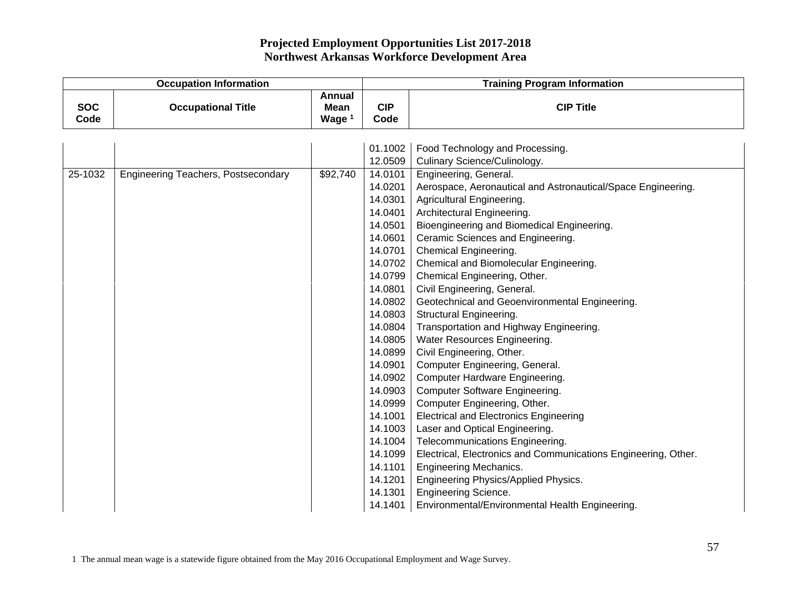| <b>Occupation Information</b> |                                            |                                                   | <b>Training Program Information</b> |                                                                |  |
|-------------------------------|--------------------------------------------|---------------------------------------------------|-------------------------------------|----------------------------------------------------------------|--|
| <b>SOC</b><br>Code            | <b>Occupational Title</b>                  | <b>Annual</b><br><b>Mean</b><br>Wage <sup>1</sup> | <b>CIP</b><br>Code                  | <b>CIP Title</b>                                               |  |
|                               |                                            |                                                   | 01.1002                             | Food Technology and Processing.                                |  |
|                               |                                            |                                                   | 12.0509                             | Culinary Science/Culinology.                                   |  |
| 25-1032                       | <b>Engineering Teachers, Postsecondary</b> | \$92,740                                          | 14.0101                             | Engineering, General.                                          |  |
|                               |                                            |                                                   | 14.0201                             | Aerospace, Aeronautical and Astronautical/Space Engineering.   |  |
|                               |                                            |                                                   | 14.0301                             | Agricultural Engineering.                                      |  |
|                               |                                            |                                                   | 14.0401                             | Architectural Engineering.                                     |  |
|                               |                                            |                                                   | 14.0501                             | Bioengineering and Biomedical Engineering.                     |  |
|                               |                                            |                                                   | 14.0601                             | Ceramic Sciences and Engineering.                              |  |
|                               |                                            |                                                   | 14.0701                             | <b>Chemical Engineering.</b>                                   |  |
|                               |                                            |                                                   | 14.0702                             | Chemical and Biomolecular Engineering.                         |  |
|                               |                                            |                                                   | 14.0799                             | Chemical Engineering, Other.                                   |  |
|                               |                                            |                                                   | 14.0801                             | Civil Engineering, General.                                    |  |
|                               |                                            |                                                   | 14.0802                             | Geotechnical and Geoenvironmental Engineering.                 |  |
|                               |                                            |                                                   | 14.0803                             | <b>Structural Engineering.</b>                                 |  |
|                               |                                            |                                                   | 14.0804                             | Transportation and Highway Engineering.                        |  |
|                               |                                            |                                                   | 14.0805                             | Water Resources Engineering.                                   |  |
|                               |                                            |                                                   | 14.0899                             | Civil Engineering, Other.                                      |  |
|                               |                                            |                                                   | 14.0901                             | Computer Engineering, General.                                 |  |
|                               |                                            |                                                   | 14.0902                             | Computer Hardware Engineering.                                 |  |
|                               |                                            |                                                   | 14.0903                             | <b>Computer Software Engineering.</b>                          |  |
|                               |                                            |                                                   | 14.0999                             | Computer Engineering, Other.                                   |  |
|                               |                                            |                                                   | 14.1001                             | <b>Electrical and Electronics Engineering</b>                  |  |
|                               |                                            |                                                   | 14.1003                             | Laser and Optical Engineering.                                 |  |
|                               |                                            |                                                   | 14.1004                             | Telecommunications Engineering.                                |  |
|                               |                                            |                                                   | 14.1099                             | Electrical, Electronics and Communications Engineering, Other. |  |
|                               |                                            |                                                   | 14.1101                             | Engineering Mechanics.                                         |  |
|                               |                                            |                                                   | 14.1201                             | Engineering Physics/Applied Physics.                           |  |
|                               |                                            |                                                   | 14.1301                             | <b>Engineering Science.</b>                                    |  |
|                               |                                            |                                                   | 14.1401                             | Environmental/Environmental Health Engineering.                |  |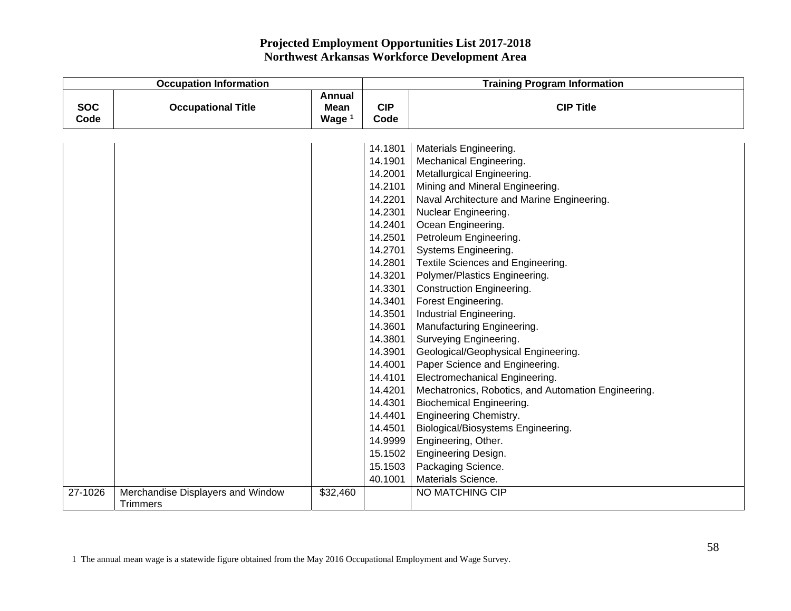| <b>Occupation Information</b> |                                   |                                          | <b>Training Program Information</b> |                                                     |  |
|-------------------------------|-----------------------------------|------------------------------------------|-------------------------------------|-----------------------------------------------------|--|
| <b>SOC</b><br>Code            | <b>Occupational Title</b>         | <b>Annual</b><br><b>Mean</b><br>Wage $1$ | <b>CIP</b><br>Code                  | <b>CIP Title</b>                                    |  |
|                               |                                   |                                          |                                     |                                                     |  |
|                               |                                   |                                          | 14.1801                             | Materials Engineering.                              |  |
|                               |                                   |                                          | 14.1901                             | Mechanical Engineering.                             |  |
|                               |                                   |                                          | 14.2001                             | Metallurgical Engineering.                          |  |
|                               |                                   |                                          | 14.2101                             | Mining and Mineral Engineering.                     |  |
|                               |                                   |                                          | 14.2201                             | Naval Architecture and Marine Engineering.          |  |
|                               |                                   |                                          | 14.2301                             | Nuclear Engineering.                                |  |
|                               |                                   |                                          | 14.2401                             | Ocean Engineering.                                  |  |
|                               |                                   |                                          | 14.2501                             | Petroleum Engineering.                              |  |
|                               |                                   |                                          | 14.2701                             | <b>Systems Engineering.</b>                         |  |
|                               |                                   |                                          | 14.2801                             | Textile Sciences and Engineering.                   |  |
|                               |                                   |                                          | 14.3201                             | Polymer/Plastics Engineering.                       |  |
|                               |                                   |                                          | 14.3301                             | <b>Construction Engineering.</b>                    |  |
|                               |                                   |                                          | 14.3401                             | Forest Engineering.                                 |  |
|                               |                                   |                                          | 14.3501                             | Industrial Engineering.                             |  |
|                               |                                   |                                          | 14.3601                             | Manufacturing Engineering.                          |  |
|                               |                                   |                                          | 14.3801                             | Surveying Engineering.                              |  |
|                               |                                   |                                          | 14.3901                             | Geological/Geophysical Engineering.                 |  |
|                               |                                   |                                          | 14.4001                             | Paper Science and Engineering.                      |  |
|                               |                                   |                                          | 14.4101                             | Electromechanical Engineering.                      |  |
|                               |                                   |                                          | 14.4201                             | Mechatronics, Robotics, and Automation Engineering. |  |
|                               |                                   |                                          | 14.4301                             | Biochemical Engineering.                            |  |
|                               |                                   |                                          | 14.4401                             | <b>Engineering Chemistry.</b>                       |  |
|                               |                                   |                                          | 14.4501                             | Biological/Biosystems Engineering.                  |  |
|                               |                                   |                                          | 14.9999                             | Engineering, Other.                                 |  |
|                               |                                   |                                          | 15.1502                             | Engineering Design.                                 |  |
|                               |                                   |                                          | 15.1503                             | Packaging Science.                                  |  |
|                               |                                   |                                          | 40.1001                             | Materials Science.                                  |  |
| 27-1026                       | Merchandise Displayers and Window | \$32,460                                 |                                     | <b>NO MATCHING CIP</b>                              |  |
|                               | <b>Trimmers</b>                   |                                          |                                     |                                                     |  |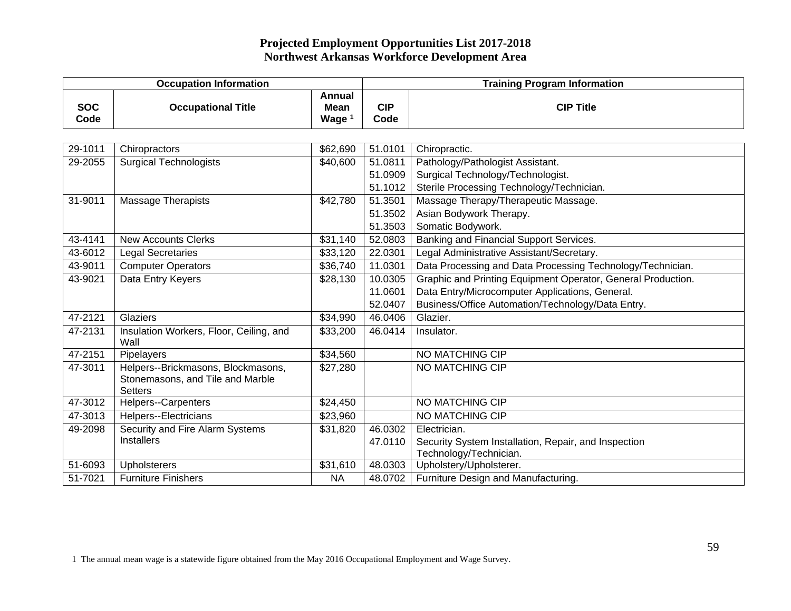|                    | <b>Occupation Information</b>                                                            |                                            |                    | <b>Training Program Information</b>                          |  |  |
|--------------------|------------------------------------------------------------------------------------------|--------------------------------------------|--------------------|--------------------------------------------------------------|--|--|
| <b>SOC</b><br>Code | <b>Occupational Title</b>                                                                | Annual<br><b>Mean</b><br>Wage <sup>1</sup> | <b>CIP</b><br>Code | <b>CIP Title</b>                                             |  |  |
|                    |                                                                                          |                                            |                    |                                                              |  |  |
| 29-1011            | Chiropractors                                                                            | \$62,690                                   | 51.0101            | Chiropractic.                                                |  |  |
| 29-2055            | <b>Surgical Technologists</b>                                                            | \$40,600                                   | 51.0811            | Pathology/Pathologist Assistant.                             |  |  |
|                    |                                                                                          |                                            | 51.0909            | Surgical Technology/Technologist.                            |  |  |
|                    |                                                                                          |                                            | 51.1012            | Sterile Processing Technology/Technician.                    |  |  |
| 31-9011            | <b>Massage Therapists</b>                                                                | \$42,780                                   | 51.3501            | Massage Therapy/Therapeutic Massage.                         |  |  |
|                    |                                                                                          |                                            | 51.3502            | Asian Bodywork Therapy.                                      |  |  |
|                    |                                                                                          |                                            | 51.3503            | Somatic Bodywork.                                            |  |  |
| 43-4141            | <b>New Accounts Clerks</b>                                                               | \$31,140                                   | 52.0803            | Banking and Financial Support Services.                      |  |  |
| 43-6012            | <b>Legal Secretaries</b>                                                                 | \$33,120                                   | 22.0301            | Legal Administrative Assistant/Secretary.                    |  |  |
| 43-9011            | <b>Computer Operators</b>                                                                | \$36,740                                   | 11.0301            | Data Processing and Data Processing Technology/Technician.   |  |  |
| 43-9021            | Data Entry Keyers                                                                        | \$28,130                                   | 10.0305            | Graphic and Printing Equipment Operator, General Production. |  |  |
|                    |                                                                                          |                                            | 11.0601            | Data Entry/Microcomputer Applications, General.              |  |  |
|                    |                                                                                          |                                            | 52.0407            | Business/Office Automation/Technology/Data Entry.            |  |  |
| 47-2121            | Glaziers                                                                                 | \$34,990                                   | 46.0406            | Glazier.                                                     |  |  |
| 47-2131            | Insulation Workers, Floor, Ceiling, and<br>Wall                                          | \$33,200                                   | 46.0414            | Insulator.                                                   |  |  |
| 47-2151            | Pipelayers                                                                               | \$34,560                                   |                    | NO MATCHING CIP                                              |  |  |
| 47-3011            | Helpers--Brickmasons, Blockmasons,<br>Stonemasons, and Tile and Marble<br><b>Setters</b> | \$27,280                                   |                    | NO MATCHING CIP                                              |  |  |
| 47-3012            | Helpers--Carpenters                                                                      | \$24,450                                   |                    | <b>NO MATCHING CIP</b>                                       |  |  |
| 47-3013            | Helpers--Electricians                                                                    | \$23,960                                   |                    | NO MATCHING CIP                                              |  |  |
| 49-2098            | Security and Fire Alarm Systems                                                          | \$31,820                                   | 46.0302            | Electrician.                                                 |  |  |
|                    | Installers                                                                               |                                            | 47.0110            | Security System Installation, Repair, and Inspection         |  |  |
|                    |                                                                                          |                                            |                    | Technology/Technician.                                       |  |  |
| 51-6093            | <b>Upholsterers</b>                                                                      | \$31,610                                   | 48.0303            | Upholstery/Upholsterer.                                      |  |  |
| 51-7021            | <b>Furniture Finishers</b>                                                               | <b>NA</b>                                  | 48.0702            | Furniture Design and Manufacturing.                          |  |  |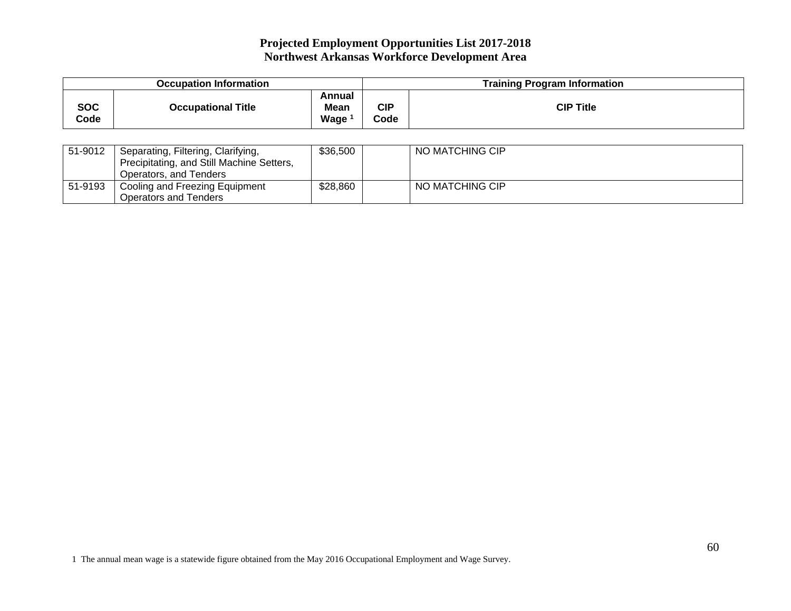| <b>Occupation Information</b> |                           |                               | <b>Training Program Information</b> |                  |
|-------------------------------|---------------------------|-------------------------------|-------------------------------------|------------------|
| <b>SOC</b><br>Code            | <b>Occupational Title</b> | Annual<br><b>Mean</b><br>Wage | <b>CIP</b><br>Code                  | <b>CIP Title</b> |

| 51-9012 | Separating, Filtering, Clarifying,<br>Precipitating, and Still Machine Setters,<br>Operators, and Tenders | \$36,500 | NO MATCHING CIP |
|---------|-----------------------------------------------------------------------------------------------------------|----------|-----------------|
| 51-9193 | Cooling and Freezing Equipment<br>Operators and Tenders                                                   | \$28,860 | NO MATCHING CIP |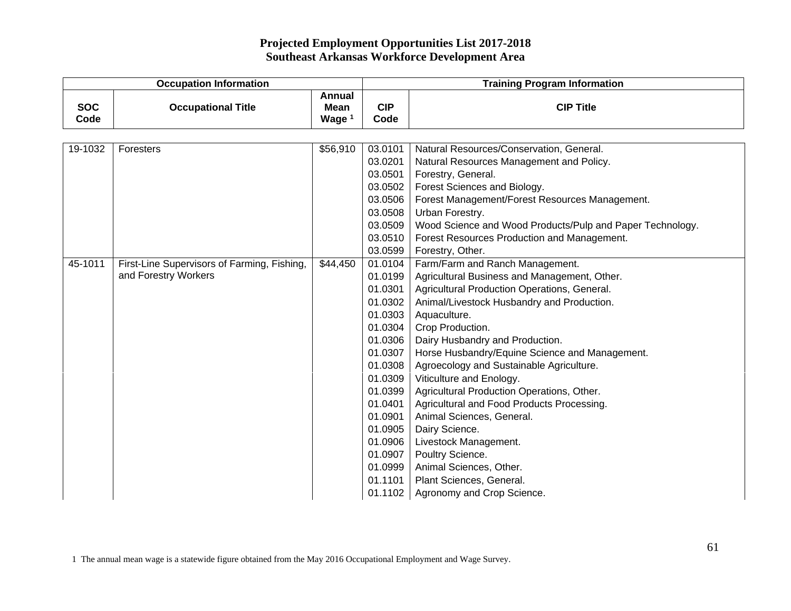|                    | <b>Occupation Information</b>               |                                                   |                    | <b>Training Program Information</b>                       |  |  |
|--------------------|---------------------------------------------|---------------------------------------------------|--------------------|-----------------------------------------------------------|--|--|
| <b>SOC</b><br>Code | <b>Occupational Title</b>                   | <b>Annual</b><br><b>Mean</b><br>Wage <sup>1</sup> | <b>CIP</b><br>Code | <b>CIP Title</b>                                          |  |  |
|                    |                                             |                                                   |                    |                                                           |  |  |
| 19-1032            | Foresters                                   | \$56,910                                          | 03.0101            | Natural Resources/Conservation, General.                  |  |  |
|                    |                                             |                                                   | 03.0201            | Natural Resources Management and Policy.                  |  |  |
|                    |                                             |                                                   | 03.0501            | Forestry, General.                                        |  |  |
|                    |                                             |                                                   | 03.0502            | Forest Sciences and Biology.                              |  |  |
|                    |                                             |                                                   | 03.0506            | Forest Management/Forest Resources Management.            |  |  |
|                    |                                             |                                                   | 03.0508            | Urban Forestry.                                           |  |  |
|                    |                                             |                                                   | 03.0509            | Wood Science and Wood Products/Pulp and Paper Technology. |  |  |
|                    |                                             |                                                   | 03.0510            | Forest Resources Production and Management.               |  |  |
|                    |                                             |                                                   | 03.0599            | Forestry, Other.                                          |  |  |
| 45-1011            | First-Line Supervisors of Farming, Fishing, | \$44,450                                          | 01.0104            | Farm/Farm and Ranch Management.                           |  |  |
|                    | and Forestry Workers                        |                                                   | 01.0199            | Agricultural Business and Management, Other.              |  |  |
|                    |                                             |                                                   | 01.0301            | Agricultural Production Operations, General.              |  |  |
|                    |                                             |                                                   | 01.0302            | Animal/Livestock Husbandry and Production.                |  |  |
|                    |                                             |                                                   | 01.0303            | Aquaculture.                                              |  |  |
|                    |                                             |                                                   | 01.0304            | Crop Production.                                          |  |  |
|                    |                                             |                                                   | 01.0306            | Dairy Husbandry and Production.                           |  |  |
|                    |                                             |                                                   | 01.0307            | Horse Husbandry/Equine Science and Management.            |  |  |
|                    |                                             |                                                   | 01.0308            | Agroecology and Sustainable Agriculture.                  |  |  |
|                    |                                             |                                                   | 01.0309            | Viticulture and Enology.                                  |  |  |
|                    |                                             |                                                   | 01.0399            | Agricultural Production Operations, Other.                |  |  |
|                    |                                             |                                                   | 01.0401            | Agricultural and Food Products Processing.                |  |  |
|                    |                                             |                                                   | 01.0901<br>01.0905 | Animal Sciences, General.                                 |  |  |
|                    |                                             |                                                   |                    | Dairy Science.                                            |  |  |
|                    |                                             |                                                   | 01.0906<br>01.0907 | Livestock Management.<br>Poultry Science.                 |  |  |
|                    |                                             |                                                   | 01.0999            | Animal Sciences, Other.                                   |  |  |
|                    |                                             |                                                   | 01.1101            | Plant Sciences, General.                                  |  |  |
|                    |                                             |                                                   | 01.1102            | Agronomy and Crop Science.                                |  |  |
|                    |                                             |                                                   |                    |                                                           |  |  |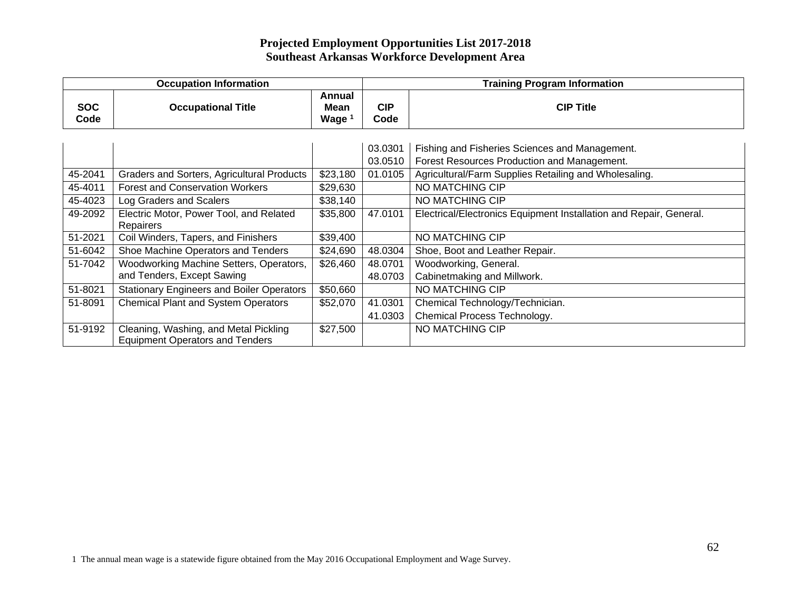| <b>Occupation Information</b> |                                                                                 |                            |                    | <b>Training Program Information</b>                                                           |  |  |
|-------------------------------|---------------------------------------------------------------------------------|----------------------------|--------------------|-----------------------------------------------------------------------------------------------|--|--|
| <b>SOC</b><br>Code            | <b>Occupational Title</b>                                                       | Annual<br>Mean<br>Wage $1$ | <b>CIP</b><br>Code | <b>CIP Title</b>                                                                              |  |  |
|                               |                                                                                 |                            | 03.0301<br>03.0510 | Fishing and Fisheries Sciences and Management.<br>Forest Resources Production and Management. |  |  |
| 45-2041                       | Graders and Sorters, Agricultural Products                                      | \$23,180                   | 01.0105            | Agricultural/Farm Supplies Retailing and Wholesaling.                                         |  |  |
| 45-4011                       | <b>Forest and Conservation Workers</b>                                          | \$29,630                   |                    | NO MATCHING CIP                                                                               |  |  |
| 45-4023                       | Log Graders and Scalers                                                         | \$38,140                   |                    | NO MATCHING CIP                                                                               |  |  |
| 49-2092                       | Electric Motor, Power Tool, and Related<br>Repairers                            | \$35,800                   | 47.0101            | Electrical/Electronics Equipment Installation and Repair, General.                            |  |  |
| 51-2021                       | Coil Winders, Tapers, and Finishers                                             | \$39,400                   |                    | NO MATCHING CIP                                                                               |  |  |
| 51-6042                       | Shoe Machine Operators and Tenders                                              | \$24,690                   | 48.0304            | Shoe, Boot and Leather Repair.                                                                |  |  |
| 51-7042                       | Woodworking Machine Setters, Operators,                                         | \$26,460                   | 48.0701            | Woodworking, General.                                                                         |  |  |
|                               | and Tenders, Except Sawing                                                      |                            | 48.0703            | Cabinetmaking and Millwork.                                                                   |  |  |
| 51-8021                       | <b>Stationary Engineers and Boiler Operators</b>                                | \$50,660                   |                    | NO MATCHING CIP                                                                               |  |  |
| 51-8091                       | <b>Chemical Plant and System Operators</b>                                      | \$52,070                   | 41.0301            | Chemical Technology/Technician.                                                               |  |  |
|                               |                                                                                 |                            | 41.0303            | Chemical Process Technology.                                                                  |  |  |
| 51-9192                       | Cleaning, Washing, and Metal Pickling<br><b>Equipment Operators and Tenders</b> | \$27,500                   |                    | NO MATCHING CIP                                                                               |  |  |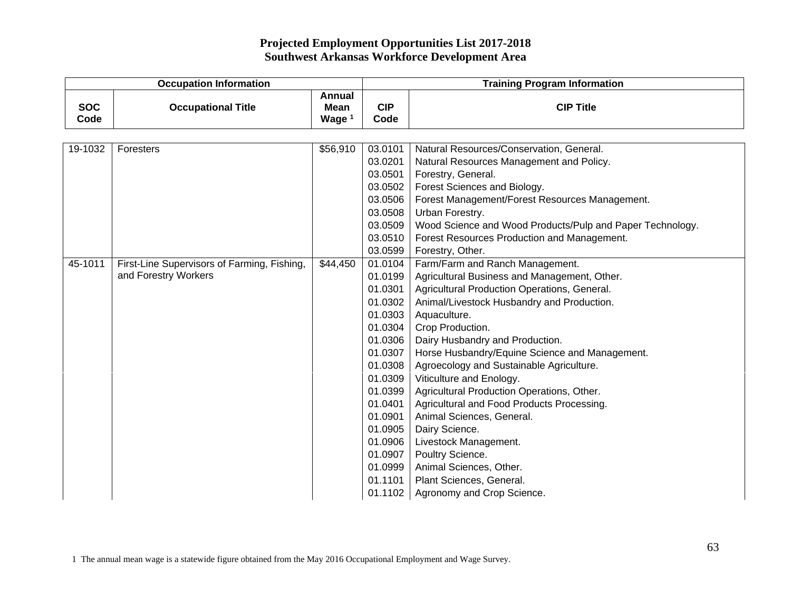|                    | <b>Occupation Information</b>               |                                                   |                    | <b>Training Program Information</b>                                     |  |  |
|--------------------|---------------------------------------------|---------------------------------------------------|--------------------|-------------------------------------------------------------------------|--|--|
| <b>SOC</b><br>Code | <b>Occupational Title</b>                   | <b>Annual</b><br><b>Mean</b><br>Wage <sup>1</sup> | <b>CIP</b><br>Code | <b>CIP Title</b>                                                        |  |  |
|                    |                                             |                                                   |                    |                                                                         |  |  |
| 19-1032            | Foresters                                   | \$56,910                                          | 03.0101            | Natural Resources/Conservation, General.                                |  |  |
|                    |                                             |                                                   | 03.0201            | Natural Resources Management and Policy.                                |  |  |
|                    |                                             |                                                   | 03.0501            | Forestry, General.                                                      |  |  |
|                    |                                             |                                                   | 03.0502            | Forest Sciences and Biology.                                            |  |  |
|                    |                                             |                                                   | 03.0506            | Forest Management/Forest Resources Management.                          |  |  |
|                    |                                             |                                                   | 03.0508            | Urban Forestry.                                                         |  |  |
|                    |                                             |                                                   | 03.0509            | Wood Science and Wood Products/Pulp and Paper Technology.               |  |  |
|                    |                                             |                                                   | 03.0510            | Forest Resources Production and Management.                             |  |  |
|                    |                                             |                                                   | 03.0599            | Forestry, Other.                                                        |  |  |
| 45-1011            | First-Line Supervisors of Farming, Fishing, | \$44,450                                          | 01.0104            | Farm/Farm and Ranch Management.                                         |  |  |
|                    | and Forestry Workers                        |                                                   | 01.0199            | Agricultural Business and Management, Other.                            |  |  |
|                    |                                             |                                                   | 01.0301            | Agricultural Production Operations, General.                            |  |  |
|                    |                                             |                                                   | 01.0302            | Animal/Livestock Husbandry and Production.                              |  |  |
|                    |                                             |                                                   | 01.0303            | Aquaculture.                                                            |  |  |
|                    |                                             |                                                   | 01.0304            | Crop Production.                                                        |  |  |
|                    |                                             |                                                   | 01.0306            | Dairy Husbandry and Production.                                         |  |  |
|                    |                                             |                                                   | 01.0307            | Horse Husbandry/Equine Science and Management.                          |  |  |
|                    |                                             |                                                   | 01.0308            | Agroecology and Sustainable Agriculture.                                |  |  |
|                    |                                             |                                                   | 01.0309            | Viticulture and Enology.                                                |  |  |
|                    |                                             |                                                   | 01.0399            | Agricultural Production Operations, Other.                              |  |  |
|                    |                                             |                                                   | 01.0401<br>01.0901 | Agricultural and Food Products Processing.<br>Animal Sciences, General. |  |  |
|                    |                                             |                                                   | 01.0905            | Dairy Science.                                                          |  |  |
|                    |                                             |                                                   | 01.0906            | Livestock Management.                                                   |  |  |
|                    |                                             |                                                   | 01.0907            | Poultry Science.                                                        |  |  |
|                    |                                             |                                                   | 01.0999            | Animal Sciences, Other.                                                 |  |  |
|                    |                                             |                                                   | 01.1101            | Plant Sciences, General.                                                |  |  |
|                    |                                             |                                                   | 01.1102            | Agronomy and Crop Science.                                              |  |  |
|                    |                                             |                                                   |                    |                                                                         |  |  |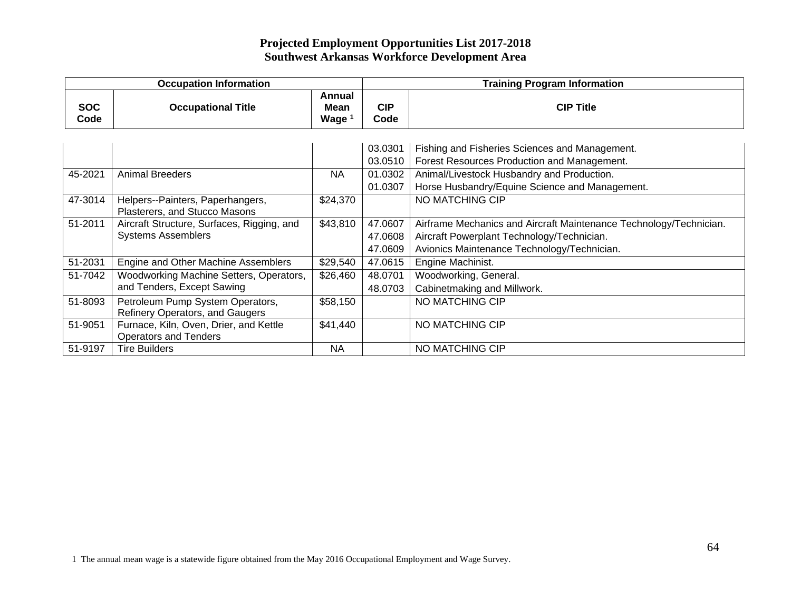|                    | <b>Occupation Information</b>              |                                     | <b>Training Program Information</b> |                                                                    |  |
|--------------------|--------------------------------------------|-------------------------------------|-------------------------------------|--------------------------------------------------------------------|--|
| <b>SOC</b><br>Code | <b>Occupational Title</b>                  | Annual<br>Mean<br>Wage <sup>1</sup> | <b>CIP</b><br>Code                  | <b>CIP Title</b>                                                   |  |
|                    |                                            |                                     |                                     |                                                                    |  |
|                    |                                            |                                     | 03.0301                             | Fishing and Fisheries Sciences and Management.                     |  |
|                    |                                            |                                     | 03.0510                             | Forest Resources Production and Management.                        |  |
| 45-2021            | <b>Animal Breeders</b>                     | ΝA                                  | 01.0302                             | Animal/Livestock Husbandry and Production.                         |  |
|                    |                                            |                                     | 01.0307                             | Horse Husbandry/Equine Science and Management.                     |  |
| 47-3014            | Helpers--Painters, Paperhangers,           | \$24,370                            |                                     | NO MATCHING CIP                                                    |  |
|                    | Plasterers, and Stucco Masons              |                                     |                                     |                                                                    |  |
| 51-2011            | Aircraft Structure, Surfaces, Rigging, and | \$43,810                            | 47.0607                             | Airframe Mechanics and Aircraft Maintenance Technology/Technician. |  |
|                    | <b>Systems Assemblers</b>                  |                                     | 47.0608                             | Aircraft Powerplant Technology/Technician.                         |  |
|                    |                                            |                                     | 47.0609                             | Avionics Maintenance Technology/Technician.                        |  |
| 51-2031            | Engine and Other Machine Assemblers        | \$29,540                            | 47.0615                             | Engine Machinist.                                                  |  |
| 51-7042            | Woodworking Machine Setters, Operators,    | \$26,460                            | 48.0701                             | Woodworking, General.                                              |  |
|                    | and Tenders, Except Sawing                 |                                     | 48.0703                             | Cabinetmaking and Millwork.                                        |  |
| 51-8093            | Petroleum Pump System Operators,           | \$58,150                            |                                     | NO MATCHING CIP                                                    |  |
|                    | Refinery Operators, and Gaugers            |                                     |                                     |                                                                    |  |
| 51-9051            | Furnace, Kiln, Oven, Drier, and Kettle     | \$41,440                            |                                     | NO MATCHING CIP                                                    |  |
|                    | <b>Operators and Tenders</b>               |                                     |                                     |                                                                    |  |
| 51-9197            | <b>Tire Builders</b>                       | <b>NA</b>                           |                                     | NO MATCHING CIP                                                    |  |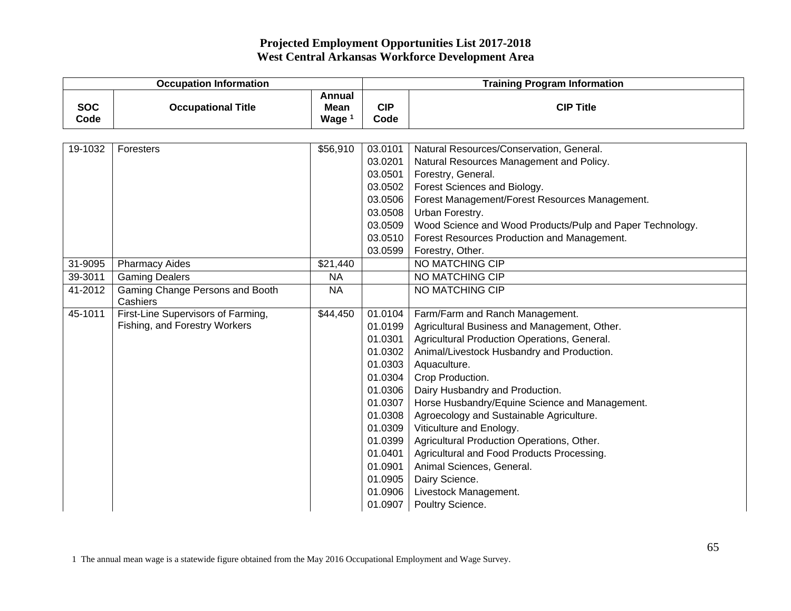|                    | <b>Occupation Information</b>               |                                   |                    | <b>Training Program Information</b>                       |  |  |
|--------------------|---------------------------------------------|-----------------------------------|--------------------|-----------------------------------------------------------|--|--|
| <b>SOC</b><br>Code | <b>Occupational Title</b>                   | Annual<br><b>Mean</b><br>Wage $1$ | <b>CIP</b><br>Code | <b>CIP Title</b>                                          |  |  |
|                    |                                             |                                   |                    |                                                           |  |  |
| 19-1032            | Foresters                                   | \$56,910                          | 03.0101            | Natural Resources/Conservation, General.                  |  |  |
|                    |                                             |                                   | 03.0201            | Natural Resources Management and Policy.                  |  |  |
|                    |                                             |                                   | 03.0501            | Forestry, General.                                        |  |  |
|                    |                                             |                                   | 03.0502            | Forest Sciences and Biology.                              |  |  |
|                    |                                             |                                   | 03.0506            | Forest Management/Forest Resources Management.            |  |  |
|                    |                                             |                                   | 03.0508            | Urban Forestry.                                           |  |  |
|                    |                                             |                                   | 03.0509            | Wood Science and Wood Products/Pulp and Paper Technology. |  |  |
|                    |                                             |                                   | 03.0510            | Forest Resources Production and Management.               |  |  |
|                    |                                             |                                   | 03.0599            | Forestry, Other.                                          |  |  |
| 31-9095            | <b>Pharmacy Aides</b>                       | \$21,440                          |                    | NO MATCHING CIP                                           |  |  |
| 39-3011            | <b>Gaming Dealers</b>                       | <b>NA</b>                         |                    | NO MATCHING CIP                                           |  |  |
| 41-2012            | Gaming Change Persons and Booth<br>Cashiers | <b>NA</b>                         |                    | NO MATCHING CIP                                           |  |  |
| 45-1011            | First-Line Supervisors of Farming,          | \$44,450                          | 01.0104            | Farm/Farm and Ranch Management.                           |  |  |
|                    | Fishing, and Forestry Workers               |                                   | 01.0199            | Agricultural Business and Management, Other.              |  |  |
|                    |                                             |                                   | 01.0301            | Agricultural Production Operations, General.              |  |  |
|                    |                                             |                                   | 01.0302            | Animal/Livestock Husbandry and Production.                |  |  |
|                    |                                             |                                   | 01.0303            | Aquaculture.                                              |  |  |
|                    |                                             |                                   | 01.0304            | Crop Production.                                          |  |  |
|                    |                                             |                                   | 01.0306            | Dairy Husbandry and Production.                           |  |  |
|                    |                                             |                                   | 01.0307            | Horse Husbandry/Equine Science and Management.            |  |  |
|                    |                                             |                                   | 01.0308            | Agroecology and Sustainable Agriculture.                  |  |  |
|                    |                                             |                                   | 01.0309            | Viticulture and Enology.                                  |  |  |
|                    |                                             |                                   | 01.0399            | Agricultural Production Operations, Other.                |  |  |
|                    |                                             |                                   | 01.0401            | Agricultural and Food Products Processing.                |  |  |
|                    |                                             |                                   | 01.0901            | Animal Sciences, General.                                 |  |  |
|                    |                                             |                                   | 01.0905            | Dairy Science.                                            |  |  |
|                    |                                             |                                   | 01.0906            | Livestock Management.                                     |  |  |
|                    |                                             |                                   | 01.0907            | Poultry Science.                                          |  |  |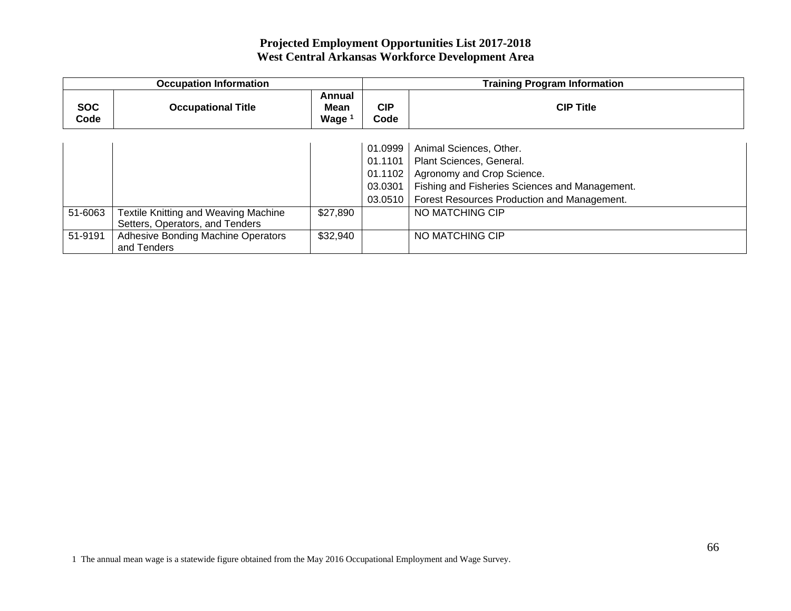| <b>Occupation Information</b> |                                      |                            |                    | <b>Training Program Information</b>            |  |  |
|-------------------------------|--------------------------------------|----------------------------|--------------------|------------------------------------------------|--|--|
| <b>SOC</b><br>Code            | <b>Occupational Title</b>            | Annual<br>Mean<br>Wage $1$ | <b>CIP</b><br>Code | <b>CIP Title</b>                               |  |  |
|                               |                                      |                            |                    |                                                |  |  |
|                               |                                      |                            | 01.0999            | Animal Sciences, Other.                        |  |  |
|                               |                                      |                            | 01.1101            | Plant Sciences, General.                       |  |  |
|                               |                                      |                            | 01.1102            | Agronomy and Crop Science.                     |  |  |
|                               |                                      |                            | 03.0301            | Fishing and Fisheries Sciences and Management. |  |  |
|                               |                                      |                            | 03.0510            | Forest Resources Production and Management.    |  |  |
| 51-6063                       | Textile Knitting and Weaving Machine | \$27,890                   |                    | NO MATCHING CIP                                |  |  |
|                               | Setters, Operators, and Tenders      |                            |                    |                                                |  |  |
| 51-9191                       | Adhesive Bonding Machine Operators   | \$32,940                   |                    | NO MATCHING CIP                                |  |  |
|                               | and Tenders                          |                            |                    |                                                |  |  |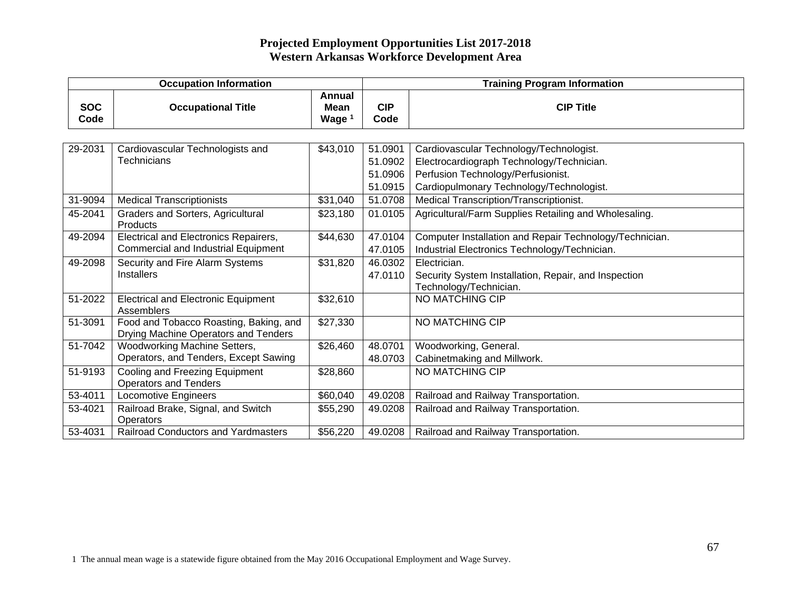|                    | <b>Occupation Information</b>                                                         |                                            |                    | <b>Training Program Information</b>                     |  |  |
|--------------------|---------------------------------------------------------------------------------------|--------------------------------------------|--------------------|---------------------------------------------------------|--|--|
| <b>SOC</b><br>Code | <b>Occupational Title</b>                                                             | Annual<br><b>Mean</b><br>Wage <sup>1</sup> | <b>CIP</b><br>Code | <b>CIP Title</b>                                        |  |  |
|                    |                                                                                       |                                            |                    |                                                         |  |  |
| 29-2031            | Cardiovascular Technologists and                                                      | \$43,010                                   | 51.0901            | Cardiovascular Technology/Technologist.                 |  |  |
|                    | Technicians                                                                           |                                            | 51.0902            | Electrocardiograph Technology/Technician.               |  |  |
|                    |                                                                                       |                                            | 51.0906            | Perfusion Technology/Perfusionist.                      |  |  |
|                    |                                                                                       |                                            | 51.0915            | Cardiopulmonary Technology/Technologist.                |  |  |
| 31-9094            | <b>Medical Transcriptionists</b>                                                      | \$31,040                                   | 51.0708            | Medical Transcription/Transcriptionist.                 |  |  |
| 45-2041            | <b>Graders and Sorters, Agricultural</b><br>Products                                  | \$23,180                                   | 01.0105            | Agricultural/Farm Supplies Retailing and Wholesaling.   |  |  |
| 49-2094            | Electrical and Electronics Repairers,                                                 | \$44,630                                   | 47.0104            | Computer Installation and Repair Technology/Technician. |  |  |
|                    | <b>Commercial and Industrial Equipment</b>                                            |                                            | 47.0105            | Industrial Electronics Technology/Technician.           |  |  |
| 49-2098            | Security and Fire Alarm Systems                                                       | \$31,820                                   | 46.0302            | Electrician.                                            |  |  |
|                    | <b>Installers</b>                                                                     |                                            | 47.0110            | Security System Installation, Repair, and Inspection    |  |  |
|                    |                                                                                       |                                            |                    | Technology/Technician.                                  |  |  |
| 51-2022            | <b>Electrical and Electronic Equipment</b><br>Assemblers                              | \$32,610                                   |                    | NO MATCHING CIP                                         |  |  |
| 51-3091            | Food and Tobacco Roasting, Baking, and<br><b>Drying Machine Operators and Tenders</b> | \$27,330                                   |                    | NO MATCHING CIP                                         |  |  |
| 51-7042            | Woodworking Machine Setters,                                                          | \$26,460                                   | 48.0701            | Woodworking, General.                                   |  |  |
|                    | Operators, and Tenders, Except Sawing                                                 |                                            | 48.0703            | Cabinetmaking and Millwork.                             |  |  |
| 51-9193            | Cooling and Freezing Equipment                                                        | \$28,860                                   |                    | NO MATCHING CIP                                         |  |  |
|                    | <b>Operators and Tenders</b>                                                          |                                            |                    |                                                         |  |  |
| 53-4011            | <b>Locomotive Engineers</b>                                                           | \$60,040                                   | 49.0208            | Railroad and Railway Transportation.                    |  |  |
| 53-4021            | Railroad Brake, Signal, and Switch                                                    | \$55,290                                   | 49.0208            | Railroad and Railway Transportation.                    |  |  |
|                    | Operators                                                                             |                                            |                    |                                                         |  |  |
| 53-4031            | <b>Railroad Conductors and Yardmasters</b>                                            | \$56,220                                   | 49.0208            | Railroad and Railway Transportation.                    |  |  |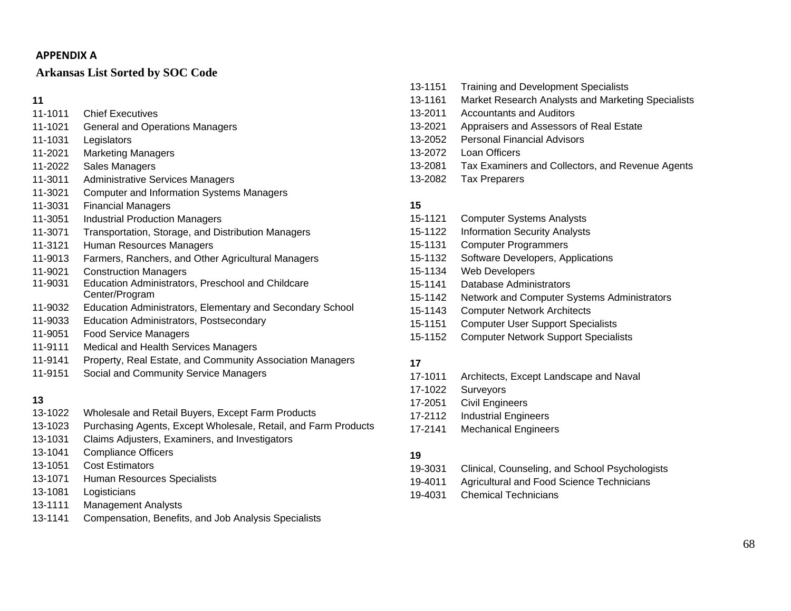#### **APPENDIX A**

## **Arkansas List Sorted by SOC Code**

**11** 

- 11-1011 Chief Executives
- 11-1021 General and Operations Managers
- 11-1031 Legislators
- 11-2021 Marketing Managers
- 11-2022 Sales Managers
- 11-3011 Administrative Services Managers
- 11-3021 Computer and Information Systems Managers
- 11-3031 Financial Managers
- 11-3051 Industrial Production Managers
- 11-3071 Transportation, Storage, and Distribution Managers
- 11-3121 Human Resources Managers
- 11-9013 Farmers, Ranchers, and Other Agricultural Managers
- 11-9021 Construction Managers
- 11-9031 Education Administrators, Preschool and Childcare Center/Program
- 11-9032 Education Administrators, Elementary and Secondary School
- 11-9033 Education Administrators, Postsecondary
- 11-9051 Food Service Managers
- 11-9111 Medical and Health Services Managers
- 11-9141 Property, Real Estate, and Community Association Managers
- 11-9151 Social and Community Service Managers

## **13**

- 13-1022 Wholesale and Retail Buyers, Except Farm Products
- 13-1023 Purchasing Agents, Except Wholesale, Retail, and Farm Products
- 13-1031 Claims Adjusters, Examiners, and Investigators
- 13-1041 Compliance Officers
- 13-1051 Cost Estimators
- 13-1071 Human Resources Specialists
- 13-1081 Logisticians
- 13-1111 Management Analysts
- 13-1141 Compensation, Benefits, and Job Analysis Specialists

13-1151 Training and Development Specialists 13-1161 Market Research Analysts and Marketing Specialists 13-2011 Accountants and Auditors 13-2021 Appraisers and Assessors of Real Estate 13-2052 Personal Financial Advisors 13-2072 Loan Officers 13-2081 Tax Examiners and Collectors, and Revenue Agents 13-2082 Tax Preparers

#### **15**

- 15-1121 Computer Systems Analysts 15-1122 Information Security Analysts 15-1131 Computer Programmers 15-1132 Software Developers, Applications 15-1134 Web Developers 15-1141 Database Administrators 15-1142 Network and Computer Systems Administrators 15-1143 Computer Network Architects
- 15-1151 Computer User Support Specialists
- 15-1152 Computer Network Support Specialists

## **17**

- 17-1011 Architects, Except Landscape and Naval
- 17-1022 Surveyors
- 17-2051 Civil Engineers
- 17-2112 Industrial Engineers
- 17-2141 Mechanical Engineers

## **19**

- 19-3031 Clinical, Counseling, and School Psychologists
- 19-4011 Agricultural and Food Science Technicians
- 19-4031 Chemical Technicians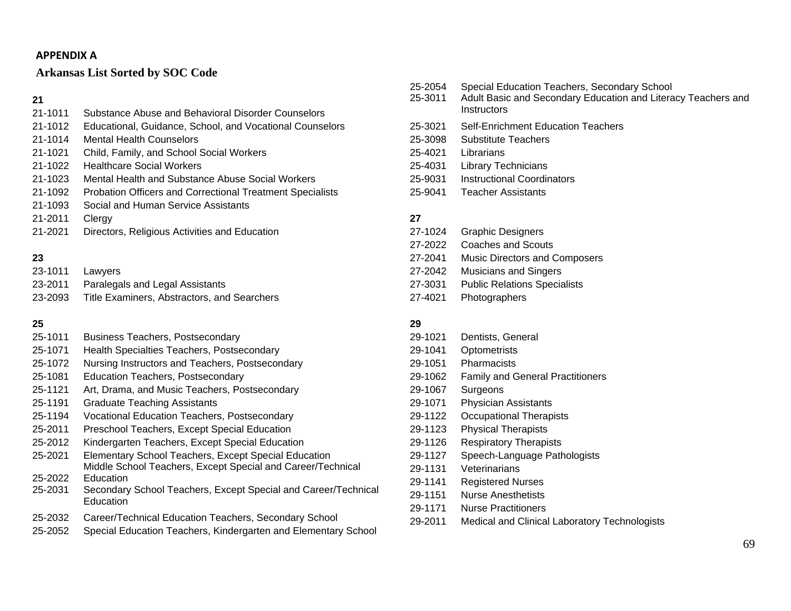#### **APPENDIX A**

#### **Arkansas List Sorted by SOC Code**

#### **21**

| 21-1011 | Substance Abuse and Behavioral Disorder Counselors               |
|---------|------------------------------------------------------------------|
| 21-1012 | Educational, Guidance, School, and Vocational Counselors         |
| 21-1014 | <b>Mental Health Counselors</b>                                  |
| 21-1021 | Child, Family, and School Social Workers                         |
| 21-1022 | <b>Healthcare Social Workers</b>                                 |
| 21-1023 | Mental Health and Substance Abuse Social Workers                 |
| 21-1092 | <b>Probation Officers and Correctional Treatment Specialists</b> |
| 21-1093 | Social and Human Service Assistants                              |
| 21-2011 | Clergy                                                           |
| 21-2021 | Directors, Religious Activities and Education                    |

#### **23**

| 23-1011 | Lawvers                                     |
|---------|---------------------------------------------|
| 23-2011 | Paralegals and Legal Assistants             |
| 23-2093 | Title Examiners, Abstractors, and Searchers |

## **25**

- 25-1011 Business Teachers, Postsecondary
- 25-1071 Health Specialties Teachers, Postsecondary
- 25-1072 Nursing Instructors and Teachers, Postsecondary
- 25-1081 Education Teachers, Postsecondary
- 25-1121 Art, Drama, and Music Teachers, Postsecondary
- 25-1191 Graduate Teaching Assistants
- 25-1194 Vocational Education Teachers, Postsecondary
- 25-2011 Preschool Teachers, Except Special Education
- 25-2012 Kindergarten Teachers, Except Special Education
- 25-2021 Elementary School Teachers, Except Special Education Middle School Teachers, Except Special and Career/Technical
- 25-2022 Education
- 25-2031 Secondary School Teachers, Except Special and Career/Technical **Education**
- 25-2032 Career/Technical Education Teachers, Secondary School
- 25-2052 Special Education Teachers, Kindergarten and Elementary School
- 25-2054 Special Education Teachers, Secondary School
- 25-3011 Adult Basic and Secondary Education and Literacy Teachers and **Instructors**
- 25-3021 Self-Enrichment Education Teachers
- 25-3098 Substitute Teachers
- 25-4021 Librarians
- 25-4031 Library Technicians
- 25-9031 Instructional Coordinators
- 25-9041 Teacher Assistants

#### **27**

27-1024 Graphic Designers 27-2022 Coaches and Scouts 27-2041 Music Directors and Composers 27-2042 Musicians and Singers 27-3031 Public Relations Specialists 27-4021 Photographers

#### **29**

- 29-1021 Dentists, General
- 29-1041 Optometrists
- 29-1051 Pharmacists
- 29-1062 Family and General Practitioners
- 29-1067 Surgeons
- 29-1071 Physician Assistants
- 29-1122 Occupational Therapists
- 29-1123 Physical Therapists
- 29-1126 Respiratory Therapists
- 29-1127 Speech-Language Pathologists
- 29-1131 Veterinarians
- 29-1141 Registered Nurses
- 29-1151 Nurse Anesthetists
- 29-1171 Nurse Practitioners
- 29-2011 Medical and Clinical Laboratory Technologists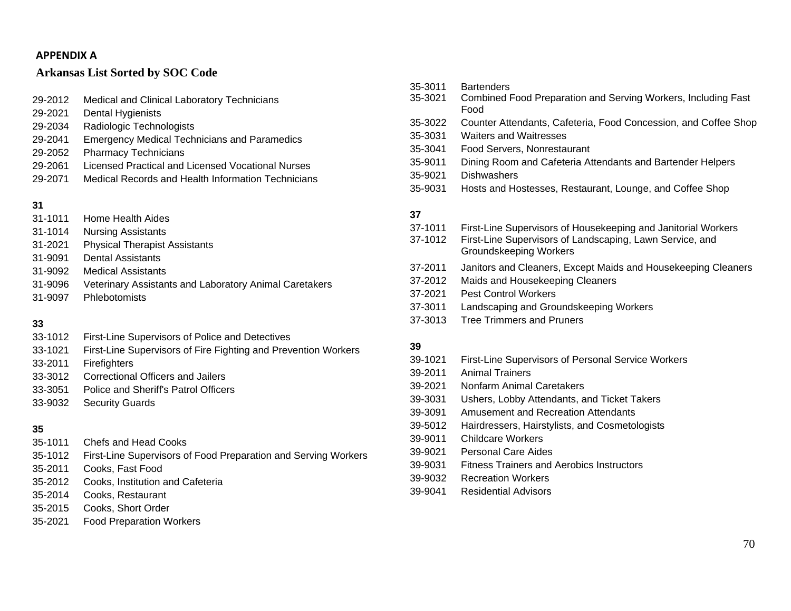#### **APPENDIXA**

#### **Arkansas List Sorted by SOC Code**

| 29-2012 | Medical and Clinical Laboratory Technicians         |
|---------|-----------------------------------------------------|
| 29-2021 | Dental Hygienists                                   |
| 29-2034 | Radiologic Technologists                            |
| 29-2041 | <b>Emergency Medical Technicians and Paramedics</b> |
| 29-2052 | <b>Pharmacy Technicians</b>                         |
| 29-2061 | Licensed Practical and Licensed Vocational Nurses   |
| 29-2071 | Medical Records and Health Information Technicians  |

## **31**

- 31-1011 Home Health Aides
- 31-1014 Nursing Assistants
- 31-2021 Physical Therapist Assistants
- 31-9091 Dental Assistants
- 31-9092 Medical Assistants
- 31-9096 Veterinary Assistants and Laboratory Animal Caretakers
- 31-9097 Phlebotomists

#### **33**

- 33-1012 First-Line Supervisors of Police and Detectives
- 33-1021 First-Line Supervisors of Fire Fighting and Prevention Workers
- 33-2011 Firefighters
- 33-3012 Correctional Officers and Jailers
- 33-3051 Police and Sheriff's Patrol Officers
- 33-9032 Security Guards

## **35**

- 35-1011 Chefs and Head Cooks
- 35-1012 First-Line Supervisors of Food Preparation and Serving Workers
- 35-2011 Cooks, Fast Food
- 35-2012 Cooks, Institution and Cafeteria
- 35-2014 Cooks, Restaurant
- 35-2015 Cooks, Short Order
- 35-2021 Food Preparation Workers

| 35-3011<br>35-3021                                  | <b>Bartenders</b><br>Combined Food Preparation and Serving Workers, Including Fast<br>Food                                                                                                                   |
|-----------------------------------------------------|--------------------------------------------------------------------------------------------------------------------------------------------------------------------------------------------------------------|
| 35-3022<br>35-3031<br>35-3041<br>35-9011<br>35-9021 | Counter Attendants, Cafeteria, Food Concession, and Coffee Shop<br><b>Waiters and Waitresses</b><br>Food Servers, Nonrestaurant<br>Dining Room and Cafeteria Attendants and Bartender Helpers<br>Dishwashers |
| 35-9031<br>37                                       | Hosts and Hostesses, Restaurant, Lounge, and Coffee Shop                                                                                                                                                     |
| 37-1011<br>37-1012                                  | First-Line Supervisors of Housekeeping and Janitorial Workers<br>First-Line Supervisors of Landscaping, Lawn Service, and<br><b>Groundskeeping Workers</b>                                                   |
| 37-2011<br>37-2012<br>37-2021<br>37-3011            | Janitors and Cleaners, Except Maids and Housekeeping Cleaners<br>Maids and Housekeeping Cleaners<br><b>Pest Control Workers</b><br>Landscaping and Groundskeeping Workers                                    |

37-3013 Tree Trimmers and Pruners

#### **39**

- 39-1021 First-Line Supervisors of Personal Service Workers
- 39-2011 Animal Trainers
- 39-2021 Nonfarm Animal Caretakers
- 39-3031 Ushers, Lobby Attendants, and Ticket Takers
- 39-3091 Amusement and Recreation Attendants
- 39-5012 Hairdressers, Hairstylists, and Cosmetologists
- 39-9011 Childcare Workers
- 39-9021 Personal Care Aides
- 39-9031 Fitness Trainers and Aerobics Instructors
- 39-9032 Recreation Workers
- 39-9041 Residential Advisors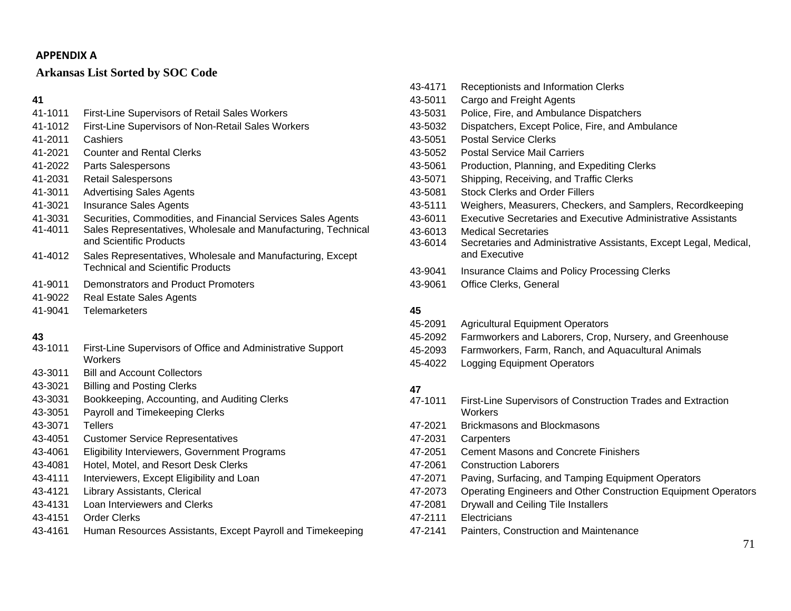#### **APPENDIX A**

# **Arkansas List Sorted by SOC Code**

### **41**

- 41-1011 First-Line Supervisors of Retail Sales Workers
- 41-1012 First-Line Supervisors of Non-Retail Sales Workers
- 41-2011 Cashiers
- 41-2021 Counter and Rental Clerks
- 41-2022 Parts Salespersons
- 41-2031 Retail Salespersons
- 41-3011 Advertising Sales Agents
- 41-3021 Insurance Sales Agents
- 41-3031 Securities, Commodities, and Financial Services Sales Agents
- 41-4011 Sales Representatives, Wholesale and Manufacturing, Technical and Scientific Products
- 41-4012 Sales Representatives, Wholesale and Manufacturing, Except Technical and Scientific Products
- 41-9011 Demonstrators and Product Promoters
- 41-9022 Real Estate Sales Agents
- 41-9041 Telemarketers

# **43**

- 43-1011 First-Line Supervisors of Office and Administrative Support **Workers**
- 43-3011 Bill and Account Collectors
- 43-3021 Billing and Posting Clerks
- 43-3031 Bookkeeping, Accounting, and Auditing Clerks
- 43-3051 Payroll and Timekeeping Clerks
- 43-3071 Tellers
- 43-4051 Customer Service Representatives
- 43-4061 Eligibility Interviewers, Government Programs
- 43-4081 Hotel, Motel, and Resort Desk Clerks
- 43-4111 Interviewers, Except Eligibility and Loan
- 43-4121 Library Assistants, Clerical
- 43-4131 Loan Interviewers and Clerks
- 43-4151 Order Clerks
- 43-4161 Human Resources Assistants, Except Payroll and Timekeeping
- 43-4171 Receptionists and Information Clerks 43-5011 Cargo and Freight Agents 43-5031 Police, Fire, and Ambulance Dispatchers 43-5032 Dispatchers, Except Police, Fire, and Ambulance 43-5051 Postal Service Clerks 43-5052 Postal Service Mail Carriers 43-5061 Production, Planning, and Expediting Clerks 43-5071 Shipping, Receiving, and Traffic Clerks 43-5081 Stock Clerks and Order Fillers 43-5111 Weighers, Measurers, Checkers, and Samplers, Recordkeeping 43-6011 Executive Secretaries and Executive Administrative Assistants 43-6013 Medical Secretaries
- 43-6014 Secretaries and Administrative Assistants, Except Legal, Medical, and Executive
- 43-9041 Insurance Claims and Policy Processing Clerks
- 43-9061 Office Clerks, General

# **45**

- 45-2091 Agricultural Equipment Operators
- 45-2092 Farmworkers and Laborers, Crop, Nursery, and Greenhouse
- 45-2093 Farmworkers, Farm, Ranch, and Aquacultural Animals
- 45-4022 Logging Equipment Operators

- 47-1011 First-Line Supervisors of Construction Trades and Extraction **Workers**
- 47-2021 Brickmasons and Blockmasons
- 47-2031 Carpenters
- 47-2051 Cement Masons and Concrete Finishers
- 47-2061 Construction Laborers
- 47-2071 Paving, Surfacing, and Tamping Equipment Operators
- 47-2073 Operating Engineers and Other Construction Equipment Operators
- 47-2081 Drywall and Ceiling Tile Installers
- 47-2111 Electricians
- 47-2141 Painters, Construction and Maintenance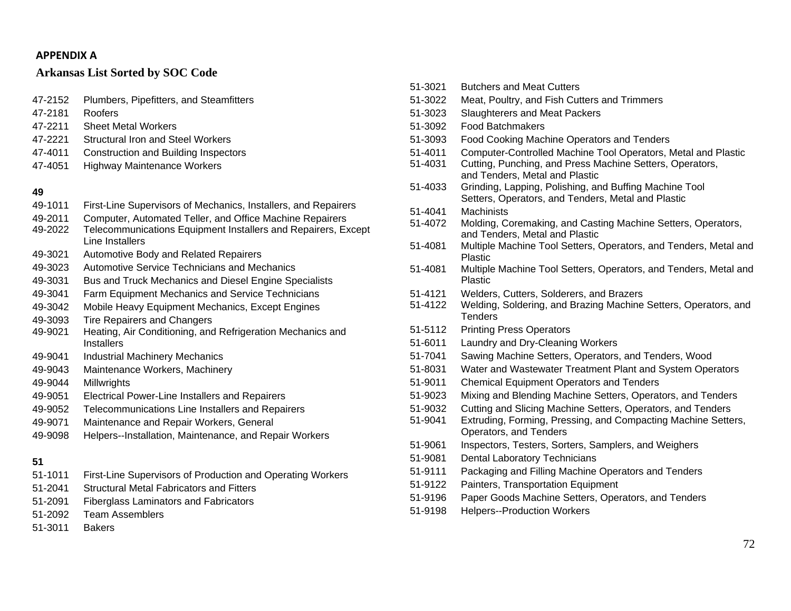#### **APPENDIXA**

#### **Arkansas List Sorted by SOC Code**

- 47-2152 Plumbers, Pipefitters, and Steamfitters
- 47-2181 Roofers
- 47-2211 Sheet Metal Workers
- 47-2221 Structural Iron and Steel Workers
- 47-4011 Construction and Building Inspectors
- 47-4051 Highway Maintenance Workers

#### **49**

- 49-1011 First-Line Supervisors of Mechanics, Installers, and Repairers
- 49-2011 Computer, Automated Teller, and Office Machine Repairers
- 49-2022 Telecommunications Equipment Installers and Repairers, Except Line Installers
- 49-3021 Automotive Body and Related Repairers
- 49-3023 Automotive Service Technicians and Mechanics
- 49-3031 Bus and Truck Mechanics and Diesel Engine Specialists
- 49-3041 Farm Equipment Mechanics and Service Technicians
- 49-3042 Mobile Heavy Equipment Mechanics, Except Engines
- 49-3093 Tire Repairers and Changers
- 49-9021 Heating, Air Conditioning, and Refrigeration Mechanics and **Installers**
- 49-9041 Industrial Machinery Mechanics
- 49-9043 Maintenance Workers, Machinery
- 49-9044 Millwrights
- 49-9051 Electrical Power-Line Installers and Repairers
- 49-9052 Telecommunications Line Installers and Repairers
- 49-9071 Maintenance and Repair Workers, General
- 49-9098 Helpers--Installation, Maintenance, and Repair Workers

- 51-1011 First-Line Supervisors of Production and Operating Workers
- 51-2041 Structural Metal Fabricators and Fitters
- 51-2091 Fiberglass Laminators and Fabricators
- 51-2092 Team Assemblers
- 51-3011 Bakers
- 51-3021 Butchers and Meat Cutters 51-3022 Meat, Poultry, and Fish Cutters and Trimmers 51-3023 Slaughterers and Meat Packers 51-3092 Food Batchmakers 51-3093 Food Cooking Machine Operators and Tenders 51-4011 Computer-Controlled Machine Tool Operators, Metal and Plastic 51-4031 Cutting, Punching, and Press Machine Setters, Operators, and Tenders, Metal and Plastic 51-4033 Grinding, Lapping, Polishing, and Buffing Machine Tool Setters, Operators, and Tenders, Metal and Plastic 51-4041 Machinists 51-4072 Molding, Coremaking, and Casting Machine Setters, Operators, and Tenders, Metal and Plastic 51-4081 Multiple Machine Tool Setters, Operators, and Tenders, Metal and Plastic 51-4081 Multiple Machine Tool Setters, Operators, and Tenders, Metal and Plastic 51-4121 Welders, Cutters, Solderers, and Brazers 51-4122 Welding, Soldering, and Brazing Machine Setters, Operators, and **Tenders** 51-5112 Printing Press Operators 51-6011 Laundry and Dry-Cleaning Workers 51-7041 Sawing Machine Setters, Operators, and Tenders, Wood 51-8031 Water and Wastewater Treatment Plant and System Operators 51-9011 Chemical Equipment Operators and Tenders 51-9023 Mixing and Blending Machine Setters, Operators, and Tenders 51-9032 Cutting and Slicing Machine Setters, Operators, and Tenders 51-9041 Extruding, Forming, Pressing, and Compacting Machine Setters, Operators, and Tenders 51-9061 Inspectors, Testers, Sorters, Samplers, and Weighers 51-9081 Dental Laboratory Technicians 51-9111 Packaging and Filling Machine Operators and Tenders 51-9122 Painters, Transportation Equipment 51-9196 Paper Goods Machine Setters, Operators, and Tenders
- 51-9198 Helpers--Production Workers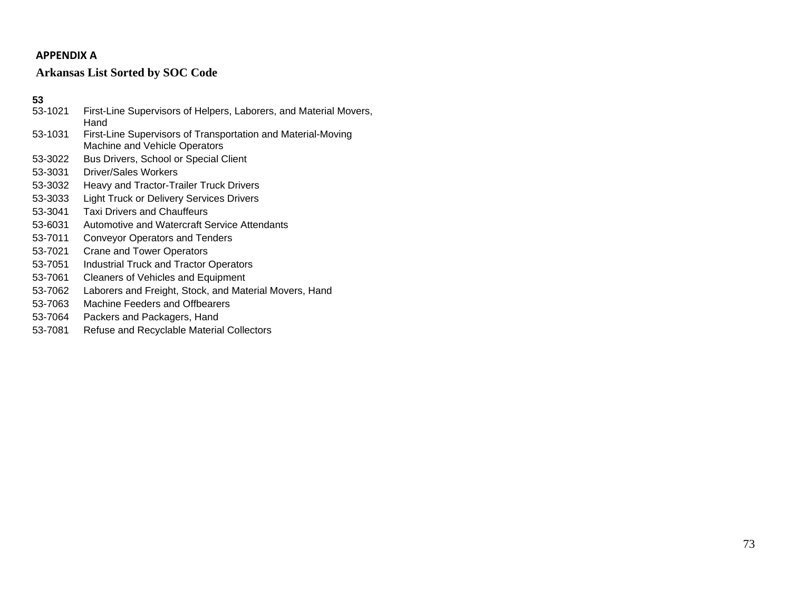# **APPENDIX A**

# **Arkansas List Sorted by SOC Code**

- 53-1021 First-Line Supervisors of Helpers, Laborers, and Material Movers, Hand 53-1031 First-Line Supervisors of Transportation and Material-Moving
- Machine and Vehicle Operators
- 53-3022 Bus Drivers, School or Special Client
- 53-3031 Driver/Sales Workers
- 53-3032 Heavy and Tractor-Trailer Truck Drivers
- 53-3033 Light Truck or Delivery Services Drivers
- 53-3041 Taxi Drivers and Chauffeurs
- 53-6031 Automotive and Watercraft Service Attendants
- 53-7011 Conveyor Operators and Tenders
- 53-7021 Crane and Tower Operators
- 53-7051 Industrial Truck and Tractor Operators
- 53-7061 Cleaners of Vehicles and Equipment
- 53-7062 Laborers and Freight, Stock, and Material Movers, Hand
- 53-7063 Machine Feeders and Offbearers
- 53-7064 Packers and Packagers, Hand
- 53-7081 Refuse and Recyclable Material Collectors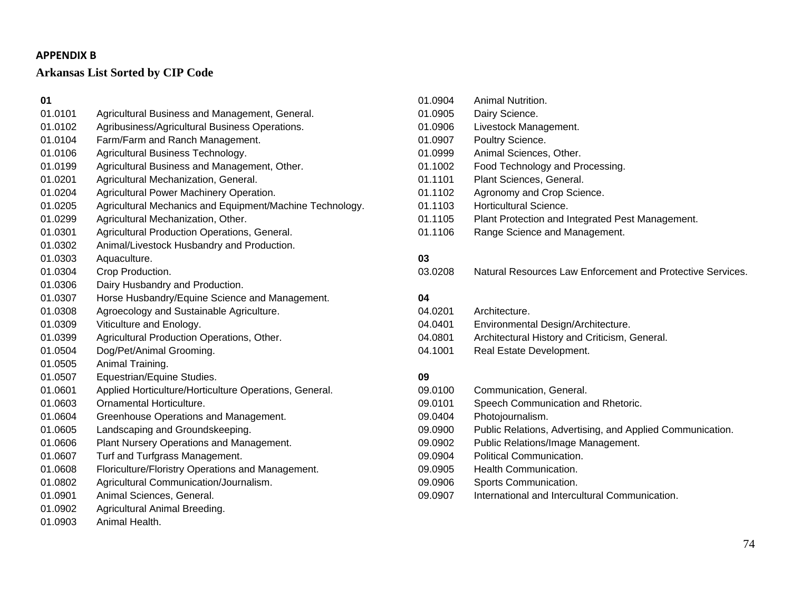# **Arkansas List Sorted by CIP Code**

**01** 01.0101 Agricultural Business and Management, General. 01.0102 Agribusiness/Agricultural Business Operations. 01.0104 Farm/Farm and Ranch Management. 01.0106 Agricultural Business Technology. 01.0199 Agricultural Business and Management, Other. 01.0201 Agricultural Mechanization, General. 01.0204 Agricultural Power Machinery Operation. 01.0205 Agricultural Mechanics and Equipment/Machine Technology. 01.0299 Agricultural Mechanization, Other. 01.0301 Agricultural Production Operations, General. 01.0302 Animal/Livestock Husbandry and Production. 01.0303 Aquaculture. 01.0304 Crop Production. 01.0306 Dairy Husbandry and Production. 01.0307 Horse Husbandry/Equine Science and Management. 01.0308 Agroecology and Sustainable Agriculture. 01.0309 Viticulture and Enology. 01.0399 Agricultural Production Operations, Other. 01.0504 Dog/Pet/Animal Grooming. 01.0505 Animal Training. 01.0507 Equestrian/Equine Studies. 01.0601 Applied Horticulture/Horticulture Operations, General. 01.0603 Ornamental Horticulture. 01.0604 Greenhouse Operations and Management. 01.0605 Landscaping and Groundskeeping. 01.0606 Plant Nursery Operations and Management. 01.0607 Turf and Turfgrass Management. 01.0608 Floriculture/Floristry Operations and Management. 01.0802 Agricultural Communication/Journalism. 01.0901 Animal Sciences, General. 01.0902 Agricultural Animal Breeding. 01.0903 Animal Health.

| 01.0904 | Animal Nutrition.                                |
|---------|--------------------------------------------------|
| 01.0905 | Dairy Science.                                   |
| 01.0906 | Livestock Management.                            |
| 01.0907 | Poultry Science.                                 |
| 01.0999 | Animal Sciences, Other.                          |
| 01.1002 | Food Technology and Processing.                  |
| 01.1101 | Plant Sciences, General.                         |
| 01.1102 | Agronomy and Crop Science.                       |
| 01.1103 | Horticultural Science.                           |
| 01.1105 | Plant Protection and Integrated Pest Management. |
| 01.1106 | Range Science and Management.                    |

# **03**

03.0208 Natural Resources Law Enforcement and Protective Services.

# **04**

| 04.0201 | Architecture.                                 |
|---------|-----------------------------------------------|
| 04.0401 | Environmental Design/Architecture.            |
| 04.0801 | Architectural History and Criticism, General. |
| 04.1001 | Real Estate Development.                      |
|         |                                               |

| 09.0100 | Communication, General.                                   |
|---------|-----------------------------------------------------------|
| 09.0101 | Speech Communication and Rhetoric.                        |
| 09.0404 | Photojournalism.                                          |
| 09.0900 | Public Relations, Advertising, and Applied Communication. |
| 09.0902 | Public Relations/Image Management.                        |
| 09.0904 | Political Communication.                                  |
| 09.0905 | Health Communication.                                     |
| 09.0906 | Sports Communication.                                     |
| 09.0907 | International and Intercultural Communication.            |
|         |                                                           |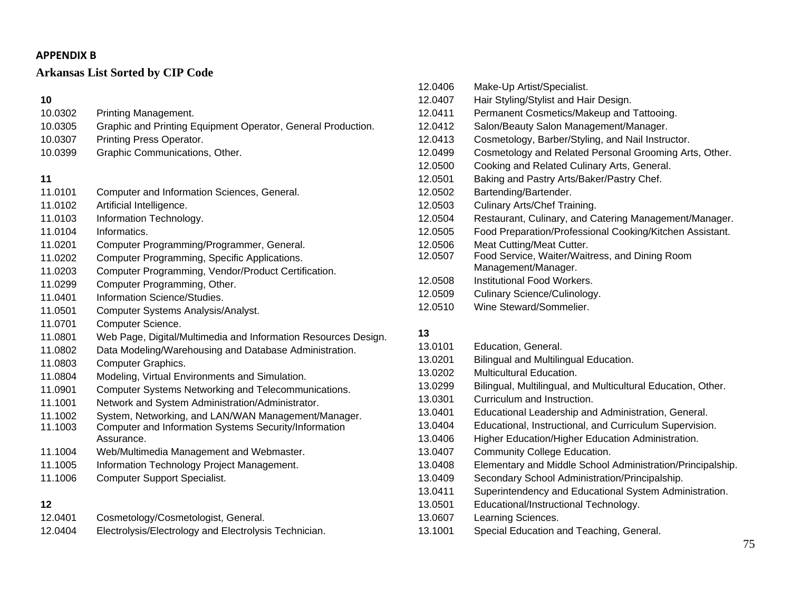# **Arkansas List Sorted by CIP Code**

# **10**

| 10.0302 | Printing Management.                                         |
|---------|--------------------------------------------------------------|
| 10.0305 | Graphic and Printing Equipment Operator, General Production. |
| 10.0307 | Printing Press Operator.                                     |
| 10.0399 | Graphic Communications, Other.                               |

# **11**

- 11.0102 Artificial Intelligence.
- 11.0103 Information Technology.
- 11.0104 Informatics.
- 11.0201 Computer Programming/Programmer, General.
- 11.0202 Computer Programming, Specific Applications.
- 11.0203 Computer Programming, Vendor/Product Certification.
- 11.0299 Computer Programming, Other.
- 11.0401 Information Science/Studies.
- 11.0501 Computer Systems Analysis/Analyst.
- 11.0701 Computer Science.
- 11.0801 Web Page, Digital/Multimedia and Information Resources Design.
- 11.0802 Data Modeling/Warehousing and Database Administration.
- 11.0803 Computer Graphics.
- 11.0804 Modeling, Virtual Environments and Simulation.
- 11.0901 Computer Systems Networking and Telecommunications.
- 11.1001 Network and System Administration/Administrator.
- 11.1002 System, Networking, and LAN/WAN Management/Manager.
- 11.1003 Computer and Information Systems Security/Information Assurance.
- 11.1004 Web/Multimedia Management and Webmaster.
- 11.1005 Information Technology Project Management.
- 11.1006 Computer Support Specialist.

# **12**

- 12.0401 Cosmetology/Cosmetologist, General.
- 12.0404 Electrolysis/Electrology and Electrolysis Technician.

| 12.0406 | Make-Up Artist/Specialist.                               |
|---------|----------------------------------------------------------|
| 12.0407 | Hair Styling/Stylist and Hair Design.                    |
| 12.0411 | Permanent Cosmetics/Makeup and Tattooing.                |
| 12.0412 | Salon/Beauty Salon Management/Manager.                   |
| 12.0413 | Cosmetology, Barber/Styling, and Nail Instructor.        |
| 12.0499 | Cosmetology and Related Personal Grooming Arts, Other.   |
| 12.0500 | Cooking and Related Culinary Arts, General.              |
| 12.0501 | Baking and Pastry Arts/Baker/Pastry Chef.                |
| 12.0502 | Bartending/Bartender.                                    |
| 12.0503 | Culinary Arts/Chef Training.                             |
| 12.0504 | Restaurant, Culinary, and Catering Management/Manager.   |
| 12.0505 | Food Preparation/Professional Cooking/Kitchen Assistant. |
| 12.0506 | Meat Cutting/Meat Cutter.                                |
| 12.0507 | Food Service, Waiter/Waitress, and Dining Room           |
|         | Management/Manager.                                      |
| 12.0508 | Institutional Food Workers.                              |
| 12.0509 | Culinary Science/Culinology.                             |
| 12.0510 | Wine Steward/Sommelier.                                  |

- 13.0101 Education, General.
- 13.0201 Bilingual and Multilingual Education.
- 13.0202 Multicultural Education.
- 13.0299 Bilingual, Multilingual, and Multicultural Education, Other.
- 13.0301 Curriculum and Instruction.
- 13.0401 Educational Leadership and Administration, General.
- 13.0404 Educational, Instructional, and Curriculum Supervision.
- 13.0406 Higher Education/Higher Education Administration.
- 13.0407 Community College Education.
- 13.0408 Elementary and Middle School Administration/Principalship.
- 13.0409 Secondary School Administration/Principalship.
- 13.0411 Superintendency and Educational System Administration.
- 13.0501 Educational/Instructional Technology.
- 13.0607 Learning Sciences.
- 13.1001 Special Education and Teaching, General.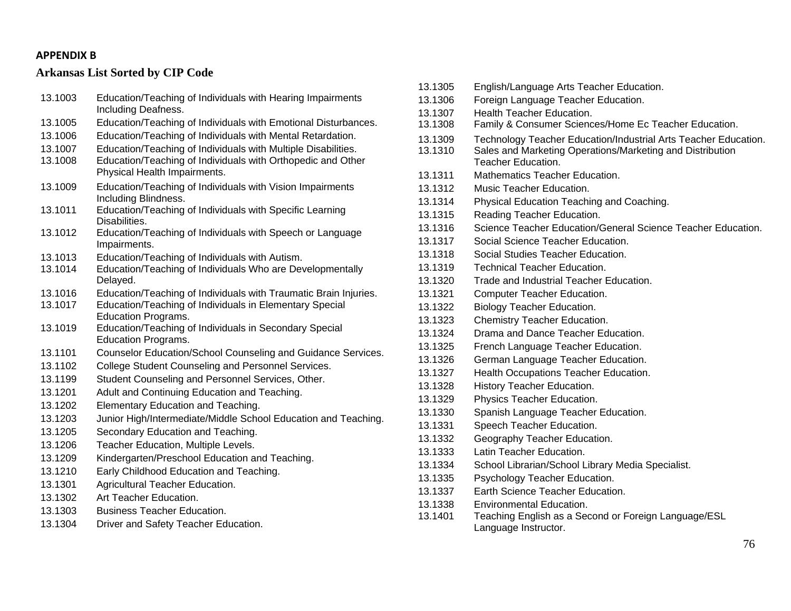# **Arkansas List Sorted by CIP Code**

| 13.1003 | Education/Teaching of Individuals with Hearing Impairments<br>Including Deafness.           |
|---------|---------------------------------------------------------------------------------------------|
| 13.1005 | Education/Teaching of Individuals with Emotional Disturbances.                              |
| 13.1006 | Education/Teaching of Individuals with Mental Retardation.                                  |
| 13.1007 | Education/Teaching of Individuals with Multiple Disabilities.                               |
| 13.1008 | Education/Teaching of Individuals with Orthopedic and Other<br>Physical Health Impairments. |
| 13.1009 | Education/Teaching of Individuals with Vision Impairments<br>Including Blindness.           |
| 13.1011 | Education/Teaching of Individuals with Specific Learning<br>Disabilities.                   |
| 13.1012 | Education/Teaching of Individuals with Speech or Language<br>Impairments.                   |
| 13.1013 | Education/Teaching of Individuals with Autism.                                              |
| 13.1014 | Education/Teaching of Individuals Who are Developmentally<br>Delayed.                       |
| 13.1016 | Education/Teaching of Individuals with Traumatic Brain Injuries.                            |
| 13.1017 | Education/Teaching of Individuals in Elementary Special<br><b>Education Programs.</b>       |
| 13.1019 | Education/Teaching of Individuals in Secondary Special<br><b>Education Programs.</b>        |
| 13.1101 | Counselor Education/School Counseling and Guidance Services.                                |
| 13.1102 | College Student Counseling and Personnel Services.                                          |
| 13.1199 | Student Counseling and Personnel Services, Other.                                           |
| 13.1201 | Adult and Continuing Education and Teaching.                                                |
| 13.1202 | Elementary Education and Teaching.                                                          |
| 13.1203 | Junior High/Intermediate/Middle School Education and Teaching.                              |
| 13.1205 | Secondary Education and Teaching.                                                           |
| 13.1206 | Teacher Education, Multiple Levels.                                                         |
| 13.1209 | Kindergarten/Preschool Education and Teaching.                                              |
| 13.1210 | Early Childhood Education and Teaching.                                                     |
| 13.1301 | Agricultural Teacher Education.                                                             |
| 13.1302 | Art Teacher Education.                                                                      |
| 13.1303 | <b>Business Teacher Education.</b>                                                          |
| 13.1304 | Driver and Safety Teacher Education.                                                        |

13.1305 English/Language Arts Teacher Education. 13.1306 Foreign Language Teacher Education. 13.1307 Health Teacher Education. 13.1308 Family & Consumer Sciences/Home Ec Teacher Education. 13.1309 Technology Teacher Education/Industrial Arts Teacher Education. 13.1310 Sales and Marketing Operations/Marketing and Distribution Teacher Education. 13.1311 Mathematics Teacher Education. 13.1312 Music Teacher Education. 13.1314 Physical Education Teaching and Coaching. 13.1315 Reading Teacher Education. 13.1316 Science Teacher Education/General Science Teacher Education. 13.1317 Social Science Teacher Education. 13.1318 Social Studies Teacher Education. 13.1319 Technical Teacher Education. 13.1320 Trade and Industrial Teacher Education. 13.1321 Computer Teacher Education. 13.1322 Biology Teacher Education. 13.1323 Chemistry Teacher Education. 13.1324 Drama and Dance Teacher Education. 13.1325 French Language Teacher Education. 13.1326 German Language Teacher Education. 13.1327 Health Occupations Teacher Education. 13.1328 History Teacher Education. 13.1329 Physics Teacher Education. 13.1330 Spanish Language Teacher Education. 13.1331 Speech Teacher Education. 13.1332 Geography Teacher Education. 13.1333 Latin Teacher Education. 13.1334 School Librarian/School Library Media Specialist. 13.1335 Psychology Teacher Education. 13.1337 Earth Science Teacher Education. 13.1338 Environmental Education. 13.1401 Teaching English as a Second or Foreign Language/ESL Language Instructor.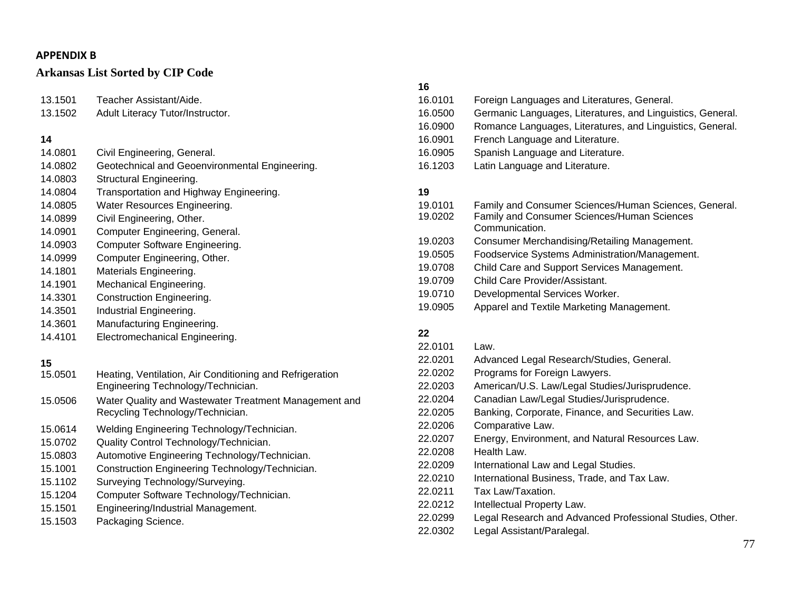# **Arkansas List Sorted by CIP Code**

| 13.1501                                                                         | Teacher Assistant/Aide.                                                                                                                                                                                                                            |
|---------------------------------------------------------------------------------|----------------------------------------------------------------------------------------------------------------------------------------------------------------------------------------------------------------------------------------------------|
| 13.1502                                                                         | Adult Literacy Tutor/Instructor.                                                                                                                                                                                                                   |
| 14<br>14.0801<br>14.0802<br>14.0803<br>14.0804<br>14.0805<br>14.0899<br>14.0901 | Civil Engineering, General.<br>Geotechnical and Geoenvironmental Engineering.<br>Structural Engineering.<br>Transportation and Highway Engineering.<br>Water Resources Engineering.<br>Civil Engineering, Other.<br>Computer Engineering, General. |
| 14.0903                                                                         | Computer Software Engineering.                                                                                                                                                                                                                     |
| 14.0999                                                                         | Computer Engineering, Other.                                                                                                                                                                                                                       |
| 14.1801                                                                         | Materials Engineering.                                                                                                                                                                                                                             |
| 14.1901                                                                         | Mechanical Engineering.                                                                                                                                                                                                                            |
| 14.3301                                                                         | <b>Construction Engineering.</b>                                                                                                                                                                                                                   |
| 14.3501                                                                         | Industrial Engineering.                                                                                                                                                                                                                            |
| 14.3601                                                                         | Manufacturing Engineering.                                                                                                                                                                                                                         |
| 14.4101                                                                         | Electromechanical Engineering.                                                                                                                                                                                                                     |
| 15<br>15.0501<br>15.0506                                                        | Heating, Ventilation, Air Conditioning and Refrigeration<br>Engineering Technology/Technician.<br>Water Quality and Wastewater Treatment Management and<br>Recycling Technology/Technician.                                                        |
| 15.0614                                                                         | Welding Engineering Technology/Technician.                                                                                                                                                                                                         |
| 15.0702                                                                         | Quality Control Technology/Technician.                                                                                                                                                                                                             |
| 15.0803                                                                         | Automotive Engineering Technology/Technician.                                                                                                                                                                                                      |
| 15.1001                                                                         | Construction Engineering Technology/Technician.                                                                                                                                                                                                    |
| 15.1102                                                                         | Surveying Technology/Surveying.                                                                                                                                                                                                                    |
| 15.1204                                                                         | Computer Software Technology/Technician.                                                                                                                                                                                                           |
| 15.1501                                                                         | Engineering/Industrial Management.                                                                                                                                                                                                                 |
| 15.1503                                                                         | Packaging Science.                                                                                                                                                                                                                                 |

# **16**

| 1 U     |                                                            |
|---------|------------------------------------------------------------|
| 16.0101 | Foreign Languages and Literatures, General.                |
| 16.0500 | Germanic Languages, Literatures, and Linguistics, General. |
| 16.0900 | Romance Languages, Literatures, and Linguistics, General.  |
| 16.0901 | French Language and Literature.                            |
| 16.0905 | Spanish Language and Literature.                           |
| 16.1203 | Latin Language and Literature.                             |
|         |                                                            |
| 19      |                                                            |

| 19.0101 | Family and Consumer Sciences/Human Sciences, General. |
|---------|-------------------------------------------------------|
| 19.0202 | Family and Consumer Sciences/Human Sciences           |
|         | Communication.                                        |
| 19.0203 | Consumer Merchandising/Retailing Management.          |
| 19.0505 | Foodservice Systems Administration/Management.        |
| 19.0708 | Child Care and Support Services Management.           |
| 19.0709 | Child Care Provider/Assistant.                        |
| 19.0710 | Developmental Services Worker.                        |
| 19.0905 | Apparel and Textile Marketing Management.             |
|         |                                                       |

| 22.0101 | Law.                                                     |
|---------|----------------------------------------------------------|
| 22.0201 | Advanced Legal Research/Studies, General.                |
| 22.0202 | Programs for Foreign Lawyers.                            |
| 22.0203 | American/U.S. Law/Legal Studies/Jurisprudence.           |
| 22.0204 | Canadian Law/Legal Studies/Jurisprudence.                |
| 22.0205 | Banking, Corporate, Finance, and Securities Law.         |
| 22.0206 | Comparative Law.                                         |
| 22.0207 | Energy, Environment, and Natural Resources Law.          |
| 22.0208 | Health Law.                                              |
| 22.0209 | International Law and Legal Studies.                     |
| 22.0210 | International Business, Trade, and Tax Law.              |
| 22.0211 | Tax Law/Taxation.                                        |
| 22.0212 | Intellectual Property Law.                               |
| 22.0299 | Legal Research and Advanced Professional Studies, Other. |
| 22.0302 | Legal Assistant/Paralegal.                               |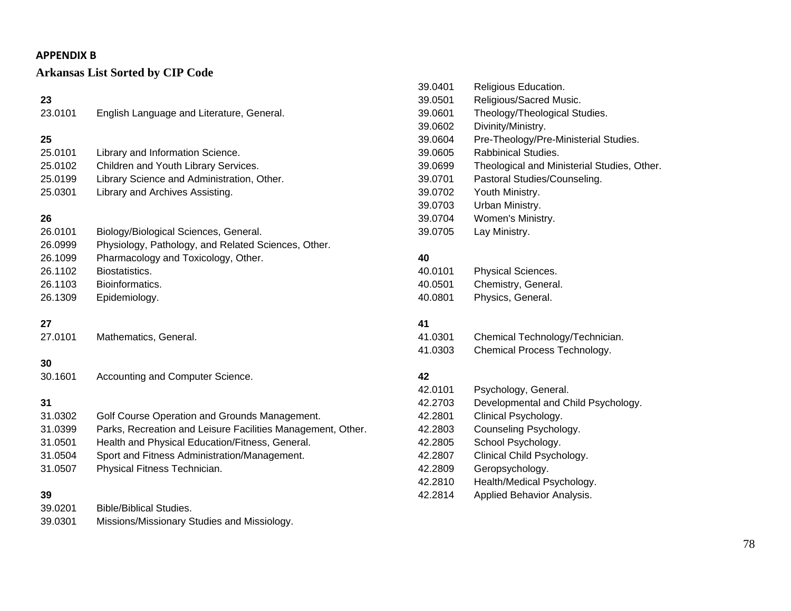# **Arkansas List Sorted by CIP Code**

| 23<br>23.0101                                                        | English Language and Literature, General.                                                                                                                                                                                                       |
|----------------------------------------------------------------------|-------------------------------------------------------------------------------------------------------------------------------------------------------------------------------------------------------------------------------------------------|
| 25<br>25.0101<br>25.0102<br>25.0199<br>25.0301                       | Library and Information Science.<br>Children and Youth Library Services.<br>Library Science and Administration, Other.<br>Library and Archives Assisting.                                                                                       |
| 26<br>26.0101<br>26.0999<br>26.1099<br>26.1102<br>26.1103<br>26.1309 | Biology/Biological Sciences, General.<br>Physiology, Pathology, and Related Sciences, Other.<br>Pharmacology and Toxicology, Other.<br>Biostatistics.<br>Bioinformatics.<br>Epidemiology.                                                       |
| 27<br>27.0101                                                        | Mathematics, General.                                                                                                                                                                                                                           |
| 30<br>30.1601                                                        | Accounting and Computer Science.                                                                                                                                                                                                                |
| 31<br>31.0302<br>31.0399<br>31.0501<br>31.0504<br>31.0507            | Golf Course Operation and Grounds Management.<br>Parks, Recreation and Leisure Facilities Management, Other.<br>Health and Physical Education/Fitness, General.<br>Sport and Fitness Administration/Management.<br>Physical Fitness Technician. |
| 39<br>39.0201                                                        | <b>Bible/Biblical Studies.</b>                                                                                                                                                                                                                  |

39.0301 Missions/Missionary Studies and Missiology.

| 39.0401 | Religious Education.                        |
|---------|---------------------------------------------|
| 39.0501 | Religious/Sacred Music.                     |
| 39.0601 | Theology/Theological Studies.               |
| 39.0602 | Divinity/Ministry.                          |
| 39.0604 | Pre-Theology/Pre-Ministerial Studies.       |
| 39.0605 | Rabbinical Studies.                         |
| 39.0699 | Theological and Ministerial Studies, Other. |
| 39.0701 | Pastoral Studies/Counseling.                |
| 39.0702 | Youth Ministry.                             |
| 39.0703 | Urban Ministry.                             |
| 39.0704 | Women's Ministry.                           |
| 39.0705 | Lay Ministry.                               |
|         |                                             |

#### **40**

| 40.0101 | Physical Sciences.  |
|---------|---------------------|
| 40.0501 | Chemistry, General. |
| 40.0801 | Physics, General.   |

#### **41**

| 41.0301 | Chemical Technology/Technician. |
|---------|---------------------------------|
| 41.0303 | Chemical Process Technology.    |

| 42.0101 | Psychology, General.                |
|---------|-------------------------------------|
| 42.2703 | Developmental and Child Psychology. |
| 42.2801 | Clinical Psychology.                |
| 42.2803 | Counseling Psychology.              |
| 42.2805 | School Psychology.                  |
| 42.2807 | Clinical Child Psychology.          |
| 42.2809 | Geropsychology.                     |
| 42.2810 | Health/Medical Psychology.          |
| 42.2814 | Applied Behavior Analysis.          |
|         |                                     |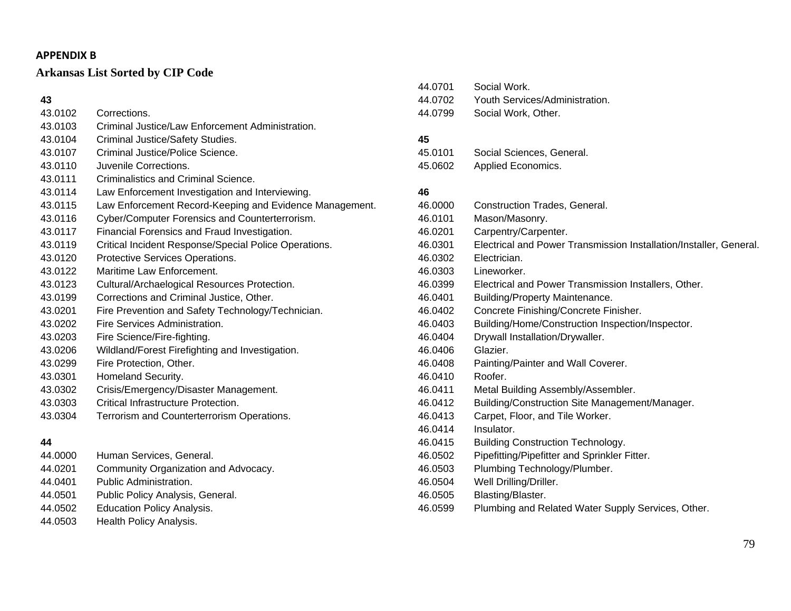# **Arkansas List Sorted by CIP Code**

# **43**

| 43.0102 | Corrections.                                            |
|---------|---------------------------------------------------------|
| 43.0103 | Criminal Justice/Law Enforcement Administration.        |
| 43.0104 | Criminal Justice/Safety Studies.                        |
| 43.0107 | Criminal Justice/Police Science.                        |
| 43.0110 | Juvenile Corrections.                                   |
| 43.0111 | Criminalistics and Criminal Science.                    |
| 43.0114 | Law Enforcement Investigation and Interviewing.         |
| 43.0115 | Law Enforcement Record-Keeping and Evidence Management. |
| 43.0116 | Cyber/Computer Forensics and Counterterrorism.          |
| 43.0117 | Financial Forensics and Fraud Investigation.            |
| 43.0119 | Critical Incident Response/Special Police Operations.   |
| 43.0120 | Protective Services Operations.                         |
| 43.0122 | Maritime Law Enforcement.                               |
| 43.0123 | Cultural/Archaelogical Resources Protection.            |
| 43.0199 | Corrections and Criminal Justice, Other.                |
| 43.0201 | Fire Prevention and Safety Technology/Technician.       |
| 43.0202 | Fire Services Administration.                           |
| 43.0203 | Fire Science/Fire-fighting.                             |
| 43.0206 | Wildland/Forest Firefighting and Investigation.         |
| 43.0299 | Fire Protection, Other.                                 |
| 43.0301 | Homeland Security.                                      |
| 43.0302 | Crisis/Emergency/Disaster Management.                   |
| 43.0303 | Critical Infrastructure Protection.                     |
| 43.0304 | Terrorism and Counterterrorism Operations.              |
| 44      |                                                         |
| 44.0000 | Human Services, General.                                |
| 44.0201 | Community Organization and Advocacy.                    |
| 44.0401 | Public Administration.                                  |

- 44.0501 Public Policy Analysis, General.
- 44.0502 Education Policy Analysis.
- 44.0503 Health Policy Analysis.

| 44.0701 | Social Work.                   |
|---------|--------------------------------|
| 44.0702 | Youth Services/Administration. |
| 44.0799 | Social Work, Other.            |

#### **45**

| 45.0101 | Social Sciences, General. |
|---------|---------------------------|
| 45.0602 | Applied Economics.        |

| 46.0000 | Construction Trades, General.                                      |
|---------|--------------------------------------------------------------------|
| 46.0101 | Mason/Masonry.                                                     |
| 46.0201 | Carpentry/Carpenter.                                               |
| 46.0301 | Electrical and Power Transmission Installation/Installer, General. |
| 46.0302 | Electrician.                                                       |
| 46.0303 | Lineworker.                                                        |
| 46.0399 | Electrical and Power Transmission Installers, Other.               |
| 46.0401 | <b>Building/Property Maintenance.</b>                              |
| 46.0402 | Concrete Finishing/Concrete Finisher.                              |
| 46.0403 | Building/Home/Construction Inspection/Inspector.                   |
| 46.0404 | Drywall Installation/Drywaller.                                    |
| 46.0406 | Glazier.                                                           |
| 46.0408 | Painting/Painter and Wall Coverer.                                 |
| 46.0410 | Roofer.                                                            |
| 46.0411 | Metal Building Assembly/Assembler.                                 |
| 46.0412 | Building/Construction Site Management/Manager.                     |
| 46.0413 | Carpet, Floor, and Tile Worker.                                    |
| 46.0414 | Insulator.                                                         |
| 46.0415 | <b>Building Construction Technology.</b>                           |
| 46.0502 | Pipefitting/Pipefitter and Sprinkler Fitter.                       |
| 46.0503 | Plumbing Technology/Plumber.                                       |
| 46.0504 | Well Drilling/Driller.                                             |
| 46.0505 | Blasting/Blaster.                                                  |
| 46.0599 | Plumbing and Related Water Supply Services, Other.                 |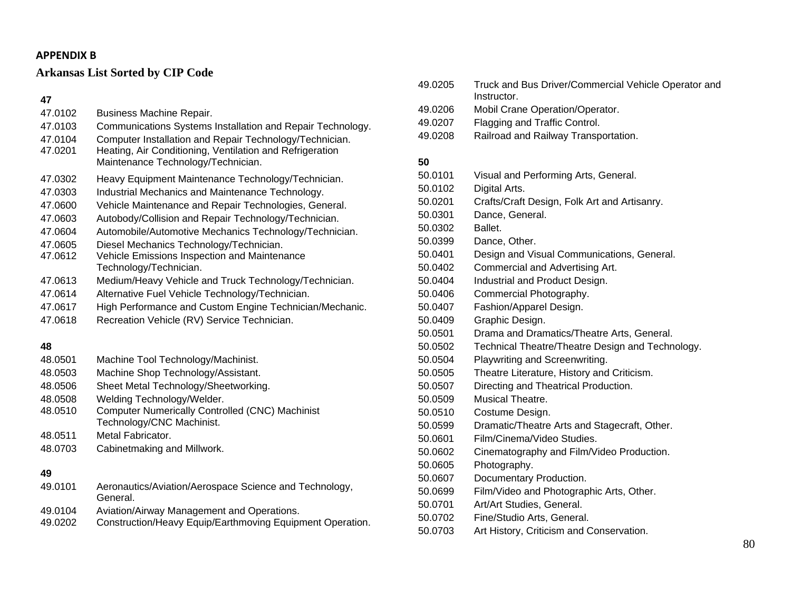# **Arkansas List Sorted by CIP Code**

### **47**

| 47.0102 | <b>Business Machine Repair.</b>                                                                 |
|---------|-------------------------------------------------------------------------------------------------|
| 47.0103 | Communications Systems Installation and Repair Technology.                                      |
| 47.0104 | Computer Installation and Repair Technology/Technician.                                         |
| 47.0201 | Heating, Air Conditioning, Ventilation and Refrigeration                                        |
|         | Maintenance Technology/Technician.                                                              |
| 47.0302 | Heavy Equipment Maintenance Technology/Technician.                                              |
| 47.0303 | Industrial Mechanics and Maintenance Technology.                                                |
| 47.0600 | Vehicle Maintenance and Repair Technologies, General.                                           |
| 47.0603 | Autobody/Collision and Repair Technology/Technician.                                            |
| 47.0604 | Automobile/Automotive Mechanics Technology/Technician.                                          |
| 47.0605 | Diesel Mechanics Technology/Technician.                                                         |
| 47.0612 | Vehicle Emissions Inspection and Maintenance                                                    |
|         | Technology/Technician.                                                                          |
| 47.0613 | Medium/Heavy Vehicle and Truck Technology/Technician.                                           |
| 47.0614 | Alternative Fuel Vehicle Technology/Technician.                                                 |
| 47.0617 | High Performance and Custom Engine Technician/Mechanic.                                         |
| 47.0618 | Recreation Vehicle (RV) Service Technician.                                                     |
|         |                                                                                                 |
| 48      |                                                                                                 |
| 48.0501 | Machine Tool Technology/Machinist.                                                              |
| 48.0503 | Machine Shop Technology/Assistant.                                                              |
| 48.0506 | Sheet Metal Technology/Sheetworking.                                                            |
| 48.0508 | Welding Technology/Welder.                                                                      |
| 48.0510 | <b>Computer Numerically Controlled (CNC) Machinist</b>                                          |
|         | Technology/CNC Machinist.<br>Metal Fabricator.                                                  |
| 48.0511 |                                                                                                 |
| 48.0703 | Cabinetmaking and Millwork.                                                                     |
| 49      |                                                                                                 |
| 49.0101 | Aeronautics/Aviation/Aerospace Science and Technology,<br>General.                              |
| 49.0104 | Aviation/Airway Management and Operations.                                                      |
|         | $\mathcal{L}$ , and the set of $\mathcal{L}$ , and $\mathcal{L}$ , and the set of $\mathcal{L}$ |

49.0202 Construction/Heavy Equip/Earthmoving Equipment Operation.

49.0205 Truck and Bus Driver/Commercial Vehicle Operator and Instructor. 49.0206 Mobil Crane Operation/Operator. 49.0207 Flagging and Traffic Control. 49.0208 Railroad and Railway Transportation.

| 50.0101 | Visual and Performing Arts, General.             |
|---------|--------------------------------------------------|
| 50.0102 | Digital Arts.                                    |
| 50.0201 | Crafts/Craft Design, Folk Art and Artisanry.     |
| 50.0301 | Dance, General.                                  |
| 50.0302 | Ballet.                                          |
| 50.0399 | Dance, Other.                                    |
| 50.0401 | Design and Visual Communications, General.       |
| 50.0402 | Commercial and Advertising Art.                  |
| 50.0404 | Industrial and Product Design.                   |
| 50.0406 | Commercial Photography.                          |
| 50.0407 | Fashion/Apparel Design.                          |
| 50.0409 | Graphic Design.                                  |
| 50.0501 | Drama and Dramatics/Theatre Arts, General.       |
| 50.0502 | Technical Theatre/Theatre Design and Technology. |
| 50.0504 | Playwriting and Screenwriting.                   |
| 50.0505 | Theatre Literature, History and Criticism.       |
| 50.0507 | Directing and Theatrical Production.             |
| 50.0509 | Musical Theatre.                                 |
| 50.0510 | Costume Design.                                  |
| 50.0599 | Dramatic/Theatre Arts and Stagecraft, Other.     |
| 50.0601 | Film/Cinema/Video Studies.                       |
| 50.0602 | Cinematography and Film/Video Production.        |
| 50.0605 | Photography.                                     |
| 50.0607 | Documentary Production.                          |
| 50.0699 | Film/Video and Photographic Arts, Other.         |
| 50.0701 | Art/Art Studies, General.                        |
| 50.0702 | Fine/Studio Arts, General.                       |
| 50.0703 | Art History, Criticism and Conservation.         |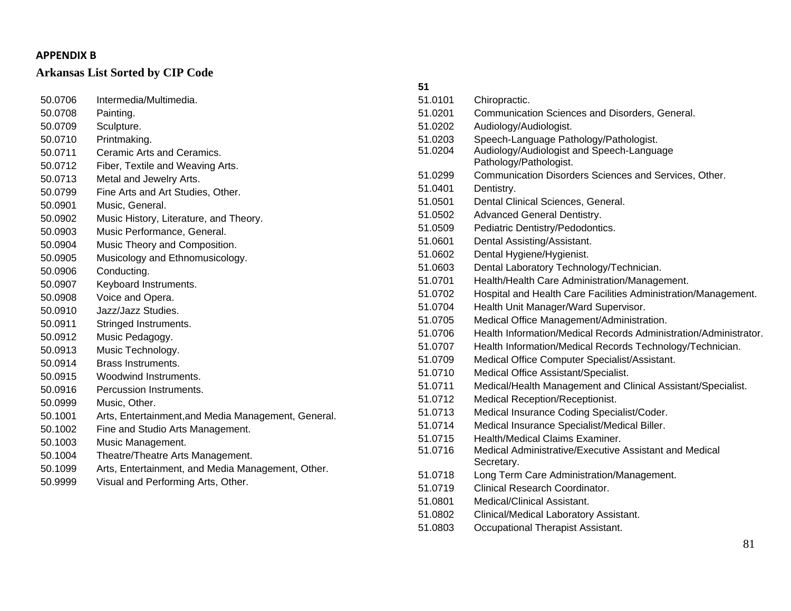|         |                                                     | 51      |                                                                  |
|---------|-----------------------------------------------------|---------|------------------------------------------------------------------|
| 50.0706 | Intermedia/Multimedia.                              | 51.0101 | Chiropractic.                                                    |
| 50.0708 | Painting.                                           | 51.0201 | Communication Sciences and Disorders, General.                   |
| 50.0709 | Sculpture.                                          | 51.0202 | Audiology/Audiologist.                                           |
| 50.0710 | Printmaking.                                        | 51.0203 | Speech-Language Pathology/Pathologist.                           |
| 50.0711 | Ceramic Arts and Ceramics.                          | 51.0204 | Audiology/Audiologist and Speech-Language                        |
| 50.0712 | Fiber, Textile and Weaving Arts.                    |         | Pathology/Pathologist.                                           |
| 50.0713 | Metal and Jewelry Arts.                             | 51.0299 | Communication Disorders Sciences and Services, Other.            |
| 50.0799 | Fine Arts and Art Studies, Other.                   | 51.0401 | Dentistry.                                                       |
| 50.0901 | Music, General.                                     | 51.0501 | Dental Clinical Sciences, General.                               |
| 50.0902 | Music History, Literature, and Theory.              | 51.0502 | Advanced General Dentistry.                                      |
| 50.0903 | Music Performance, General.                         | 51.0509 | Pediatric Dentistry/Pedodontics.                                 |
| 50.0904 | Music Theory and Composition.                       | 51.0601 | Dental Assisting/Assistant.                                      |
| 50.0905 | Musicology and Ethnomusicology.                     | 51.0602 | Dental Hygiene/Hygienist.                                        |
| 50.0906 | Conducting.                                         | 51.0603 | Dental Laboratory Technology/Technician.                         |
| 50.0907 | Keyboard Instruments.                               | 51.0701 | Health/Health Care Administration/Management.                    |
| 50.0908 | Voice and Opera.                                    | 51.0702 | Hospital and Health Care Facilities Administration/Management.   |
| 50.0910 | Jazz/Jazz Studies.                                  | 51.0704 | Health Unit Manager/Ward Supervisor.                             |
| 50.0911 | Stringed Instruments.                               | 51.0705 | Medical Office Management/Administration.                        |
| 50.0912 | Music Pedagogy.                                     | 51.0706 | Health Information/Medical Records Administration/Administrator. |
| 50.0913 | Music Technology.                                   | 51.0707 | Health Information/Medical Records Technology/Technician.        |
| 50.0914 | <b>Brass Instruments.</b>                           | 51.0709 | Medical Office Computer Specialist/Assistant.                    |
| 50.0915 | Woodwind Instruments.                               | 51.0710 | Medical Office Assistant/Specialist.                             |
| 50.0916 | Percussion Instruments.                             | 51.0711 | Medical/Health Management and Clinical Assistant/Specialist.     |
| 50.0999 | Music, Other.                                       | 51.0712 | Medical Reception/Receptionist.                                  |
| 50.1001 | Arts, Entertainment, and Media Management, General. | 51.0713 | Medical Insurance Coding Specialist/Coder.                       |
| 50.1002 | Fine and Studio Arts Management.                    | 51.0714 | Medical Insurance Specialist/Medical Biller.                     |
| 50.1003 | Music Management.                                   | 51.0715 | Health/Medical Claims Examiner.                                  |
| 50.1004 | Theatre/Theatre Arts Management.                    | 51.0716 | Medical Administrative/Executive Assistant and Medical           |
| 50.1099 | Arts, Entertainment, and Media Management, Other.   |         | Secretary.                                                       |
| 50.9999 | Visual and Performing Arts, Other.                  | 51.0718 | Long Term Care Administration/Management.                        |
|         |                                                     | 51.0719 | Clinical Research Coordinator.                                   |
|         |                                                     | 51.0801 | Medical/Clinical Assistant.                                      |

- 51.0802 Clinical/Medical Laboratory Assistant.
- 51.0803 Occupational Therapist Assistant.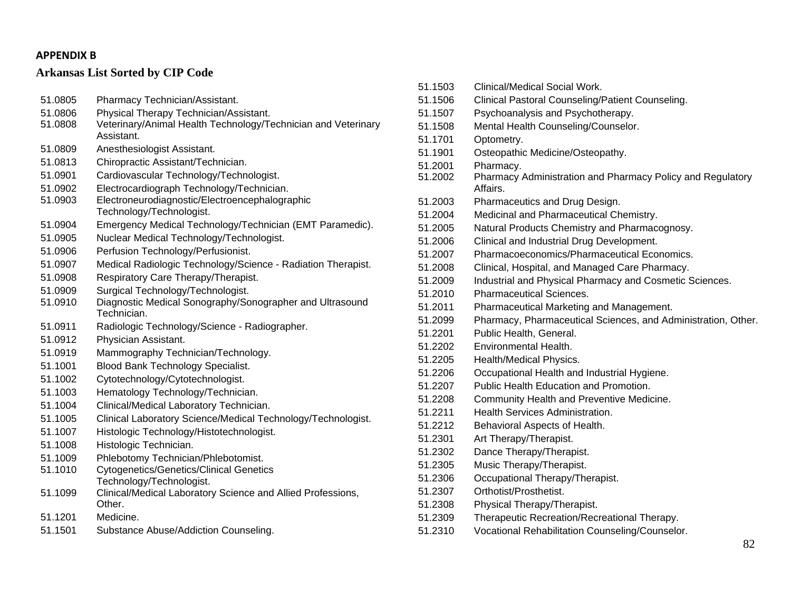| 51.0805 | Pharmacy Technician/Assistant.                                              |
|---------|-----------------------------------------------------------------------------|
| 51.0806 | Physical Therapy Technician/Assistant.                                      |
| 51.0808 | Veterinary/Animal Health Technology/Technician and Veterinary<br>Assistant. |
| 51.0809 | Anesthesiologist Assistant.                                                 |
| 51.0813 | Chiropractic Assistant/Technician.                                          |
| 51.0901 | Cardiovascular Technology/Technologist.                                     |
| 51.0902 | Electrocardiograph Technology/Technician.                                   |
| 51.0903 | Electroneurodiagnostic/Electroencephalographic                              |
|         | Technology/Technologist.                                                    |
| 51.0904 | Emergency Medical Technology/Technician (EMT Paramedic).                    |
| 51.0905 | Nuclear Medical Technology/Technologist.                                    |
| 51.0906 | Perfusion Technology/Perfusionist.                                          |
| 51.0907 | Medical Radiologic Technology/Science - Radiation Therapist.                |
| 51.0908 | Respiratory Care Therapy/Therapist.                                         |
| 51.0909 | Surgical Technology/Technologist.                                           |
| 51.0910 | Diagnostic Medical Sonography/Sonographer and Ultrasound<br>Technician.     |
| 51.0911 | Radiologic Technology/Science - Radiographer.                               |
| 51.0912 | Physician Assistant.                                                        |
| 51.0919 | Mammography Technician/Technology.                                          |
| 51.1001 | Blood Bank Technology Specialist.                                           |
| 51.1002 | Cytotechnology/Cytotechnologist.                                            |
| 51.1003 | Hematology Technology/Technician.                                           |
| 51.1004 | Clinical/Medical Laboratory Technician.                                     |
| 51.1005 | Clinical Laboratory Science/Medical Technology/Technologist.                |
| 51.1007 | Histologic Technology/Histotechnologist.                                    |
| 51.1008 | Histologic Technician.                                                      |
| 51.1009 | Phlebotomy Technician/Phlebotomist.                                         |
| 51.1010 | <b>Cytogenetics/Genetics/Clinical Genetics</b>                              |
|         | Technology/Technologist.                                                    |
| 51.1099 | Clinical/Medical Laboratory Science and Allied Professions,<br>Other.       |
| 51.1201 | Medicine.                                                                   |
| 51.1501 | Substance Abuse/Addiction Counseling.                                       |
|         |                                                                             |

| 51.1503 | Clinical/Medical Social Work.                                          |
|---------|------------------------------------------------------------------------|
| 51.1506 | Clinical Pastoral Counseling/Patient Counseling.                       |
| 51.1507 | Psychoanalysis and Psychotherapy.                                      |
| 51.1508 | Mental Health Counseling/Counselor.                                    |
| 51.1701 | Optometry.                                                             |
| 51.1901 | Osteopathic Medicine/Osteopathy.                                       |
| 51.2001 | Pharmacy.                                                              |
| 51.2002 | Pharmacy Administration and Pharmacy Policy and Regulatory<br>Affairs. |
| 51.2003 | Pharmaceutics and Drug Design.                                         |
| 51.2004 | Medicinal and Pharmaceutical Chemistry.                                |
| 51.2005 | Natural Products Chemistry and Pharmacognosy.                          |
| 51.2006 | Clinical and Industrial Drug Development.                              |
| 51.2007 | Pharmacoeconomics/Pharmaceutical Economics.                            |
| 51.2008 | Clinical, Hospital, and Managed Care Pharmacy.                         |
| 51.2009 | Industrial and Physical Pharmacy and Cosmetic Sciences.                |
| 51.2010 | <b>Pharmaceutical Sciences.</b>                                        |
| 51.2011 | Pharmaceutical Marketing and Management.                               |
| 51.2099 | Pharmacy, Pharmaceutical Sciences, and Administration, Other.          |
| 51.2201 | Public Health, General.                                                |
| 51.2202 | Environmental Health.                                                  |
| 51.2205 | Health/Medical Physics.                                                |
| 51.2206 | Occupational Health and Industrial Hygiene.                            |
| 51.2207 | <b>Public Health Education and Promotion.</b>                          |
| 51.2208 | Community Health and Preventive Medicine.                              |
| 51.2211 | Health Services Administration.                                        |
| 51.2212 | Behavioral Aspects of Health.                                          |
| 51.2301 | Art Therapy/Therapist.                                                 |
| 51.2302 | Dance Therapy/Therapist.                                               |
| 51.2305 | Music Therapy/Therapist.                                               |
| 51.2306 | Occupational Therapy/Therapist.                                        |
| 51.2307 | Orthotist/Prosthetist.                                                 |
| 51.2308 | Physical Therapy/Therapist.                                            |
| 51.2309 | Therapeutic Recreation/Recreational Therapy.                           |
| 51.2310 | Vocational Rehabilitation Counseling/Counselor.                        |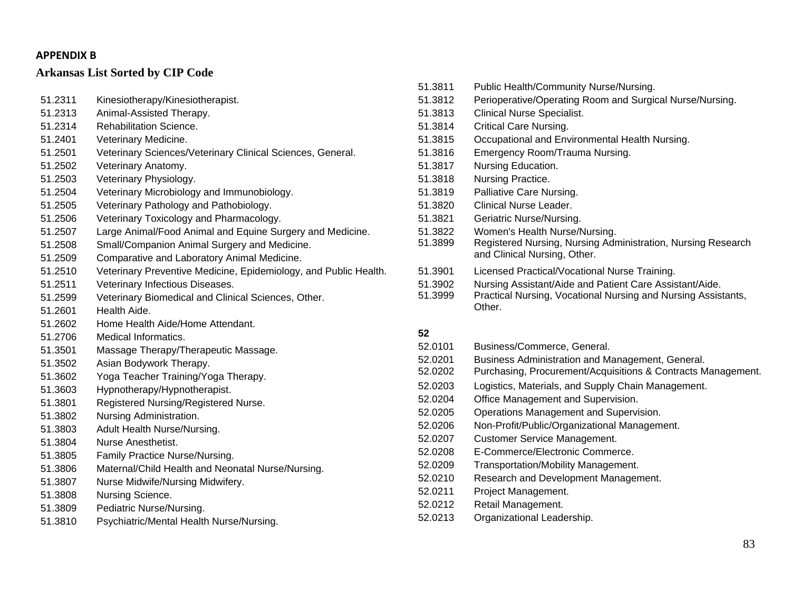| 51.2311 | Kinesiotherapy/Kinesiotherapist.                                 | Ę |
|---------|------------------------------------------------------------------|---|
| 51.2313 | Animal-Assisted Therapy.                                         | Ę |
| 51.2314 | <b>Rehabilitation Science.</b>                                   | ć |
| 51.2401 | Veterinary Medicine.                                             | Ę |
| 51.2501 | Veterinary Sciences/Veterinary Clinical Sciences, General.       | Ę |
| 51.2502 | Veterinary Anatomy.                                              | Ę |
| 51.2503 | Veterinary Physiology.                                           | Ę |
| 51.2504 | Veterinary Microbiology and Immunobiology.                       | ć |
| 51.2505 | Veterinary Pathology and Pathobiology.                           | ć |
| 51.2506 | Veterinary Toxicology and Pharmacology.                          | Ę |
| 51.2507 | Large Animal/Food Animal and Equine Surgery and Medicine.        |   |
| 51.2508 | Small/Companion Animal Surgery and Medicine.                     | Ę |
| 51.2509 | Comparative and Laboratory Animal Medicine.                      |   |
| 51.2510 | Veterinary Preventive Medicine, Epidemiology, and Public Health. | Ę |
| 51.2511 | Veterinary Infectious Diseases.                                  |   |
| 51.2599 | Veterinary Biomedical and Clinical Sciences, Other.              | Ę |
| 51.2601 | Health Aide.                                                     |   |
| 51.2602 | Home Health Aide/Home Attendant.                                 |   |
| 51.2706 | Medical Informatics.                                             | ŧ |
| 51.3501 | Massage Therapy/Therapeutic Massage.                             | Ę |
| 51.3502 | Asian Bodywork Therapy.                                          | ć |
| 51.3602 | Yoga Teacher Training/Yoga Therapy.                              | E |
| 51.3603 | Hypnotherapy/Hypnotherapist.                                     | Ę |
| 51.3801 | Registered Nursing/Registered Nurse.                             | Ę |
| 51.3802 | Nursing Administration.                                          | ć |
| 51.3803 | Adult Health Nurse/Nursing.                                      | Ŝ |
| 51.3804 | Nurse Anesthetist.                                               | Ę |
| 51.3805 | Family Practice Nurse/Nursing.                                   | Ę |
| 51.3806 | Maternal/Child Health and Neonatal Nurse/Nursing.                | ć |
| 51.3807 | Nurse Midwife/Nursing Midwifery.                                 | Ę |
| 51.3808 | Nursing Science.                                                 | ć |
| 51.3809 | Pediatric Nurse/Nursing.                                         | ć |
| 51.3810 | Psychiatric/Mental Health Nurse/Nursing.                         | Ę |

| 51.3811 | Public Health/Community Nurse/Nursing.                                                       |
|---------|----------------------------------------------------------------------------------------------|
| 51.3812 | Perioperative/Operating Room and Surgical Nurse/Nursing.                                     |
| 51.3813 | <b>Clinical Nurse Specialist.</b>                                                            |
| 51.3814 | <b>Critical Care Nursing.</b>                                                                |
| 51.3815 | Occupational and Environmental Health Nursing.                                               |
| 51.3816 | Emergency Room/Trauma Nursing.                                                               |
| 51.3817 | Nursing Education.                                                                           |
| 51.3818 | Nursing Practice.                                                                            |
| 51.3819 | Palliative Care Nursing.                                                                     |
| 51.3820 | Clinical Nurse Leader.                                                                       |
| 51.3821 | Geriatric Nurse/Nursing.                                                                     |
| 51.3822 | Women's Health Nurse/Nursing.                                                                |
| 51.3899 | Registered Nursing, Nursing Administration, Nursing Research<br>and Clinical Nursing, Other. |
| 51.3901 | Licensed Practical/Vocational Nurse Training.                                                |
| 51.3902 | Nursing Assistant/Aide and Patient Care Assistant/Aide.                                      |
| 51.3999 | Practical Nursing, Vocational Nursing and Nursing Assistants,                                |
|         | Other.                                                                                       |
| 52      |                                                                                              |
| 52.0101 | Business/Commerce, General.                                                                  |
| 52.0201 | Business Administration and Management, General.                                             |
| 52.0202 | Purchasing, Procurement/Acquisitions & Contracts Management.                                 |
| 52.0203 | Logistics, Materials, and Supply Chain Management.                                           |
| 52.0204 | Office Management and Supervision.                                                           |
| 52.0205 | Operations Management and Supervision.                                                       |
| 52.0206 | Non-Profit/Public/Organizational Management.                                                 |
| 52.0207 | <b>Customer Service Management.</b>                                                          |
| 52.0208 | E-Commerce/Electronic Commerce.                                                              |

- 52.0209 Transportation/Mobility Management.
- 52.0210 Research and Development Management.
- 52.0211 Project Management.
- 52.0212 Retail Management.
- 52.0213 Organizational Leadership.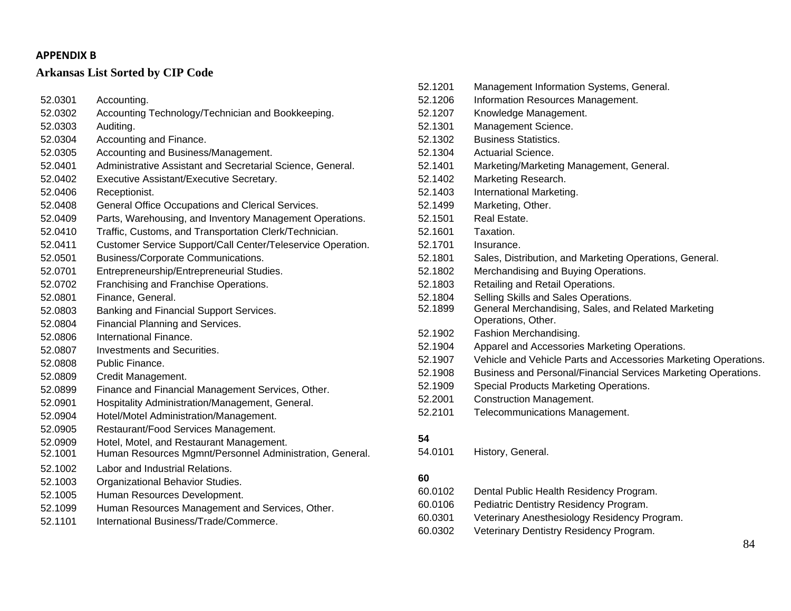# **Arkansas List Sorted by CIP Code**

| 52.0301 | Accounting.                                                 |
|---------|-------------------------------------------------------------|
| 52.0302 | Accounting Technology/Technician and Bookkeeping.           |
| 52.0303 | Auditing.                                                   |
| 52.0304 | Accounting and Finance.                                     |
| 52.0305 | Accounting and Business/Management.                         |
| 52.0401 | Administrative Assistant and Secretarial Science, General.  |
| 52.0402 | Executive Assistant/Executive Secretary.                    |
| 52.0406 | Receptionist.                                               |
| 52.0408 | General Office Occupations and Clerical Services.           |
| 52.0409 | Parts, Warehousing, and Inventory Management Operations.    |
| 52.0410 | Traffic, Customs, and Transportation Clerk/Technician.      |
| 52.0411 | Customer Service Support/Call Center/Teleservice Operation. |
| 52.0501 | Business/Corporate Communications.                          |
| 52.0701 | Entrepreneurship/Entrepreneurial Studies.                   |
| 52.0702 | Franchising and Franchise Operations.                       |
| 52.0801 | Finance, General.                                           |
| 52.0803 | Banking and Financial Support Services.                     |
| 52.0804 | Financial Planning and Services.                            |
| 52.0806 | International Finance.                                      |
| 52.0807 | Investments and Securities.                                 |
| 52.0808 | Public Finance.                                             |
| 52.0809 | Credit Management.                                          |
| 52.0899 | Finance and Financial Management Services, Other.           |
| 52.0901 | Hospitality Administration/Management, General.             |
| 52.0904 | Hotel/Motel Administration/Management.                      |
| 52.0905 | Restaurant/Food Services Management.                        |
| 52.0909 | Hotel, Motel, and Restaurant Management.                    |
| 52.1001 | Human Resources Mgmnt/Personnel Administration, General.    |
| 52.1002 | Labor and Industrial Relations.                             |
| 52.1003 | Organizational Behavior Studies.                            |
| 52.1005 | Human Resources Development.                                |
| 52.1099 | Human Resources Management and Services, Other.             |
| 52.1101 | International Business/Trade/Commerce.                      |

| 52.1201 | Management Information Systems, General.                                  |
|---------|---------------------------------------------------------------------------|
| 52.1206 | Information Resources Management.                                         |
| 52.1207 | Knowledge Management.                                                     |
| 52.1301 | Management Science.                                                       |
| 52.1302 | <b>Business Statistics.</b>                                               |
| 52.1304 | Actuarial Science.                                                        |
| 52.1401 | Marketing/Marketing Management, General.                                  |
| 52.1402 | Marketing Research.                                                       |
| 52.1403 | International Marketing.                                                  |
| 52.1499 | Marketing, Other.                                                         |
| 52.1501 | Real Estate.                                                              |
| 52.1601 | Taxation.                                                                 |
| 52.1701 | Insurance.                                                                |
| 52.1801 | Sales, Distribution, and Marketing Operations, General.                   |
| 52.1802 | Merchandising and Buying Operations.                                      |
| 52.1803 | Retailing and Retail Operations.                                          |
| 52.1804 | Selling Skills and Sales Operations.                                      |
| 52.1899 | General Merchandising, Sales, and Related Marketing<br>Operations, Other. |
| 52.1902 | Fashion Merchandising.                                                    |
| 52.1904 | Apparel and Accessories Marketing Operations.                             |
| 52.1907 | Vehicle and Vehicle Parts and Accessories Marketing Operations.           |
| 52.1908 | Business and Personal/Financial Services Marketing Operations.            |
| 52.1909 | Special Products Marketing Operations.                                    |
| 52.2001 | Construction Management.                                                  |
| 52.2101 | Telecommunications Management.                                            |
| 54      |                                                                           |
| 54.0101 | History, General.                                                         |
|         |                                                                           |

| 60.0102 | Dental Public Health Residency Program.      |
|---------|----------------------------------------------|
| 60.0106 | Pediatric Dentistry Residency Program.       |
| 60.0301 | Veterinary Anesthesiology Residency Program. |
| 60.0302 | Veterinary Dentistry Residency Program.      |
|         |                                              |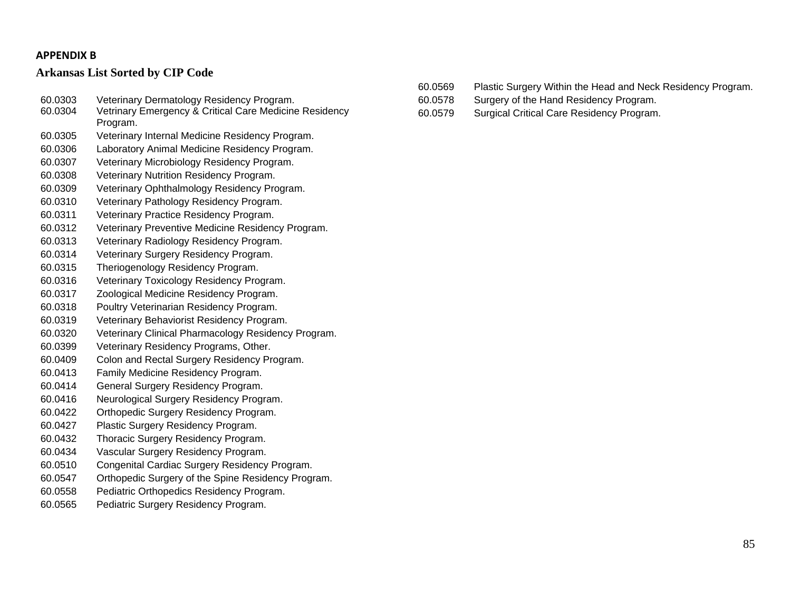- 60.0303 Veterinary Dermatology Residency Program.
- Vetrinary Emergency & Critical Care Medicine Residency Program.
- 60.0305 Veterinary Internal Medicine Residency Program.
- 60.0306 Laboratory Animal Medicine Residency Program.
- 60.0307 Veterinary Microbiology Residency Program.
- 60.0308 Veterinary Nutrition Residency Program.
- 60.0309 Veterinary Ophthalmology Residency Program.
- 60.0310 Veterinary Pathology Residency Program.
- 60.0311 Veterinary Practice Residency Program.
- 60.0312 Veterinary Preventive Medicine Residency Program.
- 60.0313 Veterinary Radiology Residency Program.
- 60.0314 Veterinary Surgery Residency Program.
- 60.0315 Theriogenology Residency Program.
- 60.0316 Veterinary Toxicology Residency Program.
- 60.0317 Zoological Medicine Residency Program.
- 60.0318 Poultry Veterinarian Residency Program.
- 60.0319 Veterinary Behaviorist Residency Program.
- 60.0320 Veterinary Clinical Pharmacology Residency Program.
- 60.0399 Veterinary Residency Programs, Other.
- 60.0409 Colon and Rectal Surgery Residency Program.
- 60.0413 Family Medicine Residency Program.
- 60.0414 General Surgery Residency Program.
- 60.0416 Neurological Surgery Residency Program.
- 60.0422 Orthopedic Surgery Residency Program.
- 60.0427 Plastic Surgery Residency Program.
- 60.0432 Thoracic Surgery Residency Program.
- 60.0434 Vascular Surgery Residency Program.
- 60.0510 Congenital Cardiac Surgery Residency Program.
- 60.0547 Orthopedic Surgery of the Spine Residency Program.
- 60.0558 Pediatric Orthopedics Residency Program.
- 60.0565 Pediatric Surgery Residency Program.
- 60.0569 Plastic Surgery Within the Head and Neck Residency Program.
- 60.0578 Surgery of the Hand Residency Program.
- 60.0579 Surgical Critical Care Residency Program.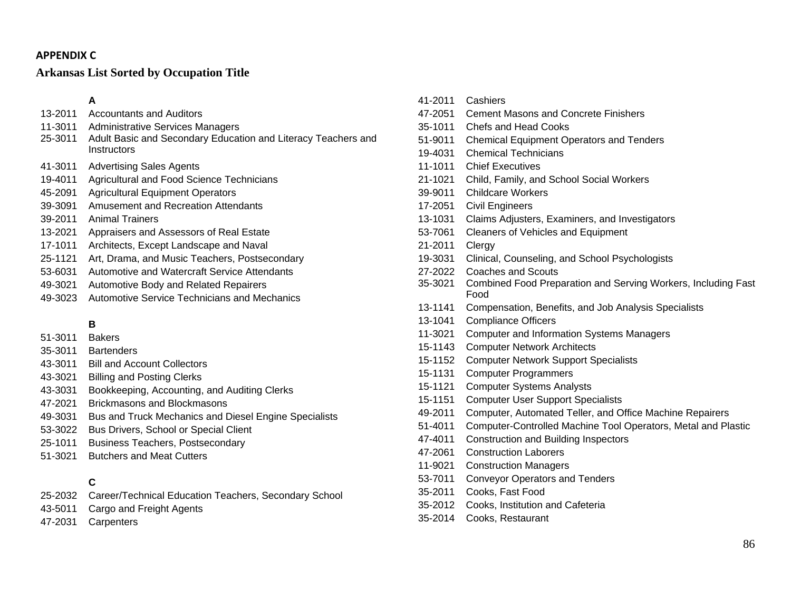#### **APPENDIX C**

# **Arkansas List Sorted by Occupation Title**

# **A**

- 13-2011 Accountants and Auditors
- 11-3011 Administrative Services Managers
- 25-3011 Adult Basic and Secondary Education and Literacy Teachers and **Instructors**
- 41-3011 Advertising Sales Agents
- 19-4011 Agricultural and Food Science Technicians
- 45-2091 Agricultural Equipment Operators
- 39-3091 Amusement and Recreation Attendants
- 39-2011 Animal Trainers
- 13-2021 Appraisers and Assessors of Real Estate
- 17-1011 Architects, Except Landscape and Naval
- 25-1121 Art, Drama, and Music Teachers, Postsecondary
- 53-6031 Automotive and Watercraft Service Attendants
- 49-3021 Automotive Body and Related Repairers
- 49-3023 Automotive Service Technicians and Mechanics

# **B**

- 51-3011 Bakers
- 35-3011 Bartenders
- 43-3011 Bill and Account Collectors
- 43-3021 Billing and Posting Clerks
- 43-3031 Bookkeeping, Accounting, and Auditing Clerks
- 47-2021 Brickmasons and Blockmasons
- 49-3031 Bus and Truck Mechanics and Diesel Engine Specialists
- 53-3022 Bus Drivers, School or Special Client
- 25-1011 Business Teachers, Postsecondary
- 51-3021 Butchers and Meat Cutters

# **C**

- 25-2032 Career/Technical Education Teachers, Secondary School
- 43-5011 Cargo and Freight Agents
- 47-2031 Carpenters
- 41-2011 Cashiers 47-2051 Cement Masons and Concrete Finishers 35-1011 Chefs and Head Cooks 51-9011 Chemical Equipment Operators and Tenders 19-4031 Chemical Technicians 11-1011 Chief Executives 21-1021 Child, Family, and School Social Workers 39-9011 Childcare Workers 17-2051 Civil Engineers 13-1031 Claims Adjusters, Examiners, and Investigators 53-7061 Cleaners of Vehicles and Equipment 21-2011 Clergy 19-3031 Clinical, Counseling, and School Psychologists 27-2022 Coaches and Scouts 35-3021 Combined Food Preparation and Serving Workers, Including Fast Food 13-1141 Compensation, Benefits, and Job Analysis Specialists 13-1041 Compliance Officers 11-3021 Computer and Information Systems Managers 15-1143 Computer Network Architects 15-1152 Computer Network Support Specialists 15-1131 Computer Programmers 15-1121 Computer Systems Analysts 15-1151 Computer User Support Specialists 49-2011 Computer, Automated Teller, and Office Machine Repairers 51-4011 Computer-Controlled Machine Tool Operators, Metal and Plastic 47-4011 Construction and Building Inspectors 47-2061 Construction Laborers 11-9021 Construction Managers 53-7011 Conveyor Operators and Tenders
	- 35-2011 Cooks, Fast Food
	- 35-2012 Cooks, Institution and Cafeteria
	- 35-2014 Cooks, Restaurant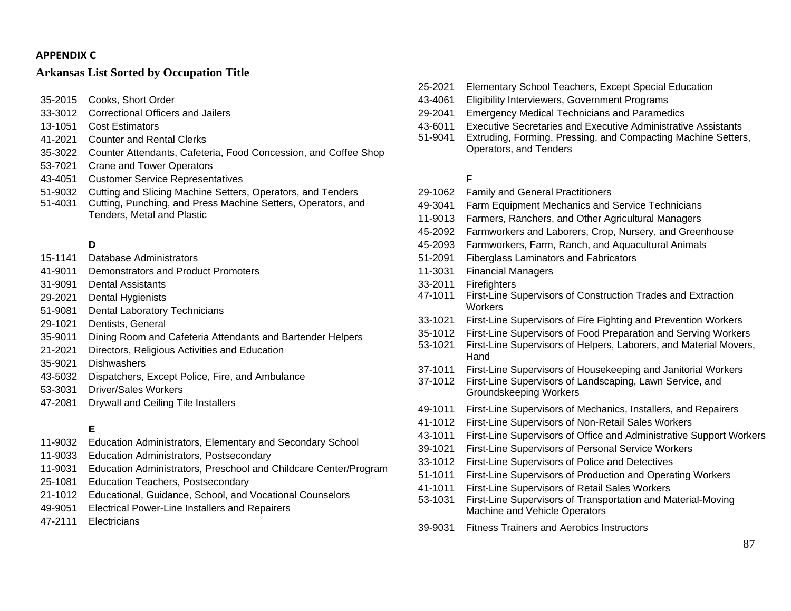### **APPENDIXC**

# **Arkansas List Sorted by Occupation Title**

- 35-2015 Cooks, Short Order
- 33-3012 Correctional Officers and Jailers
- 13-1051 Cost Estimators
- 41-2021 Counter and Rental Clerks
- 35-3022 Counter Attendants, Cafeteria, Food Concession, and Coffee Shop
- 53-7021 Crane and Tower Operators
- 43-4051 Customer Service Representatives
- 51-9032 Cutting and Slicing Machine Setters, Operators, and Tenders
- 51-4031 Cutting, Punching, and Press Machine Setters, Operators, and Tenders, Metal and Plastic

# **D**

- 15-1141 Database Administrators
- 41-9011 Demonstrators and Product Promoters
- 31-9091 Dental Assistants
- 29-2021 Dental Hygienists
- 51-9081 Dental Laboratory Technicians
- 29-1021 Dentists, General
- 35-9011 Dining Room and Cafeteria Attendants and Bartender Helpers
- 21-2021 Directors, Religious Activities and Education
- 35-9021 Dishwashers
- 43-5032 Dispatchers, Except Police, Fire, and Ambulance
- 53-3031 Driver/Sales Workers
- 47-2081 Drywall and Ceiling Tile Installers

# **E**

- 11-9032 Education Administrators, Elementary and Secondary School
- 11-9033 Education Administrators, Postsecondary
- 11-9031 Education Administrators, Preschool and Childcare Center/Program
- 25-1081 Education Teachers, Postsecondary
- 21-1012 Educational, Guidance, School, and Vocational Counselors
- 49-9051 Electrical Power-Line Installers and Repairers
- 47-2111 Electricians
- 25-2021 Elementary School Teachers, Except Special Education
- 43-4061 Eligibility Interviewers, Government Programs
- 29-2041 Emergency Medical Technicians and Paramedics
- 43-6011 Executive Secretaries and Executive Administrative Assistants
- 51-9041 Extruding, Forming, Pressing, and Compacting Machine Setters, Operators, and Tenders

### **F**

- 29-1062 Family and General Practitioners
- 49-3041 Farm Equipment Mechanics and Service Technicians
- 11-9013 Farmers, Ranchers, and Other Agricultural Managers
- 45-2092 Farmworkers and Laborers, Crop, Nursery, and Greenhouse
- 45-2093 Farmworkers, Farm, Ranch, and Aquacultural Animals
- 51-2091 Fiberglass Laminators and Fabricators
- 11-3031 Financial Managers
- 33-2011 Firefighters
- 47-1011 First-Line Supervisors of Construction Trades and Extraction **Workers**
- 33-1021 First-Line Supervisors of Fire Fighting and Prevention Workers
- 35-1012 First-Line Supervisors of Food Preparation and Serving Workers
- 53-1021 First-Line Supervisors of Helpers, Laborers, and Material Movers, **Hand**
- 37-1011 First-Line Supervisors of Housekeeping and Janitorial Workers
- 37-1012 First-Line Supervisors of Landscaping, Lawn Service, and Groundskeeping Workers
- 49-1011 First-Line Supervisors of Mechanics, Installers, and Repairers
- 41-1012 First-Line Supervisors of Non-Retail Sales Workers
- 43-1011 First-Line Supervisors of Office and Administrative Support Workers
- 39-1021 First-Line Supervisors of Personal Service Workers
- 33-1012 First-Line Supervisors of Police and Detectives
- 51-1011 First-Line Supervisors of Production and Operating Workers
- 41-1011 First-Line Supervisors of Retail Sales Workers
- 53-1031 First-Line Supervisors of Transportation and Material-Moving Machine and Vehicle Operators
- 39-9031 Fitness Trainers and Aerobics Instructors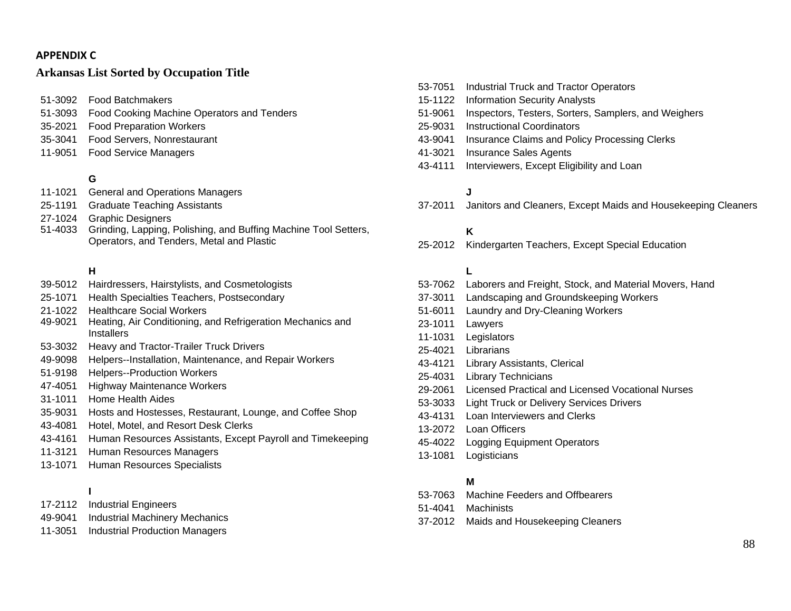#### **APPENDIX C**

#### **Arkansas List Sorted by Occupation Title**

51-3092 Food Batchmakers

- 51-3093 Food Cooking Machine Operators and Tenders
- 35-2021 Food Preparation Workers
- 35-3041 Food Servers, Nonrestaurant
- 11-9051 Food Service Managers

#### **G**

- 11-1021 General and Operations Managers
- 25-1191 Graduate Teaching Assistants
- 27-1024 Graphic Designers
- 51-4033 Grinding, Lapping, Polishing, and Buffing Machine Tool Setters, Operators, and Tenders, Metal and Plastic

#### **H**

- 39-5012 Hairdressers, Hairstylists, and Cosmetologists
- 25-1071 Health Specialties Teachers, Postsecondary
- 21-1022 Healthcare Social Workers
- 49-9021 Heating, Air Conditioning, and Refrigeration Mechanics and **Installers**
- 53-3032 Heavy and Tractor-Trailer Truck Drivers
- 49-9098 Helpers--Installation, Maintenance, and Repair Workers
- 51-9198 Helpers--Production Workers
- 47-4051 Highway Maintenance Workers
- 31-1011 Home Health Aides
- 35-9031 Hosts and Hostesses, Restaurant, Lounge, and Coffee Shop
- 43-4081 Hotel, Motel, and Resort Desk Clerks
- 43-4161 Human Resources Assistants, Except Payroll and Timekeeping
- 11-3121 Human Resources Managers
- 13-1071 Human Resources Specialists

#### **I**

- 17-2112 Industrial Engineers
- 49-9041 Industrial Machinery Mechanics
- 11-3051 Industrial Production Managers

53-7051 Industrial Truck and Tractor Operators 15-1122 Information Security Analysts 51-9061 Inspectors, Testers, Sorters, Samplers, and Weighers 25-9031 Instructional Coordinators 43-9041 Insurance Claims and Policy Processing Clerks 41-3021 Insurance Sales Agents 43-4111 Interviewers, Except Eligibility and Loan

# **J**

37-2011 Janitors and Cleaners, Except Maids and Housekeeping Cleaners

# **K**

25-2012 Kindergarten Teachers, Except Special Education

### **L**

53-7062 Laborers and Freight, Stock, and Material Movers, Hand 37-3011 Landscaping and Groundskeeping Workers 51-6011 Laundry and Dry-Cleaning Workers 23-1011 Lawyers 11-1031 Legislators 25-4021 Librarians 43-4121 Library Assistants, Clerical 25-4031 Library Technicians 29-2061 Licensed Practical and Licensed Vocational Nurses 53-3033 Light Truck or Delivery Services Drivers 43-4131 Loan Interviewers and Clerks 13-2072 Loan Officers 45-4022 Logging Equipment Operators 13-1081 Logisticians

### **M**

- 53-7063 Machine Feeders and Offbearers
- 51-4041 Machinists
- 37-2012 Maids and Housekeeping Cleaners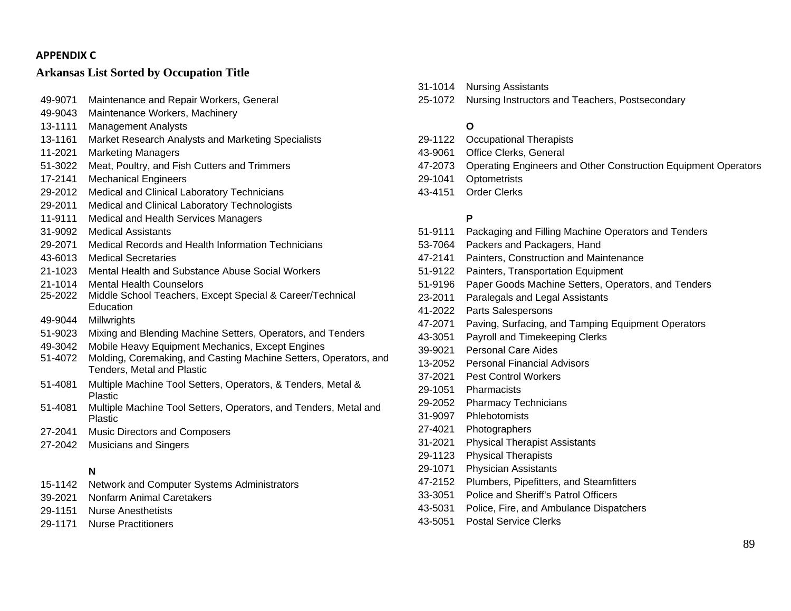#### **APPENDIXC**

#### **Arkansas List Sorted by Occupation Title**

| 49-9071 | Maintenance and Repair Workers, General                                                        |
|---------|------------------------------------------------------------------------------------------------|
| 49-9043 | Maintenance Workers, Machinery                                                                 |
| 13-1111 | <b>Management Analysts</b>                                                                     |
| 13-1161 | Market Research Analysts and Marketing Specialists                                             |
| 11-2021 | <b>Marketing Managers</b>                                                                      |
| 51-3022 | Meat, Poultry, and Fish Cutters and Trimmers                                                   |
| 17-2141 | <b>Mechanical Engineers</b>                                                                    |
| 29-2012 | Medical and Clinical Laboratory Technicians                                                    |
| 29-2011 | Medical and Clinical Laboratory Technologists                                                  |
| 11-9111 | Medical and Health Services Managers                                                           |
| 31-9092 | <b>Medical Assistants</b>                                                                      |
| 29-2071 | Medical Records and Health Information Technicians                                             |
| 43-6013 | <b>Medical Secretaries</b>                                                                     |
| 21-1023 | Mental Health and Substance Abuse Social Workers                                               |
| 21-1014 | <b>Mental Health Counselors</b>                                                                |
| 25-2022 | Middle School Teachers, Except Special & Career/Technical<br>Education                         |
| 49-9044 | Millwrights                                                                                    |
| 51-9023 | Mixing and Blending Machine Setters, Operators, and Tenders                                    |
| 49-3042 | Mobile Heavy Equipment Mechanics, Except Engines                                               |
| 51-4072 | Molding, Coremaking, and Casting Machine Setters, Operators, and<br>Tenders, Metal and Plastic |
| 51-4081 | Multiple Machine Tool Setters, Operators, & Tenders, Metal &<br><b>Plastic</b>                 |
| 51-4081 | Multiple Machine Tool Setters, Operators, and Tenders, Metal and<br><b>Plastic</b>             |
| 27-2041 | <b>Music Directors and Composers</b>                                                           |

27-2042 Musicians and Singers

#### **N**

- 15-1142 Network and Computer Systems Administrators
- 39-2021 Nonfarm Animal Caretakers
- 29-1151 Nurse Anesthetists
- 29-1171 Nurse Practitioners
- 31-1014 Nursing Assistants
- 25-1072 Nursing Instructors and Teachers, Postsecondary

#### **O**

- 29-1122 Occupational Therapists 43-9061 Office Clerks, General 47-2073 Operating Engineers and Other Construction Equipment Operators
- 29-1041 Optometrists
- 43-4151 Order Clerks

#### **P**

- 51-9111 Packaging and Filling Machine Operators and Tenders
- 53-7064 Packers and Packagers, Hand
- 47-2141 Painters, Construction and Maintenance
- 51-9122 Painters, Transportation Equipment
- 51-9196 Paper Goods Machine Setters, Operators, and Tenders
- 23-2011 Paralegals and Legal Assistants
- 41-2022 Parts Salespersons
- 47-2071 Paving, Surfacing, and Tamping Equipment Operators
- 43-3051 Payroll and Timekeeping Clerks
- 39-9021 Personal Care Aides
- 13-2052 Personal Financial Advisors
- 37-2021 Pest Control Workers
- 29-1051 Pharmacists
- 29-2052 Pharmacy Technicians
- 31-9097 Phlebotomists
- 27-4021 Photographers
- 31-2021 Physical Therapist Assistants
- 29-1123 Physical Therapists
- 29-1071 Physician Assistants
- 47-2152 Plumbers, Pipefitters, and Steamfitters
- 33-3051 Police and Sheriff's Patrol Officers
- 43-5031 Police, Fire, and Ambulance Dispatchers
- 43-5051 Postal Service Clerks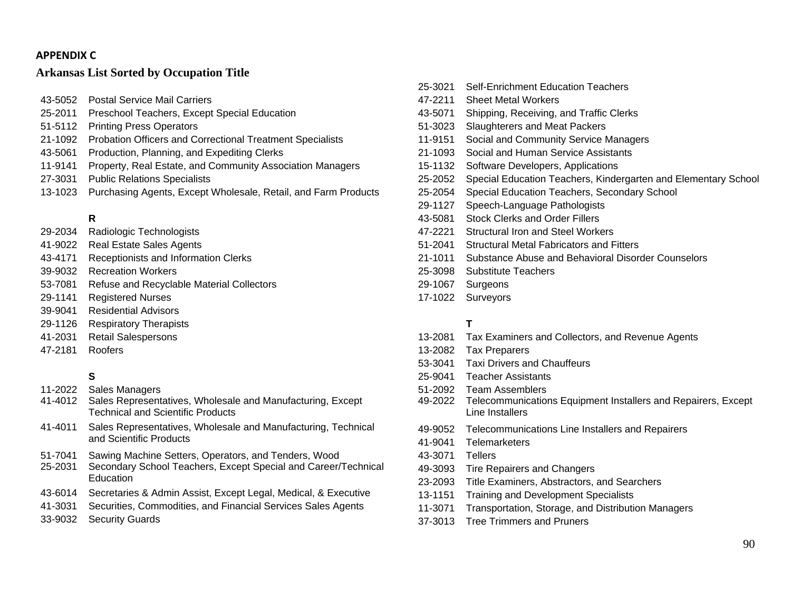#### **APPENDIX C**

#### **Arkansas List Sorted by Occupation Title**

- 43-5052 Postal Service Mail Carriers
- 25-2011 Preschool Teachers, Except Special Education
- 51-5112 Printing Press Operators
- 21-1092 Probation Officers and Correctional Treatment Specialists
- 43-5061 Production, Planning, and Expediting Clerks
- 11-9141 Property, Real Estate, and Community Association Managers
- 27-3031 Public Relations Specialists
- 13-1023 Purchasing Agents, Except Wholesale, Retail, and Farm Products

#### **R**

- 29-2034 Radiologic Technologists
- 41-9022 Real Estate Sales Agents
- 43-4171 Receptionists and Information Clerks
- 39-9032 Recreation Workers
- 53-7081 Refuse and Recyclable Material Collectors
- 29-1141 Registered Nurses
- 39-9041 Residential Advisors
- 29-1126 Respiratory Therapists
- 41-2031 Retail Salespersons
- 47-2181 Roofers

### **S**

- 11-2022 Sales Managers
- 41-4012 Sales Representatives, Wholesale and Manufacturing, Except Technical and Scientific Products
- 41-4011 Sales Representatives, Wholesale and Manufacturing, Technical and Scientific Products
- 51-7041 Sawing Machine Setters, Operators, and Tenders, Wood
- 25-2031 Secondary School Teachers, Except Special and Career/Technical **Education**
- 43-6014 Secretaries & Admin Assist, Except Legal, Medical, & Executive
- 41-3031 Securities, Commodities, and Financial Services Sales Agents
- 33-9032 Security Guards
- 25-3021 Self-Enrichment Education Teachers 47-2211 Sheet Metal Workers 43-5071 Shipping, Receiving, and Traffic Clerks 51-3023 Slaughterers and Meat Packers 11-9151 Social and Community Service Managers 21-1093 Social and Human Service Assistants 15-1132 Software Developers, Applications 25-2052 Special Education Teachers, Kindergarten and Elementary School 25-2054 Special Education Teachers, Secondary School 29-1127 Speech-Language Pathologists 43-5081 Stock Clerks and Order Fillers 47-2221 Structural Iron and Steel Workers 51-2041 Structural Metal Fabricators and Fitters 21-1011 Substance Abuse and Behavioral Disorder Counselors 25-3098 Substitute Teachers 29-1067 Surgeons
- 17-1022 Surveyors

#### **T**

- 13-2081 Tax Examiners and Collectors, and Revenue Agents
- 13-2082 Tax Preparers
- 53-3041 Taxi Drivers and Chauffeurs
- 25-9041 Teacher Assistants
- 51-2092 Team Assemblers
- 49-2022 Telecommunications Equipment Installers and Repairers, Except Line Installers
- 49-9052 Telecommunications Line Installers and Repairers
- 41-9041 Telemarketers
- 43-3071 Tellers
- 49-3093 Tire Repairers and Changers
- 23-2093 Title Examiners, Abstractors, and Searchers
- 13-1151 Training and Development Specialists
- 11-3071 Transportation, Storage, and Distribution Managers
- 37-3013 Tree Trimmers and Pruners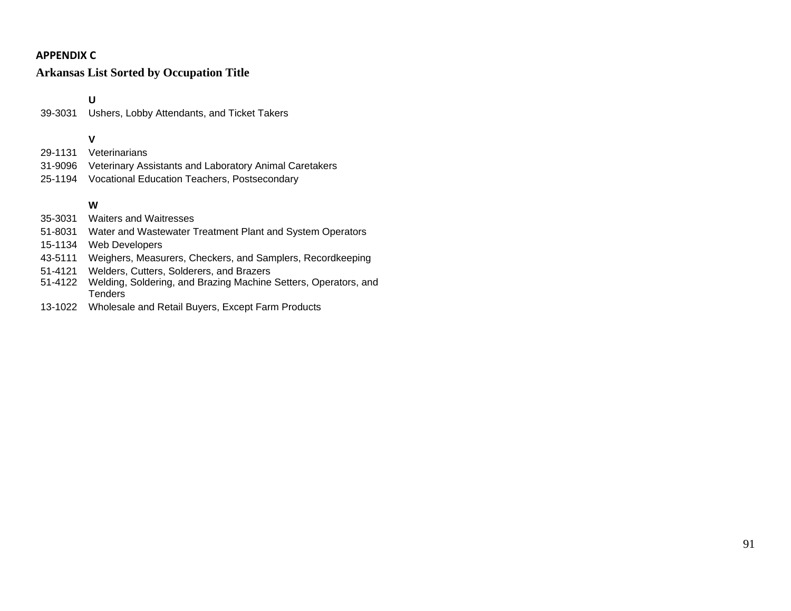# **APPENDIX C**

# **Arkansas List Sorted by Occupation Title**

**U** 

39-3031 Ushers, Lobby Attendants, and Ticket Takers

# **V**

- 29-1131 Veterinarians
- 31-9096 Veterinary Assistants and Laboratory Animal Caretakers
- 25-1194 Vocational Education Teachers, Postsecondary

# **W**

- 35-3031 Waiters and Waitresses
- 51-8031 Water and Wastewater Treatment Plant and System Operators
- 15-1134 Web Developers
- 43-5111 Weighers, Measurers, Checkers, and Samplers, Recordkeeping
- 51-4121 Welders, Cutters, Solderers, and Brazers
- 51-4122 Welding, Soldering, and Brazing Machine Setters, Operators, and Tenders
- 13-1022 Wholesale and Retail Buyers, Except Farm Products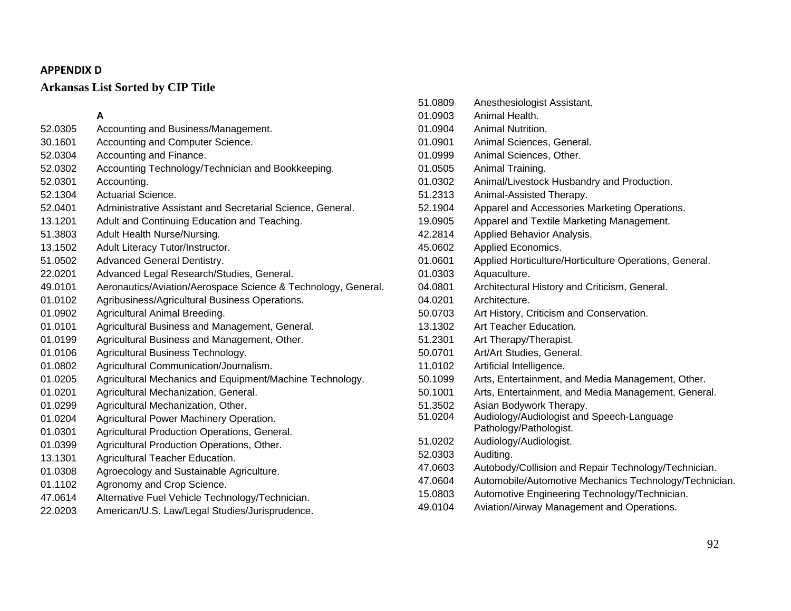# **Arkansas List Sorted by CIP Title**

#### **A**

| 52.0305 | Accounting and Business/Management.                           |
|---------|---------------------------------------------------------------|
| 30.1601 | Accounting and Computer Science.                              |
| 52.0304 | Accounting and Finance.                                       |
| 52.0302 | Accounting Technology/Technician and Bookkeeping.             |
| 52.0301 | Accounting.                                                   |
| 52.1304 | <b>Actuarial Science.</b>                                     |
| 52.0401 | Administrative Assistant and Secretarial Science, General.    |
| 13.1201 | Adult and Continuing Education and Teaching.                  |
| 51.3803 | Adult Health Nurse/Nursing.                                   |
| 13.1502 | Adult Literacy Tutor/Instructor.                              |
| 51.0502 | Advanced General Dentistry.                                   |
| 22.0201 | Advanced Legal Research/Studies, General.                     |
| 49.0101 | Aeronautics/Aviation/Aerospace Science & Technology, General. |
| 01.0102 | Agribusiness/Agricultural Business Operations.                |
| 01.0902 | Agricultural Animal Breeding.                                 |
| 01.0101 | Agricultural Business and Management, General.                |
| 01.0199 | Agricultural Business and Management, Other.                  |
| 01.0106 | Agricultural Business Technology.                             |
| 01.0802 | Agricultural Communication/Journalism.                        |
| 01.0205 | Agricultural Mechanics and Equipment/Machine Technology.      |
| 01.0201 | Agricultural Mechanization, General.                          |
| 01.0299 | Agricultural Mechanization, Other.                            |
| 01.0204 | Agricultural Power Machinery Operation.                       |
| 01.0301 | Agricultural Production Operations, General.                  |
| 01.0399 | Agricultural Production Operations, Other.                    |
| 13.1301 | Agricultural Teacher Education.                               |
| 01.0308 | Agroecology and Sustainable Agriculture.                      |
| 01.1102 | Agronomy and Crop Science.                                    |
| 47.0614 | Alternative Fuel Vehicle Technology/Technician.               |
| 22.0203 | American/U.S. Law/Legal Studies/Jurisprudence.                |
|         |                                                               |

| 51.0809 | Anesthesiologist Assistant.                            |
|---------|--------------------------------------------------------|
| 01.0903 | Animal Health.                                         |
| 01.0904 | Animal Nutrition.                                      |
| 01.0901 | Animal Sciences, General.                              |
| 01.0999 | Animal Sciences, Other.                                |
| 01.0505 | Animal Training.                                       |
| 01.0302 | Animal/Livestock Husbandry and Production.             |
| 51.2313 | Animal-Assisted Therapy.                               |
| 52.1904 | Apparel and Accessories Marketing Operations.          |
| 19.0905 | Apparel and Textile Marketing Management.              |
| 42.2814 | Applied Behavior Analysis.                             |
| 45.0602 | Applied Economics.                                     |
| 01.0601 | Applied Horticulture/Horticulture Operations, General. |
| 01.0303 | Aquaculture.                                           |
| 04.0801 | Architectural History and Criticism, General.          |
| 04.0201 | Architecture.                                          |
| 50.0703 | Art History, Criticism and Conservation.               |
| 13.1302 | Art Teacher Education.                                 |
| 51.2301 | Art Therapy/Therapist.                                 |
| 50.0701 | Art/Art Studies, General.                              |
| 11.0102 | Artificial Intelligence.                               |
| 50.1099 | Arts, Entertainment, and Media Management, Other.      |
| 50.1001 | Arts, Entertainment, and Media Management, General.    |
| 51.3502 | Asian Bodywork Therapy.                                |
| 51.0204 | Audiology/Audiologist and Speech-Language              |
|         | Pathology/Pathologist.                                 |
| 51.0202 | Audiology/Audiologist.                                 |
| 52.0303 | Auditing.                                              |
| 47.0603 | Autobody/Collision and Repair Technology/Technician.   |
| 47.0604 | Automobile/Automotive Mechanics Technology/Technician. |
| 15.0803 | Automotive Engineering Technology/Technician.          |
| 49.0104 | Aviation/Airway Management and Operations.             |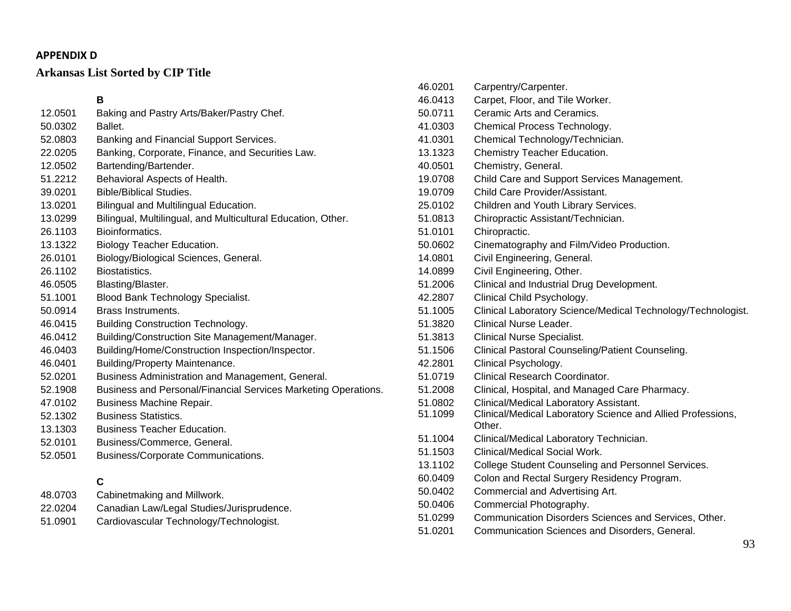# **Arkansas List Sorted by CIP Title**

#### **B** 12.0501 Baking and Pastry Arts/Baker/Pastry Chef. 50.0302 Ballet. 52.0803 Banking and Financial Support Services. 22.0205 Banking, Corporate, Finance, and Securities Law. 12.0502 Bartending/Bartender. 51.2212 Behavioral Aspects of Health. 39.0201 Bible/Biblical Studies. 13.0201 Bilingual and Multilingual Education. 13.0299 Bilingual, Multilingual, and Multicultural Education, Other. 26.1103 Bioinformatics. 13.1322 Biology Teacher Education. 26.0101 Biology/Biological Sciences, General. 26.1102 Biostatistics. 46.0505 Blasting/Blaster. 51.1001 Blood Bank Technology Specialist. 50.0914 Brass Instruments. 46.0415 Building Construction Technology. 46.0412 Building/Construction Site Management/Manager. 46.0403 Building/Home/Construction Inspection/Inspector. 46.0401 Building/Property Maintenance. 52.0201 Business Administration and Management, General. 52.1908 Business and Personal/Financial Services Marketing Operations. 47.0102 Business Machine Repair. 52.1302 Business Statistics. 13.1303 Business Teacher Education. 52.0101 Business/Commerce, General. 52.0501 Business/Corporate Communications. **C** 48.0703 Cabinetmaking and Millwork. 22.0204 Canadian Law/Legal Studies/Jurisprudence. 51.0901 Cardiovascular Technology/Technologist. 46.0413 Carpet, Floor, and Tile Worker. 50.0711 Ceramic Arts and Ceramics. 41.0303 Chemical Process Technology. 41.0301 Chemical Technology/Technician. 13.1323 Chemistry Teacher Education. 40.0501 Chemistry, General. 19.0708 Child Care and Support Services Management. 19.0709 Child Care Provider/Assistant. 25.0102 Children and Youth Library Services. 51.0813 Chiropractic Assistant/Technician. 51.0101 Chiropractic. 50.0602 Cinematography and Film/Video Production. 14.0801 Civil Engineering, General. 14.0899 Civil Engineering, Other. 51.2006 Clinical and Industrial Drug Development. 42.2807 Clinical Child Psychology. 51.1005 Clinical Laboratory Science/Medical Technology/Technologist. 51.3820 Clinical Nurse Leader. 51.3813 Clinical Nurse Specialist. 51.1506 Clinical Pastoral Counseling/Patient Counseling. 42.2801 Clinical Psychology. 51.0719 Clinical Research Coordinator. 51.2008 Clinical, Hospital, and Managed Care Pharmacy. 51.0802 Clinical/Medical Laboratory Assistant. 51.1099 Clinical/Medical Laboratory Science and Allied Professions, Other. 51.1004 Clinical/Medical Laboratory Technician. 51.1503 Clinical/Medical Social Work. 13.1102 College Student Counseling and Personnel Services. 60.0409 Colon and Rectal Surgery Residency Program. 50.0402 Commercial and Advertising Art. 50.0406 Commercial Photography. 51.0299 Communication Disorders Sciences and Services, Other.

46.0201 Carpentry/Carpenter.

51.0201 Communication Sciences and Disorders, General.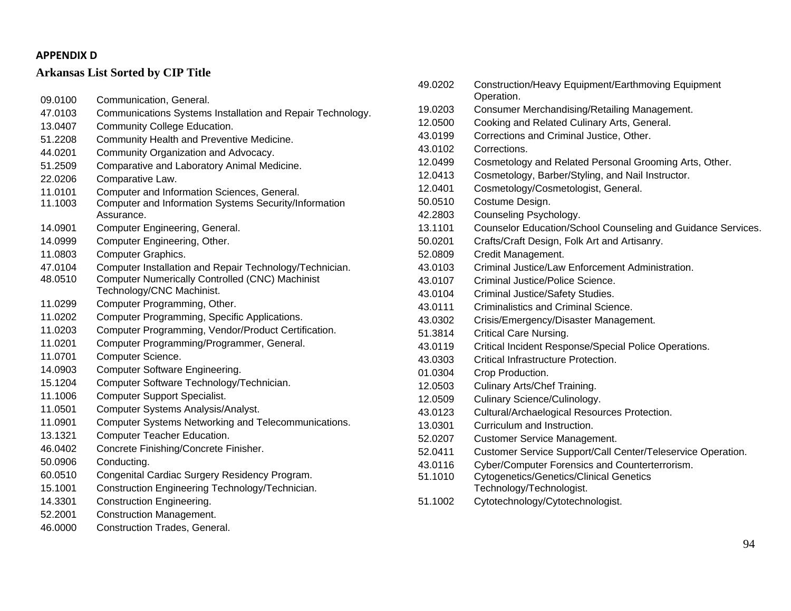# **Arkansas List Sorted by CIP Title**

- 09.0100 Communication, General. 47.0103 Communications Systems Installation and Repair Technology. 13.0407 Community College Education. 51.2208 Community Health and Preventive Medicine. 44.0201 Community Organization and Advocacy. 51.2509 Comparative and Laboratory Animal Medicine. 22.0206 Comparative Law. 11.0101 Computer and Information Sciences, General. 11.1003 Computer and Information Systems Security/Information Assurance. 14.0901 Computer Engineering, General. 14.0999 Computer Engineering, Other. 11.0803 Computer Graphics. 47.0104 Computer Installation and Repair Technology/Technician. 48.0510 Computer Numerically Controlled (CNC) Machinist Technology/CNC Machinist. 11.0299 Computer Programming, Other. 11.0202 Computer Programming, Specific Applications. 11.0203 Computer Programming, Vendor/Product Certification. 11.0201 Computer Programming/Programmer, General. 11.0701 Computer Science. 14.0903 Computer Software Engineering. 15.1204 Computer Software Technology/Technician. 11.1006 Computer Support Specialist. 11.0501 Computer Systems Analysis/Analyst. 11.0901 Computer Systems Networking and Telecommunications. 13.1321 Computer Teacher Education. 46.0402 Concrete Finishing/Concrete Finisher. 50.0906 Conducting. 60.0510 Congenital Cardiac Surgery Residency Program. 15.1001 Construction Engineering Technology/Technician.
- 14.3301 Construction Engineering.
- 52.2001 Construction Management.
- 46.0000 Construction Trades, General.

| 49.0202 | Construction/Heavy Equipment/Earthmoving Equipment<br>Operation. |
|---------|------------------------------------------------------------------|
| 19.0203 | Consumer Merchandising/Retailing Management.                     |
| 12.0500 | Cooking and Related Culinary Arts, General.                      |
| 43.0199 | Corrections and Criminal Justice, Other.                         |
| 43.0102 | Corrections.                                                     |
| 12.0499 | Cosmetology and Related Personal Grooming Arts, Other.           |
| 12.0413 | Cosmetology, Barber/Styling, and Nail Instructor.                |
| 12.0401 | Cosmetology/Cosmetologist, General.                              |
| 50.0510 | Costume Design.                                                  |
| 42.2803 | Counseling Psychology.                                           |
| 13.1101 | Counselor Education/School Counseling and Guidance Services.     |
| 50.0201 | Crafts/Craft Design, Folk Art and Artisanry.                     |
| 52.0809 | Credit Management.                                               |
| 43.0103 | Criminal Justice/Law Enforcement Administration.                 |
| 43.0107 | Criminal Justice/Police Science.                                 |
| 43.0104 | Criminal Justice/Safety Studies.                                 |
| 43.0111 | Criminalistics and Criminal Science.                             |
| 43.0302 | Crisis/Emergency/Disaster Management.                            |
| 51.3814 | Critical Care Nursing.                                           |
| 43.0119 | Critical Incident Response/Special Police Operations.            |
| 43.0303 | Critical Infrastructure Protection.                              |
| 01.0304 | Crop Production.                                                 |
| 12.0503 | Culinary Arts/Chef Training.                                     |
| 12.0509 | Culinary Science/Culinology.                                     |
| 43.0123 | Cultural/Archaelogical Resources Protection.                     |
| 13.0301 | Curriculum and Instruction.                                      |
| 52.0207 | <b>Customer Service Management.</b>                              |
| 52.0411 | Customer Service Support/Call Center/Teleservice Operation.      |
| 43.0116 | Cyber/Computer Forensics and Counterterrorism.                   |
| 51.1010 | <b>Cytogenetics/Genetics/Clinical Genetics</b>                   |
|         | Technology/Technologist.                                         |
| 51.1002 | Cytotechnology/Cytotechnologist.                                 |
|         |                                                                  |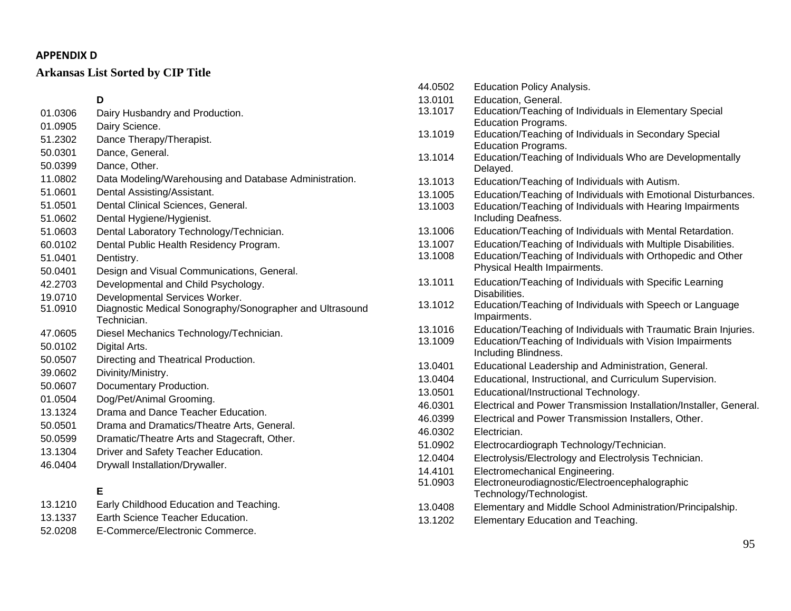# **Arkansas List Sorted by CIP Title**

# **D**

- 01.0306 Dairy Husbandry and Production.
- 01.0905 Dairy Science.
- 51.2302 Dance Therapy/Therapist.
- 50.0301 Dance, General.
- 50.0399 Dance, Other.
- 11.0802 Data Modeling/Warehousing and Database Administration.
- 51.0601 Dental Assisting/Assistant.
- 51.0501 Dental Clinical Sciences, General.
- 51.0602 Dental Hygiene/Hygienist.
- 51.0603 Dental Laboratory Technology/Technician.
- 60.0102 Dental Public Health Residency Program.
- 51.0401 Dentistry.
- 50.0401 Design and Visual Communications, General.
- 42.2703 Developmental and Child Psychology.
- 19.0710 Developmental Services Worker.
- 51.0910 Diagnostic Medical Sonography/Sonographer and Ultrasound Technician.
- 47.0605 Diesel Mechanics Technology/Technician.
- 50.0102 Digital Arts.
- 50.0507 Directing and Theatrical Production.
- 39.0602 Divinity/Ministry.
- 50.0607 Documentary Production.
- 01.0504 Dog/Pet/Animal Grooming.
- 13.1324 Drama and Dance Teacher Education.
- 50.0501 Drama and Dramatics/Theatre Arts, General.
- 50.0599 Dramatic/Theatre Arts and Stagecraft, Other.
- 13.1304 Driver and Safety Teacher Education.
- 46.0404 Drywall Installation/Drywaller.

### **E**

| 13.1210 | Early Childhood Education and Teaching. |
|---------|-----------------------------------------|
|         | Frank Articles Translation Film and the |

- 13.1337 Earth Science Teacher Education.
- 52.0208 E-Commerce/Electronic Commerce.

44.0502 Education Policy Analysis. 13.0101 Education, General. 13.1017 Education/Teaching of Individuals in Elementary Special Education Programs. 13.1019 Education/Teaching of Individuals in Secondary Special Education Programs. 13.1014 Education/Teaching of Individuals Who are Developmentally Delayed. 13.1013 Education/Teaching of Individuals with Autism. 13.1005 Education/Teaching of Individuals with Emotional Disturbances. 13.1003 Education/Teaching of Individuals with Hearing Impairments Including Deafness. 13.1006 Education/Teaching of Individuals with Mental Retardation. 13.1007 Education/Teaching of Individuals with Multiple Disabilities. 13.1008 Education/Teaching of Individuals with Orthopedic and Other Physical Health Impairments. 13.1011 Education/Teaching of Individuals with Specific Learning Disabilities. 13.1012 Education/Teaching of Individuals with Speech or Language Impairments. 13.1016 Education/Teaching of Individuals with Traumatic Brain Injuries. 13.1009 Education/Teaching of Individuals with Vision Impairments Including Blindness. 13.0401 Educational Leadership and Administration, General. 13.0404 Educational, Instructional, and Curriculum Supervision. 13.0501 Educational/Instructional Technology. 46.0301 Electrical and Power Transmission Installation/Installer, General. 46.0399 Electrical and Power Transmission Installers, Other. 46.0302 Electrician. 51.0902 Electrocardiograph Technology/Technician. 12.0404 Electrolysis/Electrology and Electrolysis Technician. 14.4101 Electromechanical Engineering. 51.0903 Electroneurodiagnostic/Electroencephalographic Technology/Technologist. 13.0408 Elementary and Middle School Administration/Principalship. 13.1202 Elementary Education and Teaching.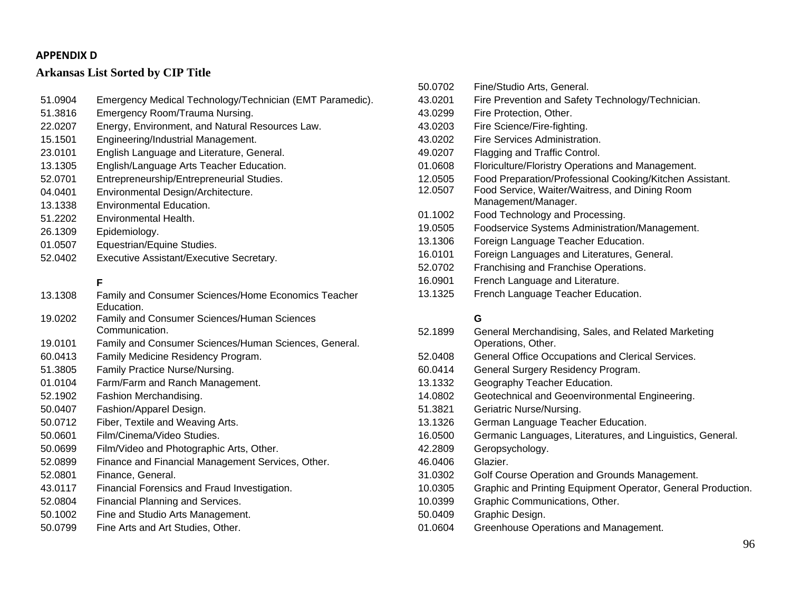# **Arkansas List Sorted by CIP Title**

| 51.0904 | Emergency Medical Technology/Technician (EMT Paramedic).          |
|---------|-------------------------------------------------------------------|
| 51.3816 | Emergency Room/Trauma Nursing.                                    |
| 22.0207 | Energy, Environment, and Natural Resources Law.                   |
| 15.1501 | Engineering/Industrial Management.                                |
| 23.0101 | English Language and Literature, General.                         |
| 13.1305 | English/Language Arts Teacher Education.                          |
| 52.0701 | Entrepreneurship/Entrepreneurial Studies.                         |
| 04.0401 | Environmental Design/Architecture.                                |
| 13.1338 | <b>Environmental Education.</b>                                   |
| 51.2202 | Environmental Health.                                             |
| 26.1309 | Epidemiology.                                                     |
| 01.0507 | Equestrian/Equine Studies.                                        |
| 52.0402 | Executive Assistant/Executive Secretary.                          |
|         |                                                                   |
|         | F                                                                 |
| 13.1308 | Family and Consumer Sciences/Home Economics Teacher<br>Education. |
| 19.0202 | <b>Family and Consumer Sciences/Human Sciences</b>                |
|         | Communication.                                                    |
| 19.0101 | Family and Consumer Sciences/Human Sciences, General.             |
| 60.0413 | Family Medicine Residency Program.                                |
| 51.3805 | Family Practice Nurse/Nursing.                                    |
| 01.0104 | Farm/Farm and Ranch Management.                                   |
| 52.1902 | Fashion Merchandising.                                            |
| 50.0407 | Fashion/Apparel Design.                                           |
| 50.0712 | Fiber, Textile and Weaving Arts.                                  |
| 50.0601 | Film/Cinema/Video Studies.                                        |
| 50.0699 | Film/Video and Photographic Arts, Other.                          |
| 52.0899 | Finance and Financial Management Services, Other.                 |
| 52.0801 | Finance, General.                                                 |
| 43.0117 | Financial Forensics and Fraud Investigation.                      |
| 52.0804 | Financial Planning and Services.                                  |

- 50.1002 Fine and Studio Arts Management.
- 50.0799 Fine Arts and Art Studies, Other.

| 50.0702 | Fine/Studio Arts, General.                               |
|---------|----------------------------------------------------------|
| 43.0201 | Fire Prevention and Safety Technology/Technician.        |
| 43.0299 | Fire Protection, Other.                                  |
| 43.0203 | Fire Science/Fire-fighting.                              |
| 43.0202 | Fire Services Administration.                            |
| 49.0207 | Flagging and Traffic Control.                            |
| 01.0608 | Floriculture/Floristry Operations and Management.        |
| 12.0505 | Food Preparation/Professional Cooking/Kitchen Assistant. |
| 12.0507 | Food Service, Waiter/Waitress, and Dining Room           |
|         | Management/Manager.                                      |
| 01.1002 | Food Technology and Processing.                          |
| 19.0505 | Foodservice Systems Administration/Management.           |
| 13.1306 | Foreign Language Teacher Education.                      |
| 16.0101 | Foreign Languages and Literatures, General.              |
| 52.0702 | Franchising and Franchise Operations.                    |
| 16.0901 | French Language and Literature.                          |
| 13.1325 | French Language Teacher Education.                       |
|         |                                                          |

### **G**

| 52.1899 | General Merchandising, Sales, and Related Marketing<br>Operations, Other. |
|---------|---------------------------------------------------------------------------|
| 52.0408 | General Office Occupations and Clerical Services.                         |
| 60.0414 | General Surgery Residency Program.                                        |
| 13.1332 | Geography Teacher Education.                                              |
| 14.0802 | Geotechnical and Geoenvironmental Engineering.                            |
| 51.3821 | Geriatric Nurse/Nursing.                                                  |
| 13.1326 | German Language Teacher Education.                                        |
| 16.0500 | Germanic Languages, Literatures, and Linguistics, General.                |
| 42.2809 | Geropsychology.                                                           |
| 46.0406 | Glazier.                                                                  |
| 31.0302 | Golf Course Operation and Grounds Management.                             |
| 10.0305 | Graphic and Printing Equipment Operator, General Production.              |
| 10.0399 | Graphic Communications, Other.                                            |
| 50.0409 | Graphic Design.                                                           |
| 01.0604 | Greenhouse Operations and Management.                                     |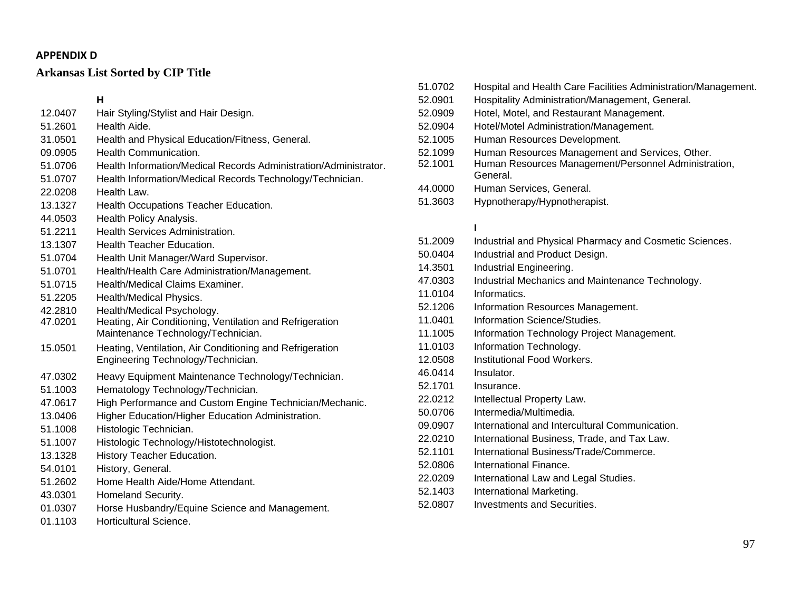# **Arkansas List Sorted by CIP Title**

# **H**

- 12.0407 Hair Styling/Stylist and Hair Design. 51.2601 Health Aide. 31.0501 Health and Physical Education/Fitness, General. 09.0905 Health Communication. 51.0706 Health Information/Medical Records Administration/Administrator. 51.0707 Health Information/Medical Records Technology/Technician. 22.0208 Health Law. 13.1327 Health Occupations Teacher Education. 44.0503 Health Policy Analysis. 51.2211 Health Services Administration. 13.1307 Health Teacher Education. 51.0704 Health Unit Manager/Ward Supervisor. 51.0701 Health/Health Care Administration/Management. 51.0715 Health/Medical Claims Examiner. 51.2205 Health/Medical Physics. 42.2810 Health/Medical Psychology. 47.0201 Heating, Air Conditioning, Ventilation and Refrigeration Maintenance Technology/Technician. 15.0501 Heating, Ventilation, Air Conditioning and Refrigeration Engineering Technology/Technician. 47.0302 Heavy Equipment Maintenance Technology/Technician. 51.1003 Hematology Technology/Technician. 47.0617 High Performance and Custom Engine Technician/Mechanic. 13.0406 Higher Education/Higher Education Administration. 51.1008 Histologic Technician. 51.1007 Histologic Technology/Histotechnologist. 13.1328 History Teacher Education. 54.0101 History, General. 51.2602 Home Health Aide/Home Attendant. 43.0301 Homeland Security. 01.0307 Horse Husbandry/Equine Science and Management.
- 01.1103 Horticultural Science.

51.0702 Hospital and Health Care Facilities Administration/Management. 52.0901 Hospitality Administration/Management, General. 52.0909 Hotel, Motel, and Restaurant Management. 52.0904 Hotel/Motel Administration/Management. 52.1005 Human Resources Development. 52.1099 Human Resources Management and Services, Other. 52.1001 Human Resources Management/Personnel Administration, General. 44.0000 Human Services, General. 51.3603 Hypnotherapy/Hypnotherapist.

#### **I**

| 51.2009 | Industrial and Physical Pharmacy and Cosmetic Sciences. |
|---------|---------------------------------------------------------|
| 50.0404 | Industrial and Product Design.                          |
| 14.3501 | Industrial Engineering.                                 |
| 47.0303 | Industrial Mechanics and Maintenance Technology.        |
| 11.0104 | Informatics.                                            |
| 52.1206 | Information Resources Management.                       |
| 11.0401 | Information Science/Studies.                            |
| 11.1005 | Information Technology Project Management.              |
| 11.0103 | Information Technology.                                 |
| 12.0508 | Institutional Food Workers.                             |
| 46.0414 | Insulator.                                              |
| 52.1701 | Insurance.                                              |
| 22.0212 | Intellectual Property Law.                              |
| 50.0706 | Intermedia/Multimedia.                                  |
| 09.0907 | International and Intercultural Communication.          |
| 22.0210 | International Business, Trade, and Tax Law.             |
| 52.1101 | International Business/Trade/Commerce.                  |
| 52,0806 | International Finance.                                  |
| 22.0209 | International Law and Legal Studies.                    |
| 52.1403 | International Marketing.                                |
| 52.0807 | Investments and Securities.                             |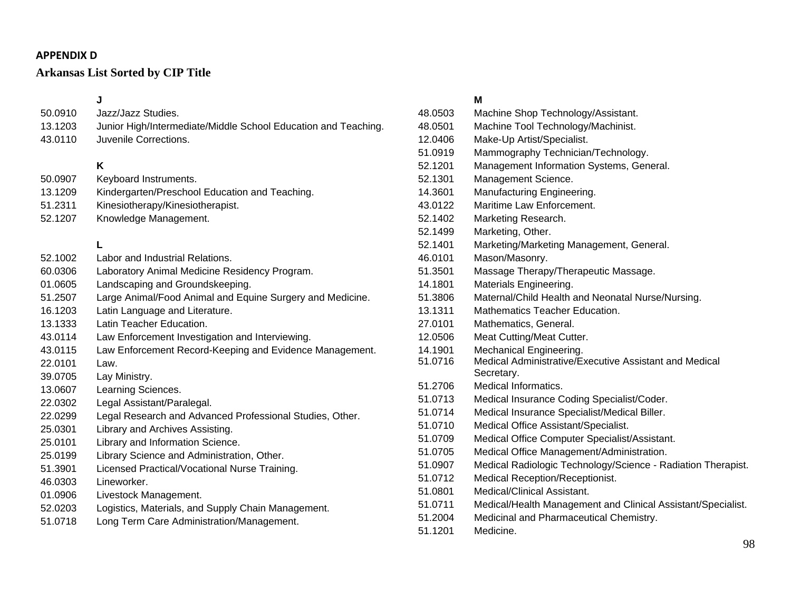# **Arkansas List Sorted by CIP Title**

**J** 50.0910 Jazz/Jazz Studies. 13.1203 Junior High/Intermediate/Middle School Education and Teaching. 43.0110 Juvenile Corrections. **K** 50.0907 Keyboard Instruments. 13.1209 Kindergarten/Preschool Education and Teaching. 51.2311 Kinesiotherapy/Kinesiotherapist. 52.1207 Knowledge Management. **L** 52.1002 Labor and Industrial Relations. 60.0306 Laboratory Animal Medicine Residency Program. 01.0605 Landscaping and Groundskeeping. 51.2507 Large Animal/Food Animal and Equine Surgery and Medicine. 16.1203 Latin Language and Literature. 13.1333 Latin Teacher Education. 43.0114 Law Enforcement Investigation and Interviewing. 43.0115 Law Enforcement Record-Keeping and Evidence Management. 22.0101 Law. 39.0705 Lay Ministry. 13.0607 Learning Sciences. 22.0302 Legal Assistant/Paralegal. 22.0299 Legal Research and Advanced Professional Studies, Other. 25.0301 Library and Archives Assisting. 25.0101 Library and Information Science. 25.0199 Library Science and Administration, Other. 51.3901 Licensed Practical/Vocational Nurse Training. 46.0303 Lineworker. 01.0906 Livestock Management. 52.0203 Logistics, Materials, and Supply Chain Management. 51.0718 Long Term Care Administration/Management.

### **M**

| 48.0503 | Machine Shop Technology/Assistant.                                   |
|---------|----------------------------------------------------------------------|
| 48.0501 | Machine Tool Technology/Machinist.                                   |
| 12.0406 | Make-Up Artist/Specialist.                                           |
| 51.0919 | Mammography Technician/Technology.                                   |
| 52.1201 | Management Information Systems, General.                             |
| 52.1301 | Management Science.                                                  |
| 14.3601 | Manufacturing Engineering.                                           |
| 43.0122 | Maritime Law Enforcement.                                            |
| 52.1402 | Marketing Research.                                                  |
| 52.1499 | Marketing, Other.                                                    |
| 52.1401 | Marketing/Marketing Management, General.                             |
| 46.0101 | Mason/Masonry.                                                       |
| 51.3501 | Massage Therapy/Therapeutic Massage.                                 |
| 14.1801 | Materials Engineering.                                               |
| 51.3806 | Maternal/Child Health and Neonatal Nurse/Nursing.                    |
| 13.1311 | <b>Mathematics Teacher Education.</b>                                |
| 27.0101 | Mathematics, General.                                                |
| 12.0506 | Meat Cutting/Meat Cutter.                                            |
| 14.1901 | Mechanical Engineering.                                              |
| 51.0716 | Medical Administrative/Executive Assistant and Medical<br>Secretary. |
| 51.2706 | Medical Informatics.                                                 |
| 51.0713 | Medical Insurance Coding Specialist/Coder.                           |
| 51.0714 | Medical Insurance Specialist/Medical Biller.                         |
| 51.0710 | Medical Office Assistant/Specialist.                                 |
| 51.0709 | Medical Office Computer Specialist/Assistant.                        |
| 51.0705 | Medical Office Management/Administration.                            |
| 51.0907 | Medical Radiologic Technology/Science - Radiation Therapist.         |
| 51.0712 | Medical Reception/Receptionist.                                      |
| 51.0801 | Medical/Clinical Assistant.                                          |
| 51.0711 | Medical/Health Management and Clinical Assistant/Specialist.         |
| 51.2004 | Medicinal and Pharmaceutical Chemistry.                              |
| 51.1201 | Medicine.                                                            |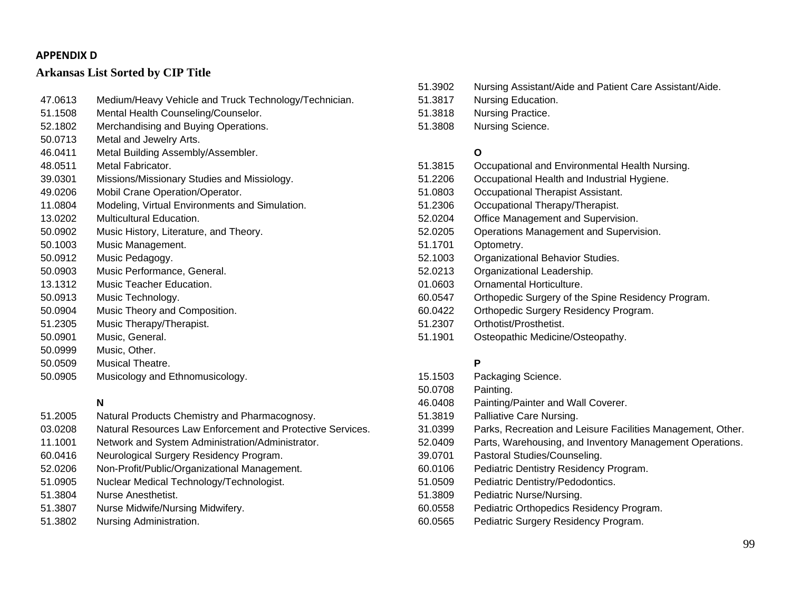# **Arkansas List Sorted by CIP Title**

| 47.0613 | Medium/Heavy Vehicle and Truck Technology/Technician. |
|---------|-------------------------------------------------------|
| 51.1508 | Mental Health Counseling/Counselor.                   |
| 52.1802 | Merchandising and Buying Operations.                  |
| 50.0713 | Metal and Jewelry Arts.                               |
| 46.0411 | Metal Building Assembly/Assembler.                    |
| 48.0511 | Metal Fabricator.                                     |
| 39.0301 | Missions/Missionary Studies and Missiology.           |
| 49.0206 | Mobil Crane Operation/Operator.                       |
| 11.0804 | Modeling, Virtual Environments and Simulation.        |
| 13.0202 | <b>Multicultural Education.</b>                       |
| 50.0902 | Music History, Literature, and Theory.                |
| 50.1003 | Music Management.                                     |
| 50.0912 | Music Pedagogy.                                       |
| 50.0903 | Music Performance, General.                           |
| 13.1312 | Music Teacher Education.                              |
| 50.0913 | Music Technology.                                     |
| 50.0904 | Music Theory and Composition.                         |
| 51.2305 | Music Therapy/Therapist.                              |
| 50.0901 | Music, General.                                       |
| 50.0999 | Music, Other.                                         |
| 50.0509 | Musical Theatre.                                      |
| 50.0905 | Musicology and Ethnomusicology.                       |

# **N**

- 51.2005 Natural Products Chemistry and Pharmacognosy. 03.0208 Natural Resources Law Enforcement and Protective Services. 11.1001 Network and System Administration/Administrator. 60.0416 Neurological Surgery Residency Program. 52.0206 Non-Profit/Public/Organizational Management. 51.0905 Nuclear Medical Technology/Technologist.
- 51.3804 Nurse Anesthetist.
- 51.3807 Nurse Midwife/Nursing Midwifery.
- 51.3802 Nursing Administration.
- 51.3902 Nursing Assistant/Aide and Patient Care Assistant/Aide. 51.3817 Nursing Education. 51.3818 Nursing Practice.
	- 51.3808 Nursing Science.

# **O**

| 51.3815 | Occupational and Environmental Health Nursing.     |
|---------|----------------------------------------------------|
| 51.2206 | Occupational Health and Industrial Hygiene.        |
| 51.0803 | Occupational Therapist Assistant.                  |
| 51.2306 | Occupational Therapy/Therapist.                    |
| 52.0204 | Office Management and Supervision.                 |
| 52.0205 | Operations Management and Supervision.             |
| 51.1701 | Optometry.                                         |
| 52.1003 | Organizational Behavior Studies.                   |
| 52.0213 | Organizational Leadership.                         |
| 01.0603 | Ornamental Horticulture.                           |
| 60.0547 | Orthopedic Surgery of the Spine Residency Program. |
| 60.0422 | Orthopedic Surgery Residency Program.              |
| 51.2307 | Orthotist/Prosthetist.                             |
| 51.1901 | Osteopathic Medicine/Osteopathy.                   |
|         |                                                    |

# **P**

| 15.1503 | Packaging Science.                                          |
|---------|-------------------------------------------------------------|
| 50.0708 | Painting.                                                   |
| 46.0408 | Painting/Painter and Wall Coverer.                          |
| 51.3819 | Palliative Care Nursing.                                    |
| 31.0399 | Parks, Recreation and Leisure Facilities Management, Other. |
| 52.0409 | Parts, Warehousing, and Inventory Management Operations.    |
| 39.0701 | Pastoral Studies/Counseling.                                |
| 60.0106 | Pediatric Dentistry Residency Program.                      |
| 51.0509 | Pediatric Dentistry/Pedodontics.                            |
| 51.3809 | Pediatric Nurse/Nursing.                                    |
| 60.0558 | Pediatric Orthopedics Residency Program.                    |
| 60.0565 | Pediatric Surgery Residency Program.                        |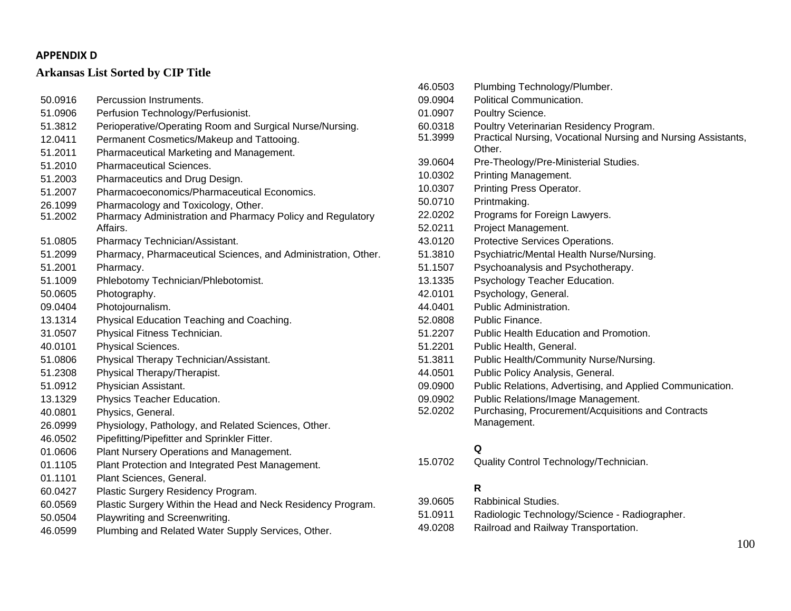# **Arkansas List Sorted by CIP Title**

| 50.0916 | Percussion Instruments.                                                |
|---------|------------------------------------------------------------------------|
| 51.0906 | Perfusion Technology/Perfusionist.                                     |
| 51.3812 | Perioperative/Operating Room and Surgical Nurse/Nursing.               |
| 12.0411 | Permanent Cosmetics/Makeup and Tattooing.                              |
| 51.2011 | Pharmaceutical Marketing and Management.                               |
| 51.2010 | <b>Pharmaceutical Sciences.</b>                                        |
| 51.2003 | Pharmaceutics and Drug Design.                                         |
| 51.2007 | Pharmacoeconomics/Pharmaceutical Economics.                            |
| 26.1099 | Pharmacology and Toxicology, Other.                                    |
| 51.2002 | Pharmacy Administration and Pharmacy Policy and Regulatory<br>Affairs. |
| 51.0805 | Pharmacy Technician/Assistant.                                         |
| 51.2099 | Pharmacy, Pharmaceutical Sciences, and Administration, Other.          |
| 51.2001 | Pharmacy.                                                              |
| 51.1009 | Phlebotomy Technician/Phlebotomist.                                    |
| 50.0605 | Photography.                                                           |
| 09.0404 | Photojournalism.                                                       |
| 13.1314 | Physical Education Teaching and Coaching.                              |
| 31.0507 | Physical Fitness Technician.                                           |
| 40.0101 | Physical Sciences.                                                     |
| 51.0806 | Physical Therapy Technician/Assistant.                                 |
| 51.2308 | Physical Therapy/Therapist.                                            |
| 51.0912 | Physician Assistant.                                                   |
| 13.1329 | Physics Teacher Education.                                             |
| 40.0801 | Physics, General.                                                      |
| 26.0999 | Physiology, Pathology, and Related Sciences, Other.                    |
| 46.0502 | Pipefitting/Pipefitter and Sprinkler Fitter.                           |
| 01.0606 | Plant Nursery Operations and Management.                               |
| 01.1105 | Plant Protection and Integrated Pest Management.                       |
| 01.1101 | Plant Sciences, General.                                               |
| 60.0427 | Plastic Surgery Residency Program.                                     |
| 60.0569 | Plastic Surgery Within the Head and Neck Residency Program.            |
| 50.0504 | Playwriting and Screenwriting.                                         |
| 46.0599 | Plumbing and Related Water Supply Services, Other.                     |

| 46.0503 | Plumbing Technology/Plumber.                                  |
|---------|---------------------------------------------------------------|
| 09.0904 | Political Communication.                                      |
| 01.0907 | Poultry Science.                                              |
| 60.0318 | Poultry Veterinarian Residency Program.                       |
| 51.3999 | Practical Nursing, Vocational Nursing and Nursing Assistants, |
|         | Other.                                                        |
| 39.0604 | Pre-Theology/Pre-Ministerial Studies.                         |
| 10.0302 | Printing Management.                                          |
| 10.0307 | Printing Press Operator.                                      |
| 50.0710 | Printmaking.                                                  |
| 22.0202 | Programs for Foreign Lawyers.                                 |
| 52.0211 | Project Management.                                           |
| 43.0120 | Protective Services Operations.                               |
| 51.3810 | Psychiatric/Mental Health Nurse/Nursing.                      |
| 51.1507 | Psychoanalysis and Psychotherapy.                             |
| 13.1335 | Psychology Teacher Education.                                 |
| 42.0101 | Psychology, General.                                          |
| 44.0401 | Public Administration.                                        |
| 52.0808 | Public Finance.                                               |
| 51.2207 | Public Health Education and Promotion.                        |
| 51.2201 | Public Health, General.                                       |
| 51.3811 | Public Health/Community Nurse/Nursing.                        |
| 44.0501 | Public Policy Analysis, General.                              |
| 09.0900 | Public Relations, Advertising, and Applied Communication.     |
| 09.0902 | Public Relations/Image Management.                            |
| 52.0202 | Purchasing, Procurement/Acquisitions and Contracts            |
|         | Management.                                                   |
|         |                                                               |
|         | Q                                                             |
| 15.0702 | Quality Control Technology/Technician.                        |

#### **R**

| 39.0605 | <b>Rabbinical Studies.</b>                    |
|---------|-----------------------------------------------|
| 51.0911 | Radiologic Technology/Science - Radiographer. |
| 49.0208 | Railroad and Railway Transportation.          |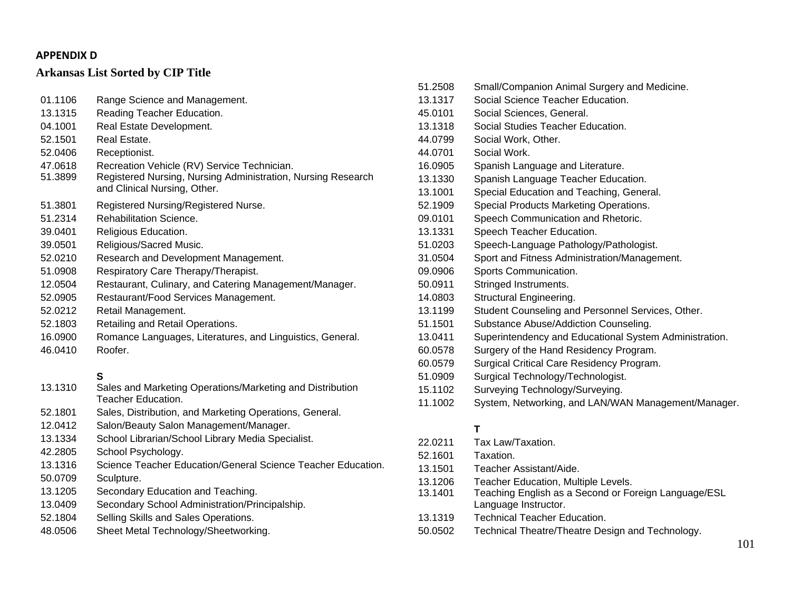### **Arkansas List Sorted by CIP Title**

| 01.1106 | Range Science and Management.                                                                |
|---------|----------------------------------------------------------------------------------------------|
| 13.1315 | Reading Teacher Education.                                                                   |
| 04.1001 | Real Estate Development.                                                                     |
| 52.1501 | Real Estate.                                                                                 |
| 52.0406 | Receptionist.                                                                                |
| 47.0618 | Recreation Vehicle (RV) Service Technician.                                                  |
| 51.3899 | Registered Nursing, Nursing Administration, Nursing Research<br>and Clinical Nursing, Other. |
| 51.3801 | Registered Nursing/Registered Nurse.                                                         |
| 51.2314 | <b>Rehabilitation Science.</b>                                                               |
| 39.0401 | Religious Education.                                                                         |
| 39.0501 | Religious/Sacred Music.                                                                      |
| 52.0210 | Research and Development Management.                                                         |
| 51.0908 | Respiratory Care Therapy/Therapist.                                                          |
| 12.0504 | Restaurant, Culinary, and Catering Management/Manager.                                       |
| 52.0905 | Restaurant/Food Services Management.                                                         |
| 52.0212 | Retail Management.                                                                           |
| 52.1803 | Retailing and Retail Operations.                                                             |
| 16.0900 | Romance Languages, Literatures, and Linguistics, General.                                    |
| 46.0410 | Roofer.                                                                                      |
|         | S                                                                                            |
| 13.1310 | Sales and Marketing Operations/Marketing and Distribution                                    |

- Teacher Education. 52.1801 Sales, Distribution, and Marketing Operations, General. 12.0412 Salon/Beauty Salon Management/Manager. 13.1334 School Librarian/School Library Media Specialist. 42.2805 School Psychology. 13.1316 Science Teacher Education/General Science Teacher Education. 50.0709 Sculpture. 13.1205 Secondary Education and Teaching. 13.0409 Secondary School Administration/Principalship. 52.1804 Selling Skills and Sales Operations.
- 48.0506 Sheet Metal Technology/Sheetworking.

| 51.2508 | Small/Companion Animal Surgery and Medicine.           |
|---------|--------------------------------------------------------|
| 13.1317 | Social Science Teacher Education.                      |
| 45.0101 | Social Sciences, General.                              |
| 13.1318 | Social Studies Teacher Education.                      |
| 44.0799 | Social Work, Other.                                    |
| 44.0701 | Social Work.                                           |
| 16.0905 | Spanish Language and Literature.                       |
| 13.1330 | Spanish Language Teacher Education.                    |
| 13.1001 | Special Education and Teaching, General.               |
| 52.1909 | Special Products Marketing Operations.                 |
| 09.0101 | Speech Communication and Rhetoric.                     |
| 13.1331 | Speech Teacher Education.                              |
| 51.0203 | Speech-Language Pathology/Pathologist.                 |
| 31.0504 | Sport and Fitness Administration/Management.           |
| 09.0906 | Sports Communication.                                  |
| 50.0911 | Stringed Instruments.                                  |
| 14.0803 | Structural Engineering.                                |
| 13.1199 | Student Counseling and Personnel Services, Other.      |
| 51.1501 | Substance Abuse/Addiction Counseling.                  |
| 13.0411 | Superintendency and Educational System Administration. |
| 60.0578 | Surgery of the Hand Residency Program.                 |
| 60.0579 | Surgical Critical Care Residency Program.              |
| 51.0909 | Surgical Technology/Technologist.                      |
| 15.1102 | Surveying Technology/Surveying.                        |
| 11.1002 | System, Networking, and LAN/WAN Management/Manager.    |
|         |                                                        |
|         | Т                                                      |

| 22.0211 | Tax Law/Taxation.                                                            |
|---------|------------------------------------------------------------------------------|
| 52.1601 | Taxation.                                                                    |
| 13.1501 | Teacher Assistant/Aide.                                                      |
| 13.1206 | <b>Teacher Education, Multiple Levels.</b>                                   |
| 13.1401 | Teaching English as a Second or Foreign Language/ESL<br>Language Instructor. |
| 13.1319 | <b>Technical Teacher Education.</b>                                          |
| 50.0502 | Technical Theatre/Theatre Design and Technology.                             |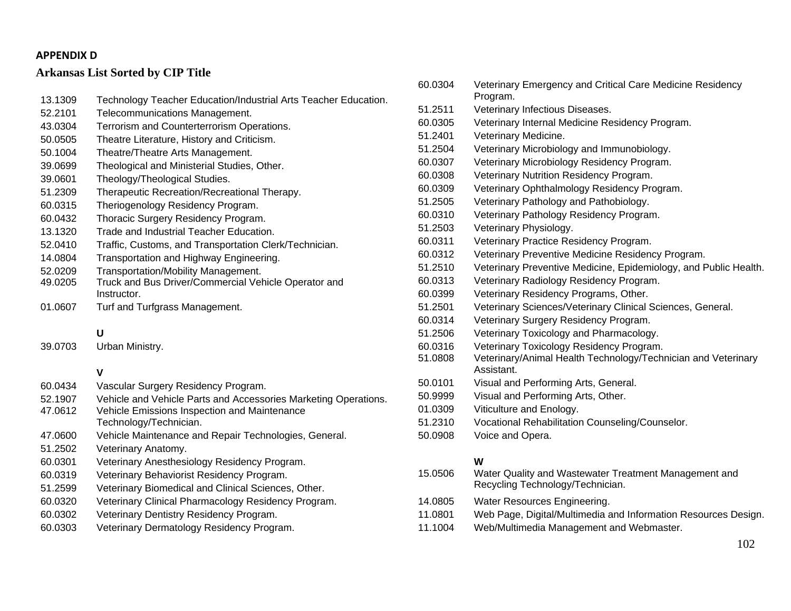# **Arkansas List Sorted by CIP Title**

| 13.1309            | Technology Teacher Education/Industrial Arts Teacher Education.                                                 |   |
|--------------------|-----------------------------------------------------------------------------------------------------------------|---|
| 52.2101            | Telecommunications Management.                                                                                  |   |
| 43.0304            | Terrorism and Counterterrorism Operations.                                                                      | 6 |
| 50.0505            | Theatre Literature, History and Criticism.                                                                      |   |
| 50.1004            | Theatre/Theatre Arts Management.                                                                                |   |
| 39.0699            | Theological and Ministerial Studies, Other.                                                                     |   |
| 39.0601            | Theology/Theological Studies.                                                                                   |   |
| 51.2309            | Therapeutic Recreation/Recreational Therapy.                                                                    |   |
| 60.0315            | Theriogenology Residency Program.                                                                               |   |
| 60.0432            | Thoracic Surgery Residency Program.                                                                             |   |
| 13.1320            | Trade and Industrial Teacher Education.                                                                         |   |
| 52.0410            | Traffic, Customs, and Transportation Clerk/Technician.                                                          |   |
| 14.0804            | Transportation and Highway Engineering.                                                                         |   |
| 52.0209            | Transportation/Mobility Management.                                                                             |   |
| 49.0205            | Truck and Bus Driver/Commercial Vehicle Operator and                                                            |   |
|                    | Instructor.                                                                                                     |   |
| 01.0607            | Turf and Turfgrass Management.                                                                                  |   |
|                    |                                                                                                                 |   |
|                    | U                                                                                                               |   |
| 39.0703            | Urban Ministry.                                                                                                 |   |
|                    |                                                                                                                 |   |
|                    | $\mathsf{V}$                                                                                                    |   |
| 60.0434            | Vascular Surgery Residency Program.                                                                             |   |
| 52.1907<br>47.0612 | Vehicle and Vehicle Parts and Accessories Marketing Operations.<br>Vehicle Emissions Inspection and Maintenance |   |
|                    | Technology/Technician.                                                                                          |   |
| 47.0600            | Vehicle Maintenance and Repair Technologies, General.                                                           |   |
| 51.2502            | Veterinary Anatomy.                                                                                             |   |
| 60.0301            | Veterinary Anesthesiology Residency Program.                                                                    |   |
| 60.0319            | Veterinary Behaviorist Residency Program.                                                                       |   |
| 51.2599            | Veterinary Biomedical and Clinical Sciences, Other.                                                             |   |
| 60.0320            | Veterinary Clinical Pharmacology Residency Program.                                                             |   |
|                    |                                                                                                                 |   |

- 60.0302 Veterinary Dentistry Residency Program.
- 60.0303 Veterinary Dermatology Residency Program.

| 60.0304 | Veterinary Emergency and Critical Care Medicine Residency<br>Program.                     |
|---------|-------------------------------------------------------------------------------------------|
| 51.2511 | Veterinary Infectious Diseases.                                                           |
| 60.0305 | Veterinary Internal Medicine Residency Program.                                           |
| 51.2401 | Veterinary Medicine.                                                                      |
| 51.2504 | Veterinary Microbiology and Immunobiology.                                                |
| 60.0307 | Veterinary Microbiology Residency Program.                                                |
| 60.0308 | Veterinary Nutrition Residency Program.                                                   |
| 60.0309 | Veterinary Ophthalmology Residency Program.                                               |
| 51.2505 | Veterinary Pathology and Pathobiology.                                                    |
| 60.0310 | Veterinary Pathology Residency Program.                                                   |
| 51.2503 | Veterinary Physiology.                                                                    |
| 60.0311 | Veterinary Practice Residency Program.                                                    |
| 60.0312 | Veterinary Preventive Medicine Residency Program.                                         |
| 51.2510 | Veterinary Preventive Medicine, Epidemiology, and Public Health.                          |
| 60.0313 | Veterinary Radiology Residency Program.                                                   |
| 60.0399 | Veterinary Residency Programs, Other.                                                     |
| 51.2501 | Veterinary Sciences/Veterinary Clinical Sciences, General.                                |
| 60.0314 | Veterinary Surgery Residency Program.                                                     |
| 51.2506 | Veterinary Toxicology and Pharmacology.                                                   |
| 60.0316 | Veterinary Toxicology Residency Program.                                                  |
| 51.0808 | Veterinary/Animal Health Technology/Technician and Veterinary<br>Assistant.               |
| 50.0101 | Visual and Performing Arts, General.                                                      |
| 50.9999 | Visual and Performing Arts, Other.                                                        |
| 01.0309 | Viticulture and Enology.                                                                  |
| 51.2310 | Vocational Rehabilitation Counseling/Counselor.                                           |
| 50.0908 | Voice and Opera.                                                                          |
|         | W                                                                                         |
| 15.0506 | Water Quality and Wastewater Treatment Management and<br>Recycling Technology/Technician. |

- 14.0805 Water Resources Engineering.
- 11.0801 Web Page, Digital/Multimedia and Information Resources Design.
- 11.1004 Web/Multimedia Management and Webmaster.